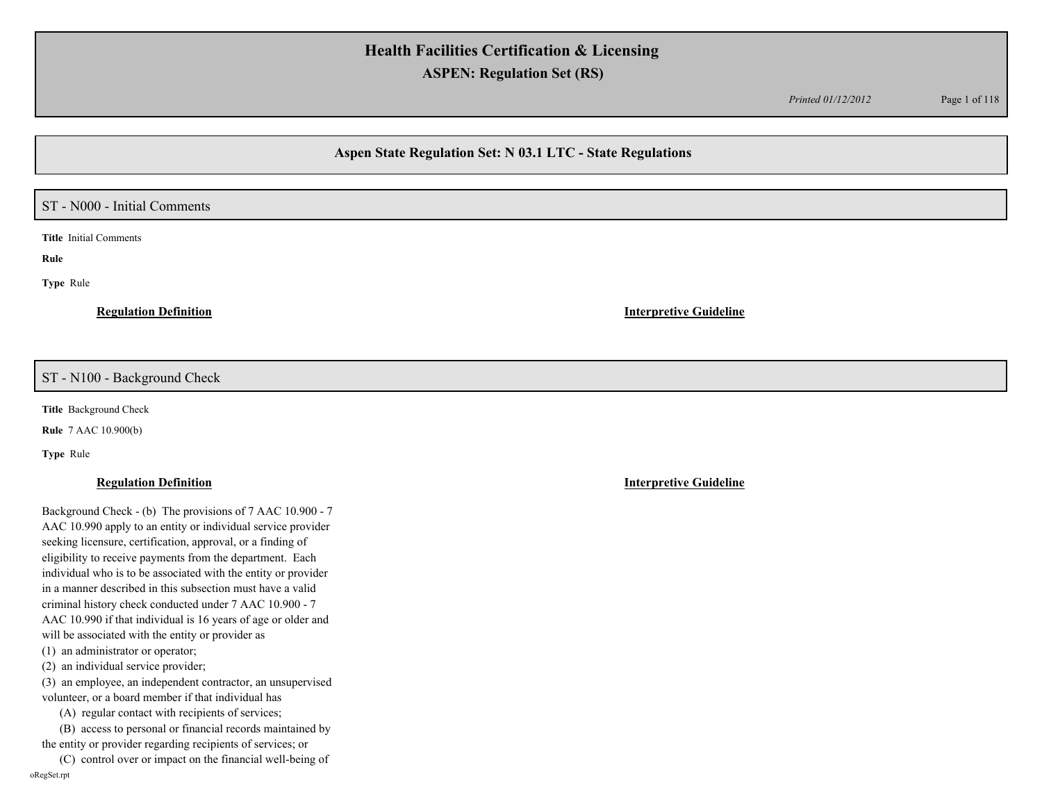*Printed 01/12/2012* Page 1 of 118

## **Aspen State Regulation Set: N 03.1 LTC - State Regulations**

### ST - N000 - Initial Comments

**Title** Initial Comments

**Rule** 

**Type** Rule

**Regulation Definition Interpretive Guideline**

### ST - N100 - Background Check

**Title** Background Check

**Rule** 7 AAC 10.900(b)

**Type** Rule

### **Regulation Definition Interpretive Guideline**

Background Check - (b) The provisions of 7 AAC 10.900 - 7 AAC 10.990 apply to an entity or individual service provider seeking licensure, certification, approval, or a finding of eligibility to receive payments from the department. Each individual who is to be associated with the entity or provider in a manner described in this subsection must have a valid criminal history check conducted under 7 AAC 10.900 - 7 AAC 10.990 if that individual is 16 years of age or older and will be associated with the entity or provider as (1) an administrator or operator; (2) an individual service provider;

(3) an employee, an independent contractor, an unsupervised volunteer, or a board member if that individual has

(A) regular contact with recipients of services;

 (B) access to personal or financial records maintained by the entity or provider regarding recipients of services; or

 (C) control over or impact on the financial well-being of oRegSet.rpt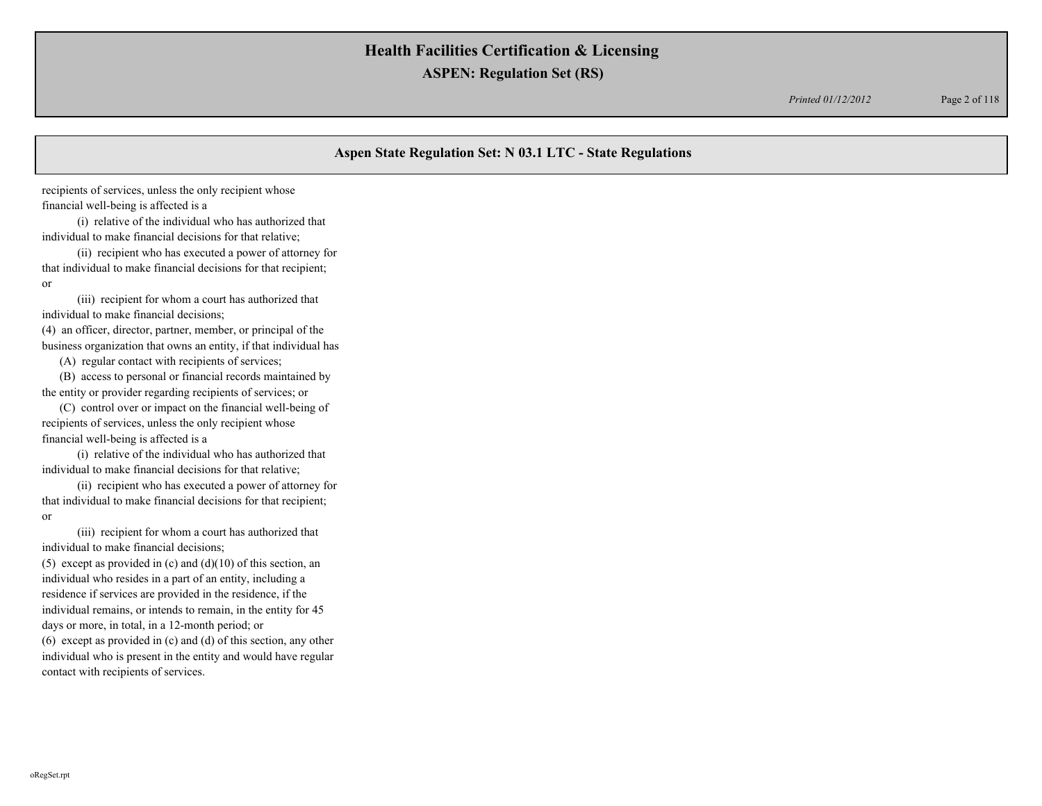*Printed 01/12/2012* Page 2 of 118

## **Aspen State Regulation Set: N 03.1 LTC - State Regulations**

recipients of services, unless the only recipient whose financial well-being is affected is a

 (i) relative of the individual who has authorized that individual to make financial decisions for that relative;

 (ii) recipient who has executed a power of attorney for that individual to make financial decisions for that recipient; or

 (iii) recipient for whom a court has authorized that individual to make financial decisions; (4) an officer, director, partner, member, or principal of the

business organization that owns an entity, if that individual has

(A) regular contact with recipients of services;

 (B) access to personal or financial records maintained by the entity or provider regarding recipients of services; or

 (C) control over or impact on the financial well-being of recipients of services, unless the only recipient whose financial well-being is affected is a

 (i) relative of the individual who has authorized that individual to make financial decisions for that relative;

 (ii) recipient who has executed a power of attorney for that individual to make financial decisions for that recipient; or

 (iii) recipient for whom a court has authorized that individual to make financial decisions;

(5) except as provided in (c) and  $(d)(10)$  of this section, an individual who resides in a part of an entity, including a residence if services are provided in the residence, if the individual remains, or intends to remain, in the entity for 45 days or more, in total, in a 12-month period; or (6) except as provided in (c) and (d) of this section, any other individual who is present in the entity and would have regular contact with recipients of services.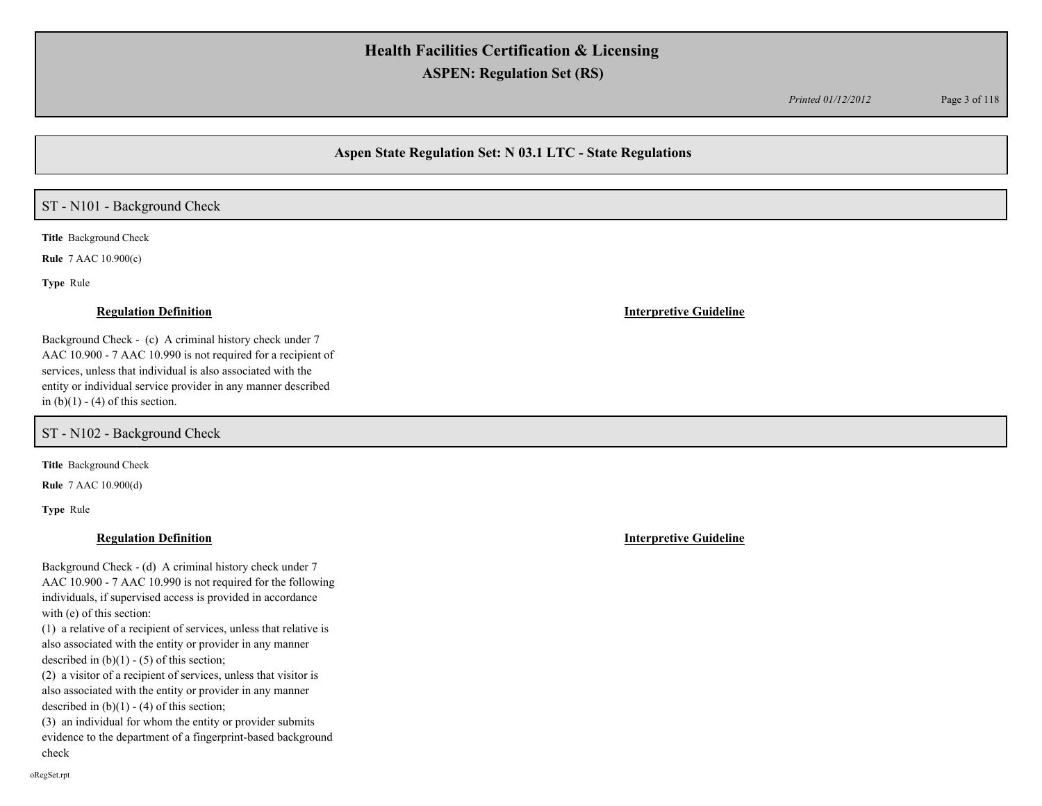*Printed 01/12/2012* Page 3 of 118

## **Aspen State Regulation Set: N 03.1 LTC - State Regulations**

## ST - N101 - Background Check

**Title** Background Check

**Rule** 7 AAC 10.900(c)

**Type** Rule

Background Check - (c) A criminal history check under 7 AAC 10.900 - 7 AAC 10.990 is not required for a recipient of services, unless that individual is also associated with the entity or individual service provider in any manner described in  $(b)(1) - (4)$  of this section.

ST - N102 - Background Check

**Title** Background Check

**Rule** 7 AAC 10.900(d)

**Type** Rule

### **Regulation Definition Interpretive Guideline**

Background Check - (d) A criminal history check under 7 AAC 10.900 - 7 AAC 10.990 is not required for the following individuals, if supervised access is provided in accordance with (e) of this section:

(1) a relative of a recipient of services, unless that relative is also associated with the entity or provider in any manner described in  $(b)(1) - (5)$  of this section;

(2) a visitor of a recipient of services, unless that visitor is also associated with the entity or provider in any manner described in  $(b)(1) - (4)$  of this section;

(3) an individual for whom the entity or provider submits evidence to the department of a fingerprint-based background check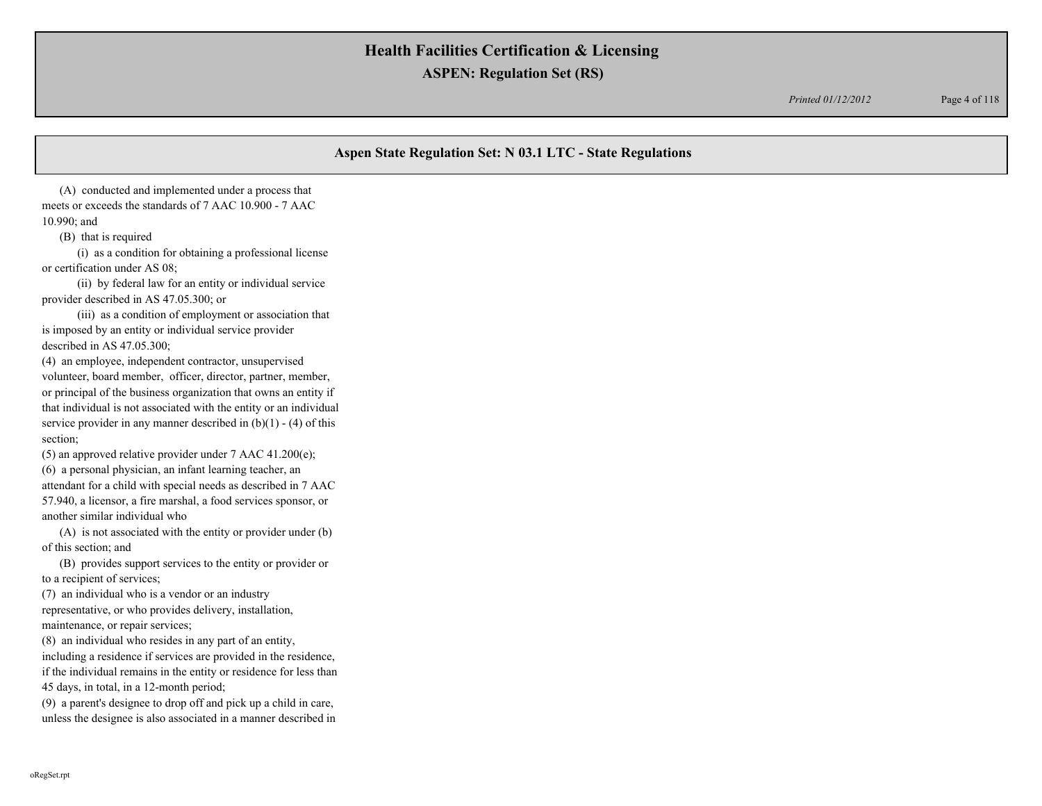*Printed 01/12/2012* Page 4 of 118

## **Aspen State Regulation Set: N 03.1 LTC - State Regulations**

 (A) conducted and implemented under a process that meets or exceeds the standards of 7 AAC 10.900 - 7 AAC 10.990; and

(B) that is required

 (i) as a condition for obtaining a professional license or certification under AS 08;

 (ii) by federal law for an entity or individual service provider described in AS 47.05.300; or

 (iii) as a condition of employment or association that is imposed by an entity or individual service provider described in AS 47.05.300;

(4) an employee, independent contractor, unsupervised volunteer, board member, officer, director, partner, member, or principal of the business organization that owns an entity if that individual is not associated with the entity or an individual service provider in any manner described in  $(b)(1) - (4)$  of this section;

(5) an approved relative provider under 7 AAC 41.200(e); (6) a personal physician, an infant learning teacher, an attendant for a child with special needs as described in 7 AAC 57.940, a licensor, a fire marshal, a food services sponsor, or another similar individual who

 (A) is not associated with the entity or provider under (b) of this section; and

 (B) provides support services to the entity or provider or to a recipient of services;

(7) an individual who is a vendor or an industry

representative, or who provides delivery, installation, maintenance, or repair services;

(8) an individual who resides in any part of an entity,

including a residence if services are provided in the residence, if the individual remains in the entity or residence for less than 45 days, in total, in a 12-month period;

(9) a parent's designee to drop off and pick up a child in care, unless the designee is also associated in a manner described in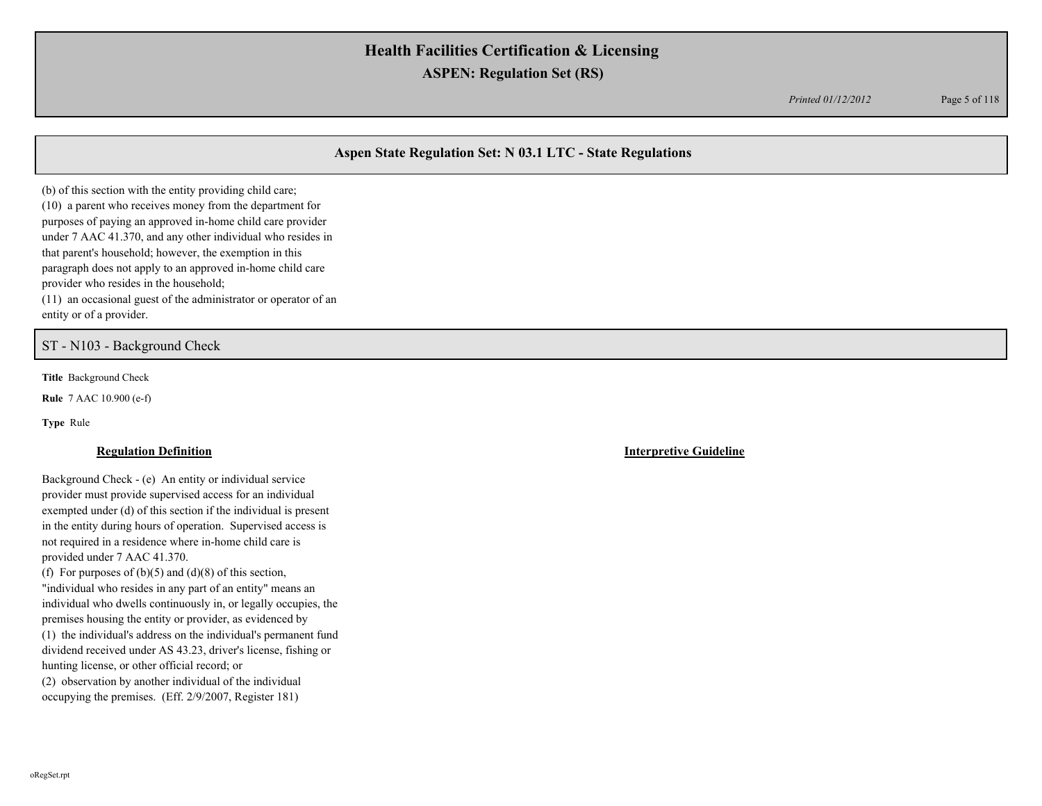*Printed 01/12/2012* Page 5 of 118

## **Aspen State Regulation Set: N 03.1 LTC - State Regulations**

(b) of this section with the entity providing child care; (10) a parent who receives money from the department for purposes of paying an approved in-home child care provider under 7 AAC 41.370, and any other individual who resides in that parent's household; however, the exemption in this paragraph does not apply to an approved in-home child care provider who resides in the household; (11) an occasional guest of the administrator or operator of an

entity or of a provider.

ST - N103 - Background Check

**Title** Background Check

**Rule** 7 AAC 10.900 (e-f)

**Type** Rule

Background Check - (e) An entity or individual service provider must provide supervised access for an individual exempted under (d) of this section if the individual is present in the entity during hours of operation. Supervised access is not required in a residence where in-home child care is provided under 7 AAC 41.370. (f) For purposes of  $(b)(5)$  and  $(d)(8)$  of this section, "individual who resides in any part of an entity" means an individual who dwells continuously in, or legally occupies, the premises housing the entity or provider, as evidenced by

(1) the individual's address on the individual's permanent fund dividend received under AS 43.23, driver's license, fishing or hunting license, or other official record; or

(2) observation by another individual of the individual occupying the premises. (Eff. 2/9/2007, Register 181)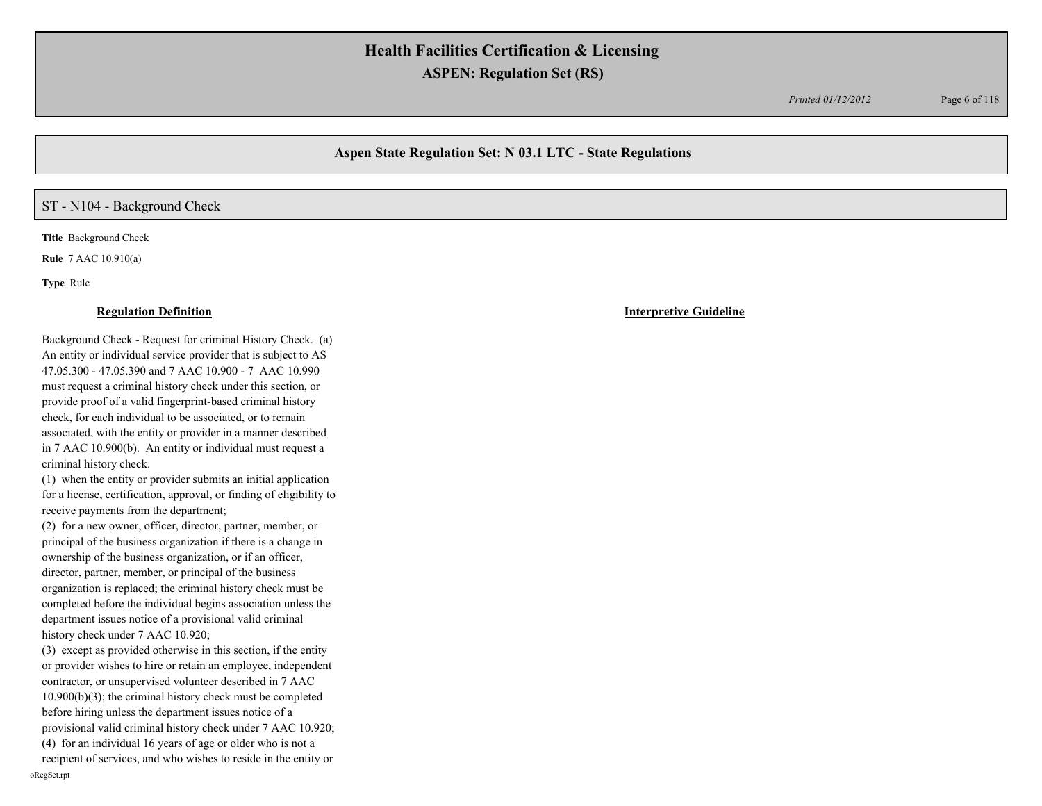*Printed 01/12/2012* Page 6 of 118

## **Aspen State Regulation Set: N 03.1 LTC - State Regulations**

## ST - N104 - Background Check

**Title** Background Check

**Rule** 7 AAC 10.910(a)

**Type** Rule

#### **Regulation Definition Interpretive Guideline**

Background Check - Request for criminal History Check. (a) An entity or individual service provider that is subject to AS 47.05.300 - 47.05.390 and 7 AAC 10.900 - 7 AAC 10.990 must request a criminal history check under this section, or provide proof of a valid fingerprint-based criminal history check, for each individual to be associated, or to remain associated, with the entity or provider in a manner described in 7 AAC 10.900(b). An entity or individual must request a criminal history check.

(1) when the entity or provider submits an initial application for a license, certification, approval, or finding of eligibility to receive payments from the department;

(2) for a new owner, officer, director, partner, member, or principal of the business organization if there is a change in ownership of the business organization, or if an officer, director, partner, member, or principal of the business organization is replaced; the criminal history check must be completed before the individual begins association unless the department issues notice of a provisional valid criminal history check under 7 AAC 10.920;

(3) except as provided otherwise in this section, if the entity or provider wishes to hire or retain an employee, independent contractor, or unsupervised volunteer described in 7 AAC 10.900(b)(3); the criminal history check must be completed before hiring unless the department issues notice of a provisional valid criminal history check under 7 AAC 10.920; (4) for an individual 16 years of age or older who is not a

recipient of services, and who wishes to reside in the entity or oRegSet.rpt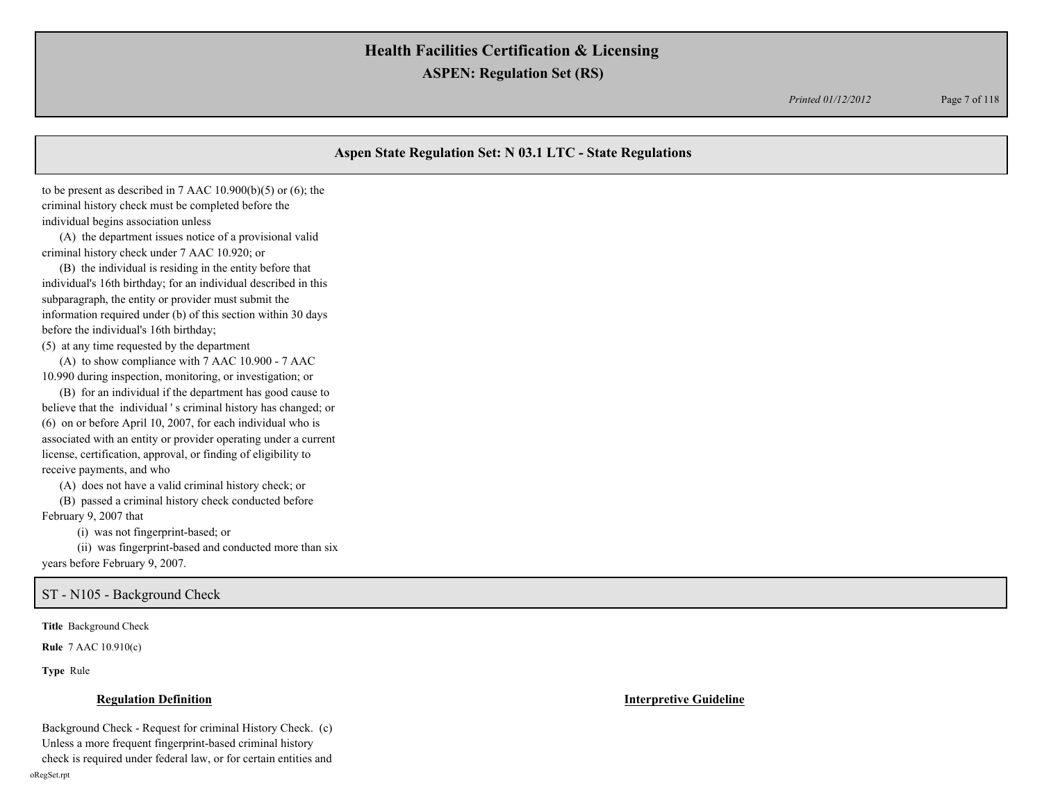*Printed 01/12/2012* Page 7 of 118

## **Aspen State Regulation Set: N 03.1 LTC - State Regulations**

to be present as described in 7 AAC  $10.900(b)(5)$  or  $(6)$ ; the criminal history check must be completed before the individual begins association unless

 (A) the department issues notice of a provisional valid criminal history check under 7 AAC 10.920; or

 (B) the individual is residing in the entity before that individual's 16th birthday; for an individual described in this subparagraph, the entity or provider must submit the information required under (b) of this section within 30 days before the individual's 16th birthday;

(5) at any time requested by the department

 (A) to show compliance with 7 AAC 10.900 - 7 AAC 10.990 during inspection, monitoring, or investigation; or

 (B) for an individual if the department has good cause to believe that the individual ' s criminal history has changed; or (6) on or before April 10, 2007, for each individual who is associated with an entity or provider operating under a current license, certification, approval, or finding of eligibility to receive payments, and who

(A) does not have a valid criminal history check; or

 (B) passed a criminal history check conducted before February 9, 2007 that

(i) was not fingerprint-based; or

 (ii) was fingerprint-based and conducted more than six years before February 9, 2007.

### ST - N105 - Background Check

**Title** Background Check

**Rule** 7 AAC 10.910(c)

**Type** Rule

#### **Regulation Definition Interpretive Guideline**

Background Check - Request for criminal History Check. (c) Unless a more frequent fingerprint-based criminal history check is required under federal law, or for certain entities and oRegSet.rpt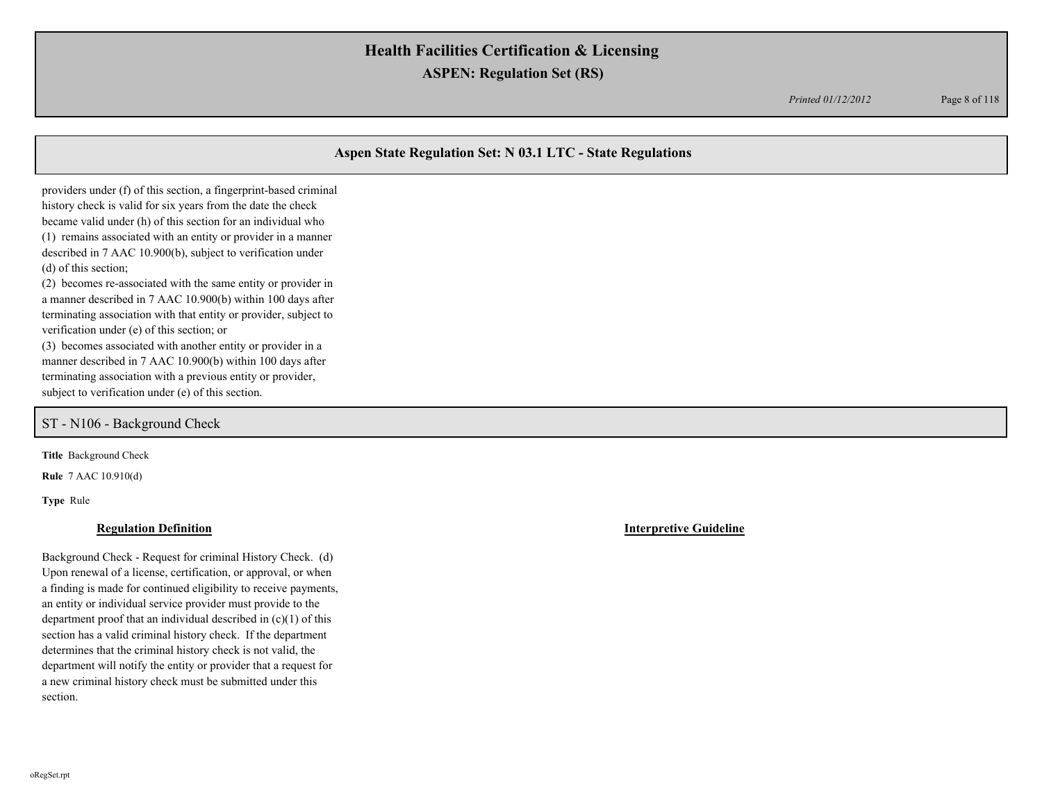*Printed 01/12/2012* Page 8 of 118

## **Aspen State Regulation Set: N 03.1 LTC - State Regulations**

providers under (f) of this section, a fingerprint-based criminal history check is valid for six years from the date the check became valid under (h) of this section for an individual who (1) remains associated with an entity or provider in a manner described in 7 AAC 10.900(b), subject to verification under (d) of this section;

(2) becomes re-associated with the same entity or provider in a manner described in 7 AAC 10.900(b) within 100 days after terminating association with that entity or provider, subject to verification under (e) of this section; or

(3) becomes associated with another entity or provider in a manner described in 7 AAC 10.900(b) within 100 days after terminating association with a previous entity or provider, subject to verification under (e) of this section.

### ST - N106 - Background Check

**Title** Background Check

**Rule** 7 AAC 10.910(d)

**Type** Rule

#### **Regulation Definition Interpretive Guideline**

Background Check - Request for criminal History Check. (d) Upon renewal of a license, certification, or approval, or when a finding is made for continued eligibility to receive payments, an entity or individual service provider must provide to the department proof that an individual described in (c)(1) of this section has a valid criminal history check. If the department determines that the criminal history check is not valid, the department will notify the entity or provider that a request for a new criminal history check must be submitted under this section.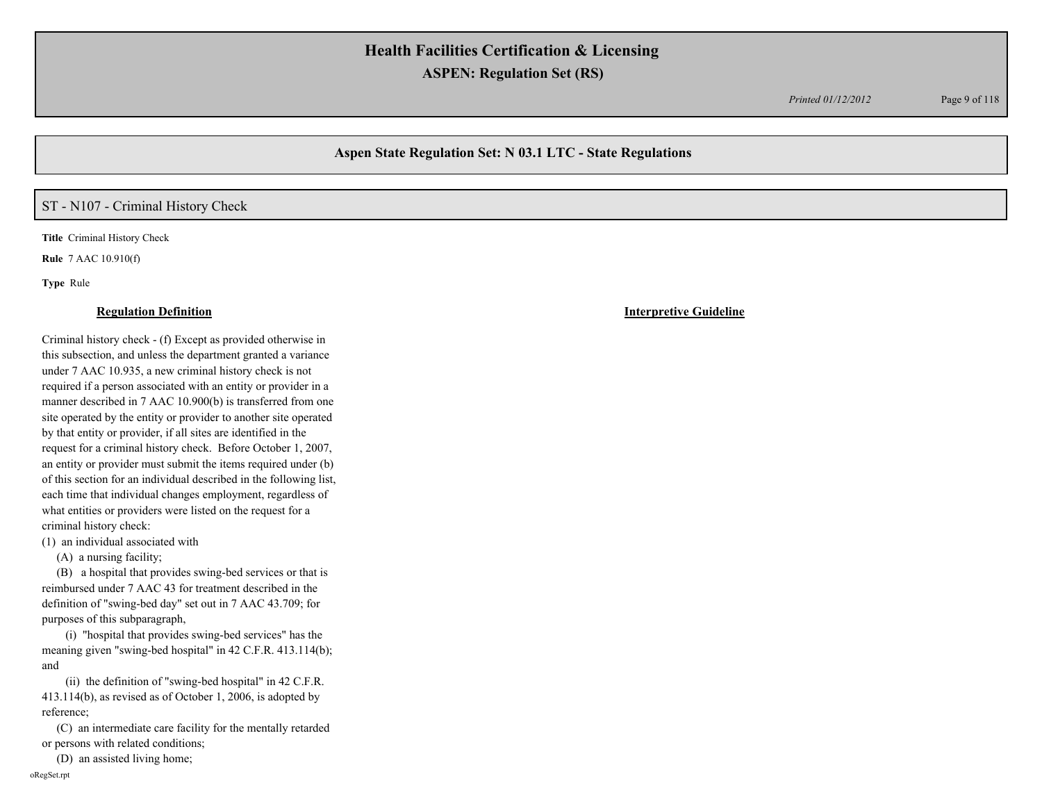*Printed 01/12/2012* Page 9 of 118

## **Aspen State Regulation Set: N 03.1 LTC - State Regulations**

## ST - N107 - Criminal History Check

**Title** Criminal History Check

**Rule** 7 AAC 10.910(f)

**Type** Rule

#### **Regulation Definition Interpretive Guideline**

Criminal history check - (f) Except as provided otherwise in this subsection, and unless the department granted a variance under 7 AAC 10.935, a new criminal history check is not required if a person associated with an entity or provider in a manner described in 7 AAC 10.900(b) is transferred from one site operated by the entity or provider to another site operated by that entity or provider, if all sites are identified in the request for a criminal history check. Before October 1, 2007, an entity or provider must submit the items required under (b) of this section for an individual described in the following list, each time that individual changes employment, regardless of what entities or providers were listed on the request for a criminal history check:

(1) an individual associated with

(A) a nursing facility;

 (B) a hospital that provides swing-bed services or that is reimbursed under 7 AAC 43 for treatment described in the definition of "swing-bed day" set out in 7 AAC 43.709; for purposes of this subparagraph,

 (i) "hospital that provides swing-bed services" has the meaning given "swing-bed hospital" in 42 C.F.R. 413.114(b); and

 (ii) the definition of "swing-bed hospital" in 42 C.F.R. 413.114(b), as revised as of October 1, 2006, is adopted by reference;

 (C) an intermediate care facility for the mentally retarded or persons with related conditions;

(D) an assisted living home;

oRegSet.rpt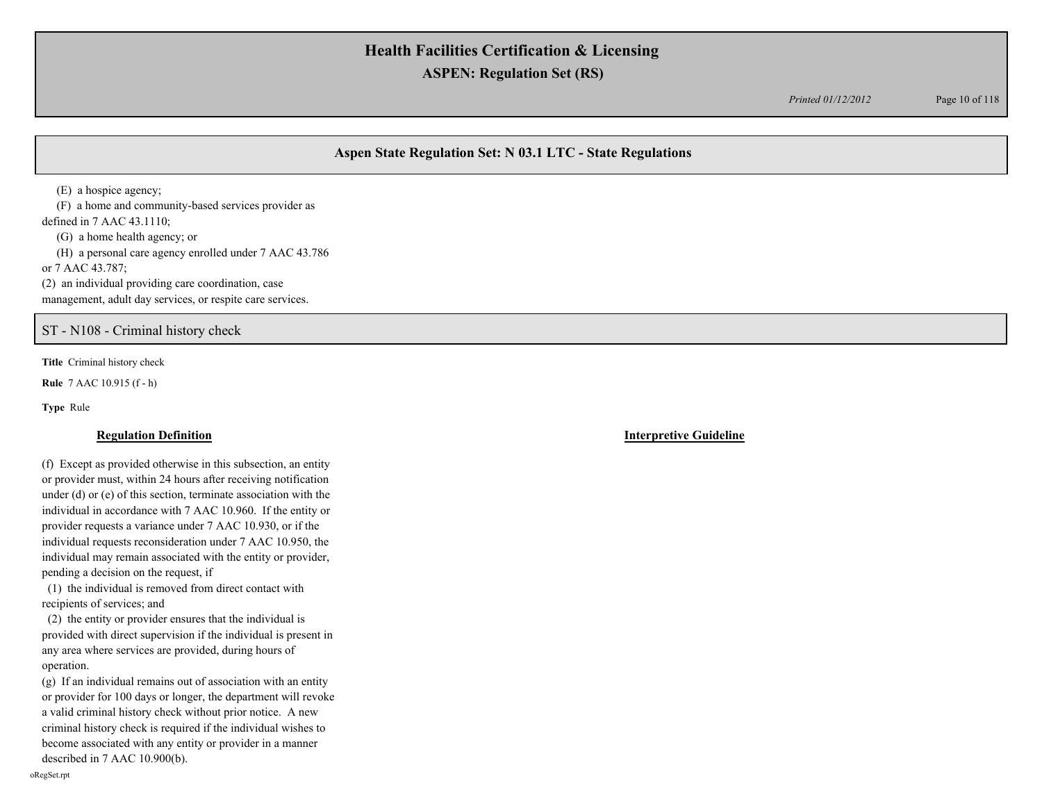*Printed 01/12/2012* Page 10 of 118

## **Aspen State Regulation Set: N 03.1 LTC - State Regulations**

 (E) a hospice agency; (F) a home and community-based services provider as defined in 7 AAC 43.1110; (G) a home health agency; or (H) a personal care agency enrolled under 7 AAC 43.786 or 7 AAC 43.787; (2) an individual providing care coordination, case management, adult day services, or respite care services.

ST - N108 - Criminal history check

**Title** Criminal history check

**Rule** 7 AAC 10.915 (f - h)

**Type** Rule

(f) Except as provided otherwise in this subsection, an entity or provider must, within 24 hours after receiving notification under (d) or (e) of this section, terminate association with the individual in accordance with 7 AAC 10.960. If the entity or provider requests a variance under 7 AAC 10.930, or if the individual requests reconsideration under 7 AAC 10.950, the individual may remain associated with the entity or provider, pending a decision on the request, if

 (1) the individual is removed from direct contact with recipients of services; and

 (2) the entity or provider ensures that the individual is provided with direct supervision if the individual is present in any area where services are provided, during hours of operation.

(g) If an individual remains out of association with an entity or provider for 100 days or longer, the department will revoke a valid criminal history check without prior notice. A new criminal history check is required if the individual wishes to become associated with any entity or provider in a manner described in 7 AAC 10.900(b).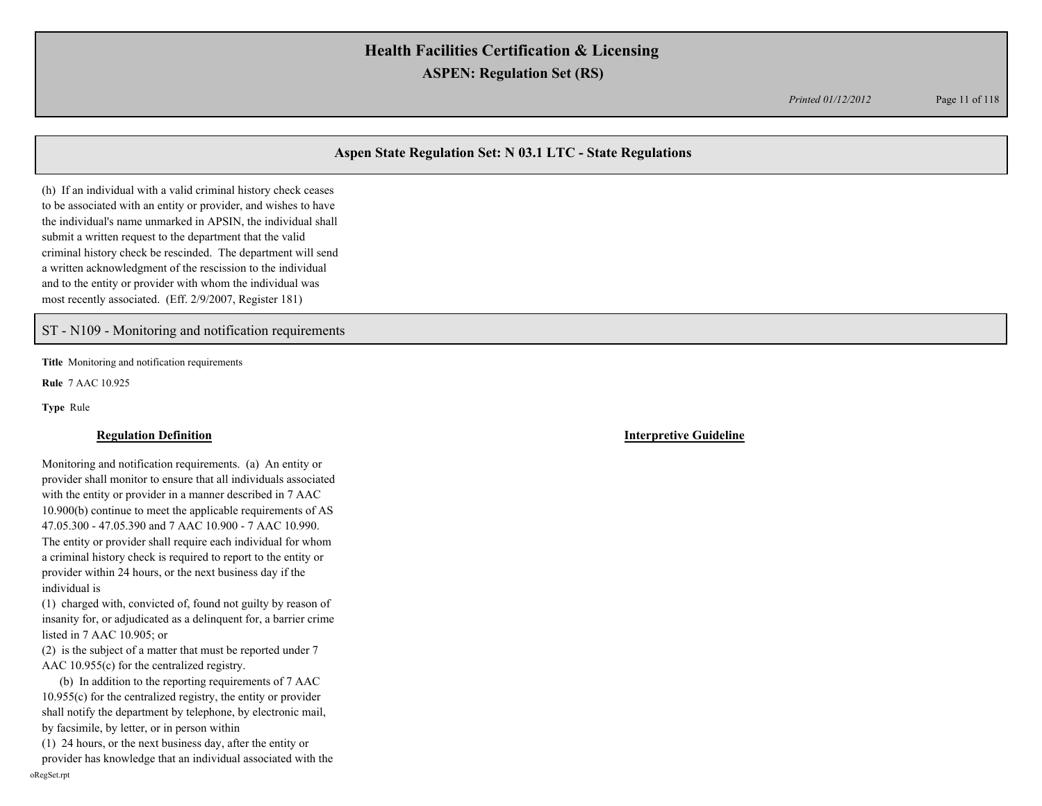*Printed 01/12/2012* Page 11 of 118

## **Aspen State Regulation Set: N 03.1 LTC - State Regulations**

(h) If an individual with a valid criminal history check ceases to be associated with an entity or provider, and wishes to have the individual's name unmarked in APSIN, the individual shall submit a written request to the department that the valid criminal history check be rescinded. The department will send a written acknowledgment of the rescission to the individual and to the entity or provider with whom the individual was most recently associated. (Eff. 2/9/2007, Register 181)

#### ST - N109 - Monitoring and notification requirements

**Title** Monitoring and notification requirements

**Rule** 7 AAC 10.925

**Type** Rule

Monitoring and notification requirements. (a) An entity or provider shall monitor to ensure that all individuals associated with the entity or provider in a manner described in 7 AAC 10.900(b) continue to meet the applicable requirements of AS 47.05.300 - 47.05.390 and 7 AAC 10.900 - 7 AAC 10.990. The entity or provider shall require each individual for whom a criminal history check is required to report to the entity or provider within 24 hours, or the next business day if the individual is

(1) charged with, convicted of, found not guilty by reason of insanity for, or adjudicated as a delinquent for, a barrier crime listed in 7 AAC 10.905; or

(2) is the subject of a matter that must be reported under 7 AAC 10.955(c) for the centralized registry.

 (b) In addition to the reporting requirements of 7 AAC 10.955(c) for the centralized registry, the entity or provider shall notify the department by telephone, by electronic mail, by facsimile, by letter, or in person within

(1) 24 hours, or the next business day, after the entity or

provider has knowledge that an individual associated with the oRegSet.rpt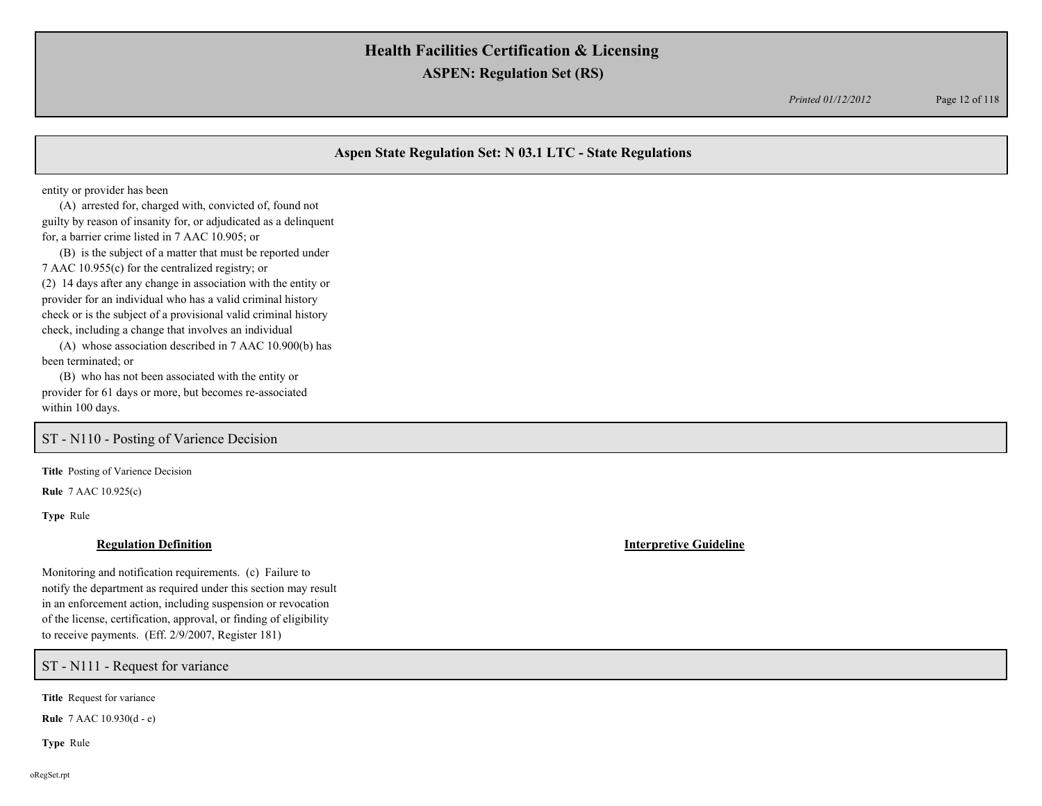*Printed 01/12/2012* Page 12 of 118

## **Aspen State Regulation Set: N 03.1 LTC - State Regulations**

entity or provider has been

 (A) arrested for, charged with, convicted of, found not guilty by reason of insanity for, or adjudicated as a delinquent for, a barrier crime listed in 7 AAC 10.905; or

 (B) is the subject of a matter that must be reported under 7 AAC 10.955(c) for the centralized registry; or (2) 14 days after any change in association with the entity or provider for an individual who has a valid criminal history check or is the subject of a provisional valid criminal history check, including a change that involves an individual

 (A) whose association described in 7 AAC 10.900(b) has been terminated; or

 (B) who has not been associated with the entity or provider for 61 days or more, but becomes re-associated within 100 days.

## ST - N110 - Posting of Varience Decision

**Title** Posting of Varience Decision

**Rule** 7 AAC 10.925(c)

**Type** Rule

Monitoring and notification requirements. (c) Failure to notify the department as required under this section may result in an enforcement action, including suspension or revocation of the license, certification, approval, or finding of eligibility to receive payments. (Eff. 2/9/2007, Register 181)

ST - N111 - Request for variance

**Title** Request for variance

**Rule** 7 AAC 10.930(d - e)

**Type** Rule

**Regulation Definition Interpretive Guideline**

oRegSet.rpt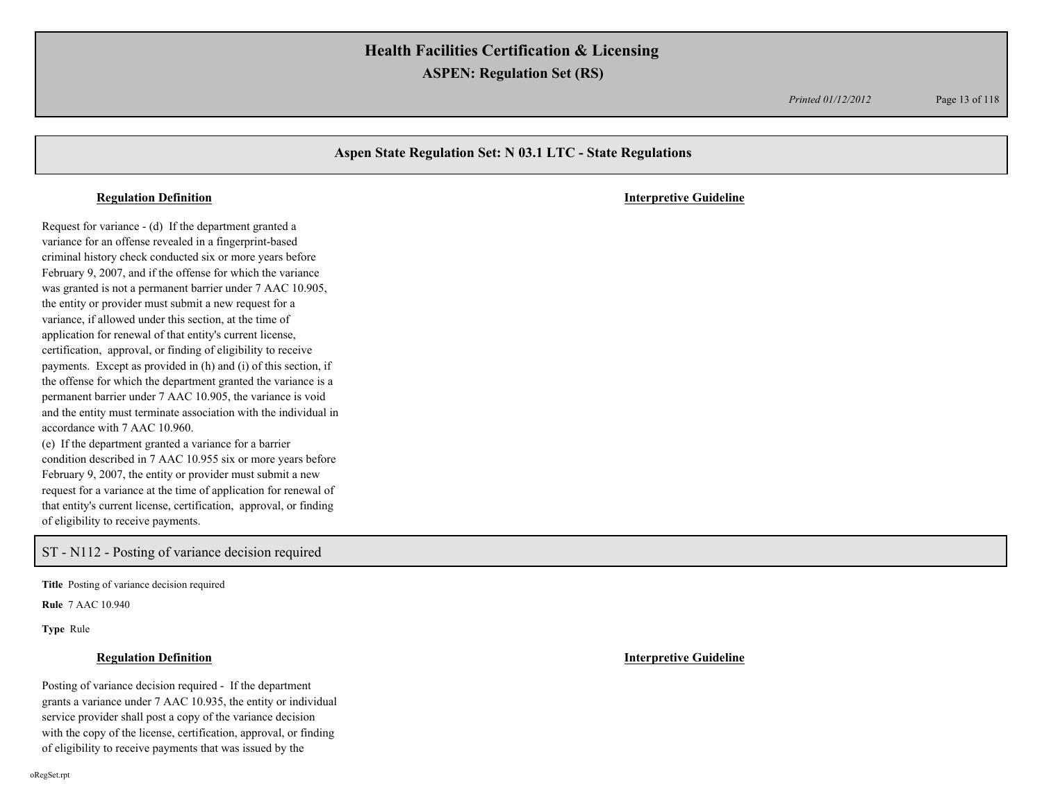*Printed 01/12/2012* Page 13 of 118

### **Aspen State Regulation Set: N 03.1 LTC - State Regulations**

#### **Regulation Definition Interpretive Guideline**

Request for variance - (d) If the department granted a variance for an offense revealed in a fingerprint-based criminal history check conducted six or more years before February 9, 2007, and if the offense for which the variance was granted is not a permanent barrier under 7 AAC 10.905, the entity or provider must submit a new request for a variance, if allowed under this section, at the time of application for renewal of that entity's current license, certification, approval, or finding of eligibility to receive payments. Except as provided in (h) and (i) of this section, if the offense for which the department granted the variance is a permanent barrier under 7 AAC 10.905, the variance is void and the entity must terminate association with the individual in accordance with 7 AAC 10.960. (e) If the department granted a variance for a barrier condition described in 7 AAC 10.955 six or more years before February 9, 2007, the entity or provider must submit a new request for a variance at the time of application for renewal of

that entity's current license, certification, approval, or finding of eligibility to receive payments.

## ST - N112 - Posting of variance decision required

**Title** Posting of variance decision required

**Rule** 7 AAC 10.940

**Type** Rule

Posting of variance decision required - If the department grants a variance under 7 AAC 10.935, the entity or individual service provider shall post a copy of the variance decision with the copy of the license, certification, approval, or finding of eligibility to receive payments that was issued by the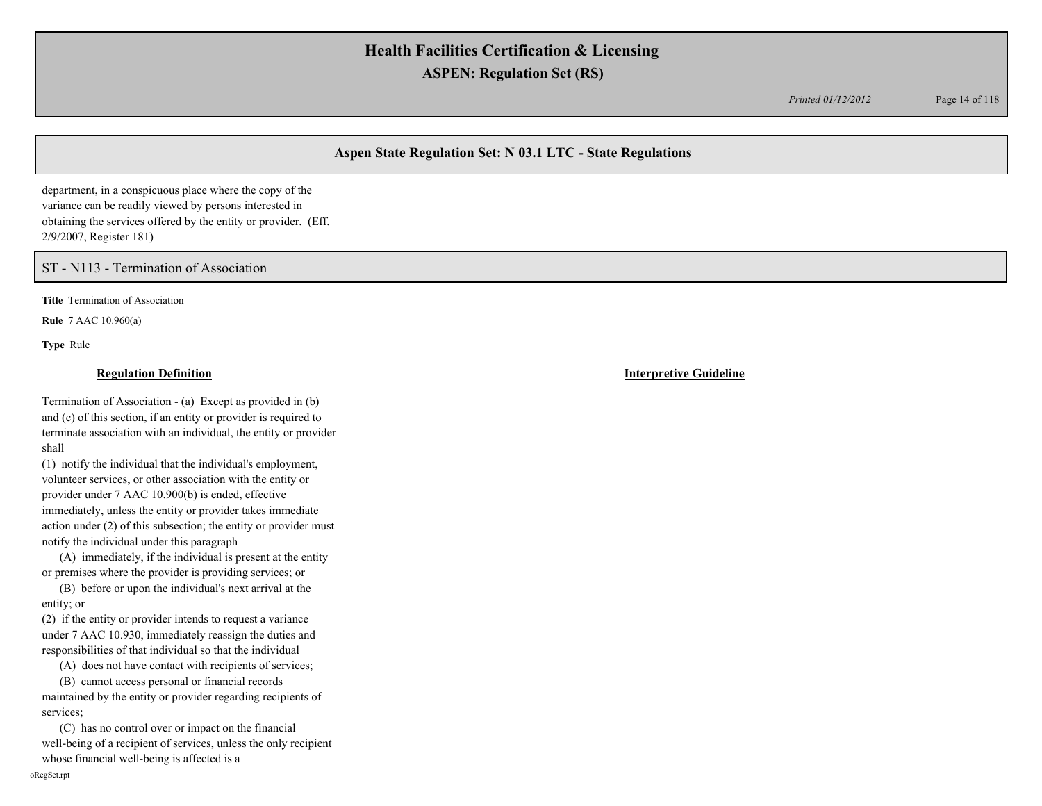*Printed 01/12/2012* Page 14 of 118

## **Aspen State Regulation Set: N 03.1 LTC - State Regulations**

department, in a conspicuous place where the copy of the variance can be readily viewed by persons interested in obtaining the services offered by the entity or provider. (Eff. 2/9/2007, Register 181)

ST - N113 - Termination of Association

**Title** Termination of Association

**Rule** 7 AAC 10.960(a)

**Type** Rule

Termination of Association - (a) Except as provided in (b) and (c) of this section, if an entity or provider is required to terminate association with an individual, the entity or provider shall

(1) notify the individual that the individual's employment, volunteer services, or other association with the entity or provider under 7 AAC 10.900(b) is ended, effective immediately, unless the entity or provider takes immediate action under (2) of this subsection; the entity or provider must notify the individual under this paragraph

 (A) immediately, if the individual is present at the entity or premises where the provider is providing services; or

 (B) before or upon the individual's next arrival at the entity; or

(2) if the entity or provider intends to request a variance under 7 AAC 10.930, immediately reassign the duties and responsibilities of that individual so that the individual

(A) does not have contact with recipients of services;

 (B) cannot access personal or financial records maintained by the entity or provider regarding recipients of services;

 (C) has no control over or impact on the financial well-being of a recipient of services, unless the only recipient whose financial well-being is affected is a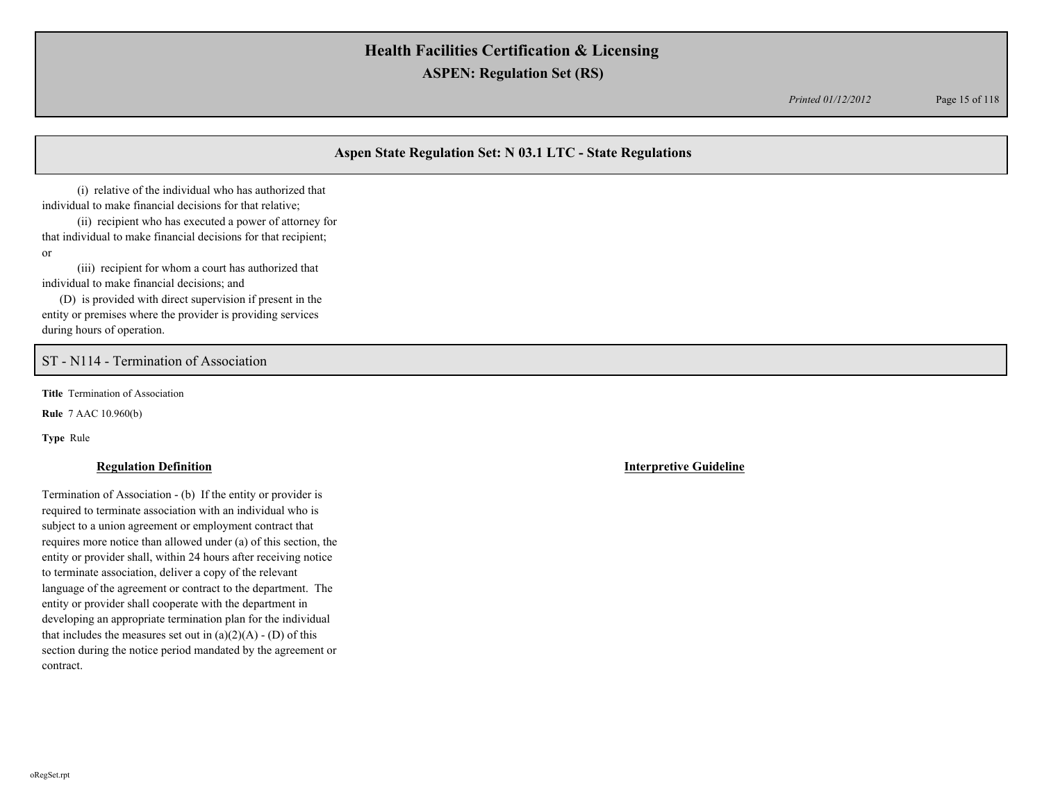*Printed 01/12/2012* Page 15 of 118

## **Aspen State Regulation Set: N 03.1 LTC - State Regulations**

 (i) relative of the individual who has authorized that individual to make financial decisions for that relative;

 (ii) recipient who has executed a power of attorney for that individual to make financial decisions for that recipient; or

 (iii) recipient for whom a court has authorized that individual to make financial decisions; and

 (D) is provided with direct supervision if present in the entity or premises where the provider is providing services during hours of operation.

## ST - N114 - Termination of Association

**Title** Termination of Association

**Rule** 7 AAC 10.960(b)

**Type** Rule

Termination of Association - (b) If the entity or provider is required to terminate association with an individual who is subject to a union agreement or employment contract that requires more notice than allowed under (a) of this section, the entity or provider shall, within 24 hours after receiving notice to terminate association, deliver a copy of the relevant language of the agreement or contract to the department. The entity or provider shall cooperate with the department in developing an appropriate termination plan for the individual that includes the measures set out in  $(a)(2)(A) - (D)$  of this section during the notice period mandated by the agreement or contract.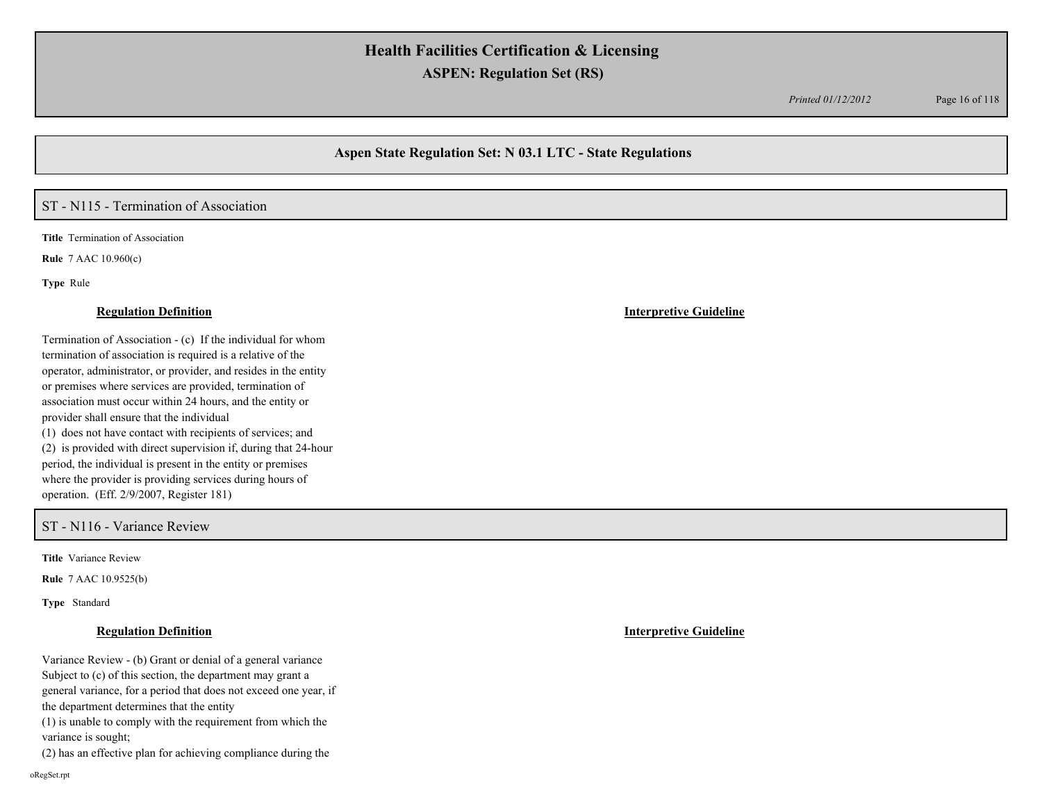*Printed 01/12/2012* Page 16 of 118

## **Aspen State Regulation Set: N 03.1 LTC - State Regulations**

### ST - N115 - Termination of Association

**Title** Termination of Association

**Rule** 7 AAC 10.960(c)

**Type** Rule

Termination of Association - (c) If the individual for whom termination of association is required is a relative of the operator, administrator, or provider, and resides in the entity or premises where services are provided, termination of association must occur within 24 hours, and the entity or provider shall ensure that the individual (1) does not have contact with recipients of services; and (2) is provided with direct supervision if, during that 24-hour period, the individual is present in the entity or premises where the provider is providing services during hours of operation. (Eff. 2/9/2007, Register 181)

### ST - N116 - Variance Review

**Title** Variance Review

**Rule** 7 AAC 10.9525(b)

**Type** Standard

Variance Review - (b) Grant or denial of a general variance Subject to (c) of this section, the department may grant a general variance, for a period that does not exceed one year, if the department determines that the entity (1) is unable to comply with the requirement from which the variance is sought; (2) has an effective plan for achieving compliance during the

**Regulation Definition Interpretive Guideline**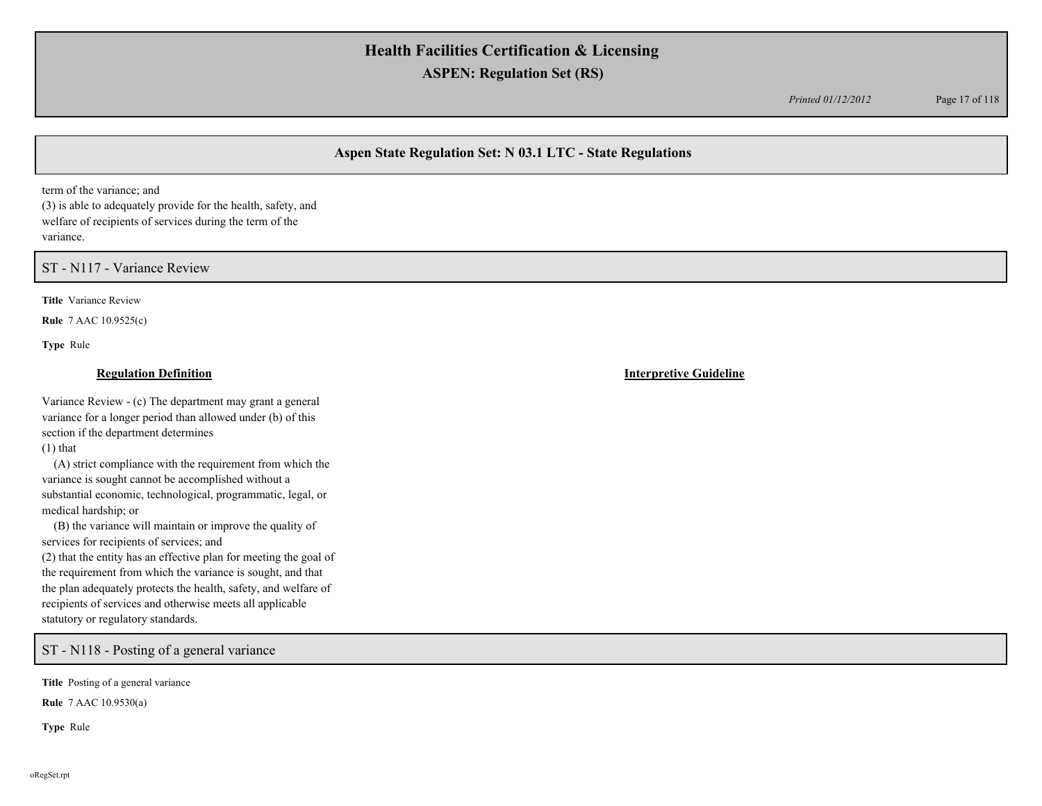*Printed 01/12/2012* Page 17 of 118

## **Aspen State Regulation Set: N 03.1 LTC - State Regulations**

term of the variance; and

(3) is able to adequately provide for the health, safety, and welfare of recipients of services during the term of the variance.

ST - N117 - Variance Review

**Title** Variance Review

**Rule** 7 AAC 10.9525(c)

**Type** Rule

Variance Review - (c) The department may grant a general variance for a longer period than allowed under (b) of this section if the department determines (1) that

 (A) strict compliance with the requirement from which the variance is sought cannot be accomplished without a substantial economic, technological, programmatic, legal, or medical hardship; or

 (B) the variance will maintain or improve the quality of services for recipients of services; and (2) that the entity has an effective plan for meeting the goal of the requirement from which the variance is sought, and that the plan adequately protects the health, safety, and welfare of recipients of services and otherwise meets all applicable statutory or regulatory standards.

ST - N118 - Posting of a general variance

**Title** Posting of a general variance

**Rule** 7 AAC 10.9530(a)

**Type** Rule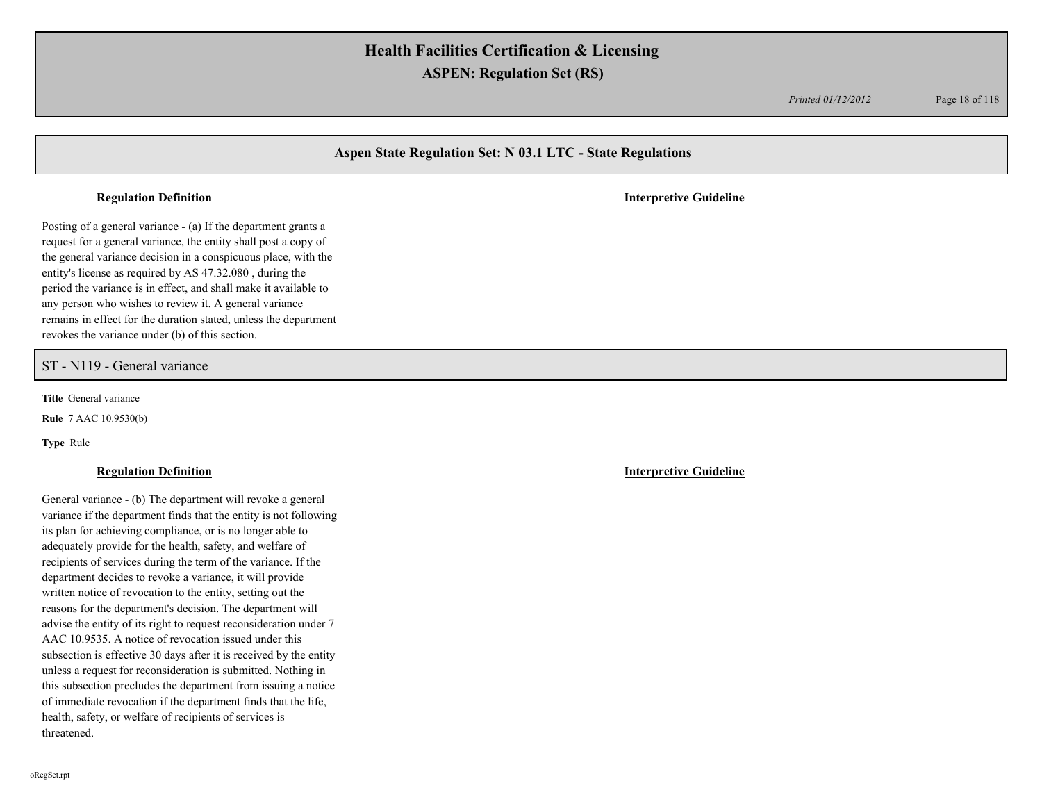*Printed 01/12/2012* Page 18 of 118

## **Aspen State Regulation Set: N 03.1 LTC - State Regulations**

#### **Regulation Definition Interpretive Guideline**

Posting of a general variance - (a) If the department grants a request for a general variance, the entity shall post a copy of the general variance decision in a conspicuous place, with the entity's license as required by AS 47.32.080 , during the period the variance is in effect, and shall make it available to any person who wishes to review it. A general variance remains in effect for the duration stated, unless the department revokes the variance under (b) of this section.

### ST - N119 - General variance

**Title** General variance

**Rule** 7 AAC 10.9530(b)

**Type** Rule

### **Regulation Definition Interpretive Guideline**

General variance - (b) The department will revoke a general variance if the department finds that the entity is not following its plan for achieving compliance, or is no longer able to adequately provide for the health, safety, and welfare of recipients of services during the term of the variance. If the department decides to revoke a variance, it will provide written notice of revocation to the entity, setting out the reasons for the department's decision. The department will advise the entity of its right to request reconsideration under 7 AAC 10.9535. A notice of revocation issued under this subsection is effective 30 days after it is received by the entity unless a request for reconsideration is submitted. Nothing in this subsection precludes the department from issuing a notice of immediate revocation if the department finds that the life, health, safety, or welfare of recipients of services is threatened.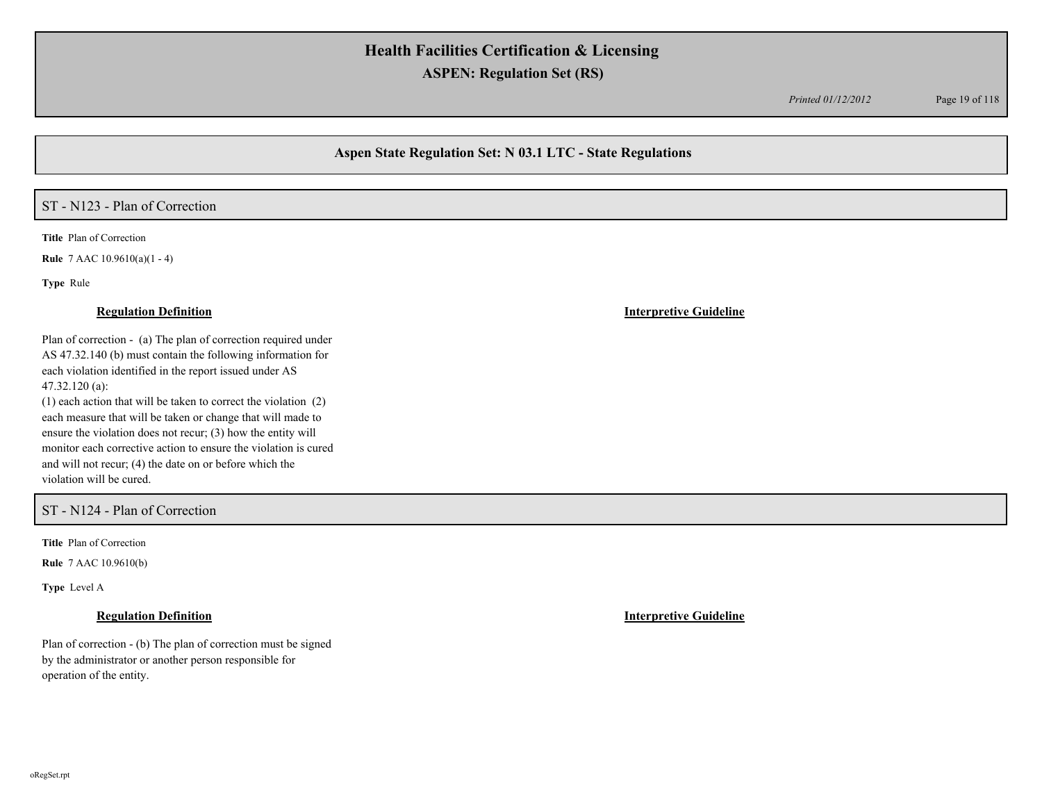*Printed 01/12/2012* Page 19 of 118

## **Aspen State Regulation Set: N 03.1 LTC - State Regulations**

## ST - N123 - Plan of Correction

**Title** Plan of Correction

**Rule** 7 AAC 10.9610(a)(1 - 4)

**Type** Rule

### **Regulation Definition Interpretive Guideline**

Plan of correction - (a) The plan of correction required under AS 47.32.140 (b) must contain the following information for each violation identified in the report issued under AS 47.32.120 (a):

(1) each action that will be taken to correct the violation (2) each measure that will be taken or change that will made to ensure the violation does not recur; (3) how the entity will monitor each corrective action to ensure the violation is cured and will not recur; (4) the date on or before which the violation will be cured.

### ST - N124 - Plan of Correction

**Title** Plan of Correction

**Rule** 7 AAC 10.9610(b)

**Type** Level A

Plan of correction - (b) The plan of correction must be signed by the administrator or another person responsible for operation of the entity.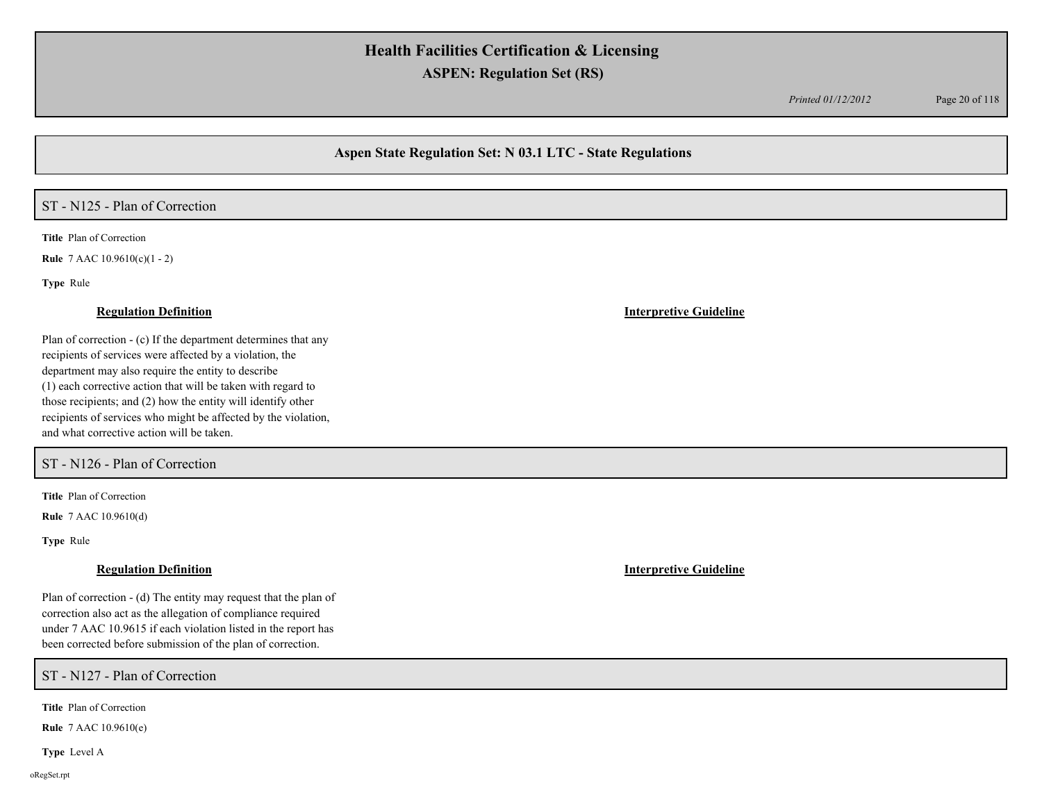*Printed 01/12/2012* Page 20 of 118

## **Aspen State Regulation Set: N 03.1 LTC - State Regulations**

## ST - N125 - Plan of Correction

**Title** Plan of Correction

**Rule** 7 AAC 10.9610(c)(1 - 2)

**Type** Rule

#### **Regulation Definition Interpretive Guideline**

Plan of correction - (c) If the department determines that any recipients of services were affected by a violation, the department may also require the entity to describe (1) each corrective action that will be taken with regard to those recipients; and (2) how the entity will identify other recipients of services who might be affected by the violation, and what corrective action will be taken.

## ST - N126 - Plan of Correction

**Title** Plan of Correction

**Rule** 7 AAC 10.9610(d)

**Type** Rule

#### **Regulation Definition Interpretive Guideline**

Plan of correction - (d) The entity may request that the plan of correction also act as the allegation of compliance required under 7 AAC 10.9615 if each violation listed in the report has been corrected before submission of the plan of correction.

ST - N127 - Plan of Correction

**Title** Plan of Correction

**Rule** 7 AAC 10.9610(e)

**Type** Level A

oRegSet.rpt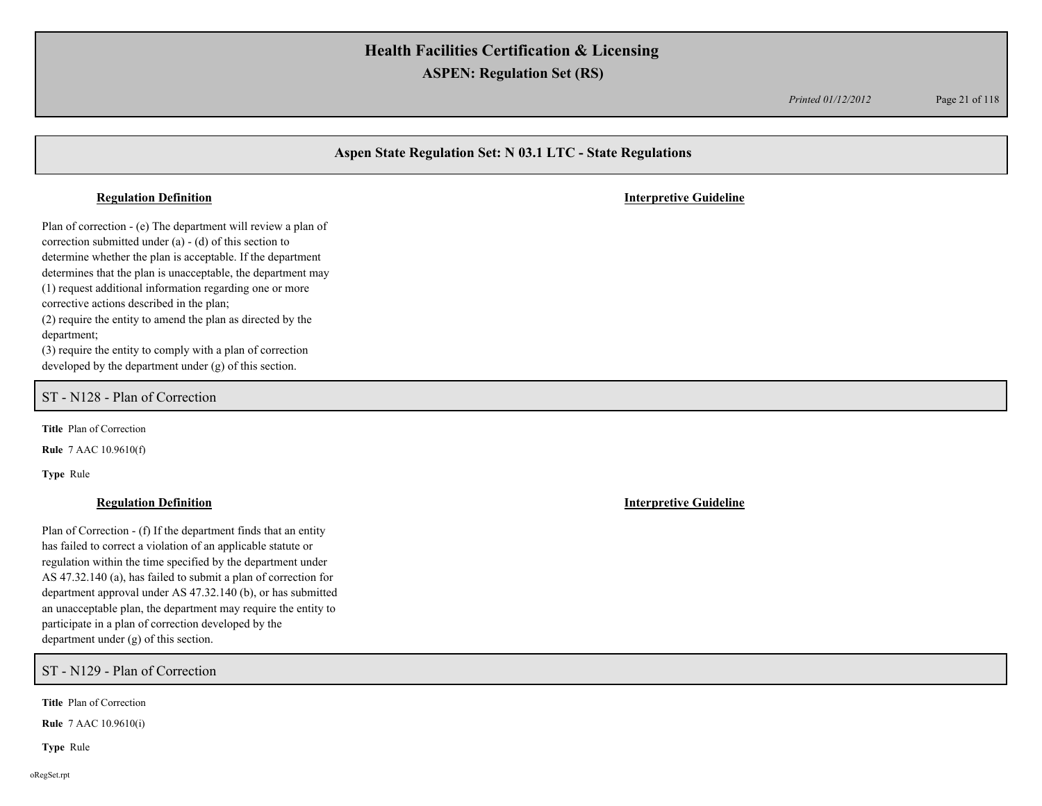*Printed 01/12/2012* Page 21 of 118

## **Aspen State Regulation Set: N 03.1 LTC - State Regulations**

#### **Regulation Definition Interpretive Guideline**

Plan of correction - (e) The department will review a plan of correction submitted under (a) - (d) of this section to determine whether the plan is acceptable. If the department determines that the plan is unacceptable, the department may (1) request additional information regarding one or more corrective actions described in the plan; (2) require the entity to amend the plan as directed by the department; (3) require the entity to comply with a plan of correction

developed by the department under (g) of this section.

ST - N128 - Plan of Correction

**Title** Plan of Correction

**Rule** 7 AAC 10.9610(f)

**Type** Rule

#### **Regulation Definition Interpretive Guideline**

Plan of Correction - (f) If the department finds that an entity has failed to correct a violation of an applicable statute or regulation within the time specified by the department under AS 47.32.140 (a), has failed to submit a plan of correction for department approval under AS 47.32.140 (b), or has submitted an unacceptable plan, the department may require the entity to participate in a plan of correction developed by the department under (g) of this section.

ST - N129 - Plan of Correction

**Title** Plan of Correction

**Rule** 7 AAC 10.9610(i)

**Type** Rule

oRegSet.rpt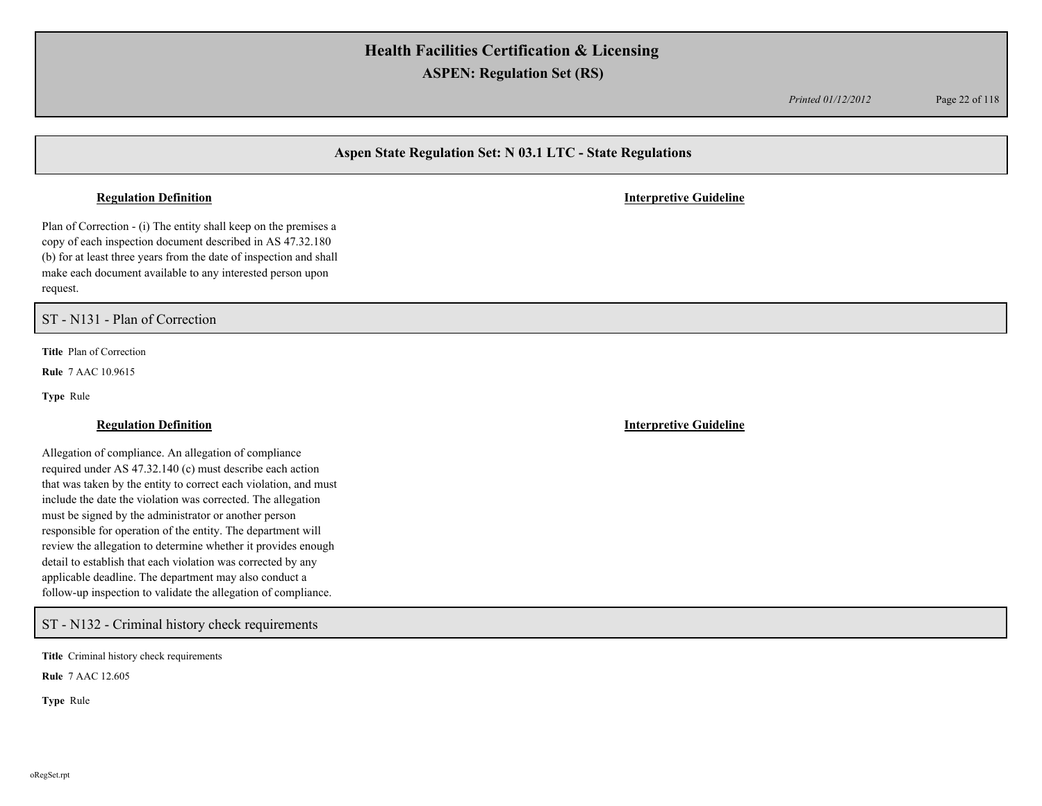*Printed 01/12/2012* Page 22 of 118

## **Aspen State Regulation Set: N 03.1 LTC - State Regulations**

#### **Regulation Definition Interpretive Guideline**

Plan of Correction - (i) The entity shall keep on the premises a copy of each inspection document described in AS 47.32.180 (b) for at least three years from the date of inspection and shall make each document available to any interested person upon request.

ST - N131 - Plan of Correction

**Title** Plan of Correction

**Rule** 7 AAC 10.9615

**Type** Rule

### **Regulation Definition Interpretive Guideline**

Allegation of compliance. An allegation of compliance required under AS 47.32.140 (c) must describe each action that was taken by the entity to correct each violation, and must include the date the violation was corrected. The allegation must be signed by the administrator or another person responsible for operation of the entity. The department will review the allegation to determine whether it provides enough detail to establish that each violation was corrected by any applicable deadline. The department may also conduct a follow-up inspection to validate the allegation of compliance.

ST - N132 - Criminal history check requirements

**Title** Criminal history check requirements

**Rule** 7 AAC 12.605

**Type** Rule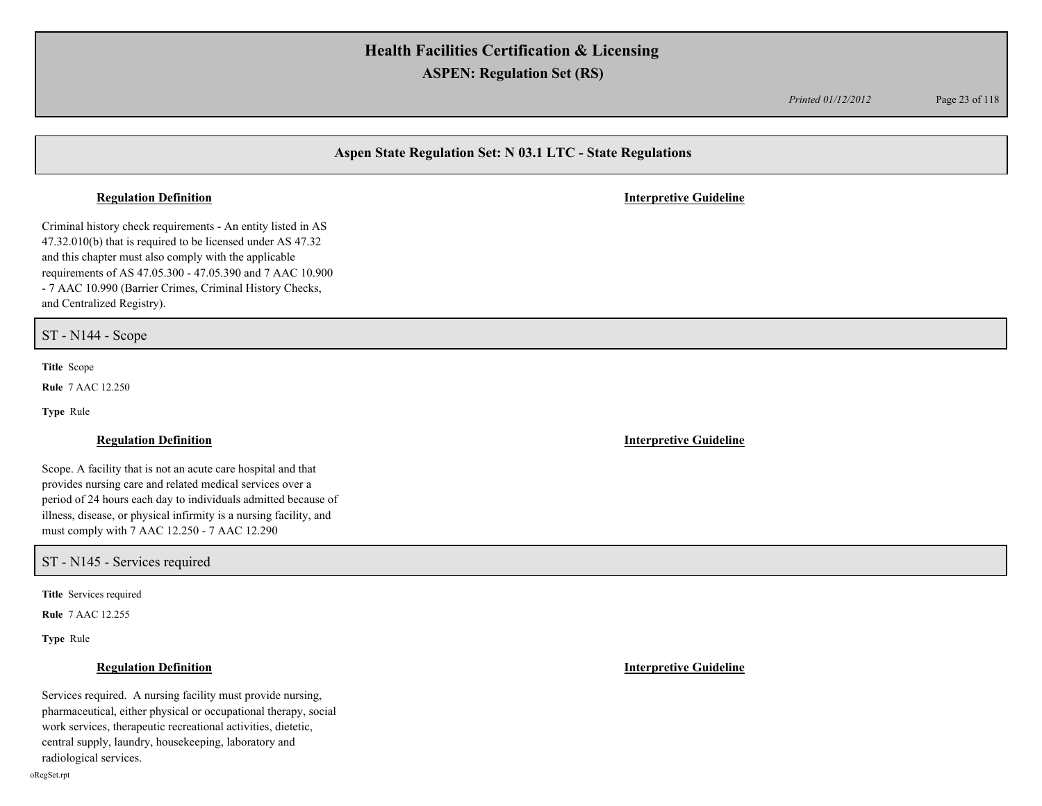*Printed 01/12/2012* Page 23 of 118

## **Aspen State Regulation Set: N 03.1 LTC - State Regulations**

Criminal history check requirements - An entity listed in AS 47.32.010(b) that is required to be licensed under AS 47.32 and this chapter must also comply with the applicable requirements of AS 47.05.300 - 47.05.390 and 7 AAC 10.900 - 7 AAC 10.990 (Barrier Crimes, Criminal History Checks, and Centralized Registry).

ST - N144 - Scope

**Title** Scope

**Rule** 7 AAC 12.250

**Type** Rule

Scope. A facility that is not an acute care hospital and that provides nursing care and related medical services over a period of 24 hours each day to individuals admitted because of illness, disease, or physical infirmity is a nursing facility, and must comply with 7 AAC 12.250 - 7 AAC 12.290

ST - N145 - Services required

**Title** Services required

**Rule** 7 AAC 12.255

**Type** Rule

Services required. A nursing facility must provide nursing, pharmaceutical, either physical or occupational therapy, social work services, therapeutic recreational activities, dietetic, central supply, laundry, housekeeping, laboratory and radiological services.

#### **Regulation Definition Interpretive Guideline**

**Regulation Definition Interpretive Guideline**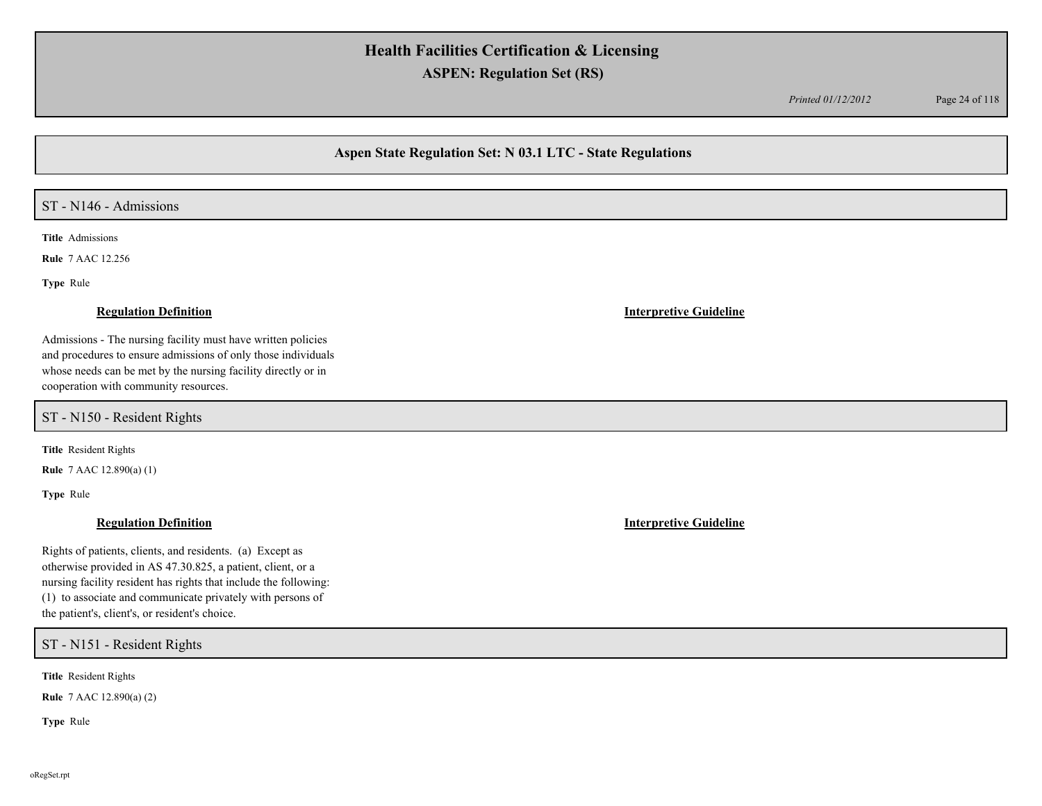*Printed 01/12/2012* Page 24 of 118

## **Aspen State Regulation Set: N 03.1 LTC - State Regulations**

## ST - N146 - Admissions

**Title** Admissions

**Rule** 7 AAC 12.256

**Type** Rule

Admissions - The nursing facility must have written policies and procedures to ensure admissions of only those individuals whose needs can be met by the nursing facility directly or in cooperation with community resources.

ST - N150 - Resident Rights

**Title** Resident Rights

**Rule** 7 AAC 12.890(a) (1)

**Type** Rule

## **Regulation Definition Interpretive Guideline**

Rights of patients, clients, and residents. (a) Except as otherwise provided in AS 47.30.825, a patient, client, or a nursing facility resident has rights that include the following: (1) to associate and communicate privately with persons of the patient's, client's, or resident's choice.

ST - N151 - Resident Rights

**Title** Resident Rights

**Rule** 7 AAC 12.890(a) (2)

**Type** Rule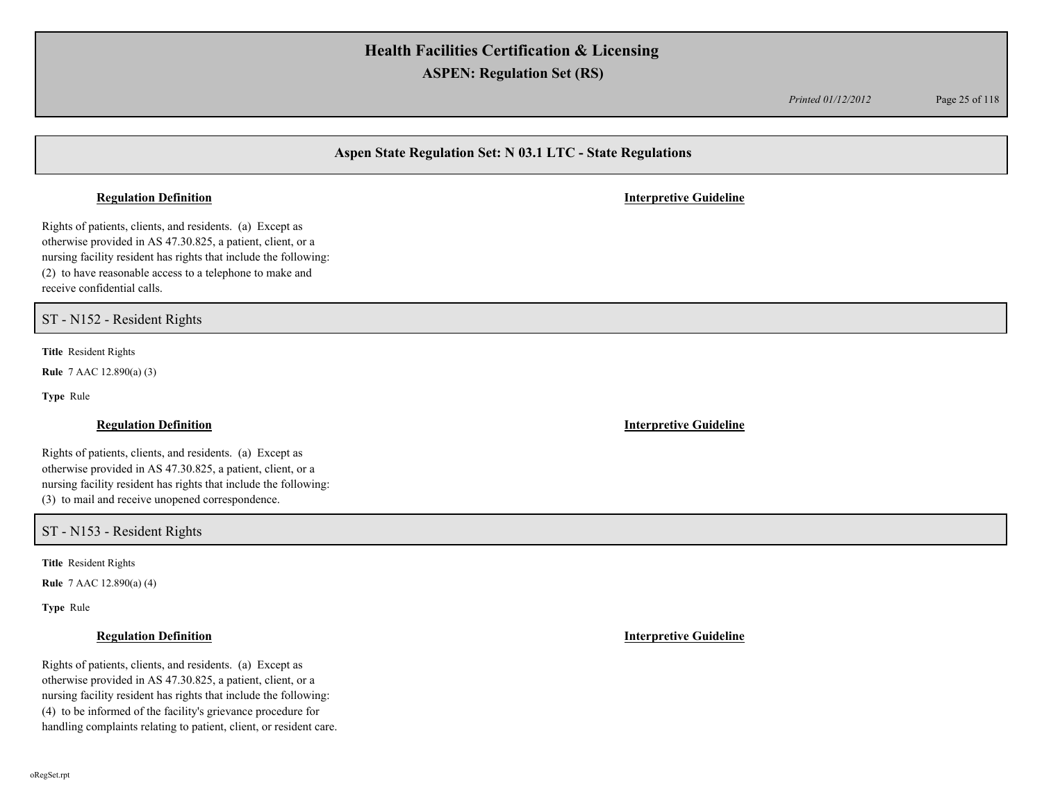*Printed 01/12/2012* Page 25 of 118

## **Aspen State Regulation Set: N 03.1 LTC - State Regulations**

#### **Regulation Definition Interpretive Guideline**

Rights of patients, clients, and residents. (a) Except as otherwise provided in AS 47.30.825, a patient, client, or a nursing facility resident has rights that include the following: (2) to have reasonable access to a telephone to make and receive confidential calls.

ST - N152 - Resident Rights

**Title** Resident Rights

**Rule** 7 AAC 12.890(a) (3)

**Type** Rule

Rights of patients, clients, and residents. (a) Except as otherwise provided in AS 47.30.825, a patient, client, or a nursing facility resident has rights that include the following: (3) to mail and receive unopened correspondence.

### ST - N153 - Resident Rights

**Title** Resident Rights

**Rule** 7 AAC 12.890(a) (4)

**Type** Rule

Rights of patients, clients, and residents. (a) Except as otherwise provided in AS 47.30.825, a patient, client, or a nursing facility resident has rights that include the following: (4) to be informed of the facility's grievance procedure for handling complaints relating to patient, client, or resident care.

**Regulation Definition Interpretive Guideline**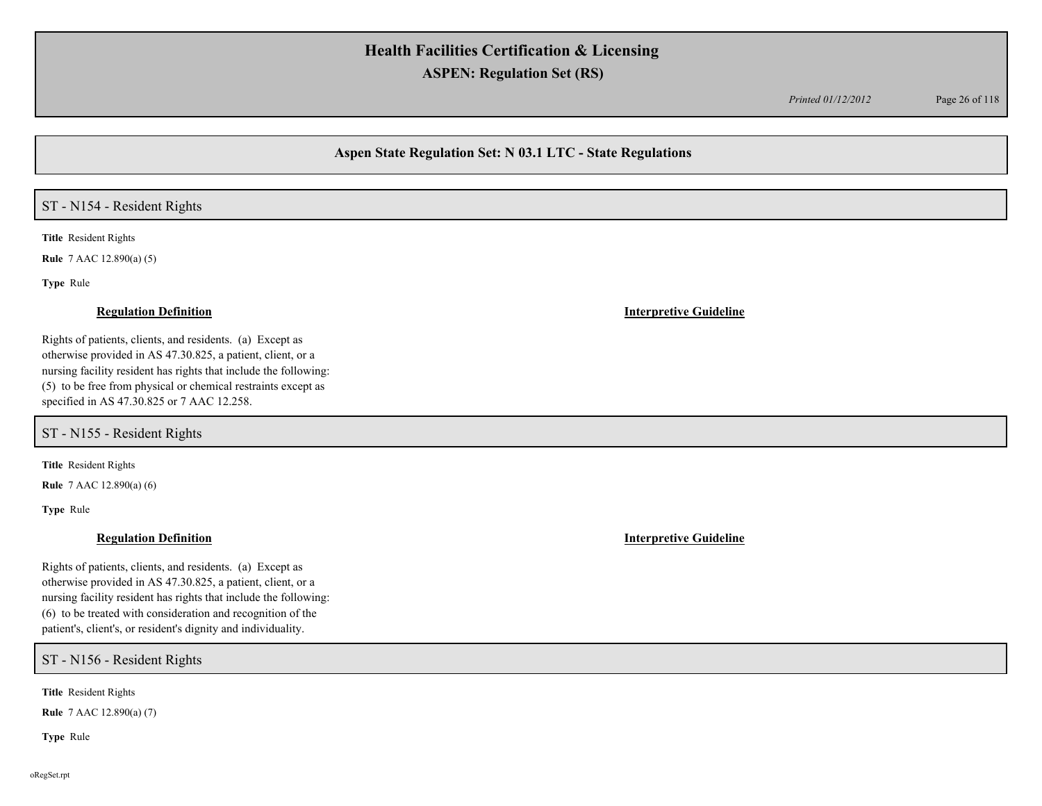*Printed 01/12/2012* Page 26 of 118

## **Aspen State Regulation Set: N 03.1 LTC - State Regulations**

### ST - N154 - Resident Rights

**Title** Resident Rights

**Rule** 7 AAC 12.890(a) (5)

**Type** Rule

#### **Regulation Definition Interpretive Guideline**

Rights of patients, clients, and residents. (a) Except as otherwise provided in AS 47.30.825, a patient, client, or a nursing facility resident has rights that include the following: (5) to be free from physical or chemical restraints except as specified in AS 47.30.825 or 7 AAC 12.258.

ST - N155 - Resident Rights

**Title** Resident Rights

**Rule** 7 AAC 12.890(a) (6)

**Type** Rule

Rights of patients, clients, and residents. (a) Except as otherwise provided in AS 47.30.825, a patient, client, or a nursing facility resident has rights that include the following: (6) to be treated with consideration and recognition of the patient's, client's, or resident's dignity and individuality.

ST - N156 - Resident Rights

**Title** Resident Rights

**Rule** 7 AAC 12.890(a) (7)

**Type** Rule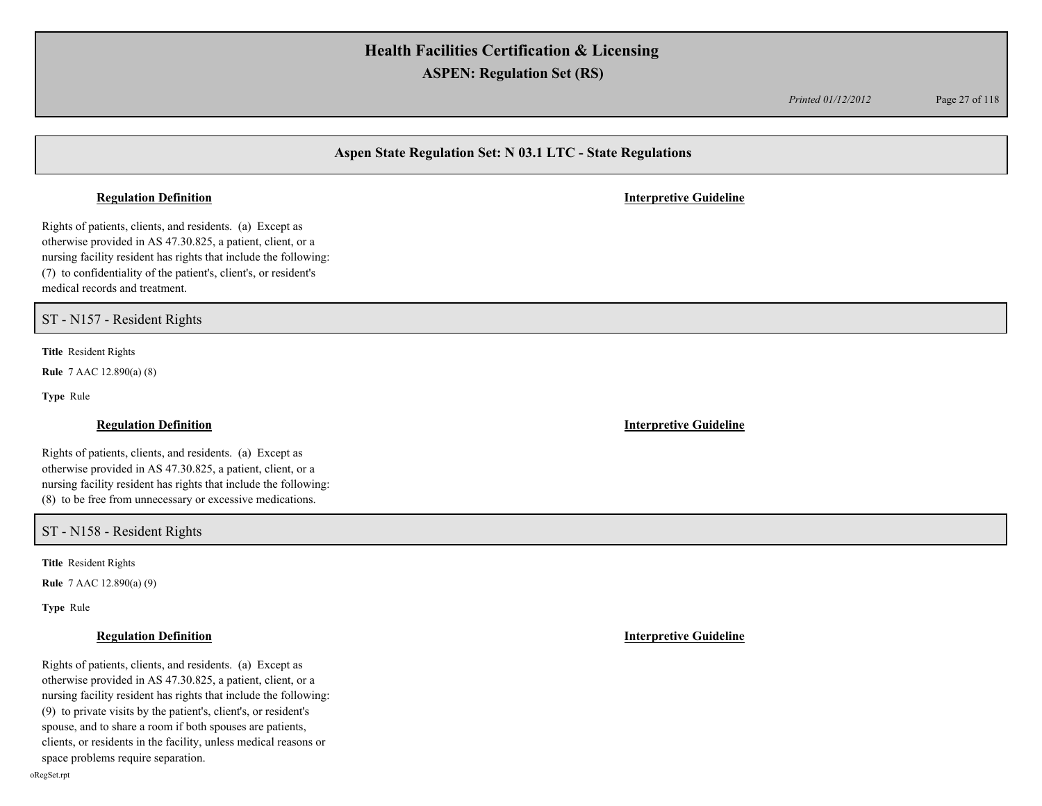*Printed 01/12/2012* Page 27 of 118

## **Aspen State Regulation Set: N 03.1 LTC - State Regulations**

#### **Regulation Definition Interpretive Guideline**

Rights of patients, clients, and residents. (a) Except as otherwise provided in AS 47.30.825, a patient, client, or a nursing facility resident has rights that include the following: (7) to confidentiality of the patient's, client's, or resident's medical records and treatment.

ST - N157 - Resident Rights

**Title** Resident Rights

**Rule** 7 AAC 12.890(a) (8)

**Type** Rule

### **Regulation Definition Interpretive Guideline**

Rights of patients, clients, and residents. (a) Except as otherwise provided in AS 47.30.825, a patient, client, or a nursing facility resident has rights that include the following: (8) to be free from unnecessary or excessive medications.

### ST - N158 - Resident Rights

**Title** Resident Rights

**Rule** 7 AAC 12.890(a) (9)

**Type** Rule

Rights of patients, clients, and residents. (a) Except as otherwise provided in AS 47.30.825, a patient, client, or a nursing facility resident has rights that include the following: (9) to private visits by the patient's, client's, or resident's spouse, and to share a room if both spouses are patients, clients, or residents in the facility, unless medical reasons or space problems require separation.

**Regulation Definition Interpretive Guideline**

oRegSet.rpt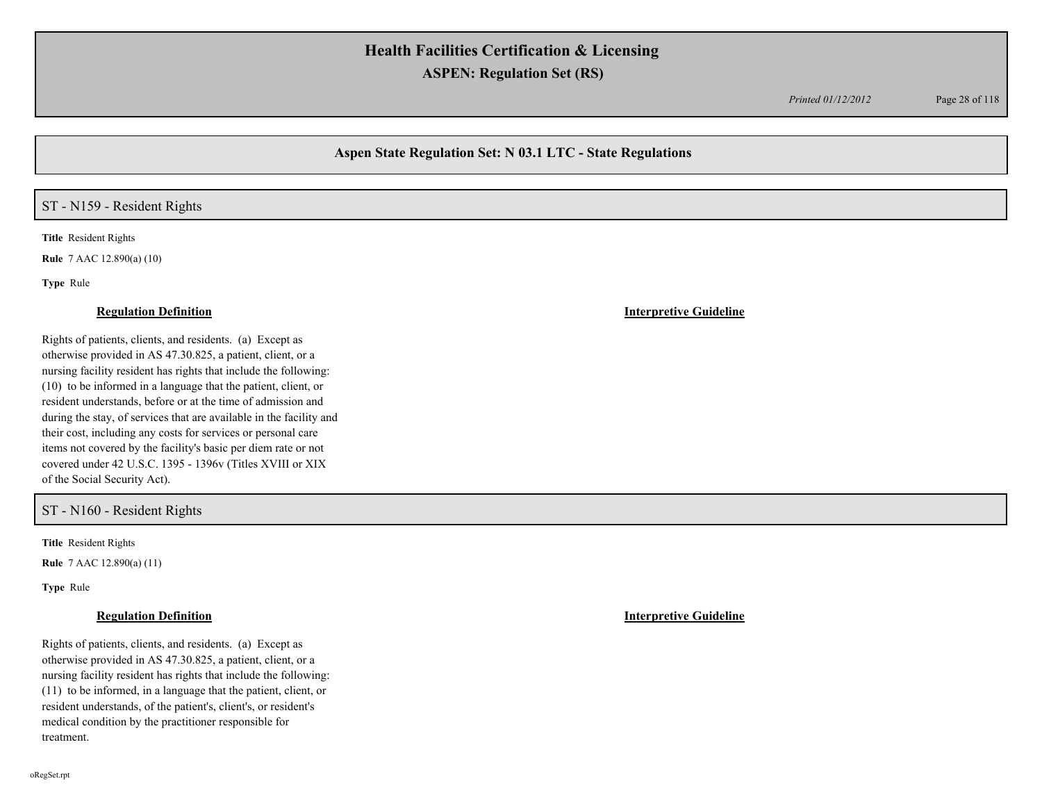*Printed 01/12/2012* Page 28 of 118

## **Aspen State Regulation Set: N 03.1 LTC - State Regulations**

### ST - N159 - Resident Rights

**Title** Resident Rights

**Rule** 7 AAC 12.890(a) (10)

**Type** Rule

Rights of patients, clients, and residents. (a) Except as otherwise provided in AS 47.30.825, a patient, client, or a nursing facility resident has rights that include the following: (10) to be informed in a language that the patient, client, or resident understands, before or at the time of admission and during the stay, of services that are available in the facility and their cost, including any costs for services or personal care items not covered by the facility's basic per diem rate or not covered under 42 U.S.C. 1395 - 1396v (Titles XVIII or XIX of the Social Security Act).

### ST - N160 - Resident Rights

**Title** Resident Rights

**Rule** 7 AAC 12.890(a) (11)

**Type** Rule

Rights of patients, clients, and residents. (a) Except as otherwise provided in AS 47.30.825, a patient, client, or a nursing facility resident has rights that include the following: (11) to be informed, in a language that the patient, client, or resident understands, of the patient's, client's, or resident's medical condition by the practitioner responsible for treatment.

**Regulation Definition Interpretive Guideline**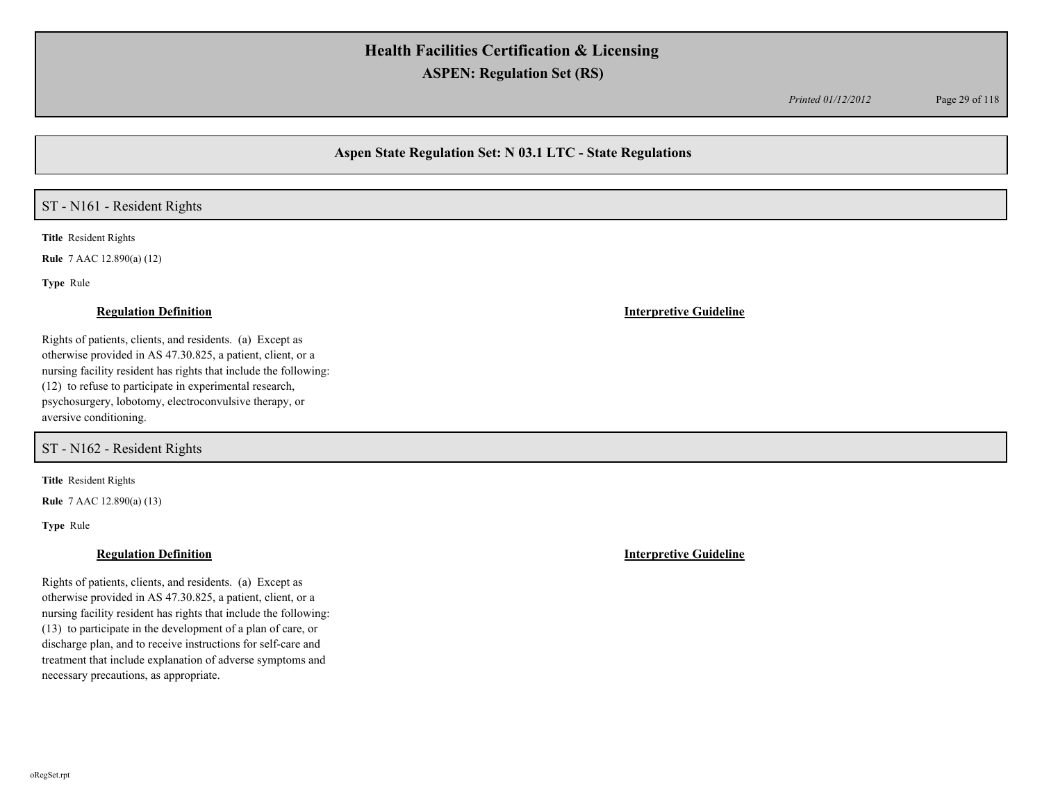*Printed 01/12/2012* Page 29 of 118

## **Aspen State Regulation Set: N 03.1 LTC - State Regulations**

### ST - N161 - Resident Rights

**Title** Resident Rights

**Rule** 7 AAC 12.890(a) (12)

**Type** Rule

#### **Regulation Definition Interpretive Guideline**

Rights of patients, clients, and residents. (a) Except as otherwise provided in AS 47.30.825, a patient, client, or a nursing facility resident has rights that include the following: (12) to refuse to participate in experimental research, psychosurgery, lobotomy, electroconvulsive therapy, or aversive conditioning.

ST - N162 - Resident Rights

**Title** Resident Rights

**Rule** 7 AAC 12.890(a) (13)

**Type** Rule

#### **Regulation Definition Interpretive Guideline**

Rights of patients, clients, and residents. (a) Except as otherwise provided in AS 47.30.825, a patient, client, or a nursing facility resident has rights that include the following: (13) to participate in the development of a plan of care, or discharge plan, and to receive instructions for self-care and treatment that include explanation of adverse symptoms and necessary precautions, as appropriate.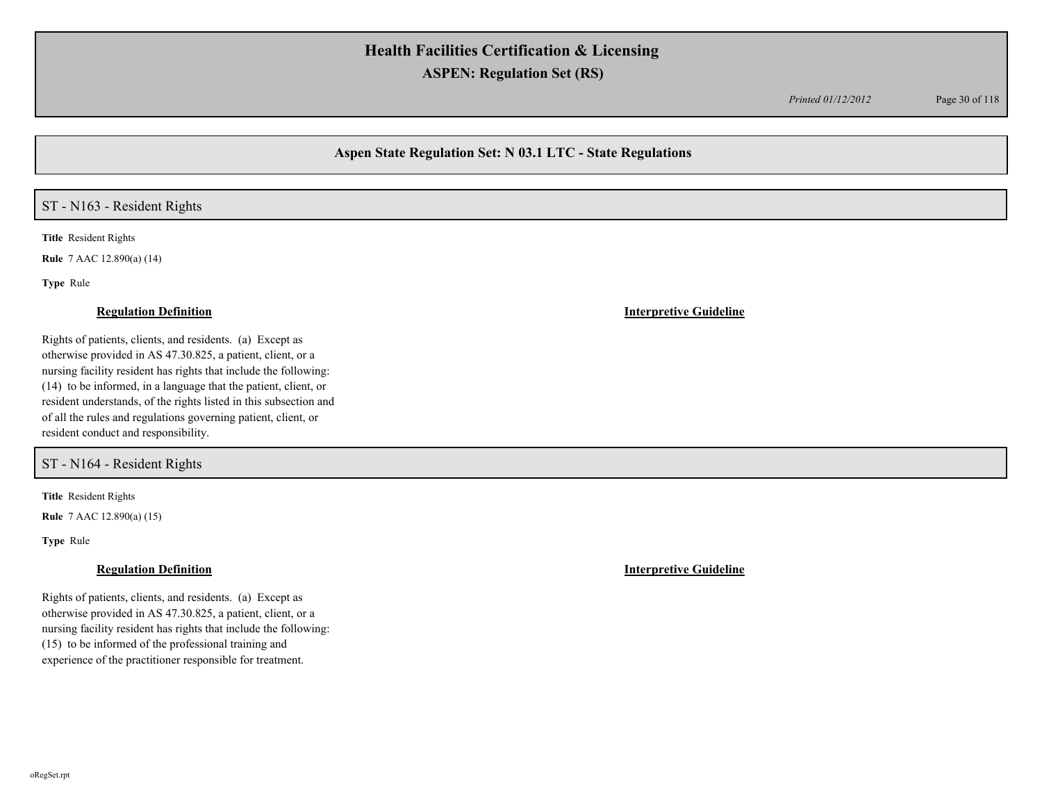*Printed 01/12/2012* Page 30 of 118

## **Aspen State Regulation Set: N 03.1 LTC - State Regulations**

### ST - N163 - Resident Rights

**Title** Resident Rights

**Rule** 7 AAC 12.890(a) (14)

**Type** Rule

#### **Regulation Definition Interpretive Guideline**

Rights of patients, clients, and residents. (a) Except as otherwise provided in AS 47.30.825, a patient, client, or a nursing facility resident has rights that include the following: (14) to be informed, in a language that the patient, client, or resident understands, of the rights listed in this subsection and of all the rules and regulations governing patient, client, or resident conduct and responsibility.

ST - N164 - Resident Rights

**Title** Resident Rights

**Rule** 7 AAC 12.890(a) (15)

**Type** Rule

Rights of patients, clients, and residents. (a) Except as otherwise provided in AS 47.30.825, a patient, client, or a nursing facility resident has rights that include the following: (15) to be informed of the professional training and experience of the practitioner responsible for treatment.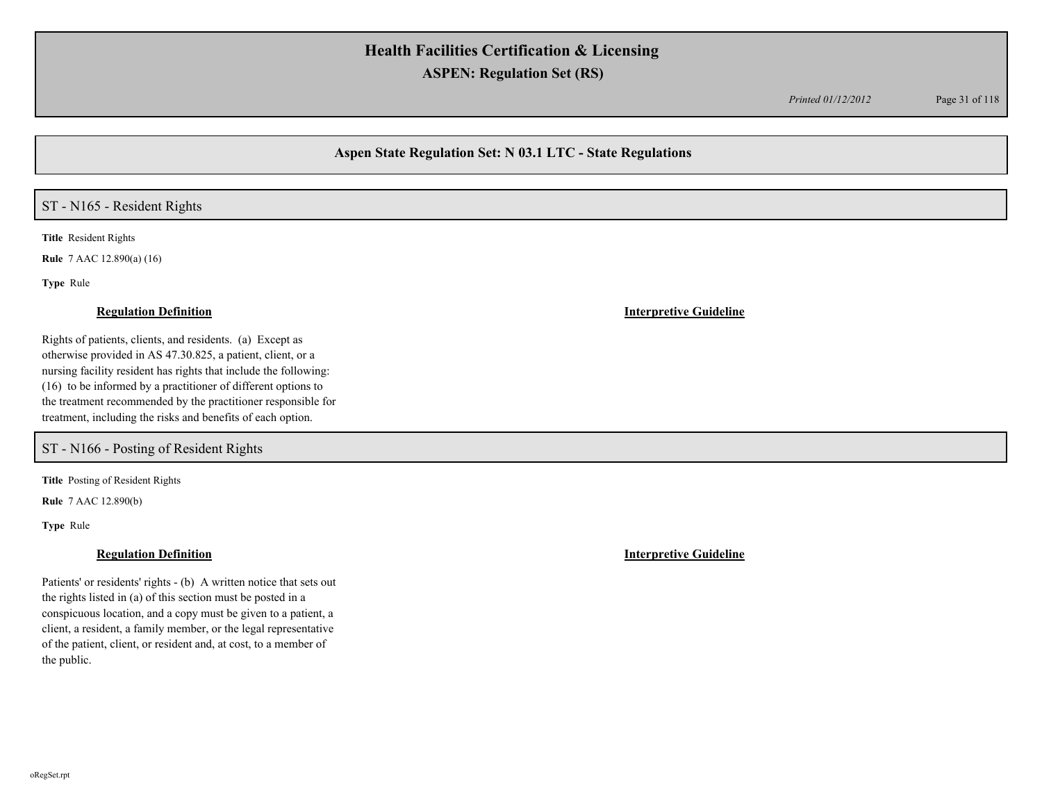*Printed 01/12/2012* Page 31 of 118

## **Aspen State Regulation Set: N 03.1 LTC - State Regulations**

### ST - N165 - Resident Rights

**Title** Resident Rights

**Rule** 7 AAC 12.890(a) (16)

**Type** Rule

#### **Regulation Definition Interpretive Guideline**

Rights of patients, clients, and residents. (a) Except as otherwise provided in AS 47.30.825, a patient, client, or a nursing facility resident has rights that include the following: (16) to be informed by a practitioner of different options to the treatment recommended by the practitioner responsible for treatment, including the risks and benefits of each option.

ST - N166 - Posting of Resident Rights

**Title** Posting of Resident Rights

**Rule** 7 AAC 12.890(b)

**Type** Rule

Patients' or residents' rights - (b) A written notice that sets out the rights listed in (a) of this section must be posted in a conspicuous location, and a copy must be given to a patient, a client, a resident, a family member, or the legal representative of the patient, client, or resident and, at cost, to a member of the public.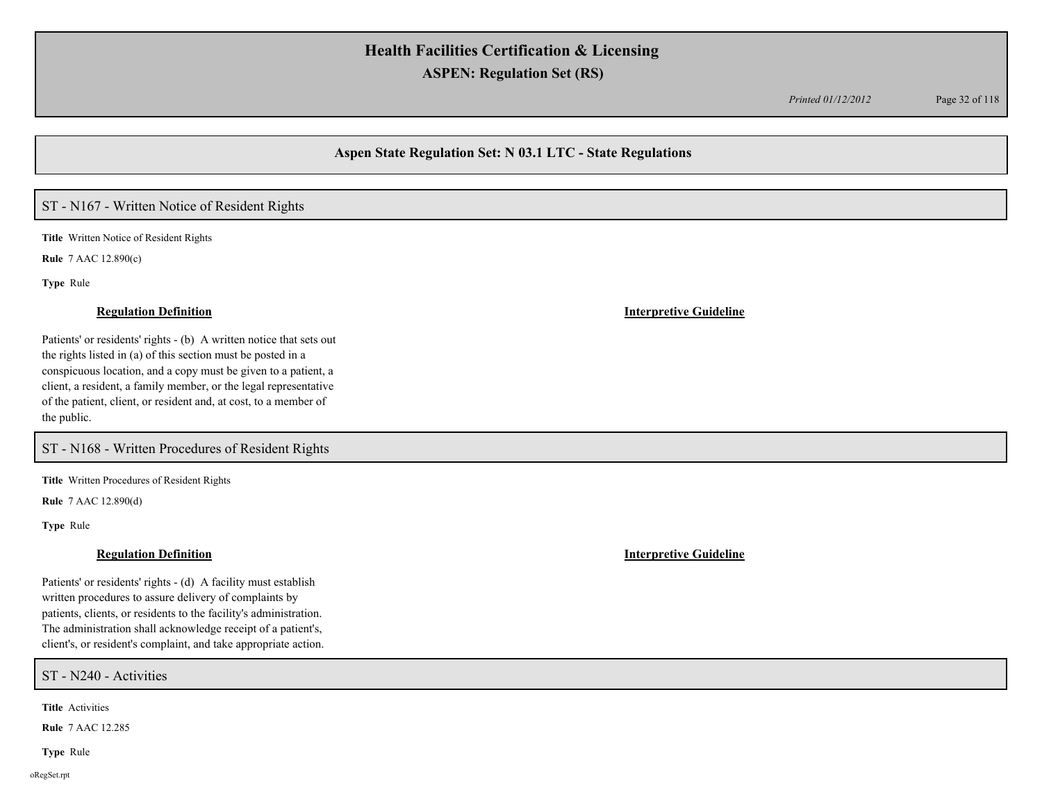*Printed 01/12/2012* Page 32 of 118

## **Aspen State Regulation Set: N 03.1 LTC - State Regulations**

## ST - N167 - Written Notice of Resident Rights

**Title** Written Notice of Resident Rights

**Rule** 7 AAC 12.890(c)

**Type** Rule

Patients' or residents' rights - (b) A written notice that sets out the rights listed in (a) of this section must be posted in a conspicuous location, and a copy must be given to a patient, a client, a resident, a family member, or the legal representative of the patient, client, or resident and, at cost, to a member of the public.

ST - N168 - Written Procedures of Resident Rights

**Title** Written Procedures of Resident Rights

**Rule** 7 AAC 12.890(d)

**Type** Rule

#### **Regulation Definition Interpretive Guideline**

Patients' or residents' rights - (d) A facility must establish written procedures to assure delivery of complaints by patients, clients, or residents to the facility's administration. The administration shall acknowledge receipt of a patient's, client's, or resident's complaint, and take appropriate action.

ST - N240 - Activities

**Title** Activities

**Rule** 7 AAC 12.285

**Type** Rule

oRegSet.rpt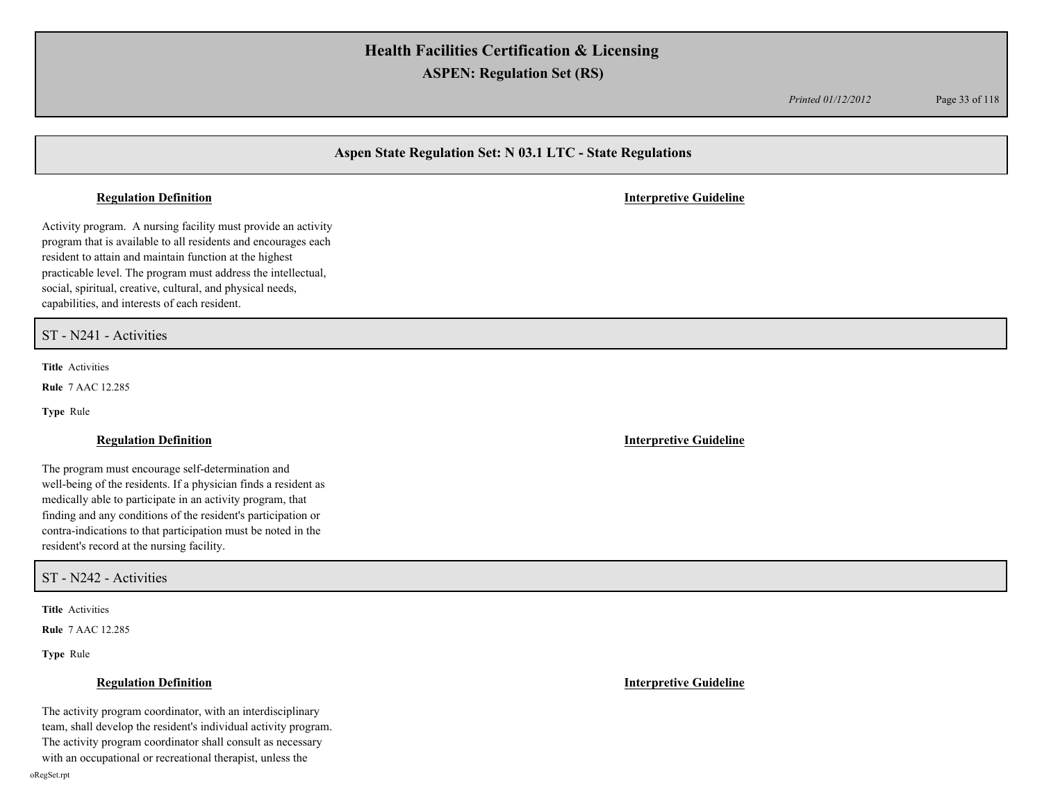*Printed 01/12/2012* Page 33 of 118

## **Aspen State Regulation Set: N 03.1 LTC - State Regulations**

#### **Regulation Definition Interpretive Guideline**

Activity program. A nursing facility must provide an activity program that is available to all residents and encourages each resident to attain and maintain function at the highest practicable level. The program must address the intellectual, social, spiritual, creative, cultural, and physical needs, capabilities, and interests of each resident.

ST - N241 - Activities

**Title** Activities

**Rule** 7 AAC 12.285

**Type** Rule

### **Regulation Definition Interpretive Guideline**

The program must encourage self-determination and well-being of the residents. If a physician finds a resident as medically able to participate in an activity program, that finding and any conditions of the resident's participation or contra-indications to that participation must be noted in the resident's record at the nursing facility.

ST - N242 - Activities

**Title** Activities

**Rule** 7 AAC 12.285

**Type** Rule

The activity program coordinator, with an interdisciplinary team, shall develop the resident's individual activity program. The activity program coordinator shall consult as necessary

with an occupational or recreational therapist, unless the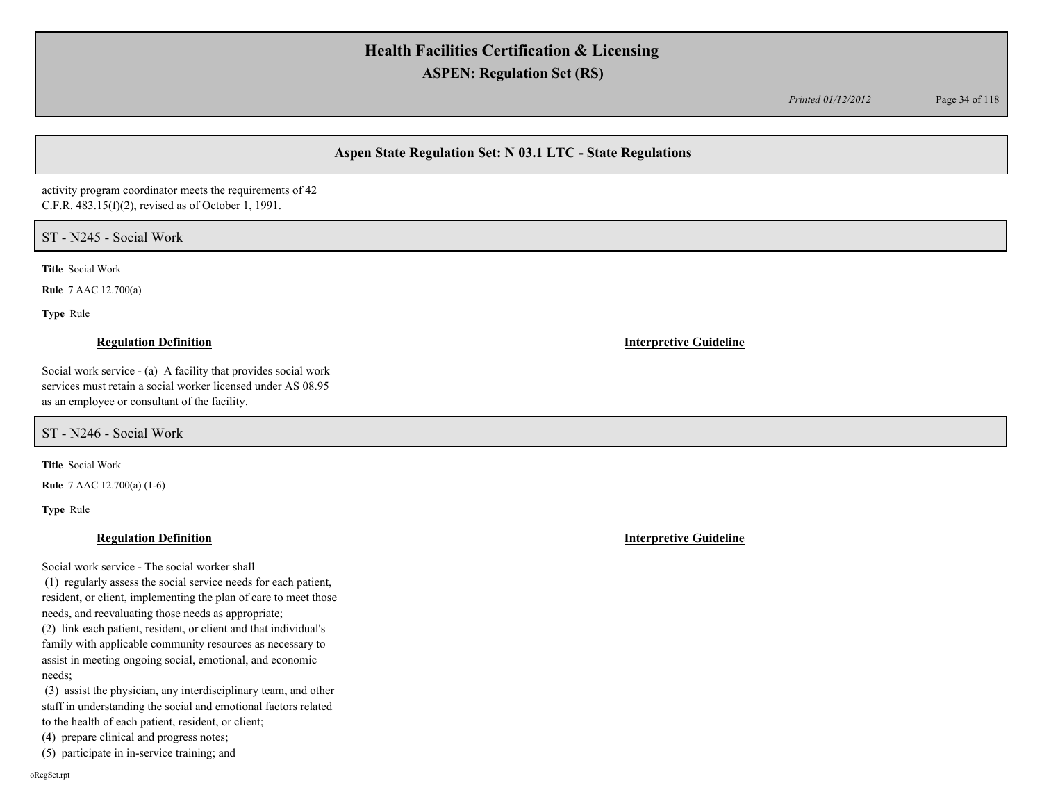*Printed 01/12/2012* Page 34 of 118

## **Aspen State Regulation Set: N 03.1 LTC - State Regulations**

activity program coordinator meets the requirements of 42 C.F.R. 483.15(f)(2), revised as of October 1, 1991.

### ST - N245 - Social Work

**Title** Social Work

**Rule** 7 AAC 12.700(a)

**Type** Rule

### **Regulation Definition Interpretive Guideline**

Social work service - (a) A facility that provides social work services must retain a social worker licensed under AS 08.95 as an employee or consultant of the facility.

ST - N246 - Social Work

**Title** Social Work

**Rule** 7 AAC 12.700(a) (1-6)

**Type** Rule

### **Regulation Definition Interpretive Guideline**

Social work service - The social worker shall

 (1) regularly assess the social service needs for each patient, resident, or client, implementing the plan of care to meet those needs, and reevaluating those needs as appropriate;

(2) link each patient, resident, or client and that individual's family with applicable community resources as necessary to assist in meeting ongoing social, emotional, and economic needs;

 (3) assist the physician, any interdisciplinary team, and other staff in understanding the social and emotional factors related to the health of each patient, resident, or client;

(4) prepare clinical and progress notes;

(5) participate in in-service training; and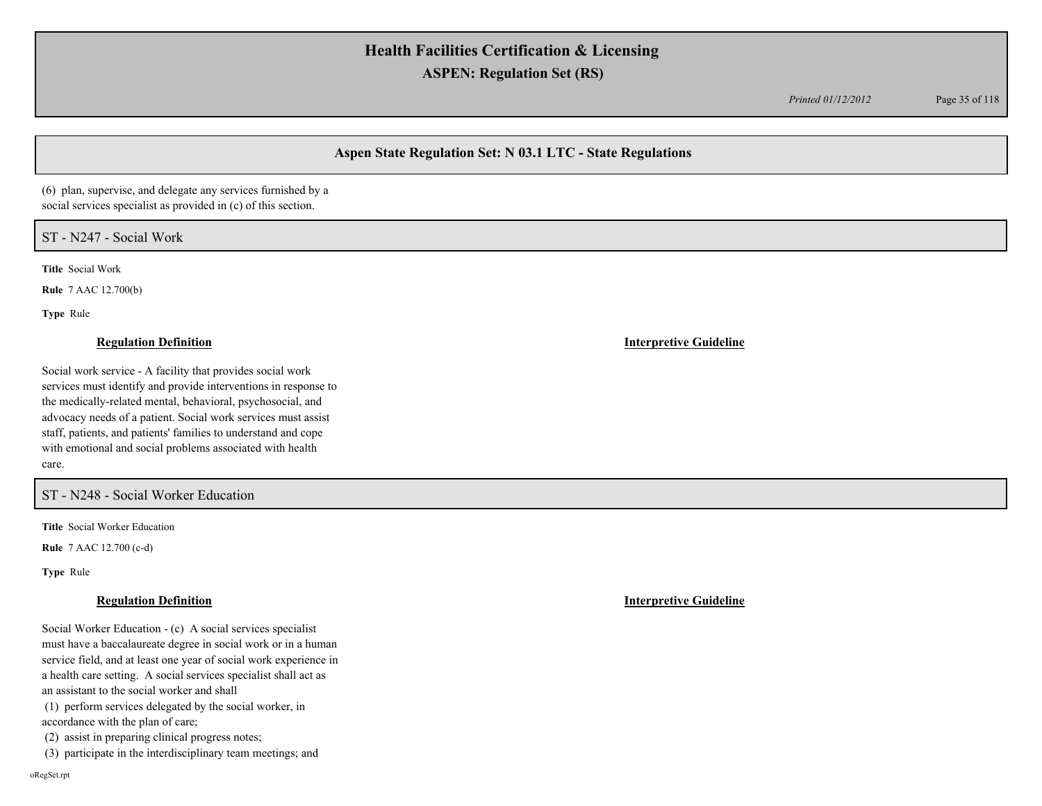*Printed 01/12/2012* Page 35 of 118

## **Aspen State Regulation Set: N 03.1 LTC - State Regulations**

(6) plan, supervise, and delegate any services furnished by a social services specialist as provided in (c) of this section.

### ST - N247 - Social Work

**Title** Social Work

**Rule** 7 AAC 12.700(b)

**Type** Rule

### **Regulation Definition Interpretive Guideline**

Social work service - A facility that provides social work services must identify and provide interventions in response to the medically-related mental, behavioral, psychosocial, and advocacy needs of a patient. Social work services must assist staff, patients, and patients' families to understand and cope with emotional and social problems associated with health care.

### ST - N248 - Social Worker Education

**Title** Social Worker Education

**Rule** 7 AAC 12.700 (c-d)

**Type** Rule

#### **Regulation Definition Interpretive Guideline**

Social Worker Education - (c) A social services specialist must have a baccalaureate degree in social work or in a human service field, and at least one year of social work experience in a health care setting. A social services specialist shall act as an assistant to the social worker and shall

 (1) perform services delegated by the social worker, in accordance with the plan of care;

(2) assist in preparing clinical progress notes;

(3) participate in the interdisciplinary team meetings; and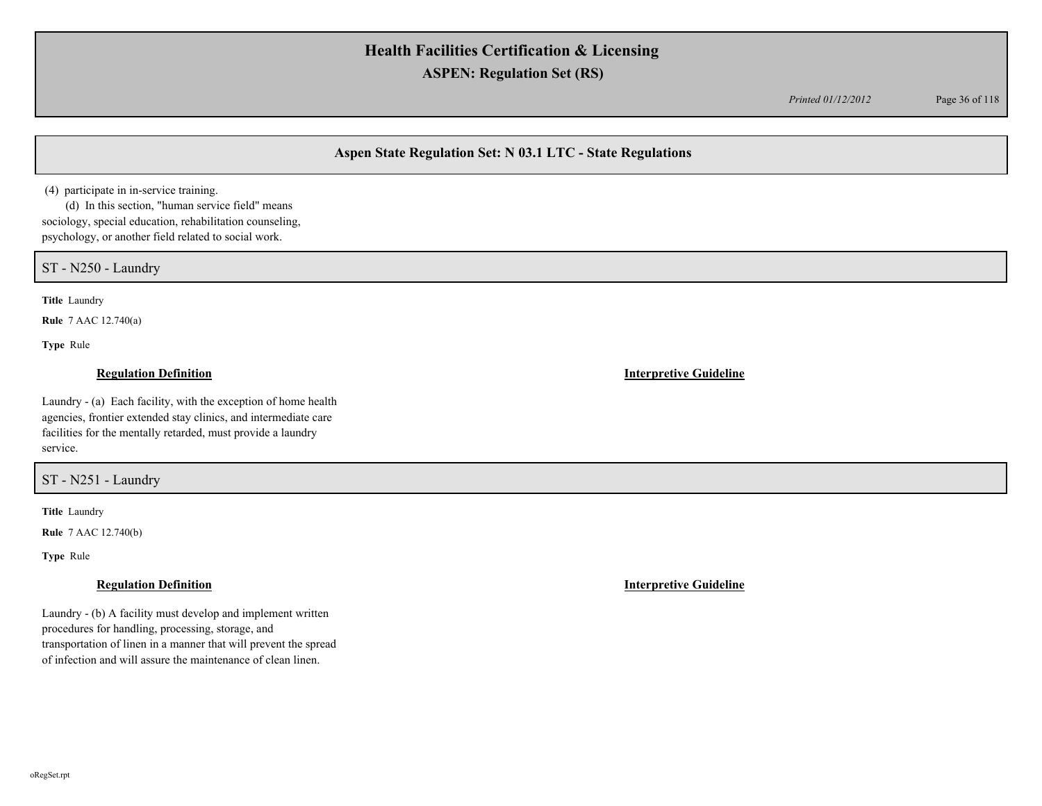*Printed 01/12/2012* Page 36 of 118

## **Aspen State Regulation Set: N 03.1 LTC - State Regulations**

(4) participate in in-service training.

 (d) In this section, "human service field" means sociology, special education, rehabilitation counseling, psychology, or another field related to social work.

ST - N250 - Laundry

**Title** Laundry

**Rule** 7 AAC 12.740(a)

**Type** Rule

Laundry - (a) Each facility, with the exception of home health agencies, frontier extended stay clinics, and intermediate care facilities for the mentally retarded, must provide a laundry service.

ST - N251 - Laundry

**Title** Laundry

**Rule** 7 AAC 12.740(b)

**Type** Rule

Laundry - (b) A facility must develop and implement written procedures for handling, processing, storage, and transportation of linen in a manner that will prevent the spread of infection and will assure the maintenance of clean linen.

**Regulation Definition Interpretive Guideline**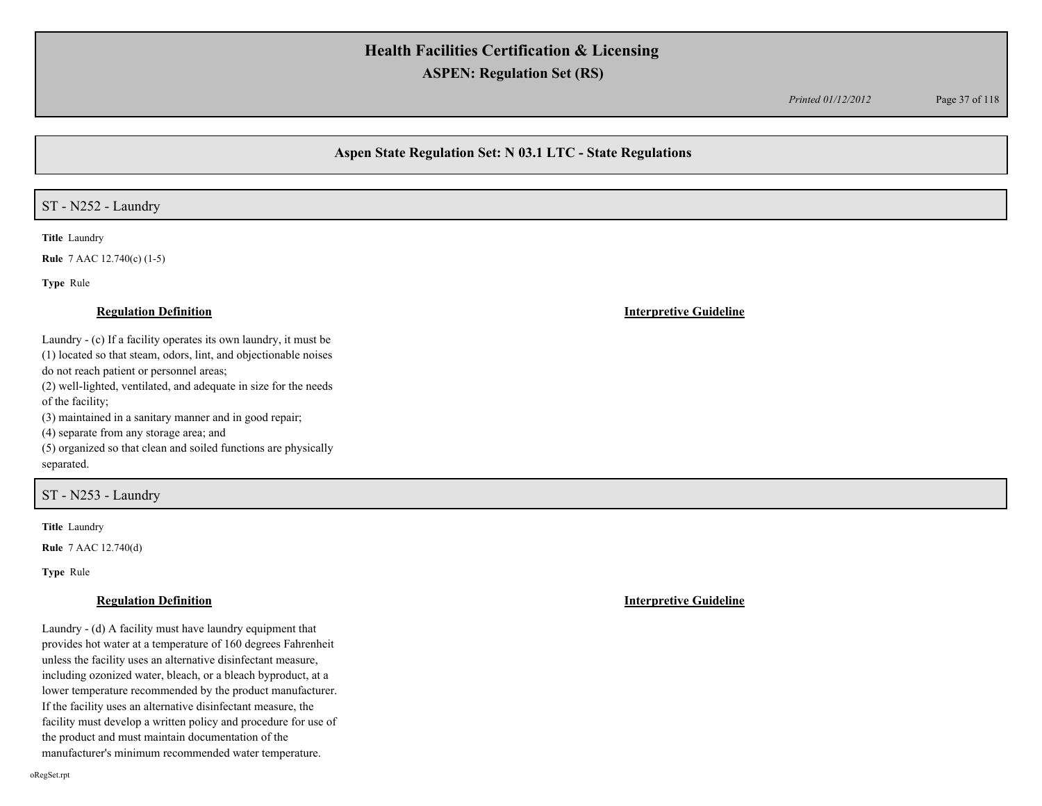*Printed 01/12/2012* Page 37 of 118

## **Aspen State Regulation Set: N 03.1 LTC - State Regulations**

### ST - N252 - Laundry

**Title** Laundry

**Rule** 7 AAC 12.740(c) (1-5)

**Type** Rule

Laundry - (c) If a facility operates its own laundry, it must be (1) located so that steam, odors, lint, and objectionable noises do not reach patient or personnel areas;

(2) well-lighted, ventilated, and adequate in size for the needs of the facility;

(3) maintained in a sanitary manner and in good repair;

(4) separate from any storage area; and

(5) organized so that clean and soiled functions are physically separated.

### ST - N253 - Laundry

**Title** Laundry

**Rule** 7 AAC 12.740(d)

**Type** Rule

#### **Regulation Definition Interpretive Guideline**

Laundry - (d) A facility must have laundry equipment that provides hot water at a temperature of 160 degrees Fahrenheit unless the facility uses an alternative disinfectant measure, including ozonized water, bleach, or a bleach byproduct, at a lower temperature recommended by the product manufacturer. If the facility uses an alternative disinfectant measure, the facility must develop a written policy and procedure for use of the product and must maintain documentation of the manufacturer's minimum recommended water temperature.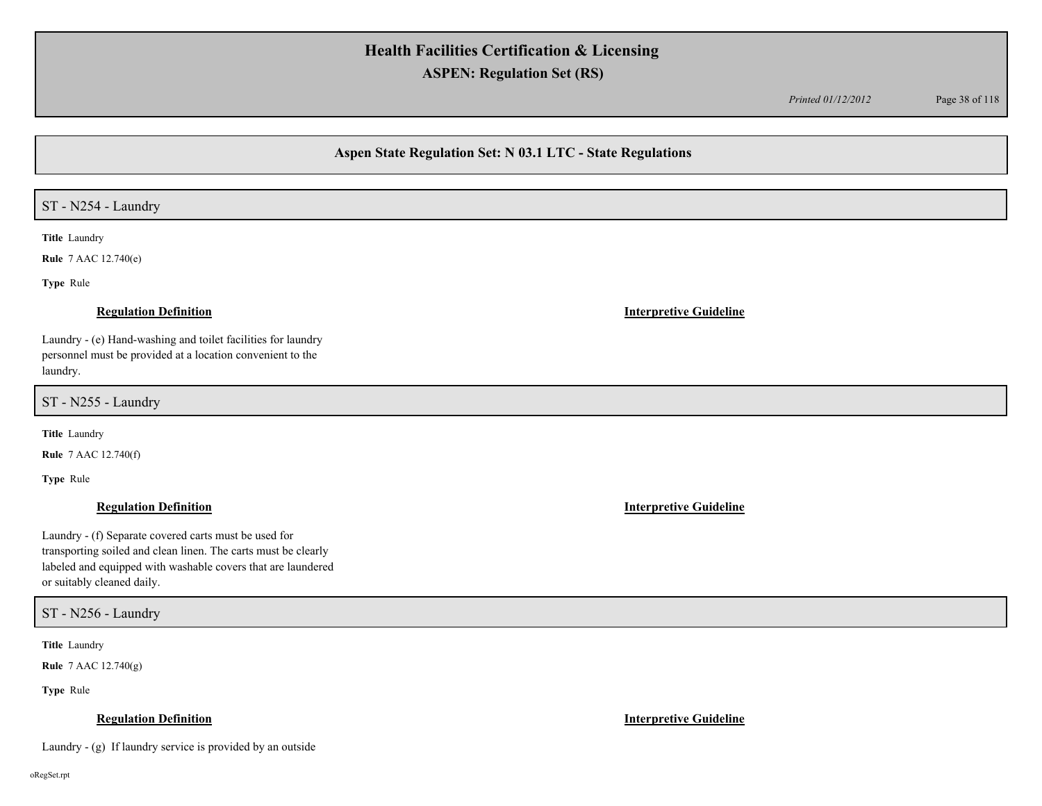*Printed 01/12/2012* Page 38 of 118

### **Aspen State Regulation Set: N 03.1 LTC - State Regulations**

## ST - N254 - Laundry

**Title** Laundry

**Rule** 7 AAC 12.740(e)

**Type** Rule

#### **Regulation Definition Interpretive Guideline**

Laundry - (e) Hand-washing and toilet facilities for laundry personnel must be provided at a location convenient to the laundry.

ST - N255 - Laundry

**Title** Laundry

**Rule** 7 AAC 12.740(f)

**Type** Rule

Laundry - (f) Separate covered carts must be used for transporting soiled and clean linen. The carts must be clearly labeled and equipped with washable covers that are laundered or suitably cleaned daily.

ST - N256 - Laundry

**Title** Laundry

**Rule** 7 AAC 12.740(g)

**Type** Rule

### **Regulation Definition Interpretive Guideline**

Laundry - (g) If laundry service is provided by an outside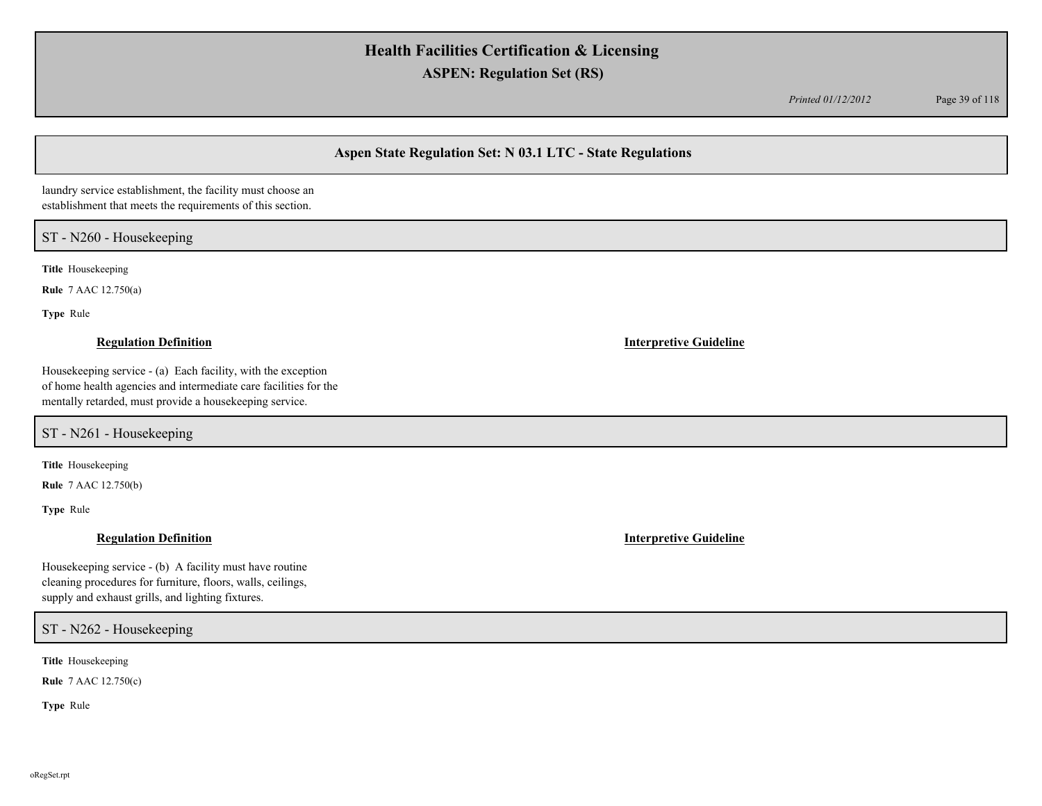*Printed 01/12/2012* Page 39 of 118

## **Aspen State Regulation Set: N 03.1 LTC - State Regulations**

laundry service establishment, the facility must choose an establishment that meets the requirements of this section.

## ST - N260 - Housekeeping

**Title** Housekeeping

**Rule** 7 AAC 12.750(a)

**Type** Rule

Housekeeping service - (a) Each facility, with the exception of home health agencies and intermediate care facilities for the mentally retarded, must provide a housekeeping service.

ST - N261 - Housekeeping

**Title** Housekeeping

**Rule** 7 AAC 12.750(b)

**Type** Rule

Housekeeping service - (b) A facility must have routine cleaning procedures for furniture, floors, walls, ceilings, supply and exhaust grills, and lighting fixtures.

ST - N262 - Housekeeping

**Title** Housekeeping

**Rule** 7 AAC 12.750(c)

**Type** Rule

**Regulation Definition Interpretive Guideline**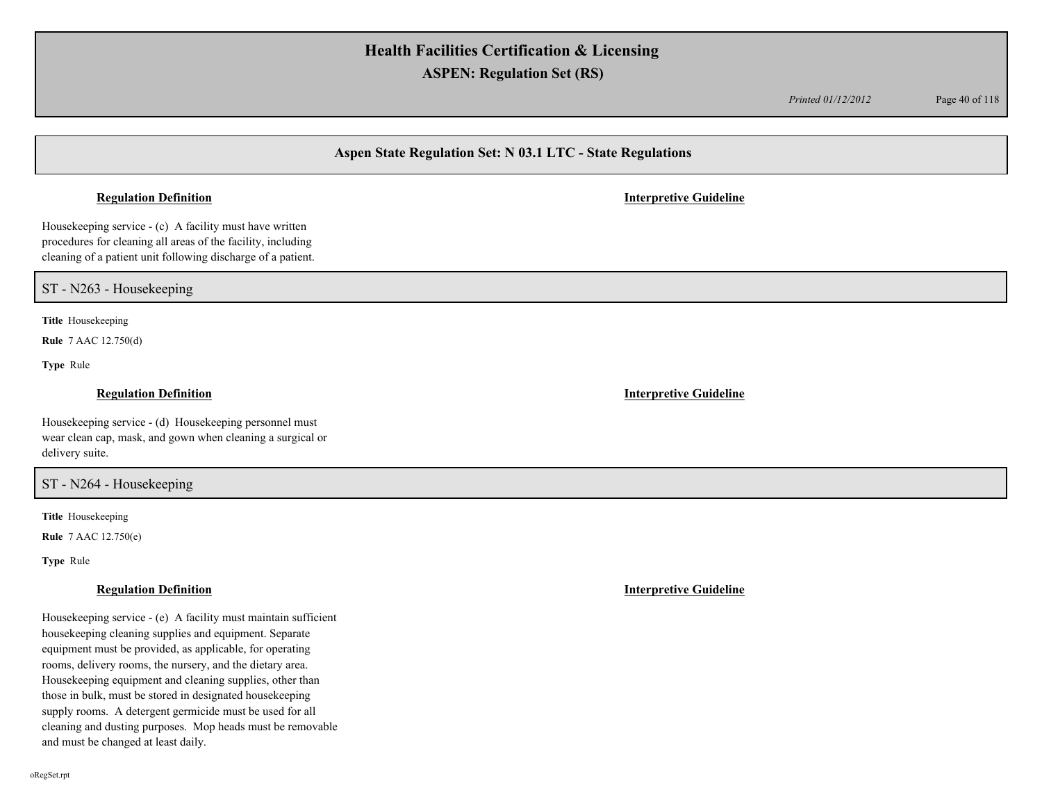*Printed 01/12/2012* Page 40 of 118

## **Aspen State Regulation Set: N 03.1 LTC - State Regulations**

#### **Regulation Definition Interpretive Guideline**

Housekeeping service - (c) A facility must have written procedures for cleaning all areas of the facility, including cleaning of a patient unit following discharge of a patient.

ST - N263 - Housekeeping

**Title** Housekeeping

**Rule** 7 AAC 12.750(d)

**Type** Rule

Housekeeping service - (d) Housekeeping personnel must wear clean cap, mask, and gown when cleaning a surgical or delivery suite.

### ST - N264 - Housekeeping

**Title** Housekeeping

**Rule** 7 AAC 12.750(e)

**Type** Rule

Housekeeping service - (e) A facility must maintain sufficient housekeeping cleaning supplies and equipment. Separate equipment must be provided, as applicable, for operating rooms, delivery rooms, the nursery, and the dietary area. Housekeeping equipment and cleaning supplies, other than those in bulk, must be stored in designated housekeeping supply rooms. A detergent germicide must be used for all cleaning and dusting purposes. Mop heads must be removable and must be changed at least daily.

**Regulation Definition Interpretive Guideline**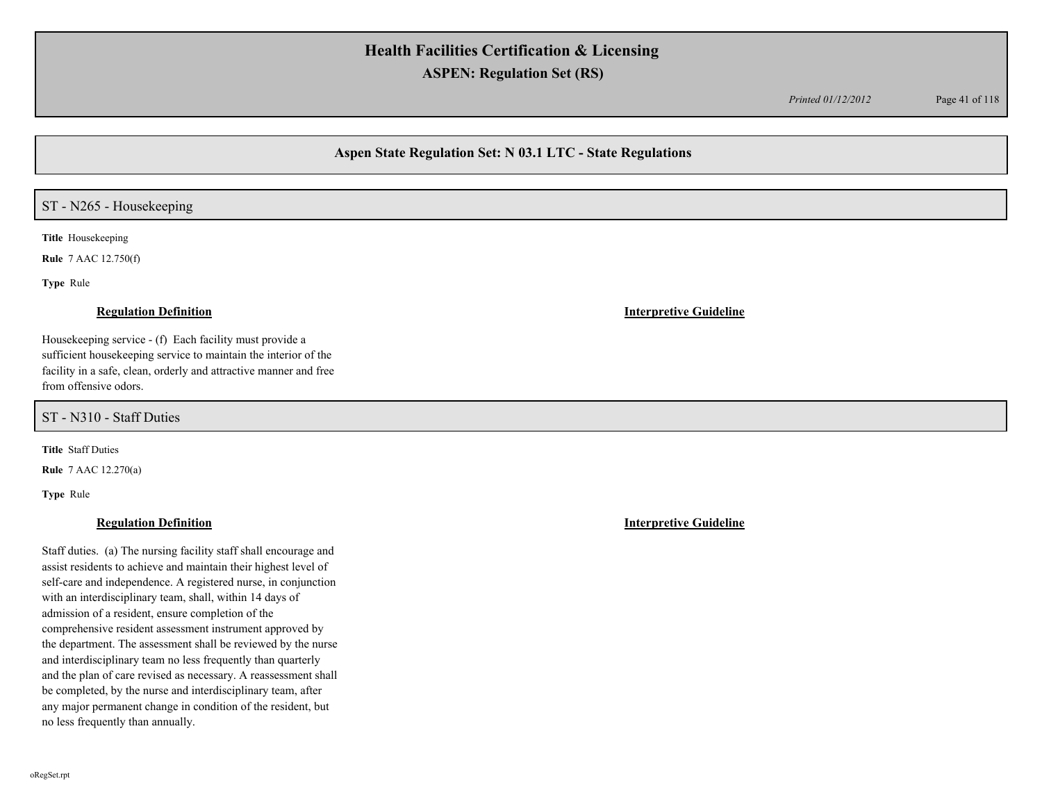*Printed 01/12/2012* Page 41 of 118

## **Aspen State Regulation Set: N 03.1 LTC - State Regulations**

## ST - N265 - Housekeeping

**Title** Housekeeping

**Rule** 7 AAC 12.750(f)

**Type** Rule

Housekeeping service - (f) Each facility must provide a sufficient housekeeping service to maintain the interior of the facility in a safe, clean, orderly and attractive manner and free from offensive odors.

ST - N310 - Staff Duties

**Title** Staff Duties

**Rule** 7 AAC 12.270(a)

**Type** Rule

### **Regulation Definition Interpretive Guideline**

Staff duties. (a) The nursing facility staff shall encourage and assist residents to achieve and maintain their highest level of self-care and independence. A registered nurse, in conjunction with an interdisciplinary team, shall, within 14 days of admission of a resident, ensure completion of the comprehensive resident assessment instrument approved by the department. The assessment shall be reviewed by the nurse and interdisciplinary team no less frequently than quarterly and the plan of care revised as necessary. A reassessment shall be completed, by the nurse and interdisciplinary team, after any major permanent change in condition of the resident, but no less frequently than annually.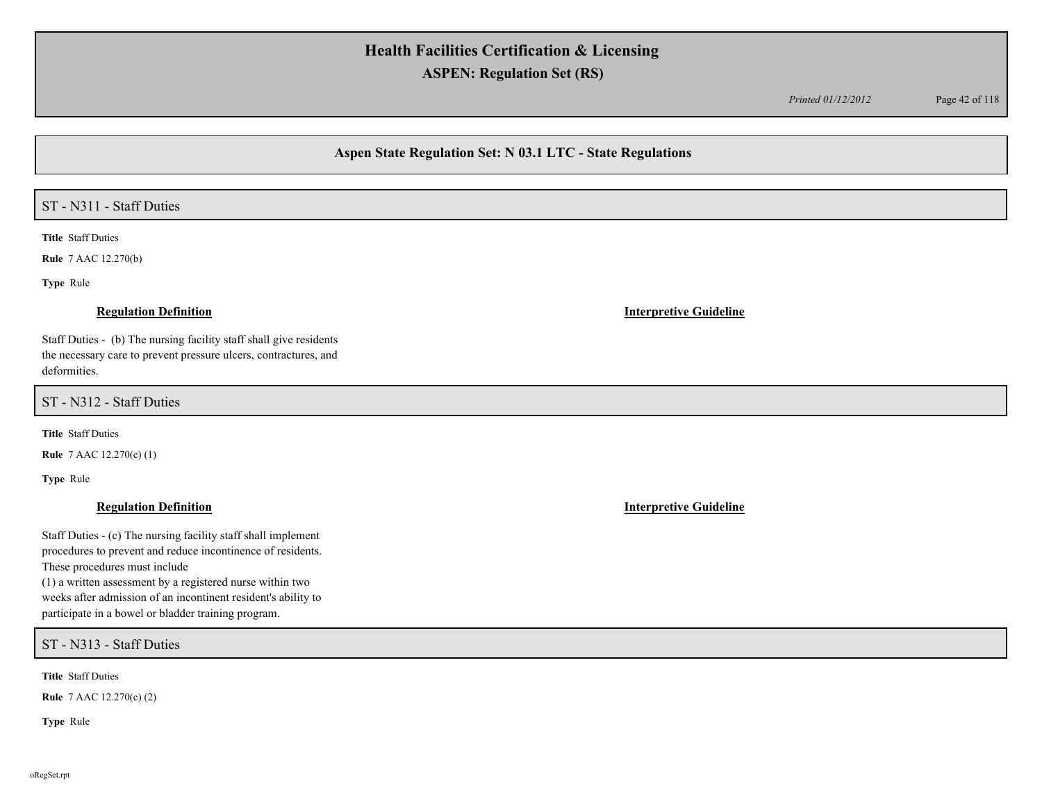*Printed 01/12/2012* Page 42 of 118

## **Aspen State Regulation Set: N 03.1 LTC - State Regulations**

# ST - N311 - Staff Duties

**Title** Staff Duties

**Rule** 7 AAC 12.270(b)

**Type** Rule

Staff Duties - (b) The nursing facility staff shall give residents the necessary care to prevent pressure ulcers, contractures, and deformities.

ST - N312 - Staff Duties

**Title** Staff Duties

**Rule** 7 AAC 12.270(c) (1)

**Type** Rule

Staff Duties - (c) The nursing facility staff shall implement procedures to prevent and reduce incontinence of residents. These procedures must include

(1) a written assessment by a registered nurse within two weeks after admission of an incontinent resident's ability to participate in a bowel or bladder training program.

ST - N313 - Staff Duties

**Title** Staff Duties

**Rule** 7 AAC 12.270(c) (2)

**Type** Rule

### **Regulation Definition Interpretive Guideline**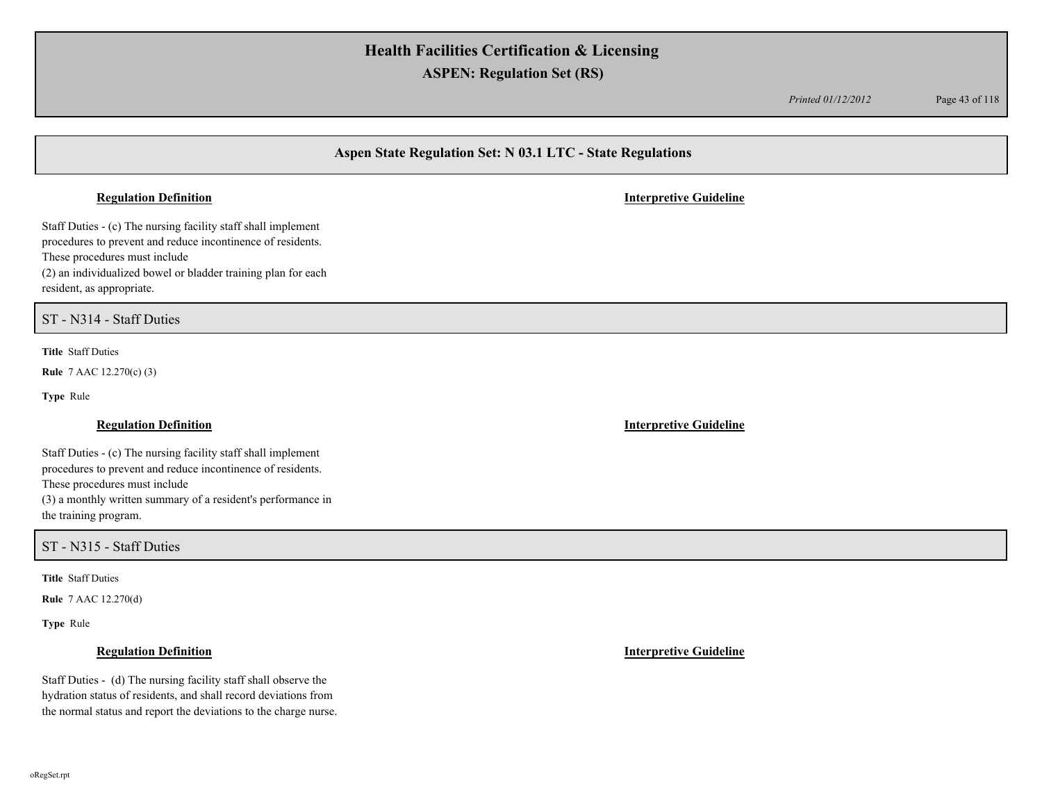*Printed 01/12/2012* Page 43 of 118

## **Aspen State Regulation Set: N 03.1 LTC - State Regulations**

#### **Regulation Definition Interpretive Guideline**

Staff Duties - (c) The nursing facility staff shall implement procedures to prevent and reduce incontinence of residents. These procedures must include (2) an individualized bowel or bladder training plan for each resident, as appropriate.

## ST - N314 - Staff Duties

**Title** Staff Duties

**Rule** 7 AAC 12.270(c) (3)

**Type** Rule

### **Regulation Definition Interpretive Guideline**

Staff Duties - (c) The nursing facility staff shall implement procedures to prevent and reduce incontinence of residents. These procedures must include (3) a monthly written summary of a resident's performance in the training program.

### ST - N315 - Staff Duties

**Title** Staff Duties

**Rule** 7 AAC 12.270(d)

**Type** Rule

Staff Duties - (d) The nursing facility staff shall observe the hydration status of residents, and shall record deviations from the normal status and report the deviations to the charge nurse.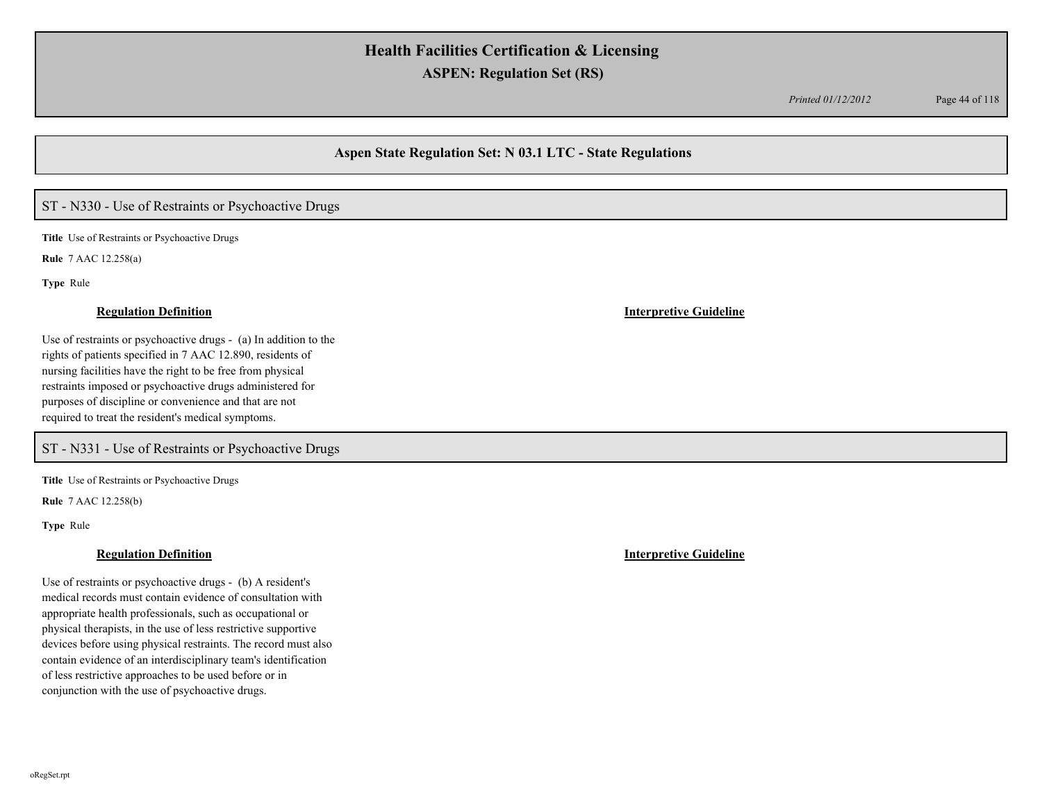*Printed 01/12/2012* Page 44 of 118

## **Aspen State Regulation Set: N 03.1 LTC - State Regulations**

## ST - N330 - Use of Restraints or Psychoactive Drugs

**Title** Use of Restraints or Psychoactive Drugs

**Rule** 7 AAC 12.258(a)

**Type** Rule

Use of restraints or psychoactive drugs - (a) In addition to the rights of patients specified in 7 AAC 12.890, residents of nursing facilities have the right to be free from physical restraints imposed or psychoactive drugs administered for purposes of discipline or convenience and that are not required to treat the resident's medical symptoms.

ST - N331 - Use of Restraints or Psychoactive Drugs

**Title** Use of Restraints or Psychoactive Drugs

**Rule** 7 AAC 12.258(b)

**Type** Rule

Use of restraints or psychoactive drugs - (b) A resident's medical records must contain evidence of consultation with appropriate health professionals, such as occupational or physical therapists, in the use of less restrictive supportive devices before using physical restraints. The record must also contain evidence of an interdisciplinary team's identification of less restrictive approaches to be used before or in conjunction with the use of psychoactive drugs.

#### **Regulation Definition Interpretive Guideline**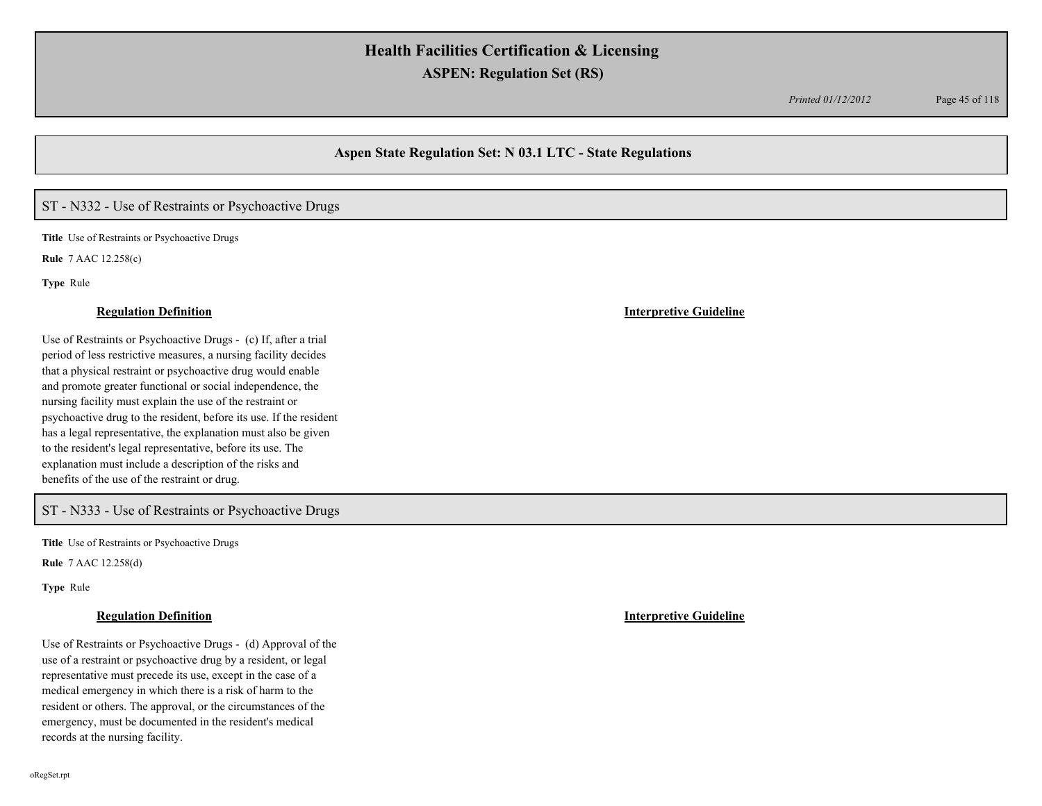*Printed 01/12/2012* Page 45 of 118

## **Aspen State Regulation Set: N 03.1 LTC - State Regulations**

# ST - N332 - Use of Restraints or Psychoactive Drugs

**Title** Use of Restraints or Psychoactive Drugs

**Rule** 7 AAC 12.258(c)

**Type** Rule

Use of Restraints or Psychoactive Drugs - (c) If, after a trial period of less restrictive measures, a nursing facility decides that a physical restraint or psychoactive drug would enable and promote greater functional or social independence, the nursing facility must explain the use of the restraint or psychoactive drug to the resident, before its use. If the resident has a legal representative, the explanation must also be given to the resident's legal representative, before its use. The explanation must include a description of the risks and benefits of the use of the restraint or drug.

## ST - N333 - Use of Restraints or Psychoactive Drugs

**Title** Use of Restraints or Psychoactive Drugs

**Rule** 7 AAC 12.258(d)

**Type** Rule

Use of Restraints or Psychoactive Drugs - (d) Approval of the use of a restraint or psychoactive drug by a resident, or legal representative must precede its use, except in the case of a medical emergency in which there is a risk of harm to the resident or others. The approval, or the circumstances of the emergency, must be documented in the resident's medical records at the nursing facility.

#### **Regulation Definition Interpretive Guideline**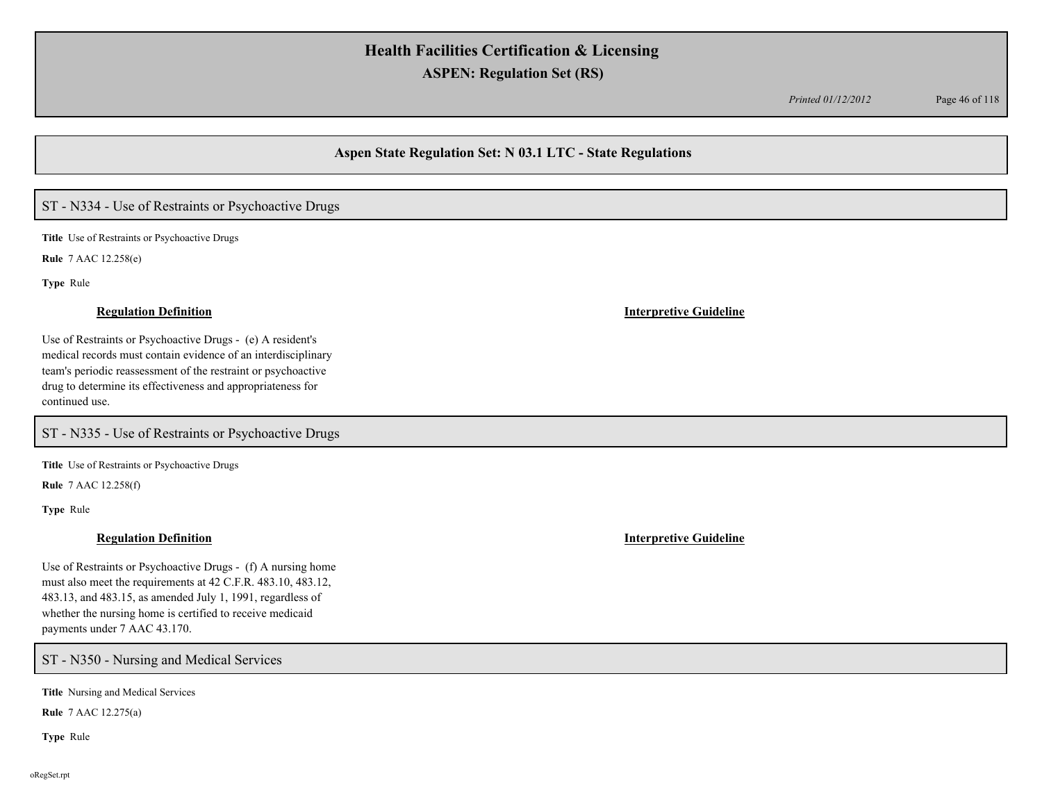*Printed 01/12/2012* Page 46 of 118

## **Aspen State Regulation Set: N 03.1 LTC - State Regulations**

# ST - N334 - Use of Restraints or Psychoactive Drugs

**Title** Use of Restraints or Psychoactive Drugs

**Rule** 7 AAC 12.258(e)

**Type** Rule

Use of Restraints or Psychoactive Drugs - (e) A resident's medical records must contain evidence of an interdisciplinary team's periodic reassessment of the restraint or psychoactive drug to determine its effectiveness and appropriateness for continued use.

ST - N335 - Use of Restraints or Psychoactive Drugs

**Title** Use of Restraints or Psychoactive Drugs

**Rule** 7 AAC 12.258(f)

**Type** Rule

### **Regulation Definition Interpretive Guideline**

Use of Restraints or Psychoactive Drugs - (f) A nursing home must also meet the requirements at 42 C.F.R. 483.10, 483.12, 483.13, and 483.15, as amended July 1, 1991, regardless of whether the nursing home is certified to receive medicaid payments under 7 AAC 43.170.

### ST - N350 - Nursing and Medical Services

**Title** Nursing and Medical Services

**Rule** 7 AAC 12.275(a)

**Type** Rule

#### **Regulation Definition Interpretive Guideline**

oRegSet.rpt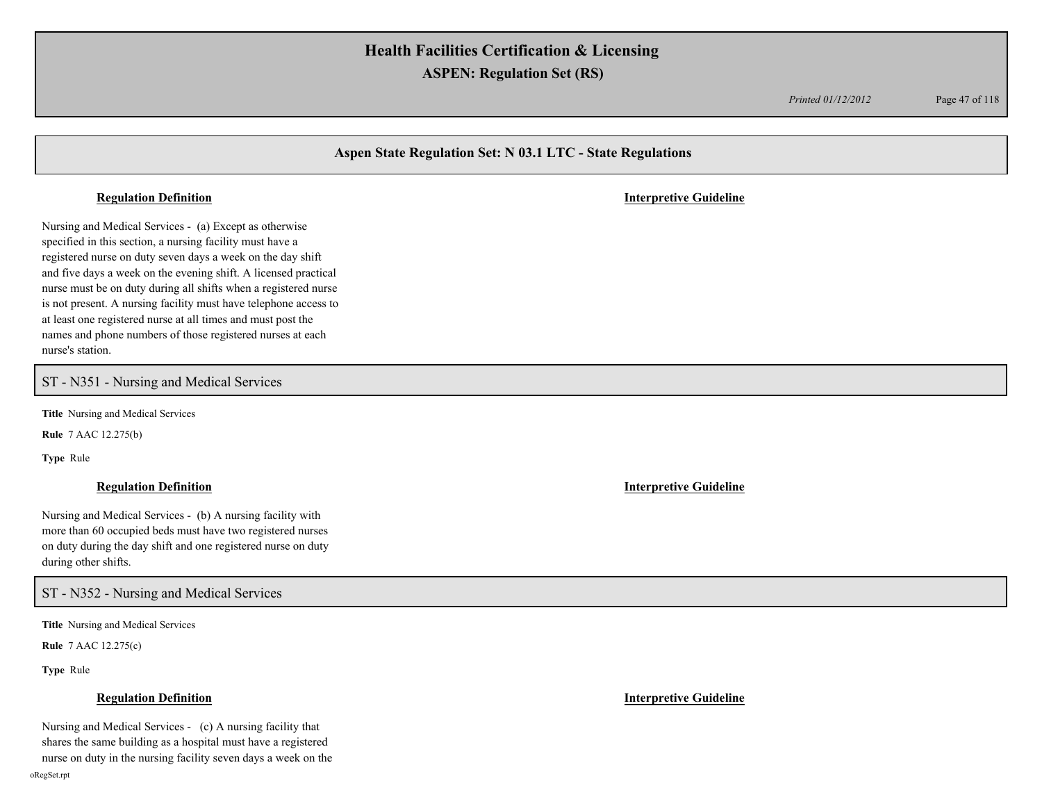*Printed 01/12/2012* Page 47 of 118

## **Aspen State Regulation Set: N 03.1 LTC - State Regulations**

Nursing and Medical Services - (a) Except as otherwise specified in this section, a nursing facility must have a registered nurse on duty seven days a week on the day shift and five days a week on the evening shift. A licensed practical nurse must be on duty during all shifts when a registered nurse is not present. A nursing facility must have telephone access to at least one registered nurse at all times and must post the names and phone numbers of those registered nurses at each nurse's station.

ST - N351 - Nursing and Medical Services

**Title** Nursing and Medical Services

**Rule** 7 AAC 12.275(b)

**Type** Rule

Nursing and Medical Services - (b) A nursing facility with more than 60 occupied beds must have two registered nurses on duty during the day shift and one registered nurse on duty during other shifts.

ST - N352 - Nursing and Medical Services

**Title** Nursing and Medical Services

**Rule** 7 AAC 12.275(c)

**Type** Rule

Nursing and Medical Services - (c) A nursing facility that shares the same building as a hospital must have a registered nurse on duty in the nursing facility seven days a week on the

**Regulation Definition Interpretive Guideline**

**Regulation Definition Interpretive Guideline**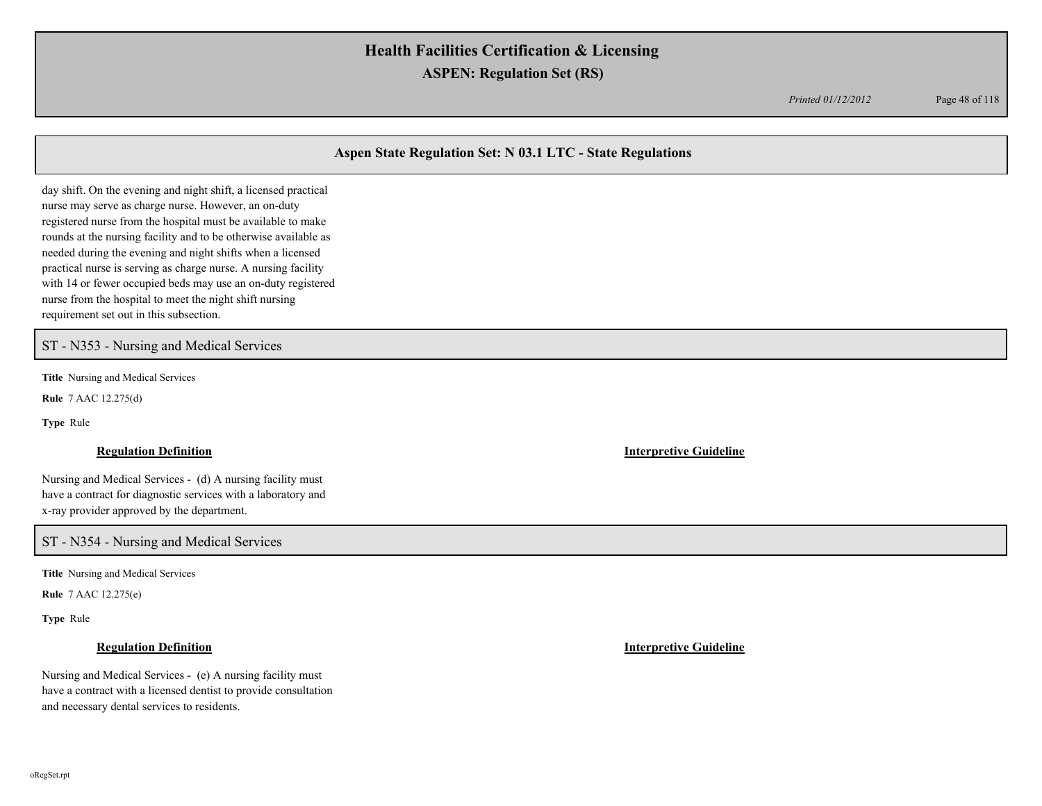*Printed 01/12/2012* Page 48 of 118

## **Aspen State Regulation Set: N 03.1 LTC - State Regulations**

day shift. On the evening and night shift, a licensed practical nurse may serve as charge nurse. However, an on-duty registered nurse from the hospital must be available to make rounds at the nursing facility and to be otherwise available as needed during the evening and night shifts when a licensed practical nurse is serving as charge nurse. A nursing facility with 14 or fewer occupied beds may use an on-duty registered nurse from the hospital to meet the night shift nursing requirement set out in this subsection.

ST - N353 - Nursing and Medical Services

**Title** Nursing and Medical Services

**Rule** 7 AAC 12.275(d)

**Type** Rule

### **Regulation Definition Interpretive Guideline**

Nursing and Medical Services - (d) A nursing facility must have a contract for diagnostic services with a laboratory and x-ray provider approved by the department.

ST - N354 - Nursing and Medical Services

**Title** Nursing and Medical Services

**Rule** 7 AAC 12.275(e)

**Type** Rule

Nursing and Medical Services - (e) A nursing facility must have a contract with a licensed dentist to provide consultation and necessary dental services to residents.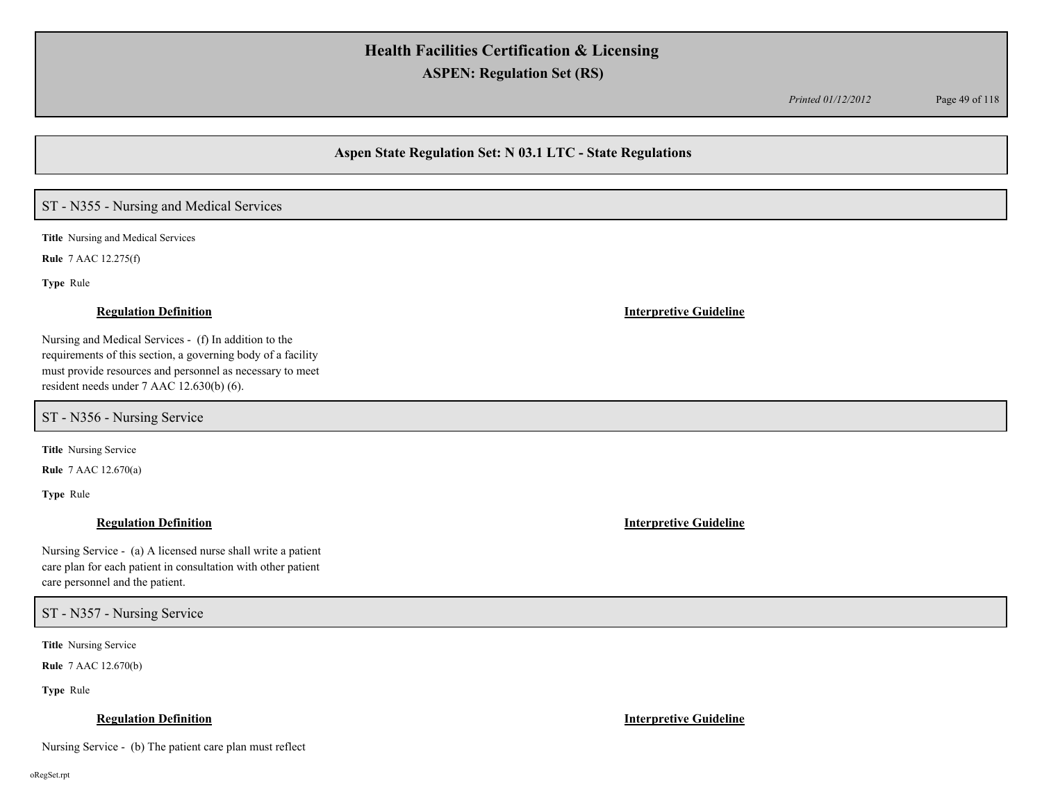*Printed 01/12/2012* Page 49 of 118

### **Aspen State Regulation Set: N 03.1 LTC - State Regulations**

# ST - N355 - Nursing and Medical Services

**Title** Nursing and Medical Services

**Rule** 7 AAC 12.275(f)

**Type** Rule

#### **Regulation Definition Interpretive Guideline**

Nursing and Medical Services - (f) In addition to the requirements of this section, a governing body of a facility must provide resources and personnel as necessary to meet resident needs under 7 AAC 12.630(b) (6).

ST - N356 - Nursing Service

**Title** Nursing Service

**Rule** 7 AAC 12.670(a)

**Type** Rule

Nursing Service - (a) A licensed nurse shall write a patient care plan for each patient in consultation with other patient care personnel and the patient.

ST - N357 - Nursing Service

**Title** Nursing Service

**Rule** 7 AAC 12.670(b)

**Type** Rule

### **Regulation Definition Interpretive Guideline**

Nursing Service - (b) The patient care plan must reflect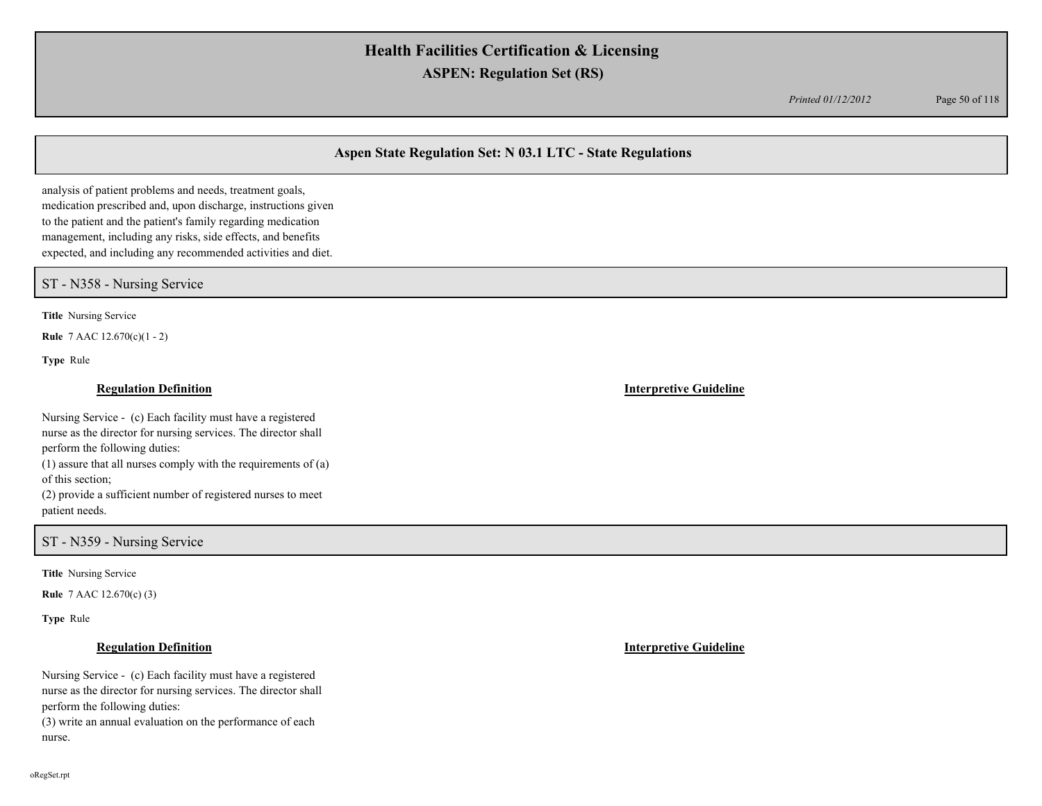*Printed 01/12/2012* Page 50 of 118

## **Aspen State Regulation Set: N 03.1 LTC - State Regulations**

analysis of patient problems and needs, treatment goals, medication prescribed and, upon discharge, instructions given to the patient and the patient's family regarding medication management, including any risks, side effects, and benefits expected, and including any recommended activities and diet.

### ST - N358 - Nursing Service

**Title** Nursing Service

**Rule** 7 AAC 12.670(c)(1 - 2)

**Type** Rule

### **Regulation Definition Interpretive Guideline**

Nursing Service - (c) Each facility must have a registered nurse as the director for nursing services. The director shall perform the following duties:

(1) assure that all nurses comply with the requirements of (a) of this section;

(2) provide a sufficient number of registered nurses to meet patient needs.

ST - N359 - Nursing Service

**Title** Nursing Service

**Rule** 7 AAC 12.670(c) (3)

**Type** Rule

Nursing Service - (c) Each facility must have a registered nurse as the director for nursing services. The director shall perform the following duties: (3) write an annual evaluation on the performance of each nurse.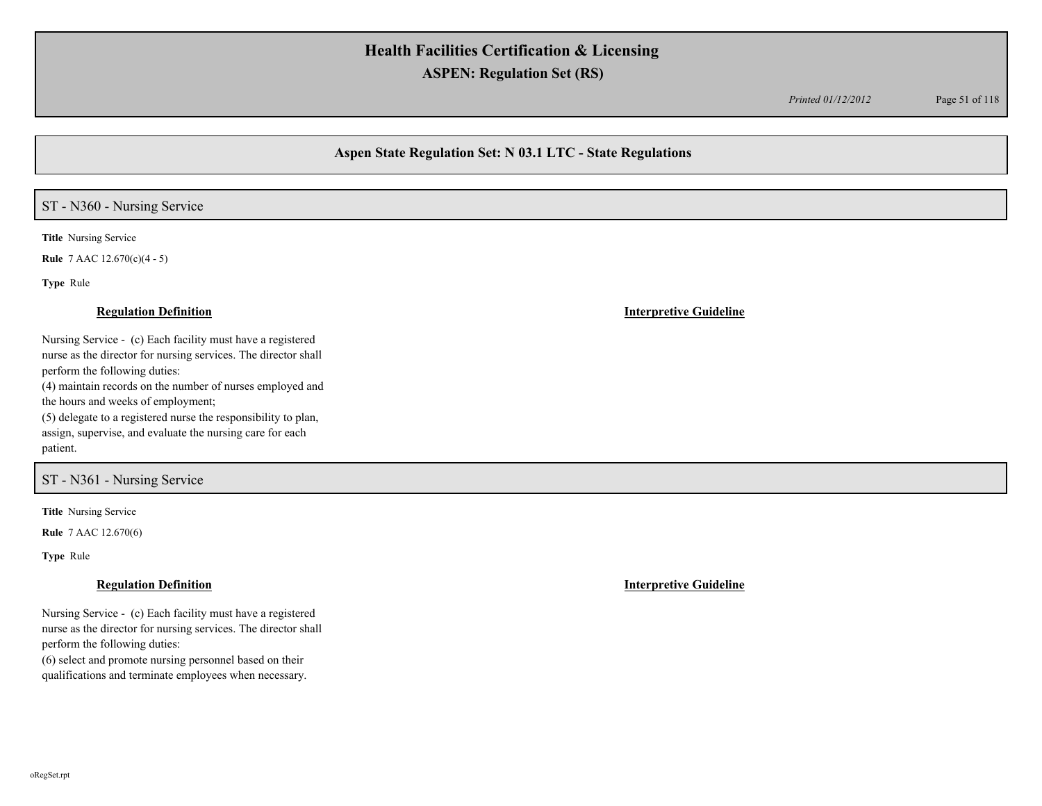*Printed 01/12/2012* Page 51 of 118

## **Aspen State Regulation Set: N 03.1 LTC - State Regulations**

# ST - N360 - Nursing Service

**Title** Nursing Service

**Rule** 7 AAC 12.670(c)(4 - 5)

**Type** Rule

### **Regulation Definition Interpretive Guideline**

Nursing Service - (c) Each facility must have a registered nurse as the director for nursing services. The director shall perform the following duties: (4) maintain records on the number of nurses employed and the hours and weeks of employment; (5) delegate to a registered nurse the responsibility to plan,

assign, supervise, and evaluate the nursing care for each patient.

### ST - N361 - Nursing Service

**Title** Nursing Service

**Rule** 7 AAC 12.670(6)

**Type** Rule

Nursing Service - (c) Each facility must have a registered nurse as the director for nursing services. The director shall perform the following duties:

(6) select and promote nursing personnel based on their qualifications and terminate employees when necessary.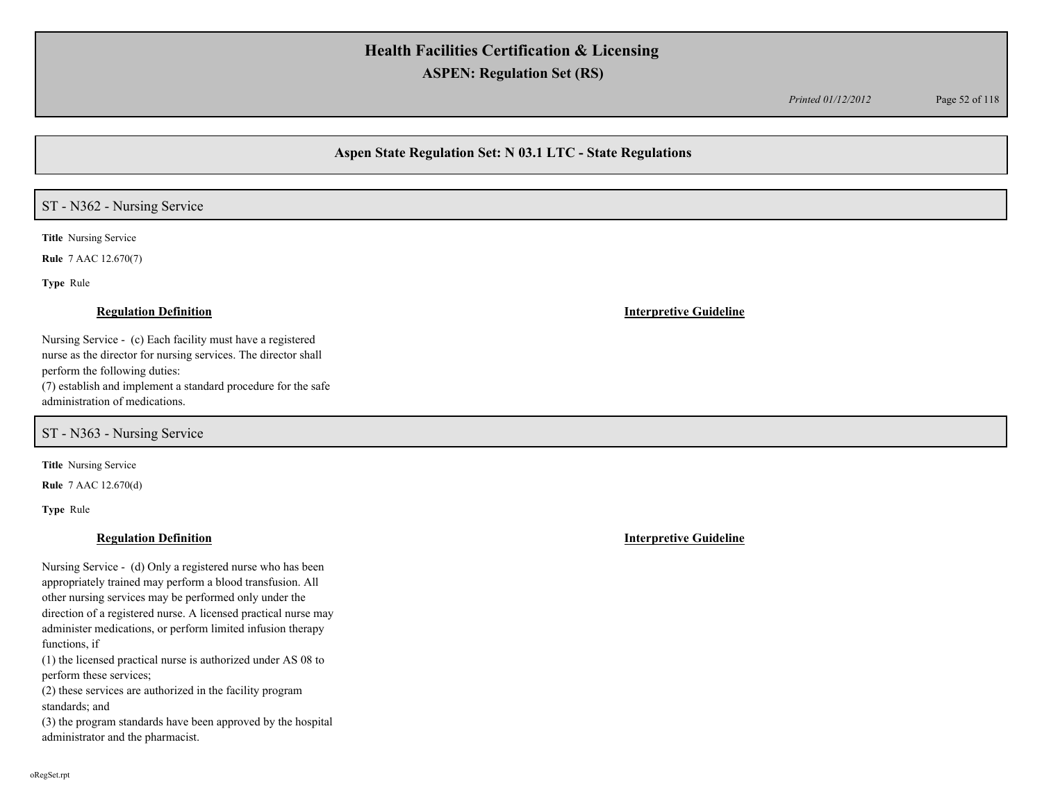*Printed 01/12/2012* Page 52 of 118

## **Aspen State Regulation Set: N 03.1 LTC - State Regulations**

### ST - N362 - Nursing Service

**Title** Nursing Service

**Rule** 7 AAC 12.670(7)

**Type** Rule

Nursing Service - (c) Each facility must have a registered nurse as the director for nursing services. The director shall perform the following duties: (7) establish and implement a standard procedure for the safe administration of medications.

ST - N363 - Nursing Service

**Title** Nursing Service

**Rule** 7 AAC 12.670(d)

**Type** Rule

### **Regulation Definition Interpretive Guideline**

Nursing Service - (d) Only a registered nurse who has been appropriately trained may perform a blood transfusion. All other nursing services may be performed only under the direction of a registered nurse. A licensed practical nurse may administer medications, or perform limited infusion therapy functions, if

(1) the licensed practical nurse is authorized under AS 08 to perform these services;

(2) these services are authorized in the facility program standards; and

(3) the program standards have been approved by the hospital administrator and the pharmacist.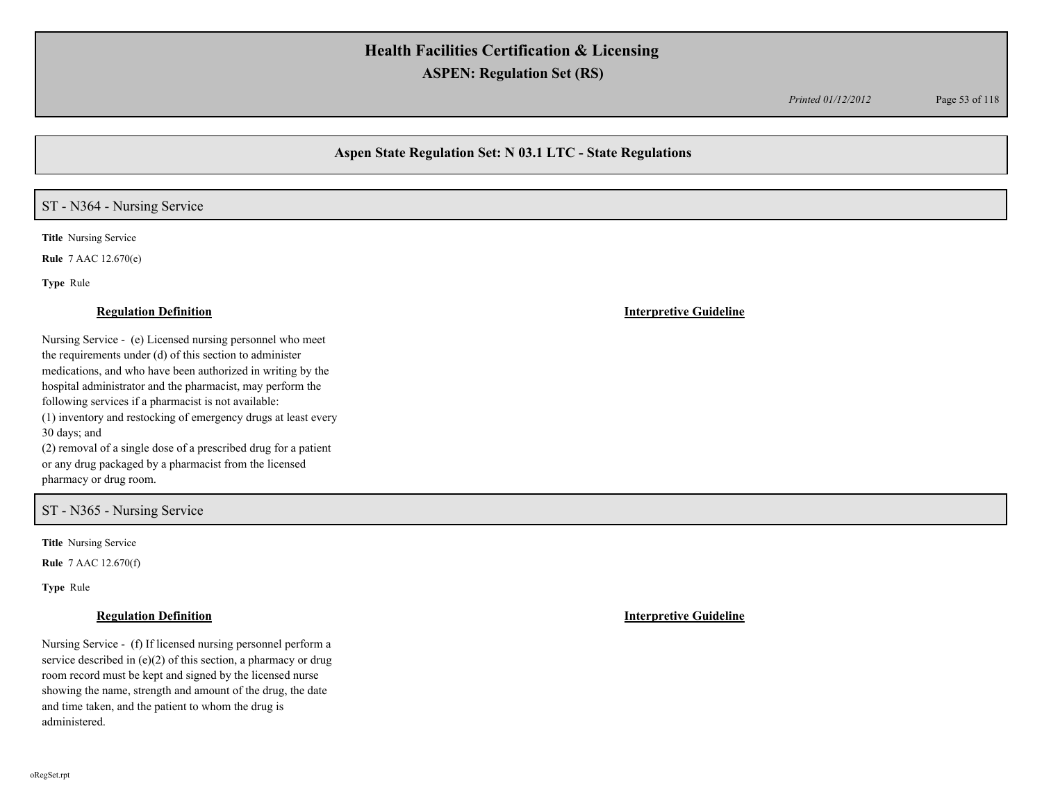*Printed 01/12/2012* Page 53 of 118

## **Aspen State Regulation Set: N 03.1 LTC - State Regulations**

# ST - N364 - Nursing Service

**Title** Nursing Service

**Rule** 7 AAC 12.670(e)

**Type** Rule

#### **Regulation Definition Interpretive Guideline**

Nursing Service - (e) Licensed nursing personnel who meet the requirements under (d) of this section to administer medications, and who have been authorized in writing by the hospital administrator and the pharmacist, may perform the following services if a pharmacist is not available: (1) inventory and restocking of emergency drugs at least every 30 days; and (2) removal of a single dose of a prescribed drug for a patient or any drug packaged by a pharmacist from the licensed

pharmacy or drug room.

### ST - N365 - Nursing Service

**Title** Nursing Service

**Rule** 7 AAC 12.670(f)

**Type** Rule

Nursing Service - (f) If licensed nursing personnel perform a service described in (e)(2) of this section, a pharmacy or drug room record must be kept and signed by the licensed nurse showing the name, strength and amount of the drug, the date and time taken, and the patient to whom the drug is administered.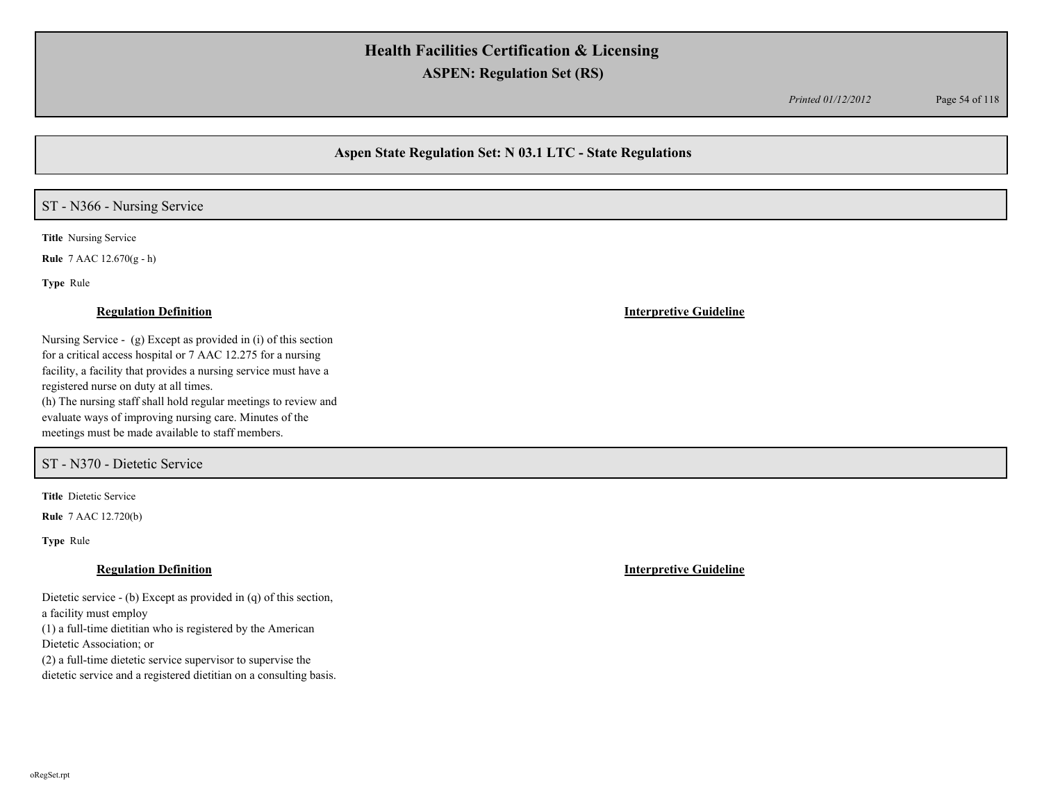*Printed 01/12/2012* Page 54 of 118

## **Aspen State Regulation Set: N 03.1 LTC - State Regulations**

# ST - N366 - Nursing Service

**Title** Nursing Service

**Rule** 7 AAC 12.670(g - h)

**Type** Rule

Nursing Service - (g) Except as provided in (i) of this section for a critical access hospital or 7 AAC 12.275 for a nursing facility, a facility that provides a nursing service must have a registered nurse on duty at all times. (h) The nursing staff shall hold regular meetings to review and evaluate ways of improving nursing care. Minutes of the meetings must be made available to staff members.

ST - N370 - Dietetic Service

**Title** Dietetic Service

**Rule** 7 AAC 12.720(b)

**Type** Rule

Dietetic service - (b) Except as provided in (q) of this section, a facility must employ

(1) a full-time dietitian who is registered by the American

Dietetic Association; or

(2) a full-time dietetic service supervisor to supervise the

dietetic service and a registered dietitian on a consulting basis.

**Regulation Definition Interpretive Guideline**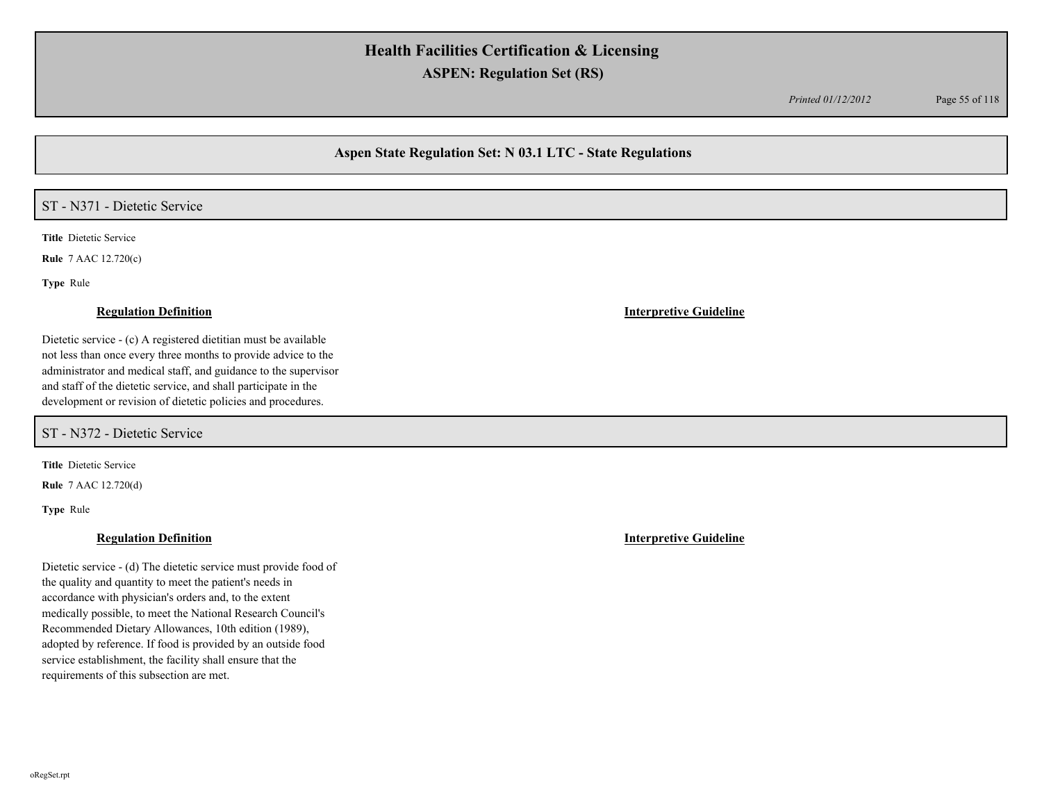*Printed 01/12/2012* Page 55 of 118

## **Aspen State Regulation Set: N 03.1 LTC - State Regulations**

## ST - N371 - Dietetic Service

**Title** Dietetic Service

**Rule** 7 AAC 12.720(c)

**Type** Rule

#### **Regulation Definition Interpretive Guideline**

Dietetic service - (c) A registered dietitian must be available not less than once every three months to provide advice to the administrator and medical staff, and guidance to the supervisor and staff of the dietetic service, and shall participate in the development or revision of dietetic policies and procedures.

ST - N372 - Dietetic Service

**Title** Dietetic Service

**Rule** 7 AAC 12.720(d)

**Type** Rule

Dietetic service - (d) The dietetic service must provide food of the quality and quantity to meet the patient's needs in accordance with physician's orders and, to the extent medically possible, to meet the National Research Council's Recommended Dietary Allowances, 10th edition (1989), adopted by reference. If food is provided by an outside food service establishment, the facility shall ensure that the requirements of this subsection are met.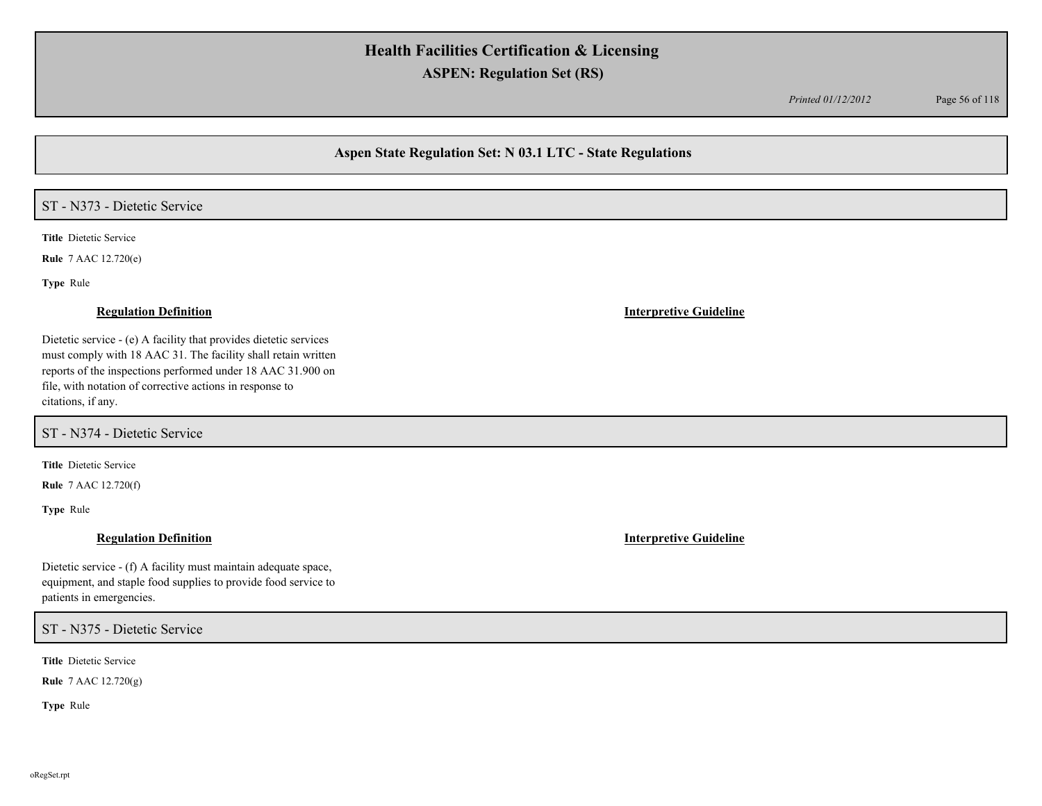*Printed 01/12/2012* Page 56 of 118

## **Aspen State Regulation Set: N 03.1 LTC - State Regulations**

# ST - N373 - Dietetic Service

**Title** Dietetic Service

**Rule** 7 AAC 12.720(e)

**Type** Rule

Dietetic service - (e) A facility that provides dietetic services must comply with 18 AAC 31. The facility shall retain written reports of the inspections performed under 18 AAC 31.900 on file, with notation of corrective actions in response to citations, if any.

ST - N374 - Dietetic Service

**Title** Dietetic Service

**Rule** 7 AAC 12.720(f)

**Type** Rule

Dietetic service - (f) A facility must maintain adequate space, equipment, and staple food supplies to provide food service to patients in emergencies.

### ST - N375 - Dietetic Service

**Title** Dietetic Service

**Rule** 7 AAC 12.720(g)

**Type** Rule

#### **Regulation Definition Interpretive Guideline**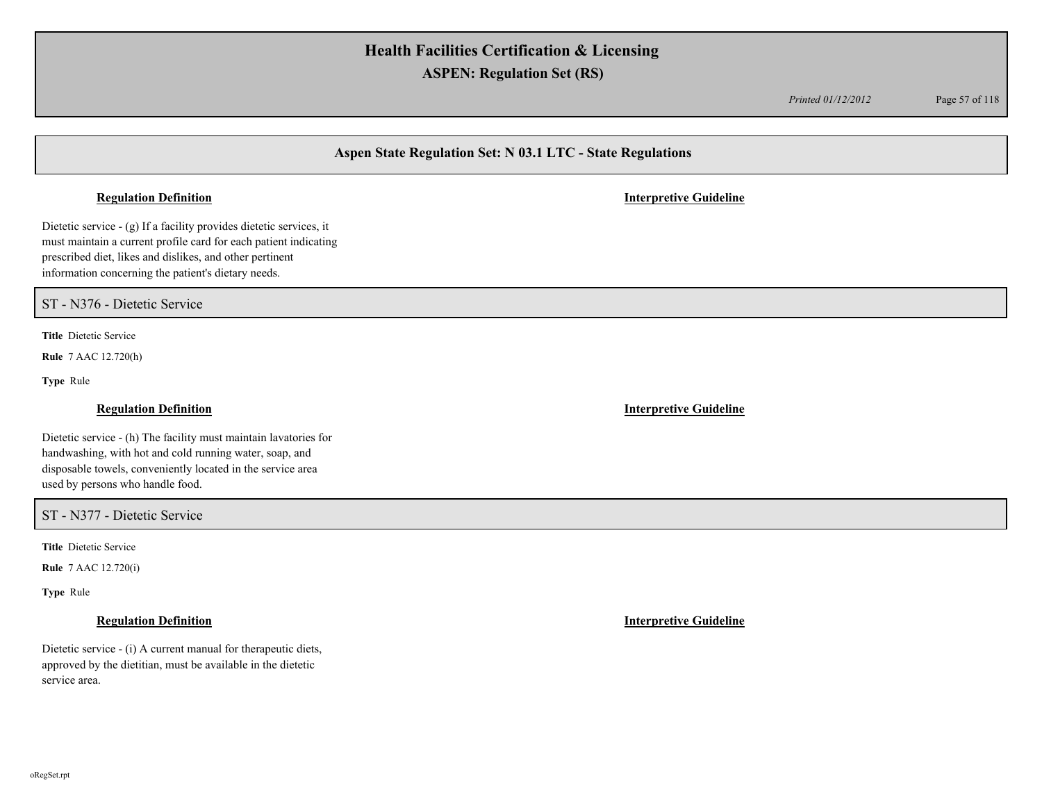*Printed 01/12/2012* Page 57 of 118

## **Aspen State Regulation Set: N 03.1 LTC - State Regulations**

Dietetic service - (g) If a facility provides dietetic services, it must maintain a current profile card for each patient indicating prescribed diet, likes and dislikes, and other pertinent information concerning the patient's dietary needs.

ST - N376 - Dietetic Service

**Title** Dietetic Service

**Rule** 7 AAC 12.720(h)

**Type** Rule

Dietetic service - (h) The facility must maintain lavatories for handwashing, with hot and cold running water, soap, and disposable towels, conveniently located in the service area used by persons who handle food.

ST - N377 - Dietetic Service

**Title** Dietetic Service

**Rule** 7 AAC 12.720(i)

**Type** Rule

Dietetic service - (i) A current manual for therapeutic diets, approved by the dietitian, must be available in the dietetic service area.

**Regulation Definition Interpretive Guideline**

**Regulation Definition Interpretive Guideline**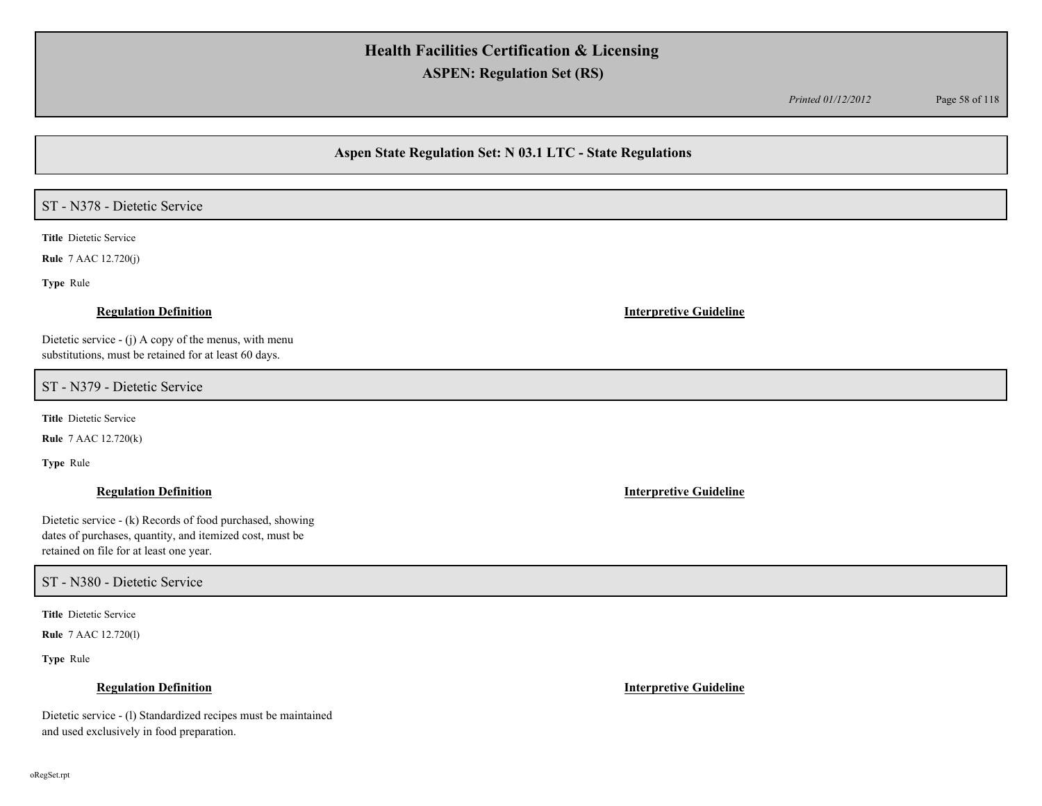*Printed 01/12/2012* Page 58 of 118

## **Aspen State Regulation Set: N 03.1 LTC - State Regulations**

# ST - N378 - Dietetic Service

**Title** Dietetic Service

**Rule** 7 AAC 12.720(j)

**Type** Rule

### **Regulation Definition Interpretive Guideline**

Dietetic service - (j) A copy of the menus, with menu substitutions, must be retained for at least 60 days.

ST - N379 - Dietetic Service

**Title** Dietetic Service

**Rule** 7 AAC 12.720(k)

**Type** Rule

Dietetic service - (k) Records of food purchased, showing dates of purchases, quantity, and itemized cost, must be retained on file for at least one year.

### ST - N380 - Dietetic Service

**Title** Dietetic Service

**Rule** 7 AAC 12.720(l)

**Type** Rule

#### **Regulation Definition Interpretive Guideline**

Dietetic service - (l) Standardized recipes must be maintained and used exclusively in food preparation.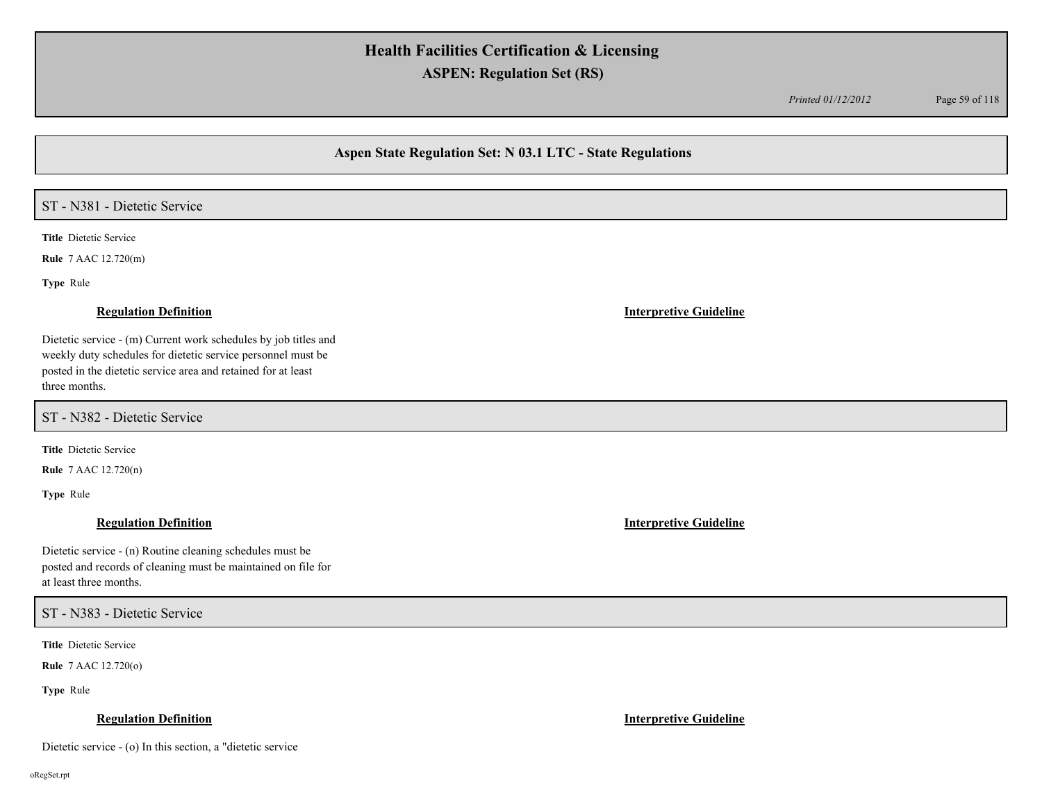*Printed 01/12/2012* Page 59 of 118

### **Aspen State Regulation Set: N 03.1 LTC - State Regulations**

# ST - N381 - Dietetic Service

**Title** Dietetic Service

**Rule** 7 AAC 12.720(m)

**Type** Rule

### **Regulation Definition Interpretive Guideline**

Dietetic service - (m) Current work schedules by job titles and weekly duty schedules for dietetic service personnel must be posted in the dietetic service area and retained for at least three months.

ST - N382 - Dietetic Service

**Title** Dietetic Service

**Rule** 7 AAC 12.720(n)

**Type** Rule

Dietetic service - (n) Routine cleaning schedules must be posted and records of cleaning must be maintained on file for at least three months.

ST - N383 - Dietetic Service

**Title** Dietetic Service

**Rule** 7 AAC 12.720(o)

**Type** Rule

### **Regulation Definition Interpretive Guideline**

Dietetic service - (o) In this section, a "dietetic service

oRegSet.rpt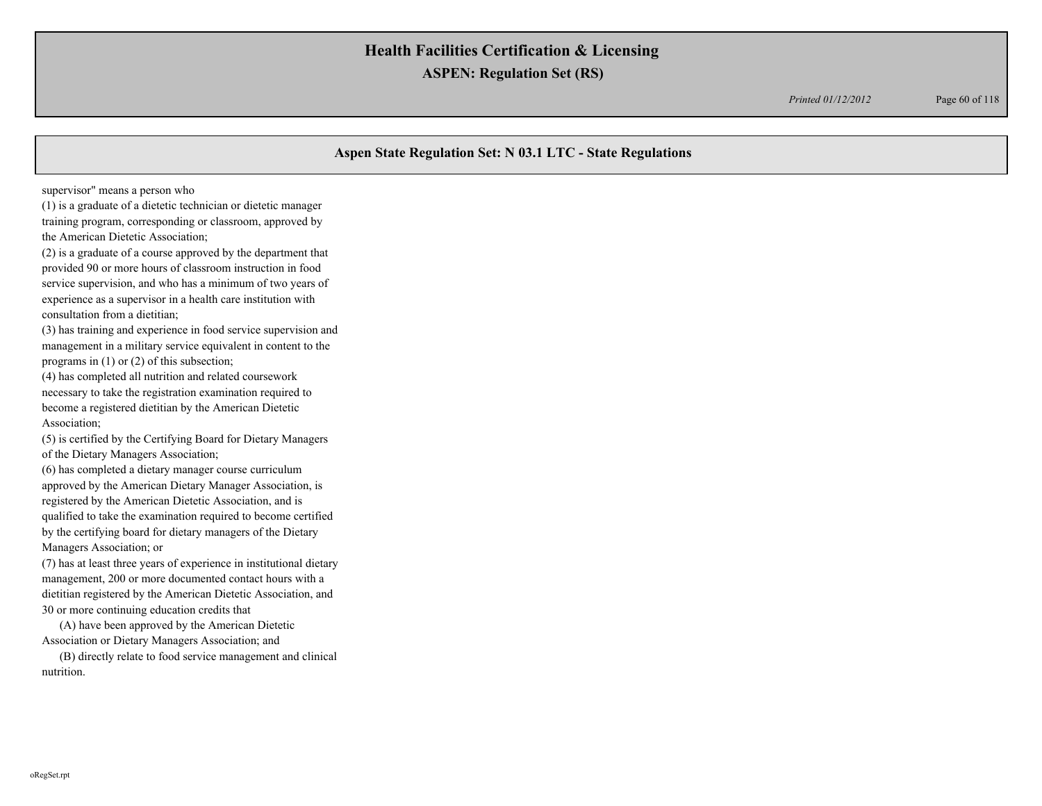*Printed 01/12/2012* Page 60 of 118

## **Aspen State Regulation Set: N 03.1 LTC - State Regulations**

supervisor" means a person who

(1) is a graduate of a dietetic technician or dietetic manager training program, corresponding or classroom, approved by the American Dietetic Association;

(2) is a graduate of a course approved by the department that provided 90 or more hours of classroom instruction in food service supervision, and who has a minimum of two years of experience as a supervisor in a health care institution with consultation from a dietitian;

(3) has training and experience in food service supervision and management in a military service equivalent in content to the programs in (1) or (2) of this subsection;

(4) has completed all nutrition and related coursework necessary to take the registration examination required to become a registered dietitian by the American Dietetic Association;

(5) is certified by the Certifying Board for Dietary Managers of the Dietary Managers Association;

(6) has completed a dietary manager course curriculum approved by the American Dietary Manager Association, is registered by the American Dietetic Association, and is qualified to take the examination required to become certified by the certifying board for dietary managers of the Dietary Managers Association; or

(7) has at least three years of experience in institutional dietary management, 200 or more documented contact hours with a dietitian registered by the American Dietetic Association, and 30 or more continuing education credits that

 (A) have been approved by the American Dietetic Association or Dietary Managers Association; and

 (B) directly relate to food service management and clinical nutrition.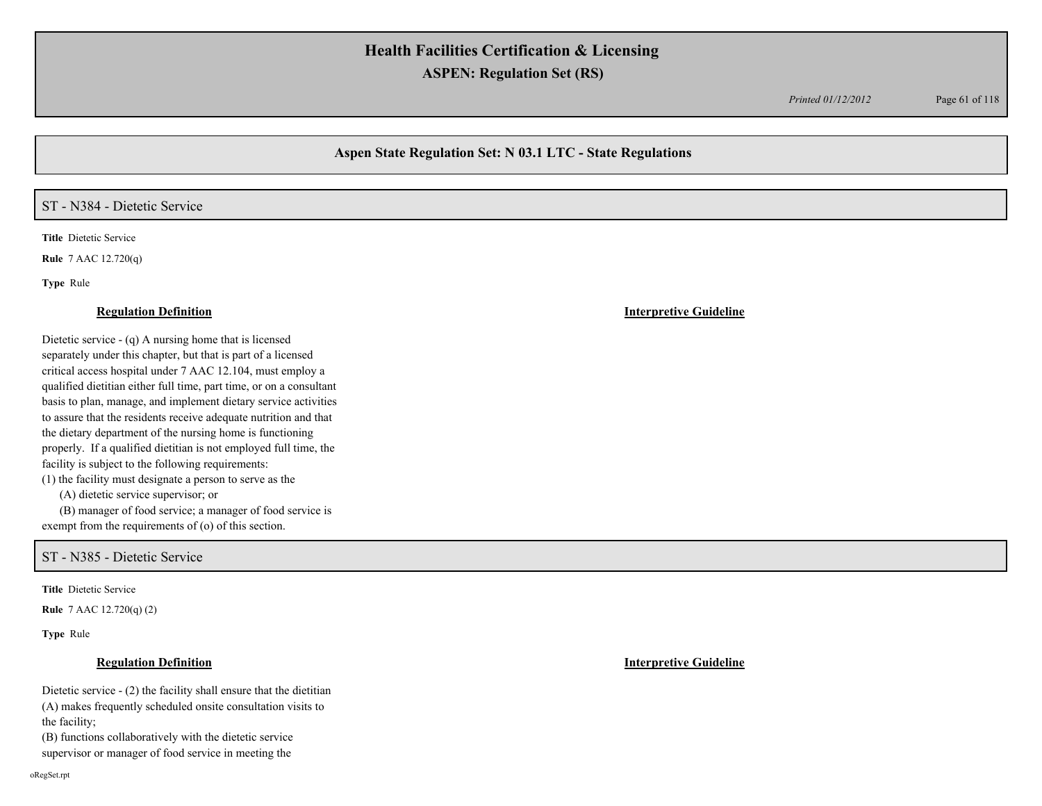*Printed 01/12/2012* Page 61 of 118

## **Aspen State Regulation Set: N 03.1 LTC - State Regulations**

### ST - N384 - Dietetic Service

**Title** Dietetic Service

**Rule** 7 AAC 12.720(q)

**Type** Rule

#### **Regulation Definition Interpretive Guideline**

Dietetic service - (q) A nursing home that is licensed separately under this chapter, but that is part of a licensed critical access hospital under 7 AAC 12.104, must employ a qualified dietitian either full time, part time, or on a consultant basis to plan, manage, and implement dietary service activities to assure that the residents receive adequate nutrition and that the dietary department of the nursing home is functioning properly. If a qualified dietitian is not employed full time, the facility is subject to the following requirements:

(1) the facility must designate a person to serve as the

(A) dietetic service supervisor; or

 (B) manager of food service; a manager of food service is exempt from the requirements of (o) of this section.

ST - N385 - Dietetic Service

**Title** Dietetic Service

**Rule** 7 AAC 12.720(q) (2)

**Type** Rule

### **Regulation Definition Interpretive Guideline**

Dietetic service - (2) the facility shall ensure that the dietitian (A) makes frequently scheduled onsite consultation visits to the facility;

(B) functions collaboratively with the dietetic service supervisor or manager of food service in meeting the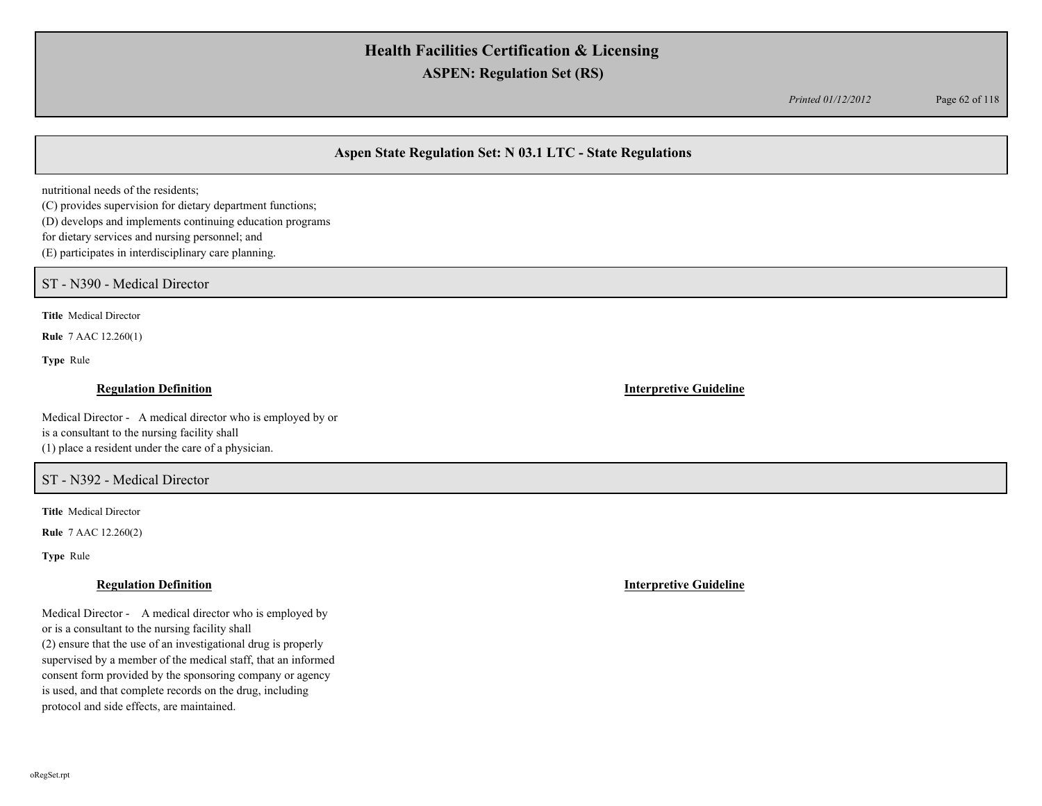*Printed 01/12/2012* Page 62 of 118

## **Aspen State Regulation Set: N 03.1 LTC - State Regulations**

nutritional needs of the residents;

(C) provides supervision for dietary department functions;

(D) develops and implements continuing education programs

for dietary services and nursing personnel; and

(E) participates in interdisciplinary care planning.

ST - N390 - Medical Director

**Title** Medical Director

**Rule** 7 AAC 12.260(1)

**Type** Rule

### **Regulation Definition Interpretive Guideline**

Medical Director - A medical director who is employed by or is a consultant to the nursing facility shall (1) place a resident under the care of a physician.

### ST - N392 - Medical Director

**Title** Medical Director

**Rule** 7 AAC 12.260(2)

**Type** Rule

Medical Director - A medical director who is employed by or is a consultant to the nursing facility shall (2) ensure that the use of an investigational drug is properly supervised by a member of the medical staff, that an informed consent form provided by the sponsoring company or agency is used, and that complete records on the drug, including protocol and side effects, are maintained.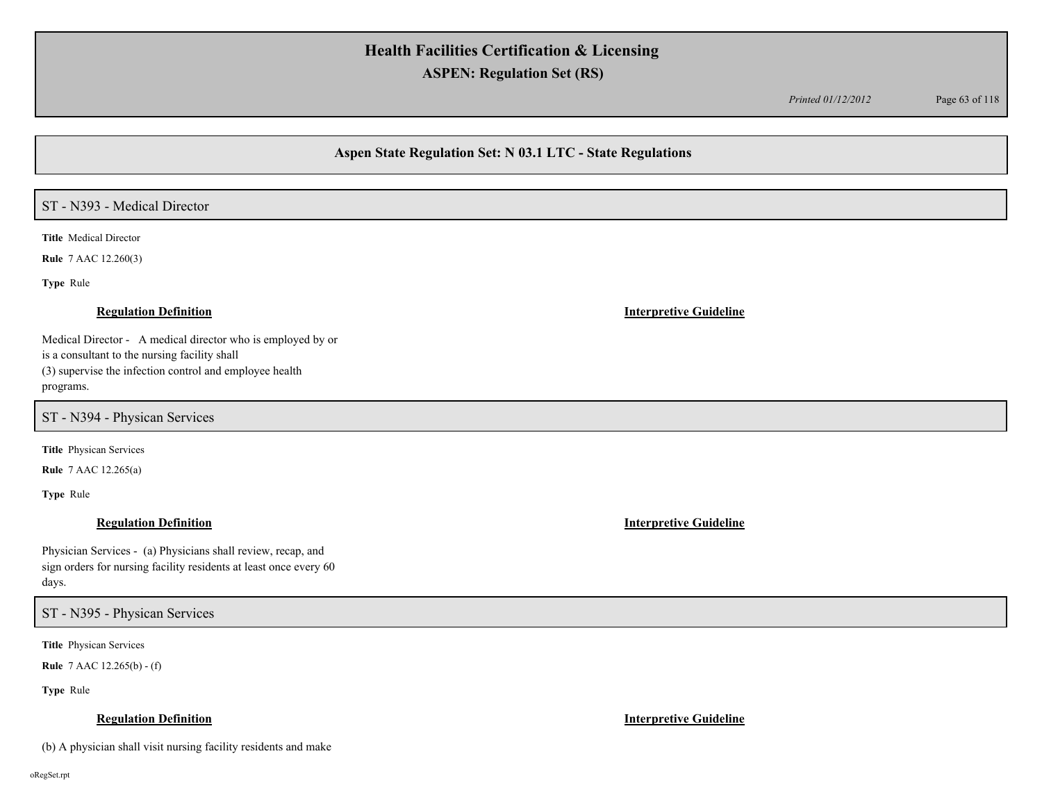*Printed 01/12/2012* Page 63 of 118

## **Aspen State Regulation Set: N 03.1 LTC - State Regulations**

## ST - N393 - Medical Director

**Title** Medical Director

**Rule** 7 AAC 12.260(3)

**Type** Rule

### **Regulation Definition Interpretive Guideline**

Medical Director - A medical director who is employed by or is a consultant to the nursing facility shall (3) supervise the infection control and employee health programs.

ST - N394 - Physican Services

**Title** Physican Services

**Rule** 7 AAC 12.265(a)

**Type** Rule

Physician Services - (a) Physicians shall review, recap, and sign orders for nursing facility residents at least once every 60 days.

ST - N395 - Physican Services

**Title** Physican Services

**Rule** 7 AAC 12.265(b) - (f)

**Type** Rule

### **Regulation Definition Interpretive Guideline**

(b) A physician shall visit nursing facility residents and make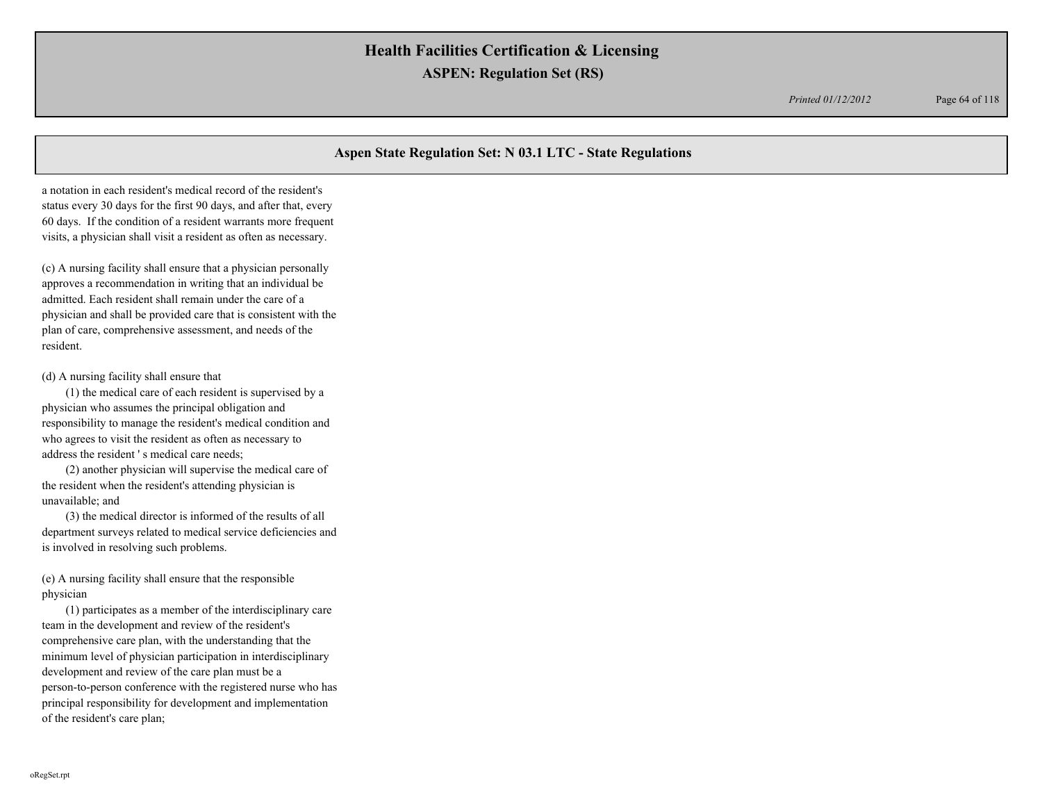*Printed 01/12/2012* Page 64 of 118

## **Aspen State Regulation Set: N 03.1 LTC - State Regulations**

a notation in each resident's medical record of the resident's status every 30 days for the first 90 days, and after that, every 60 days. If the condition of a resident warrants more frequent visits, a physician shall visit a resident as often as necessary.

(c) A nursing facility shall ensure that a physician personally approves a recommendation in writing that an individual be admitted. Each resident shall remain under the care of a physician and shall be provided care that is consistent with the plan of care, comprehensive assessment, and needs of the resident.

#### (d) A nursing facility shall ensure that

(1) the medical care of each resident is supervised by a physician who assumes the principal obligation and responsibility to manage the resident's medical condition and who agrees to visit the resident as often as necessary to address the resident ' s medical care needs;

(2) another physician will supervise the medical care of the resident when the resident's attending physician is unavailable; and

(3) the medical director is informed of the results of all department surveys related to medical service deficiencies and is involved in resolving such problems.

(e) A nursing facility shall ensure that the responsible physician

(1) participates as a member of the interdisciplinary care team in the development and review of the resident's comprehensive care plan, with the understanding that the minimum level of physician participation in interdisciplinary development and review of the care plan must be a person-to-person conference with the registered nurse who has principal responsibility for development and implementation of the resident's care plan;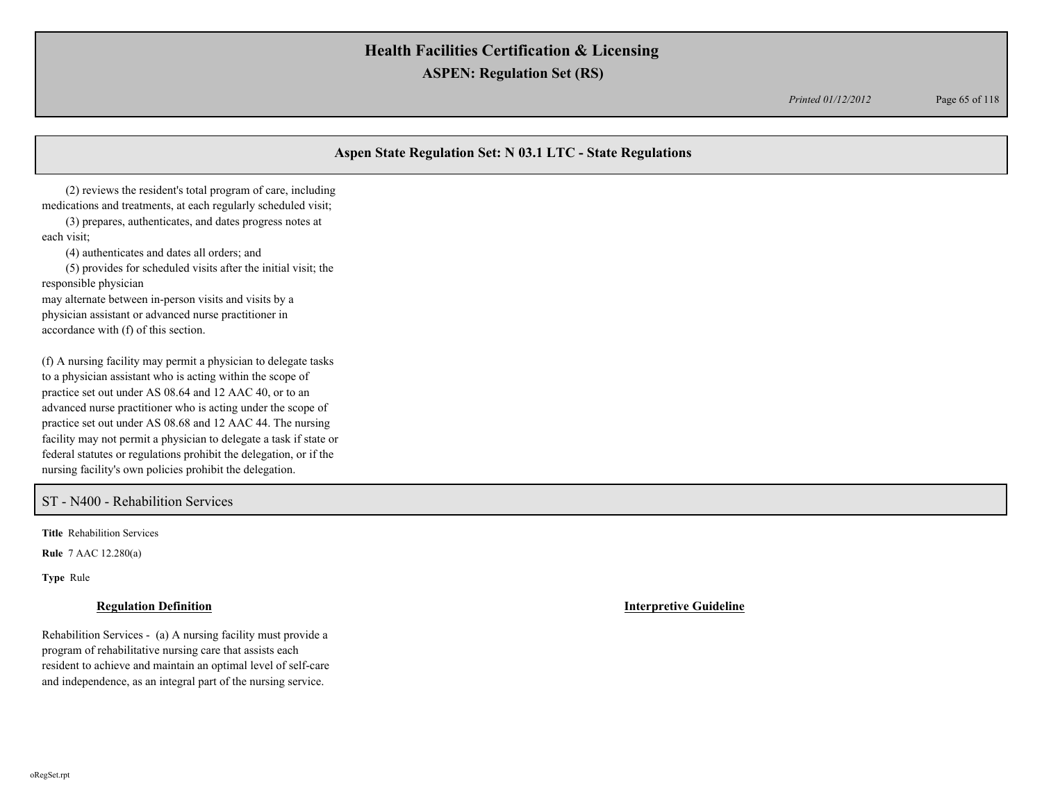*Printed 01/12/2012* Page 65 of 118

## **Aspen State Regulation Set: N 03.1 LTC - State Regulations**

(2) reviews the resident's total program of care, including medications and treatments, at each regularly scheduled visit;

(3) prepares, authenticates, and dates progress notes at each visit;

(4) authenticates and dates all orders; and

(5) provides for scheduled visits after the initial visit; the responsible physician

may alternate between in-person visits and visits by a physician assistant or advanced nurse practitioner in accordance with (f) of this section.

(f) A nursing facility may permit a physician to delegate tasks to a physician assistant who is acting within the scope of practice set out under AS 08.64 and 12 AAC 40, or to an advanced nurse practitioner who is acting under the scope of practice set out under AS 08.68 and 12 AAC 44. The nursing facility may not permit a physician to delegate a task if state or federal statutes or regulations prohibit the delegation, or if the nursing facility's own policies prohibit the delegation.

ST - N400 - Rehabilition Services

**Title** Rehabilition Services

**Rule** 7 AAC 12.280(a)

**Type** Rule

### **Regulation Definition Interpretive Guideline**

Rehabilition Services - (a) A nursing facility must provide a program of rehabilitative nursing care that assists each resident to achieve and maintain an optimal level of self-care and independence, as an integral part of the nursing service.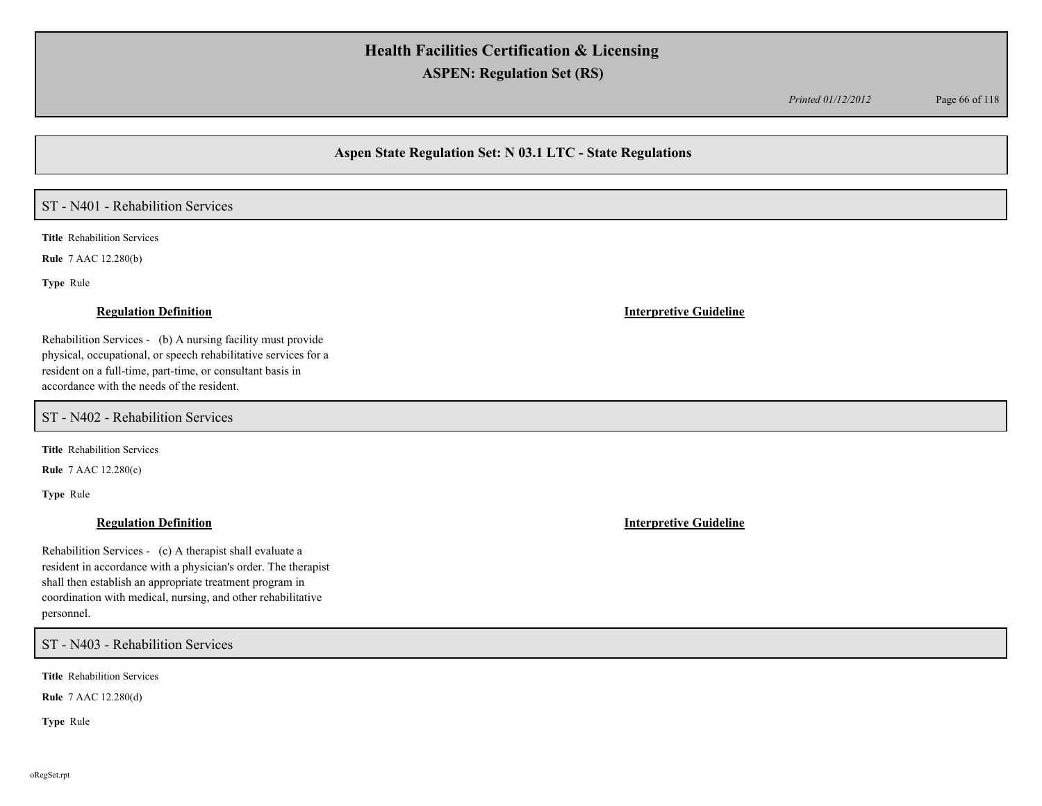*Printed 01/12/2012* Page 66 of 118

## **Aspen State Regulation Set: N 03.1 LTC - State Regulations**

## ST - N401 - Rehabilition Services

**Title** Rehabilition Services

**Rule** 7 AAC 12.280(b)

**Type** Rule

Rehabilition Services - (b) A nursing facility must provide physical, occupational, or speech rehabilitative services for a resident on a full-time, part-time, or consultant basis in accordance with the needs of the resident.

ST - N402 - Rehabilition Services

**Title** Rehabilition Services

**Rule** 7 AAC 12.280(c)

**Type** Rule

## **Regulation Definition Interpretive Guideline**

Rehabilition Services - (c) A therapist shall evaluate a resident in accordance with a physician's order. The therapist shall then establish an appropriate treatment program in coordination with medical, nursing, and other rehabilitative personnel.

ST - N403 - Rehabilition Services

**Title** Rehabilition Services

**Rule** 7 AAC 12.280(d)

**Type** Rule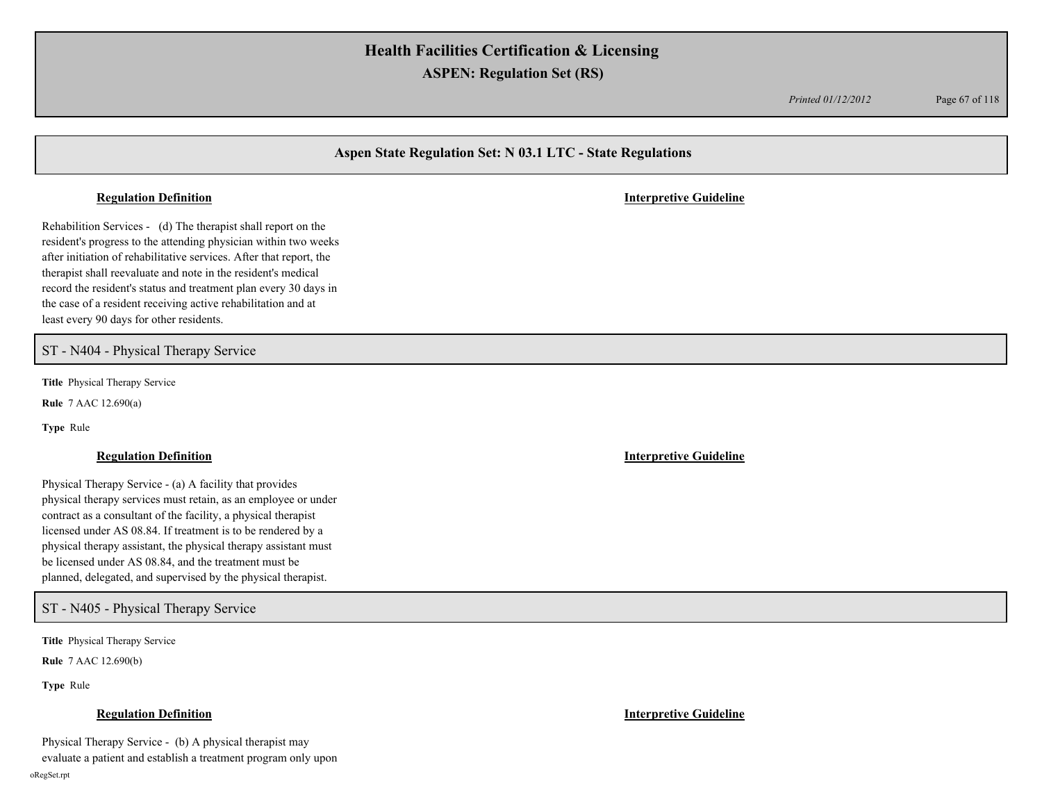*Printed 01/12/2012* Page 67 of 118

## **Aspen State Regulation Set: N 03.1 LTC - State Regulations**

Rehabilition Services - (d) The therapist shall report on the resident's progress to the attending physician within two weeks after initiation of rehabilitative services. After that report, the therapist shall reevaluate and note in the resident's medical record the resident's status and treatment plan every 30 days in the case of a resident receiving active rehabilitation and at least every 90 days for other residents.

ST - N404 - Physical Therapy Service

**Title** Physical Therapy Service

**Rule** 7 AAC 12.690(a)

**Type** Rule

Physical Therapy Service - (a) A facility that provides physical therapy services must retain, as an employee or under contract as a consultant of the facility, a physical therapist licensed under AS 08.84. If treatment is to be rendered by a physical therapy assistant, the physical therapy assistant must be licensed under AS 08.84, and the treatment must be planned, delegated, and supervised by the physical therapist.

ST - N405 - Physical Therapy Service

**Title** Physical Therapy Service

**Rule** 7 AAC 12.690(b)

**Type** Rule

Physical Therapy Service - (b) A physical therapist may evaluate a patient and establish a treatment program only upon

**Regulation Definition Interpretive Guideline**

**Regulation Definition Interpretive Guideline**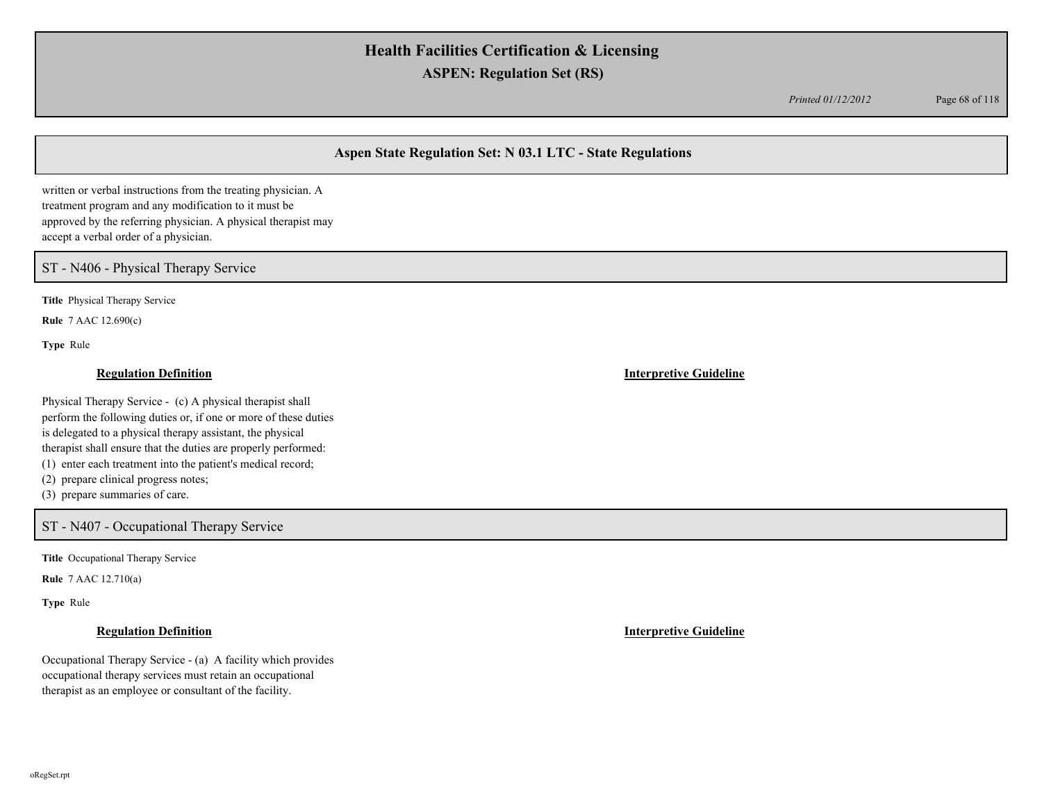*Printed 01/12/2012* Page 68 of 118

## **Aspen State Regulation Set: N 03.1 LTC - State Regulations**

written or verbal instructions from the treating physician. A treatment program and any modification to it must be approved by the referring physician. A physical therapist may accept a verbal order of a physician.

ST - N406 - Physical Therapy Service

**Title** Physical Therapy Service

**Rule** 7 AAC 12.690(c)

**Type** Rule

### **Regulation Definition Interpretive Guideline**

Physical Therapy Service - (c) A physical therapist shall perform the following duties or, if one or more of these duties is delegated to a physical therapy assistant, the physical therapist shall ensure that the duties are properly performed: (1) enter each treatment into the patient's medical record; (2) prepare clinical progress notes;

(3) prepare summaries of care.

### ST - N407 - Occupational Therapy Service

**Title** Occupational Therapy Service

**Rule** 7 AAC 12.710(a)

**Type** Rule

Occupational Therapy Service - (a) A facility which provides occupational therapy services must retain an occupational therapist as an employee or consultant of the facility.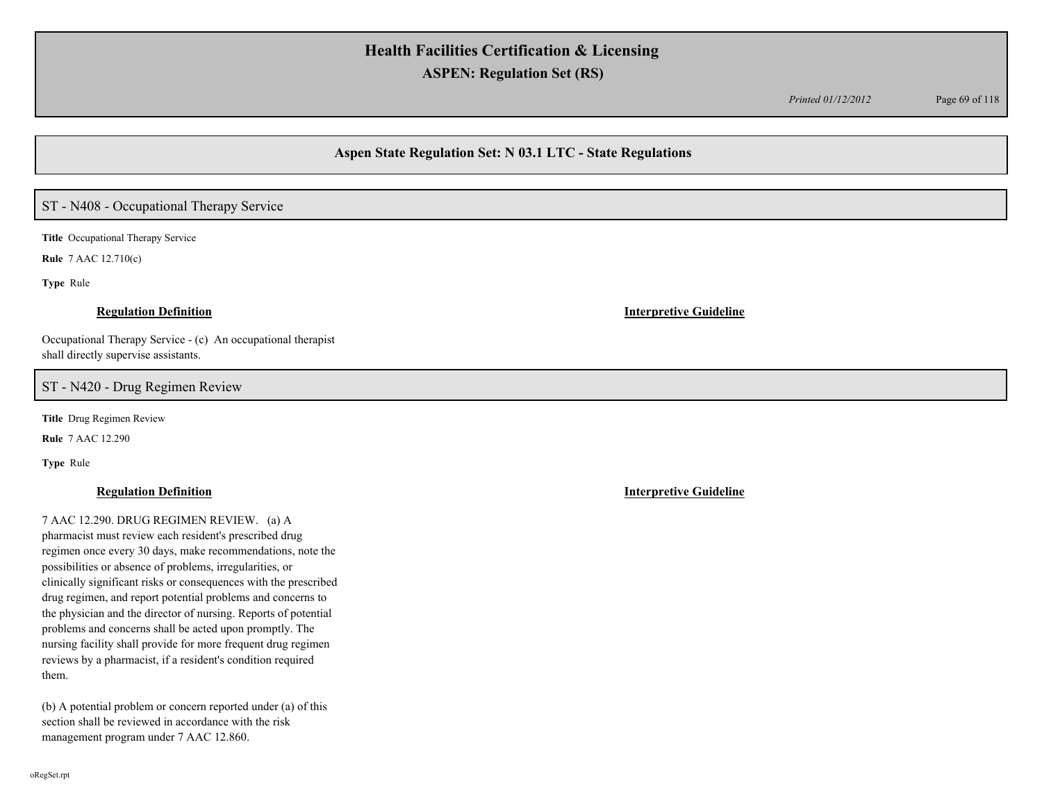*Printed 01/12/2012* Page 69 of 118

## **Aspen State Regulation Set: N 03.1 LTC - State Regulations**

# ST - N408 - Occupational Therapy Service

**Title** Occupational Therapy Service

**Rule** 7 AAC 12.710(c)

**Type** Rule

#### **Regulation Definition Interpretive Guideline**

Occupational Therapy Service - (c) An occupational therapist shall directly supervise assistants.

ST - N420 - Drug Regimen Review

**Title** Drug Regimen Review

**Rule** 7 AAC 12.290

**Type** Rule

7 AAC 12.290. DRUG REGIMEN REVIEW. (a) A pharmacist must review each resident's prescribed drug regimen once every 30 days, make recommendations, note the possibilities or absence of problems, irregularities, or clinically significant risks or consequences with the prescribed drug regimen, and report potential problems and concerns to the physician and the director of nursing. Reports of potential problems and concerns shall be acted upon promptly. The nursing facility shall provide for more frequent drug regimen reviews by a pharmacist, if a resident's condition required them.

(b) A potential problem or concern reported under (a) of this section shall be reviewed in accordance with the risk management program under 7 AAC 12.860.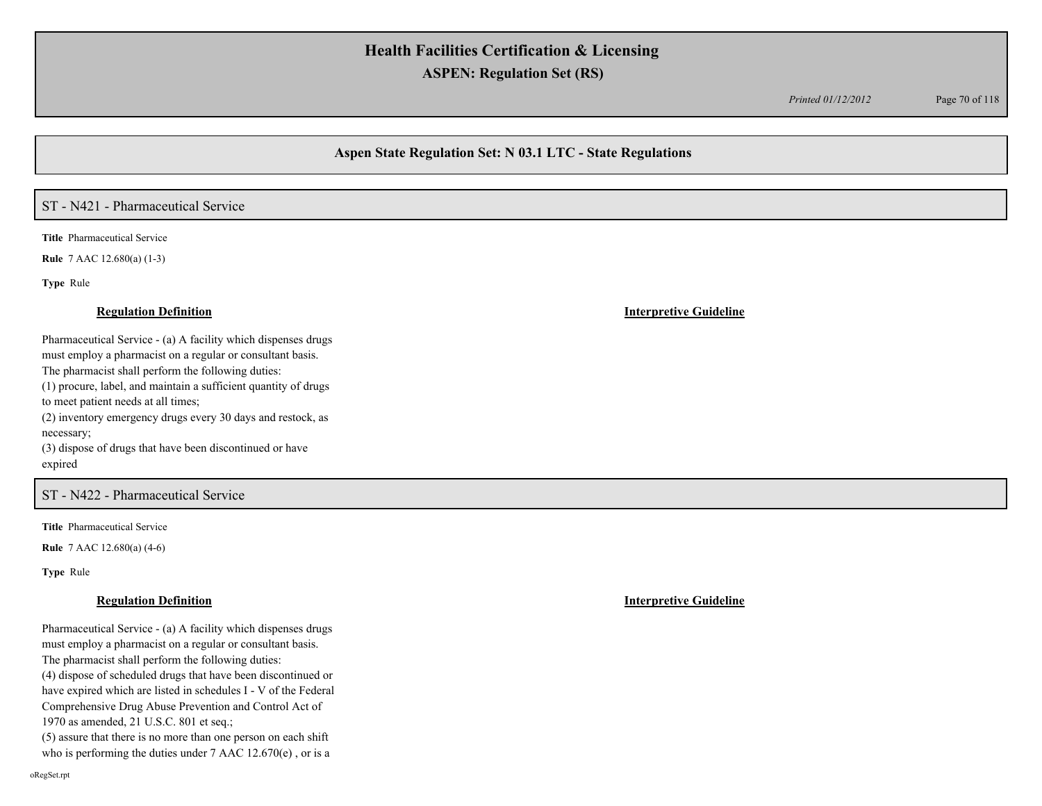*Printed 01/12/2012* Page 70 of 118

## **Aspen State Regulation Set: N 03.1 LTC - State Regulations**

# ST - N421 - Pharmaceutical Service

**Title** Pharmaceutical Service

**Rule** 7 AAC 12.680(a) (1-3)

**Type** Rule

Pharmaceutical Service - (a) A facility which dispenses drugs must employ a pharmacist on a regular or consultant basis. The pharmacist shall perform the following duties: (1) procure, label, and maintain a sufficient quantity of drugs to meet patient needs at all times; (2) inventory emergency drugs every 30 days and restock, as necessary; (3) dispose of drugs that have been discontinued or have expired

### ST - N422 - Pharmaceutical Service

**Title** Pharmaceutical Service

**Rule** 7 AAC 12.680(a) (4-6)

**Type** Rule

oRegSet.rpt

#### **Regulation Definition Interpretive Guideline**

Pharmaceutical Service - (a) A facility which dispenses drugs must employ a pharmacist on a regular or consultant basis. The pharmacist shall perform the following duties: (4) dispose of scheduled drugs that have been discontinued or have expired which are listed in schedules I - V of the Federal Comprehensive Drug Abuse Prevention and Control Act of 1970 as amended, 21 U.S.C. 801 et seq.; (5) assure that there is no more than one person on each shift

who is performing the duties under 7 AAC 12.670(e) , or is a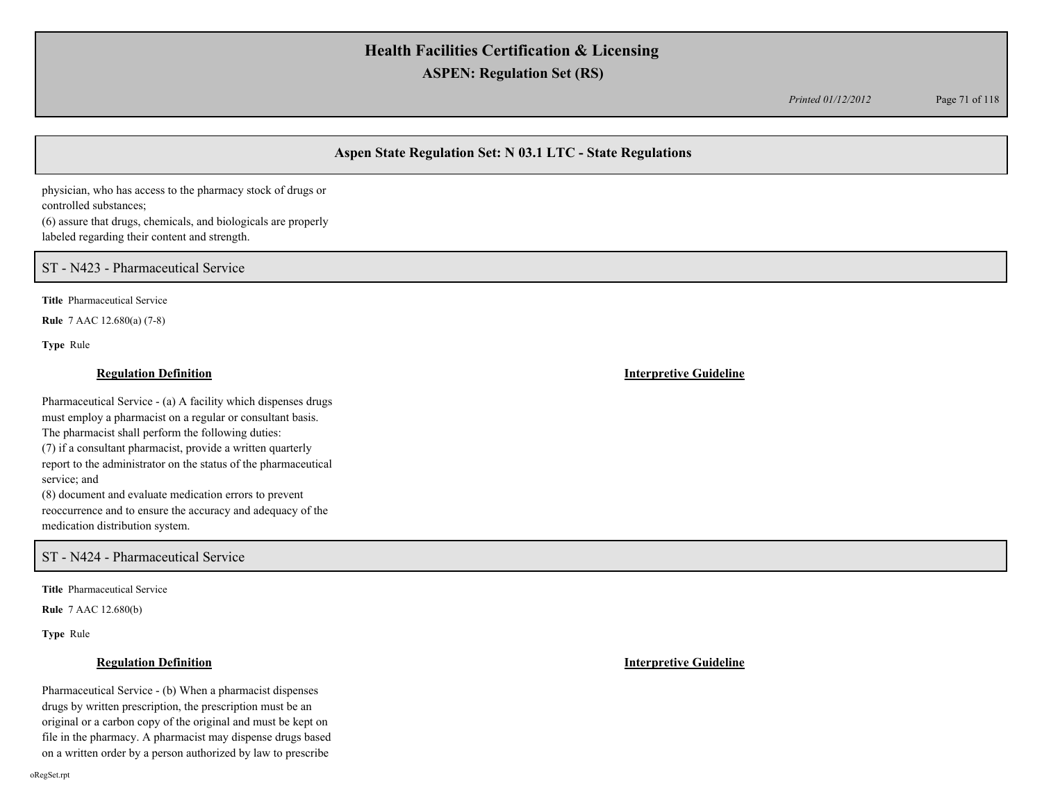*Printed 01/12/2012* Page 71 of 118

## **Aspen State Regulation Set: N 03.1 LTC - State Regulations**

physician, who has access to the pharmacy stock of drugs or controlled substances; (6) assure that drugs, chemicals, and biologicals are properly labeled regarding their content and strength.

ST - N423 - Pharmaceutical Service

**Title** Pharmaceutical Service

**Rule** 7 AAC 12.680(a) (7-8)

**Type** Rule

### **Regulation Definition Interpretive Guideline**

Pharmaceutical Service - (a) A facility which dispenses drugs must employ a pharmacist on a regular or consultant basis. The pharmacist shall perform the following duties: (7) if a consultant pharmacist, provide a written quarterly report to the administrator on the status of the pharmaceutical service; and (8) document and evaluate medication errors to prevent reoccurrence and to ensure the accuracy and adequacy of the

medication distribution system.

ST - N424 - Pharmaceutical Service

**Title** Pharmaceutical Service

**Rule** 7 AAC 12.680(b)

**Type** Rule

### **Regulation Definition Interpretive Guideline**

Pharmaceutical Service - (b) When a pharmacist dispenses drugs by written prescription, the prescription must be an original or a carbon copy of the original and must be kept on file in the pharmacy. A pharmacist may dispense drugs based on a written order by a person authorized by law to prescribe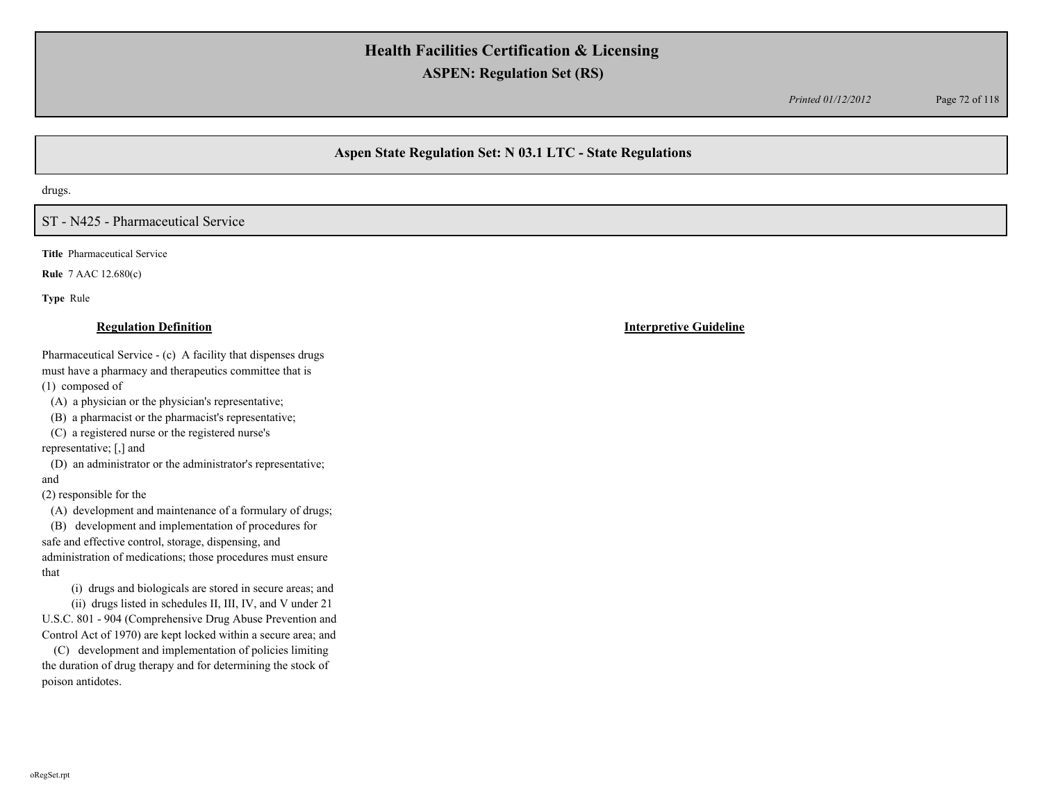*Printed 01/12/2012* Page 72 of 118

## **Aspen State Regulation Set: N 03.1 LTC - State Regulations**

drugs.

## ST - N425 - Pharmaceutical Service

**Title** Pharmaceutical Service

**Rule** 7 AAC 12.680(c)

**Type** Rule

Pharmaceutical Service - (c) A facility that dispenses drugs must have a pharmacy and therapeutics committee that is (1) composed of

(A) a physician or the physician's representative;

(B) a pharmacist or the pharmacist's representative;

 (C) a registered nurse or the registered nurse's representative; [,] and

 (D) an administrator or the administrator's representative; and

(2) responsible for the

(A) development and maintenance of a formulary of drugs;

 (B) development and implementation of procedures for safe and effective control, storage, dispensing, and administration of medications; those procedures must ensure that

(i) drugs and biologicals are stored in secure areas; and

 (ii) drugs listed in schedules II, III, IV, and V under 21 U.S.C. 801 - 904 (Comprehensive Drug Abuse Prevention and Control Act of 1970) are kept locked within a secure area; and

 (C) development and implementation of policies limiting the duration of drug therapy and for determining the stock of poison antidotes.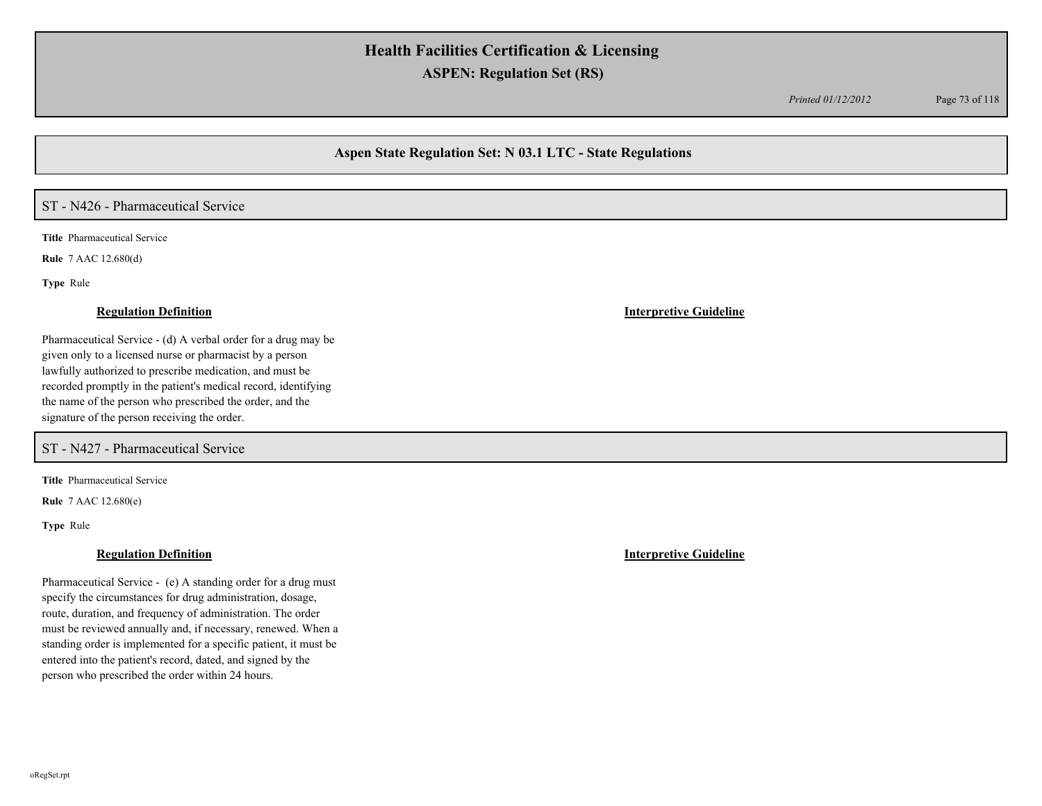*Printed 01/12/2012* Page 73 of 118

## **Aspen State Regulation Set: N 03.1 LTC - State Regulations**

## ST - N426 - Pharmaceutical Service

**Title** Pharmaceutical Service

**Rule** 7 AAC 12.680(d)

**Type** Rule

### **Regulation Definition Interpretive Guideline**

Pharmaceutical Service - (d) A verbal order for a drug may be given only to a licensed nurse or pharmacist by a person lawfully authorized to prescribe medication, and must be recorded promptly in the patient's medical record, identifying the name of the person who prescribed the order, and the signature of the person receiving the order.

ST - N427 - Pharmaceutical Service

**Title** Pharmaceutical Service

**Rule** 7 AAC 12.680(e)

**Type** Rule

### **Regulation Definition Interpretive Guideline**

Pharmaceutical Service - (e) A standing order for a drug must specify the circumstances for drug administration, dosage, route, duration, and frequency of administration. The order must be reviewed annually and, if necessary, renewed. When a standing order is implemented for a specific patient, it must be entered into the patient's record, dated, and signed by the person who prescribed the order within 24 hours.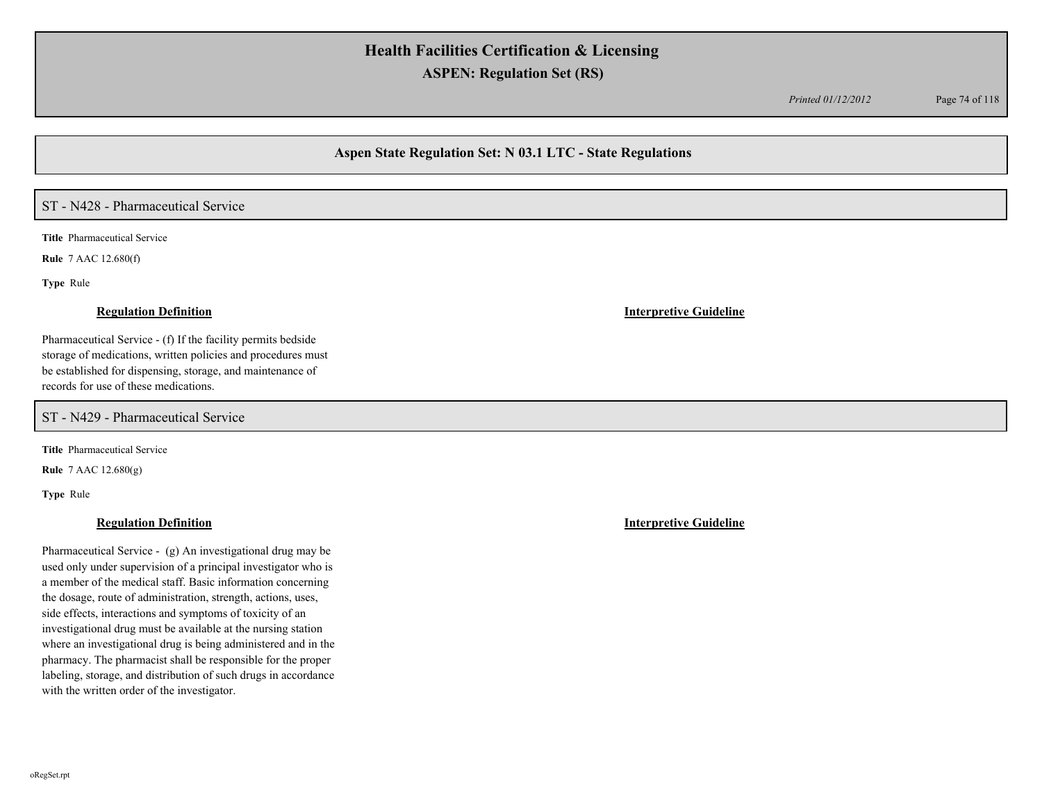*Printed 01/12/2012* Page 74 of 118

## **Aspen State Regulation Set: N 03.1 LTC - State Regulations**

## ST - N428 - Pharmaceutical Service

**Title** Pharmaceutical Service

**Rule** 7 AAC 12.680(f)

**Type** Rule

Pharmaceutical Service - (f) If the facility permits bedside storage of medications, written policies and procedures must be established for dispensing, storage, and maintenance of records for use of these medications.

ST - N429 - Pharmaceutical Service

**Title** Pharmaceutical Service

**Rule** 7 AAC 12.680(g)

**Type** Rule

### **Regulation Definition Interpretive Guideline**

Pharmaceutical Service - (g) An investigational drug may be used only under supervision of a principal investigator who is a member of the medical staff. Basic information concerning the dosage, route of administration, strength, actions, uses, side effects, interactions and symptoms of toxicity of an investigational drug must be available at the nursing station where an investigational drug is being administered and in the pharmacy. The pharmacist shall be responsible for the proper labeling, storage, and distribution of such drugs in accordance with the written order of the investigator.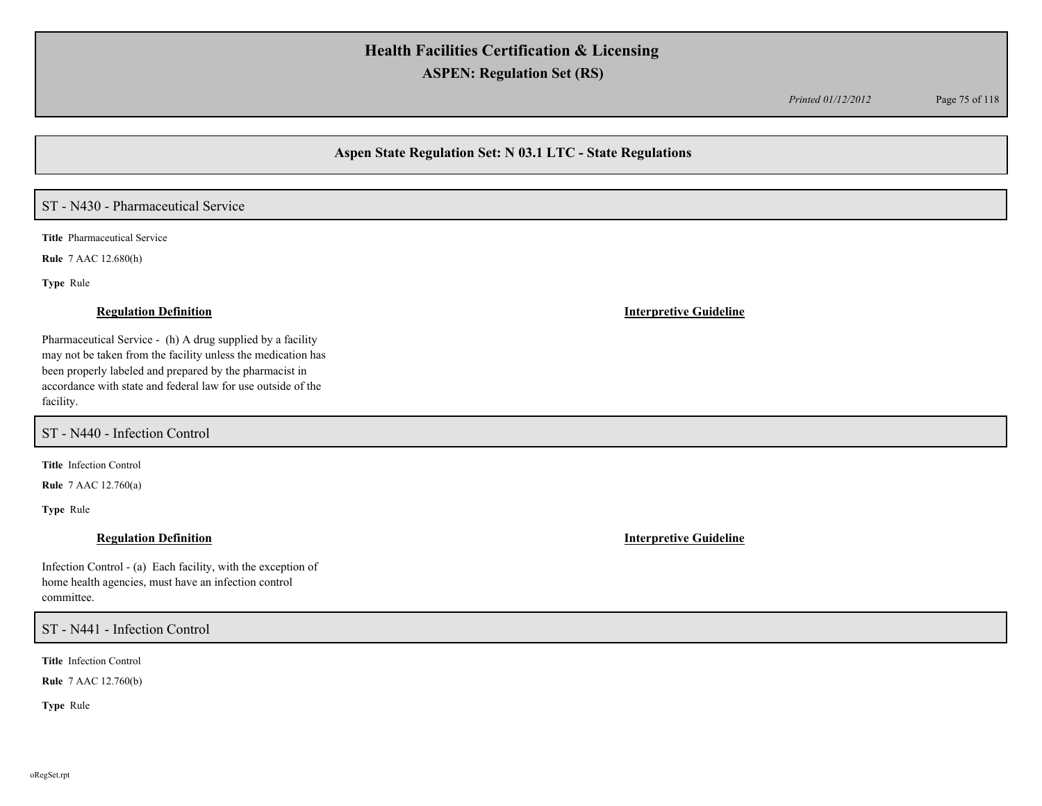*Printed 01/12/2012* Page 75 of 118

## **Aspen State Regulation Set: N 03.1 LTC - State Regulations**

# ST - N430 - Pharmaceutical Service

**Title** Pharmaceutical Service

**Rule** 7 AAC 12.680(h)

**Type** Rule

Pharmaceutical Service - (h) A drug supplied by a facility may not be taken from the facility unless the medication has been properly labeled and prepared by the pharmacist in accordance with state and federal law for use outside of the facility.

ST - N440 - Infection Control

**Title** Infection Control

**Rule** 7 AAC 12.760(a)

**Type** Rule

Infection Control - (a) Each facility, with the exception of home health agencies, must have an infection control committee.

### ST - N441 - Infection Control

**Title** Infection Control

**Rule** 7 AAC 12.760(b)

**Type** Rule

### **Regulation Definition Interpretive Guideline**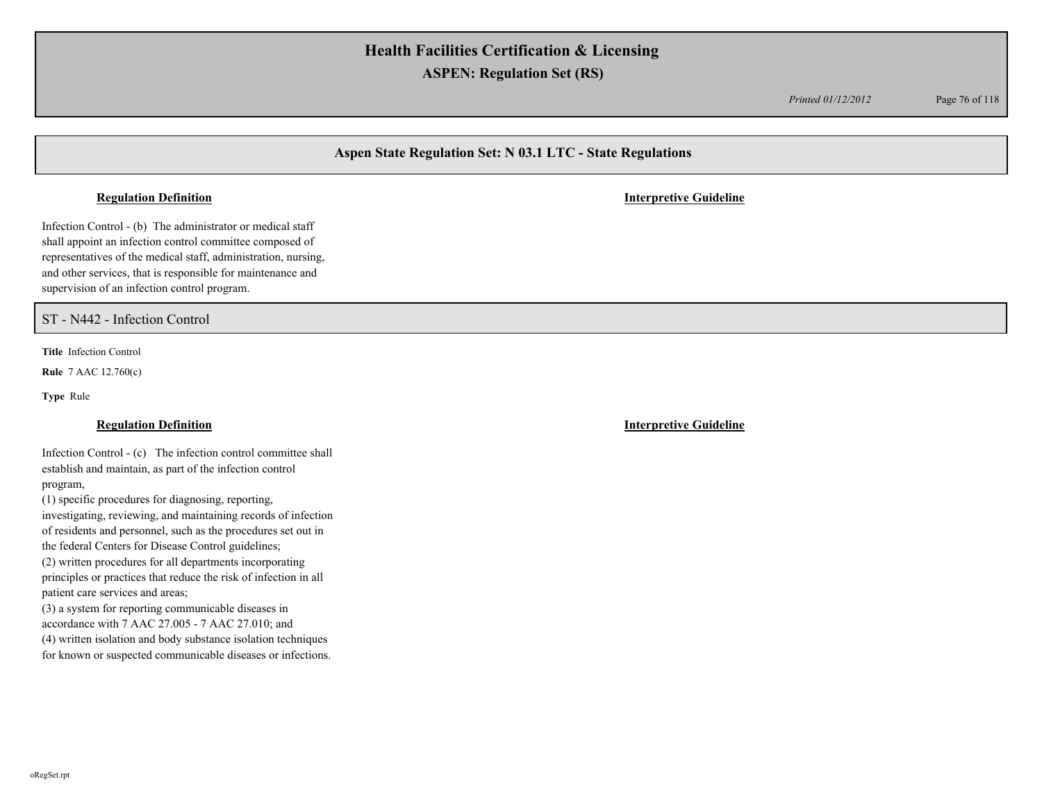*Printed 01/12/2012* Page 76 of 118

## **Aspen State Regulation Set: N 03.1 LTC - State Regulations**

Infection Control - (b) The administrator or medical staff shall appoint an infection control committee composed of representatives of the medical staff, administration, nursing, and other services, that is responsible for maintenance and supervision of an infection control program.

ST - N442 - Infection Control

**Title** Infection Control

**Rule** 7 AAC 12.760(c)

**Type** Rule

Infection Control - (c) The infection control committee shall establish and maintain, as part of the infection control program,

(1) specific procedures for diagnosing, reporting,

investigating, reviewing, and maintaining records of infection of residents and personnel, such as the procedures set out in the federal Centers for Disease Control guidelines;

(2) written procedures for all departments incorporating principles or practices that reduce the risk of infection in all patient care services and areas;

(3) a system for reporting communicable diseases in accordance with 7 AAC 27.005 - 7 AAC 27.010; and (4) written isolation and body substance isolation techniques

for known or suspected communicable diseases or infections.

**Regulation Definition Interpretive Guideline**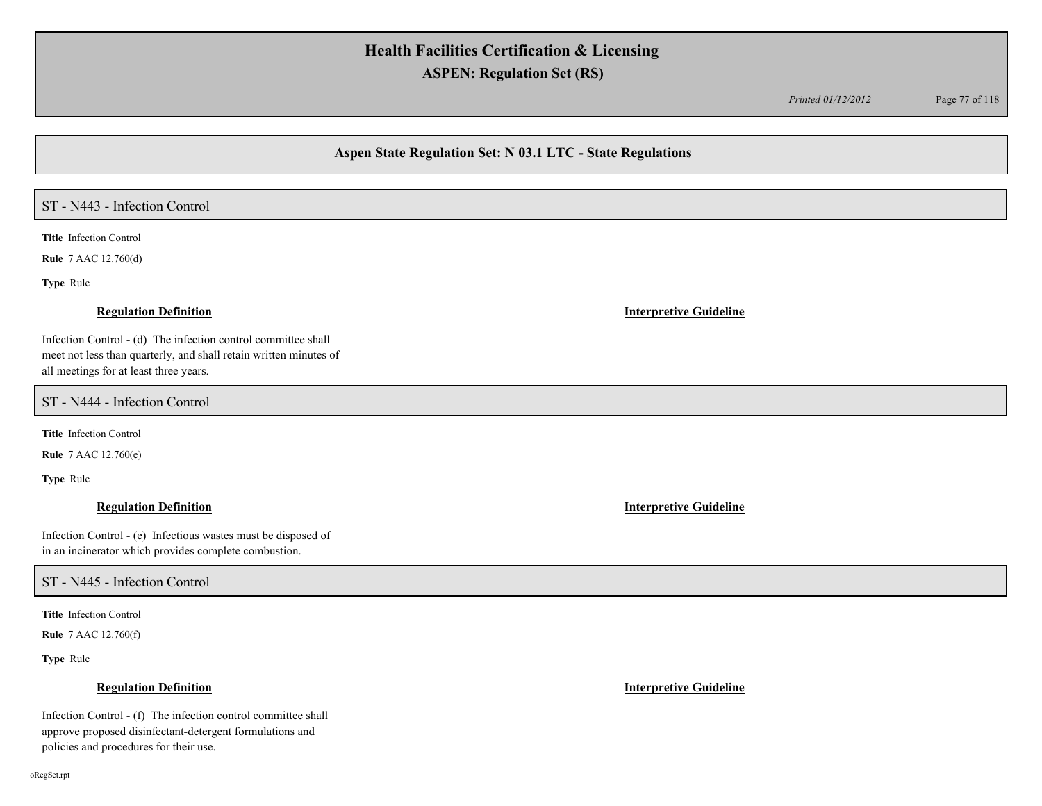*Printed 01/12/2012* Page 77 of 118

## **Aspen State Regulation Set: N 03.1 LTC - State Regulations**

## ST - N443 - Infection Control

**Title** Infection Control

**Rule** 7 AAC 12.760(d)

**Type** Rule

Infection Control - (d) The infection control committee shall meet not less than quarterly, and shall retain written minutes of all meetings for at least three years.

ST - N444 - Infection Control

**Title** Infection Control

**Rule** 7 AAC 12.760(e)

**Type** Rule

Infection Control - (e) Infectious wastes must be disposed of in an incinerator which provides complete combustion.

### ST - N445 - Infection Control

**Title** Infection Control

**Rule** 7 AAC 12.760(f)

**Type** Rule

### **Regulation Definition Interpretive Guideline**

Infection Control - (f) The infection control committee shall approve proposed disinfectant-detergent formulations and policies and procedures for their use.

### **Regulation Definition Interpretive Guideline**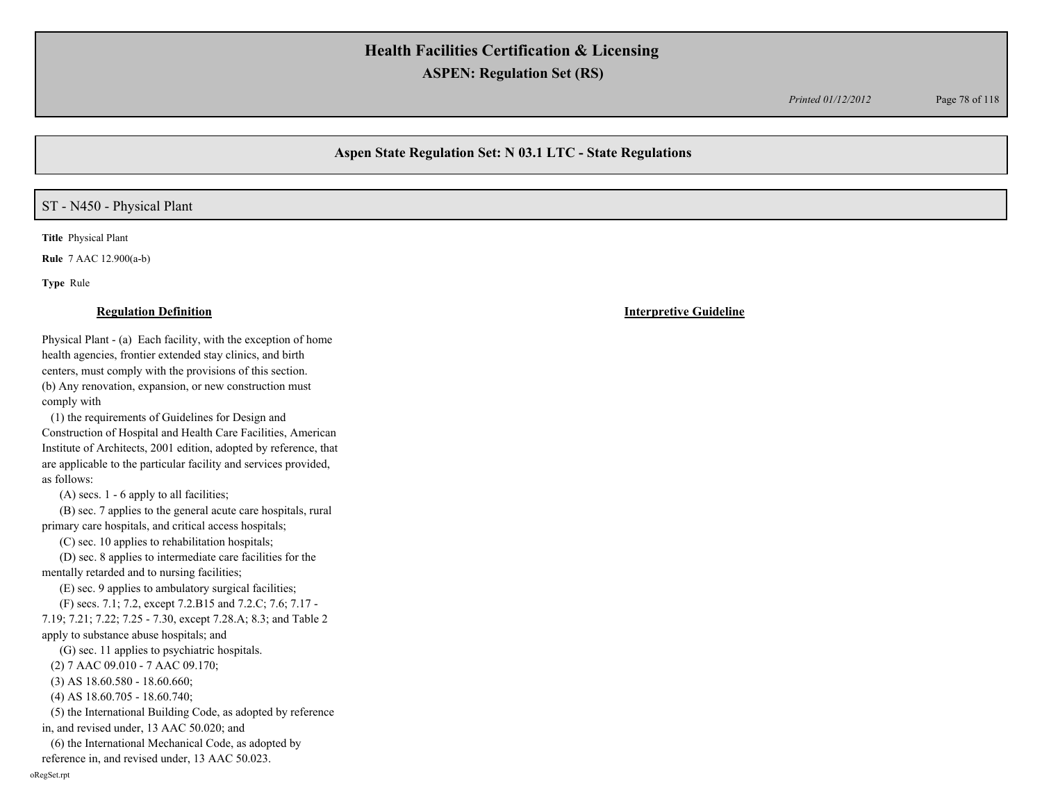*Printed 01/12/2012* Page 78 of 118

## **Aspen State Regulation Set: N 03.1 LTC - State Regulations**

## ST - N450 - Physical Plant

**Title** Physical Plant

**Rule** 7 AAC 12.900(a-b)

**Type** Rule

### **Regulation Definition Interpretive Guideline**

Physical Plant - (a) Each facility, with the exception of home health agencies, frontier extended stay clinics, and birth centers, must comply with the provisions of this section. (b) Any renovation, expansion, or new construction must comply with

 (1) the requirements of Guidelines for Design and Construction of Hospital and Health Care Facilities, American Institute of Architects, 2001 edition, adopted by reference, that are applicable to the particular facility and services provided, as follows:

(A) secs. 1 - 6 apply to all facilities;

 (B) sec. 7 applies to the general acute care hospitals, rural primary care hospitals, and critical access hospitals;

(C) sec. 10 applies to rehabilitation hospitals;

 (D) sec. 8 applies to intermediate care facilities for the mentally retarded and to nursing facilities;

(E) sec. 9 applies to ambulatory surgical facilities;

(F) secs. 7.1; 7.2, except 7.2.B15 and 7.2.C; 7.6; 7.17 -

7.19; 7.21; 7.22; 7.25 - 7.30, except 7.28.A; 8.3; and Table 2

apply to substance abuse hospitals; and (G) sec. 11 applies to psychiatric hospitals.

(2) 7 AAC 09.010 - 7 AAC 09.170;

(3) AS 18.60.580 - 18.60.660;

(4) AS 18.60.705 - 18.60.740;

 (5) the International Building Code, as adopted by reference in, and revised under, 13 AAC 50.020; and

(6) the International Mechanical Code, as adopted by

reference in, and revised under, 13 AAC 50.023.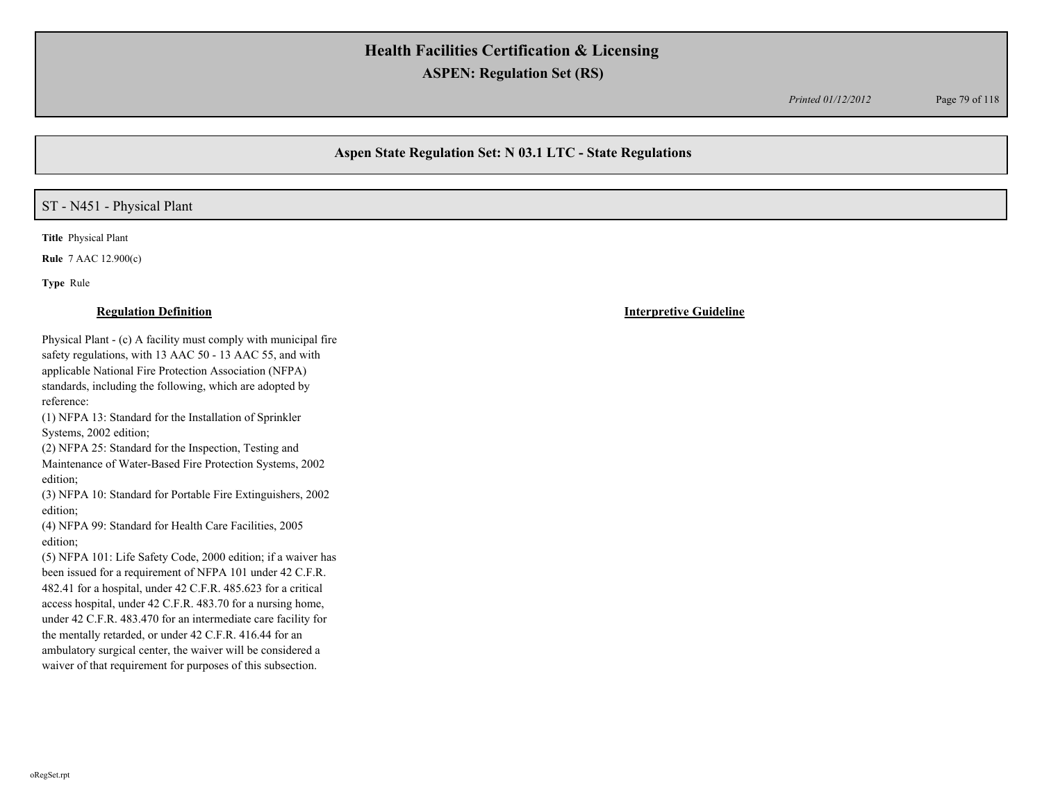*Printed 01/12/2012* Page 79 of 118

## **Aspen State Regulation Set: N 03.1 LTC - State Regulations**

## ST - N451 - Physical Plant

**Title** Physical Plant

**Rule** 7 AAC 12.900(c)

**Type** Rule

Physical Plant - (c) A facility must comply with municipal fire safety regulations, with 13 AAC 50 - 13 AAC 55, and with applicable National Fire Protection Association (NFPA) standards, including the following, which are adopted by reference:

(1) NFPA 13: Standard for the Installation of Sprinkler Systems, 2002 edition;

(2) NFPA 25: Standard for the Inspection, Testing and Maintenance of Water-Based Fire Protection Systems, 2002 edition;

(3) NFPA 10: Standard for Portable Fire Extinguishers, 2002 edition;

(4) NFPA 99: Standard for Health Care Facilities, 2005 edition;

(5) NFPA 101: Life Safety Code, 2000 edition; if a waiver has been issued for a requirement of NFPA 101 under 42 C.F.R. 482.41 for a hospital, under 42 C.F.R. 485.623 for a critical access hospital, under 42 C.F.R. 483.70 for a nursing home, under 42 C.F.R. 483.470 for an intermediate care facility for the mentally retarded, or under 42 C.F.R. 416.44 for an ambulatory surgical center, the waiver will be considered a waiver of that requirement for purposes of this subsection.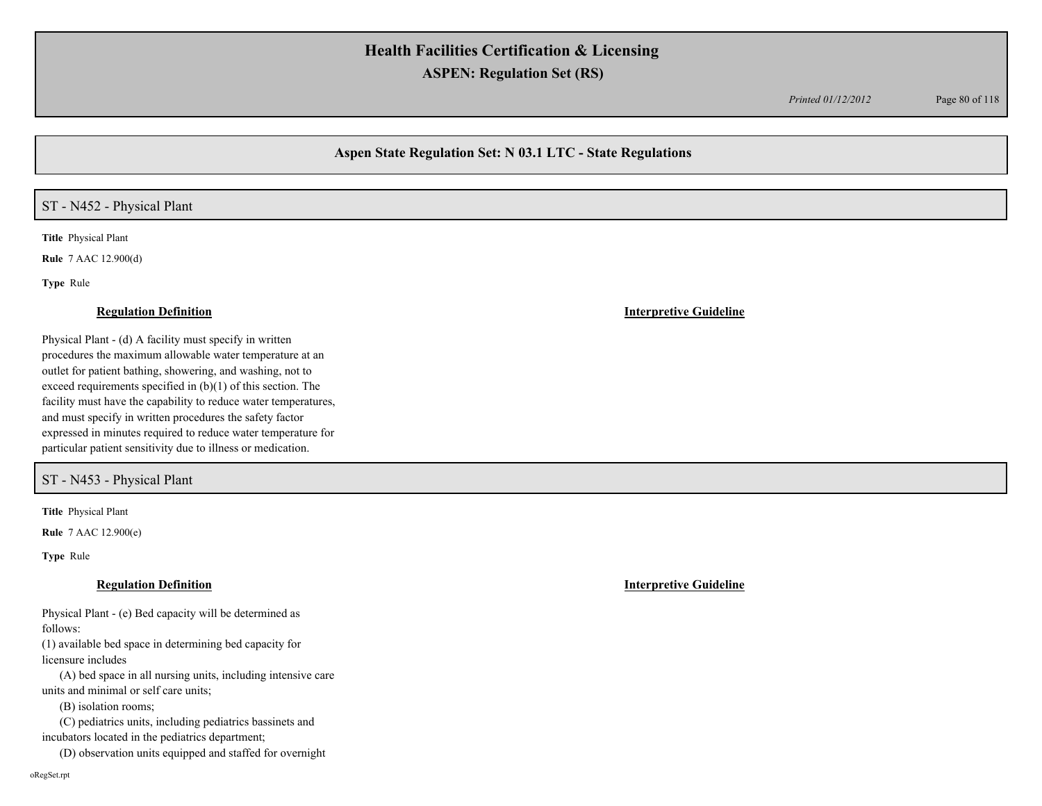*Printed 01/12/2012* Page 80 of 118

## **Aspen State Regulation Set: N 03.1 LTC - State Regulations**

## ST - N452 - Physical Plant

**Title** Physical Plant

**Rule** 7 AAC 12.900(d)

**Type** Rule

Physical Plant - (d) A facility must specify in written procedures the maximum allowable water temperature at an outlet for patient bathing, showering, and washing, not to exceed requirements specified in (b)(1) of this section. The facility must have the capability to reduce water temperatures, and must specify in written procedures the safety factor expressed in minutes required to reduce water temperature for particular patient sensitivity due to illness or medication.

ST - N453 - Physical Plant

**Title** Physical Plant

**Rule** 7 AAC 12.900(e)

**Type** Rule

### **Regulation Definition Interpretive Guideline**

Physical Plant - (e) Bed capacity will be determined as follows:

(1) available bed space in determining bed capacity for licensure includes

 (A) bed space in all nursing units, including intensive care units and minimal or self care units;

(B) isolation rooms;

(C) pediatrics units, including pediatrics bassinets and

incubators located in the pediatrics department;

(D) observation units equipped and staffed for overnight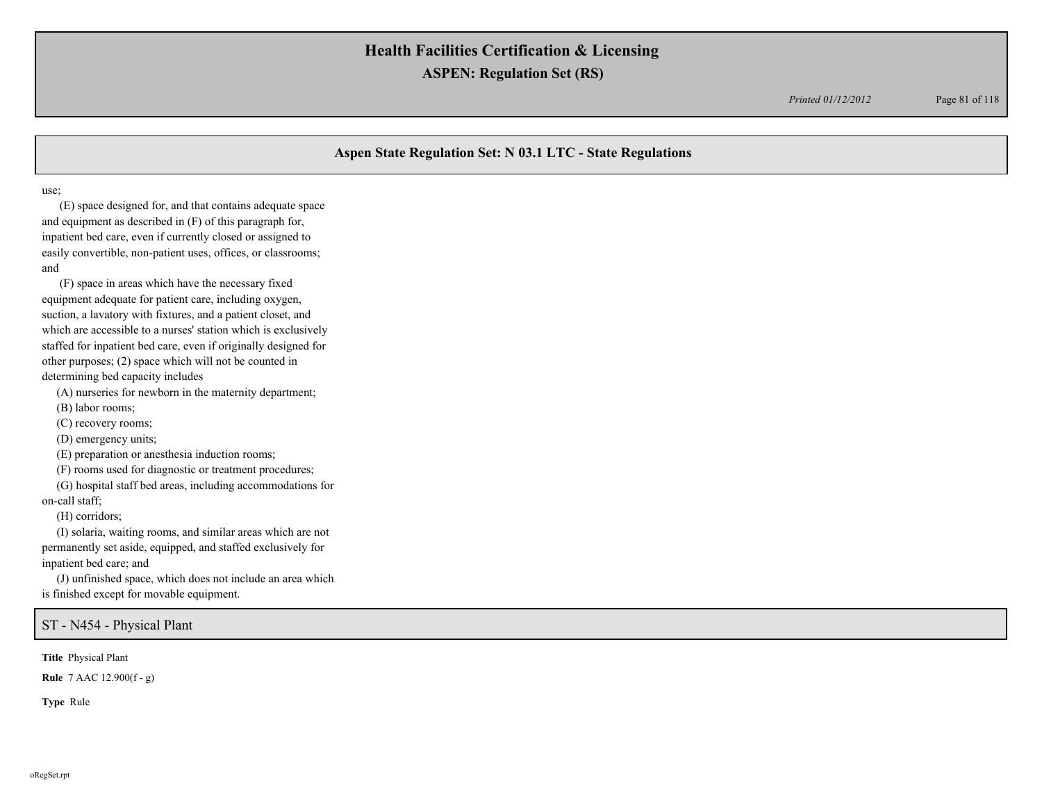*Printed 01/12/2012* Page 81 of 118

## **Aspen State Regulation Set: N 03.1 LTC - State Regulations**

use;

 (E) space designed for, and that contains adequate space and equipment as described in (F) of this paragraph for, inpatient bed care, even if currently closed or assigned to easily convertible, non-patient uses, offices, or classrooms; and

 (F) space in areas which have the necessary fixed equipment adequate for patient care, including oxygen, suction, a lavatory with fixtures, and a patient closet, and which are accessible to a nurses' station which is exclusively staffed for inpatient bed care, even if originally designed for other purposes; (2) space which will not be counted in determining bed capacity includes

(A) nurseries for newborn in the maternity department;

(B) labor rooms;

(C) recovery rooms;

(D) emergency units;

(E) preparation or anesthesia induction rooms;

(F) rooms used for diagnostic or treatment procedures;

 (G) hospital staff bed areas, including accommodations for on-call staff;

(H) corridors;

 (I) solaria, waiting rooms, and similar areas which are not permanently set aside, equipped, and staffed exclusively for inpatient bed care; and

 (J) unfinished space, which does not include an area which is finished except for movable equipment.

ST - N454 - Physical Plant

**Title** Physical Plant

**Rule** 7 AAC 12.900(f - g)

**Type** Rule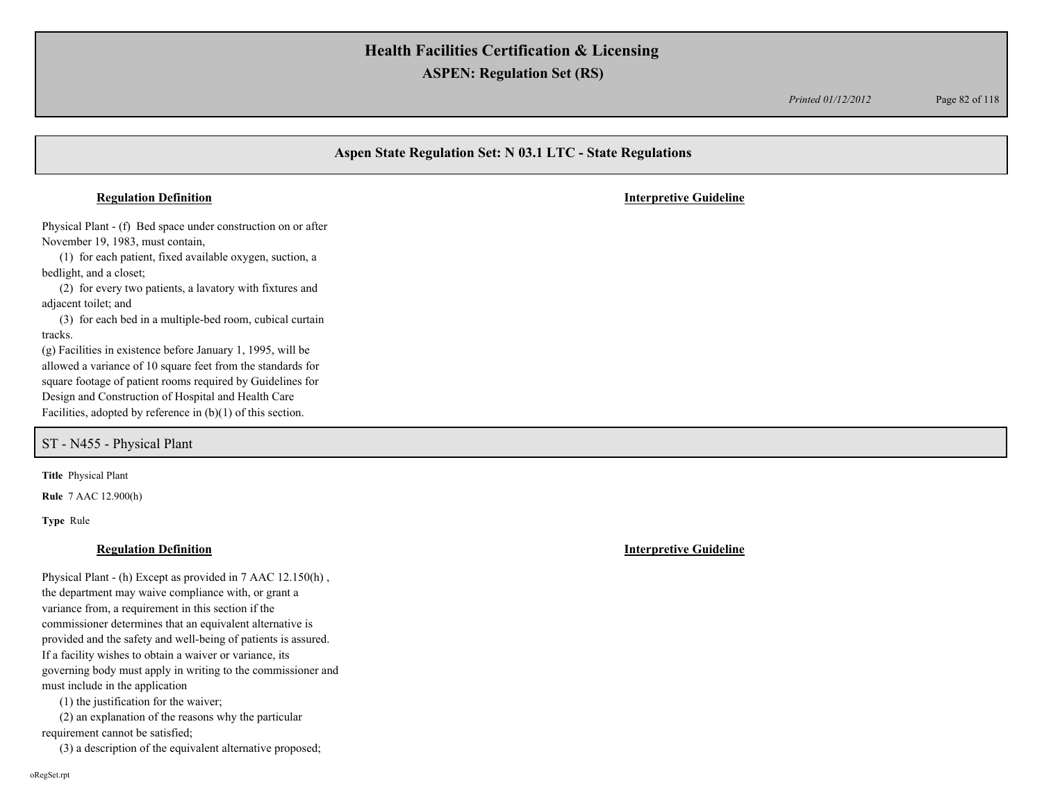*Printed 01/12/2012* Page 82 of 118

# **Aspen State Regulation Set: N 03.1 LTC - State Regulations** Physical Plant - (f) Bed space under construction on or after November 19, 1983, must contain, (1) for each patient, fixed available oxygen, suction, a bedlight, and a closet; (2) for every two patients, a lavatory with fixtures and adjacent toilet; and (3) for each bed in a multiple-bed room, cubical curtain tracks. (g) Facilities in existence before January 1, 1995, will be allowed a variance of 10 square feet from the standards for square footage of patient rooms required by Guidelines for Design and Construction of Hospital and Health Care Facilities, adopted by reference in (b)(1) of this section. **Regulation Definition Interpretive Guideline**

ST - N455 - Physical Plant

**Title** Physical Plant

**Rule** 7 AAC 12.900(h)

**Type** Rule

### **Regulation Definition Interpretive Guideline**

Physical Plant - (h) Except as provided in 7 AAC 12.150(h) , the department may waive compliance with, or grant a variance from, a requirement in this section if the commissioner determines that an equivalent alternative is provided and the safety and well-being of patients is assured. If a facility wishes to obtain a waiver or variance, its governing body must apply in writing to the commissioner and must include in the application

(1) the justification for the waiver;

 (2) an explanation of the reasons why the particular requirement cannot be satisfied;

(3) a description of the equivalent alternative proposed;

oRegSet.rpt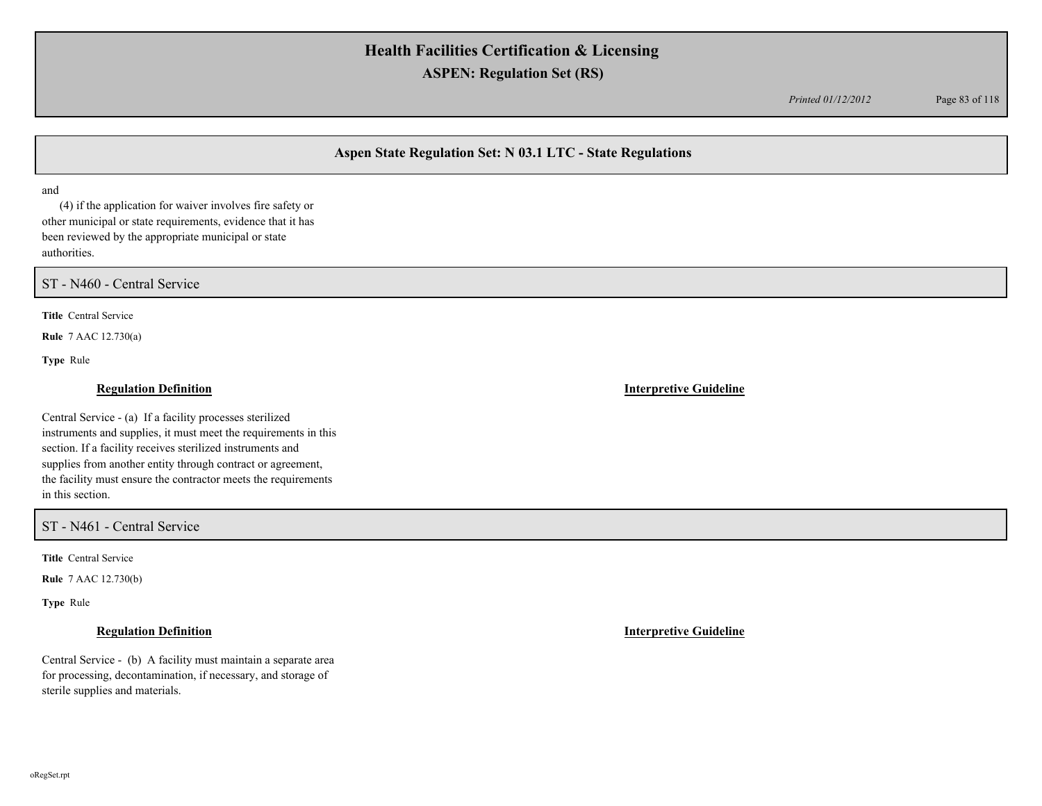*Printed 01/12/2012* Page 83 of 118

## **Aspen State Regulation Set: N 03.1 LTC - State Regulations**

and

 (4) if the application for waiver involves fire safety or other municipal or state requirements, evidence that it has been reviewed by the appropriate municipal or state authorities.

ST - N460 - Central Service

**Title** Central Service

**Rule** 7 AAC 12.730(a)

**Type** Rule

## **Regulation Definition Interpretive Guideline**

Central Service - (a) If a facility processes sterilized instruments and supplies, it must meet the requirements in this section. If a facility receives sterilized instruments and supplies from another entity through contract or agreement, the facility must ensure the contractor meets the requirements in this section.

### ST - N461 - Central Service

**Title** Central Service

**Rule** 7 AAC 12.730(b)

**Type** Rule

Central Service - (b) A facility must maintain a separate area for processing, decontamination, if necessary, and storage of sterile supplies and materials.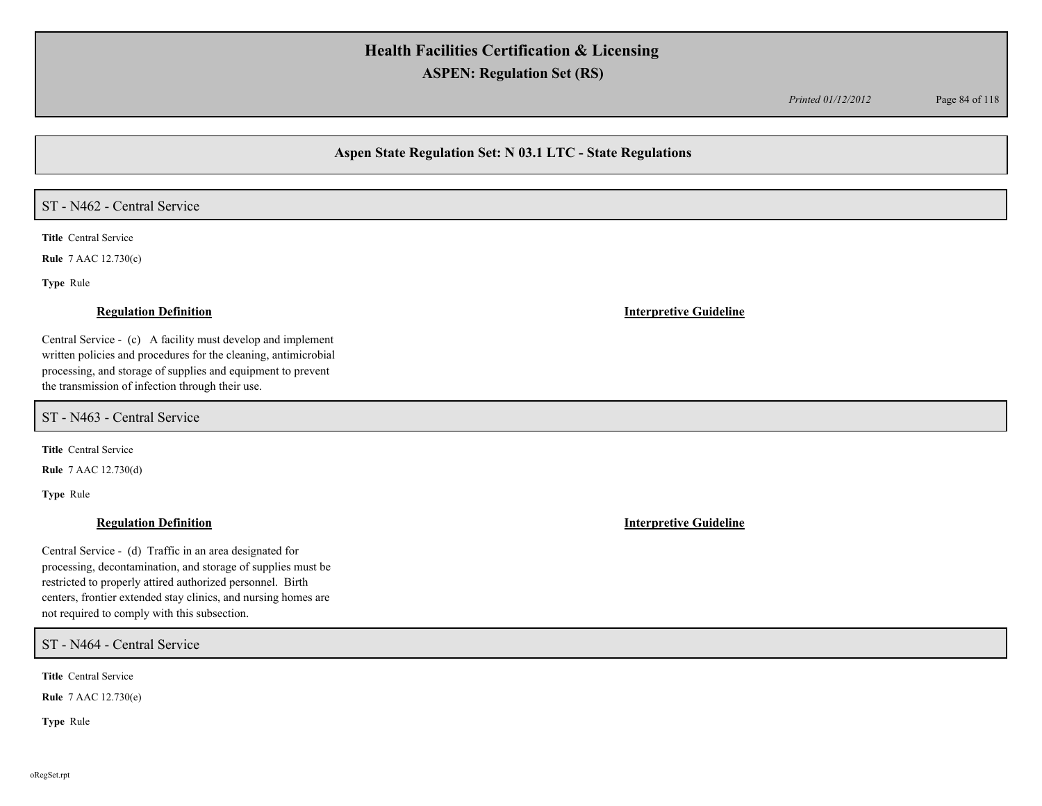*Printed 01/12/2012* Page 84 of 118

## **Aspen State Regulation Set: N 03.1 LTC - State Regulations**

### ST - N462 - Central Service

**Title** Central Service

**Rule** 7 AAC 12.730(c)

**Type** Rule

Central Service - (c) A facility must develop and implement written policies and procedures for the cleaning, antimicrobial processing, and storage of supplies and equipment to prevent the transmission of infection through their use.

ST - N463 - Central Service

**Title** Central Service

**Rule** 7 AAC 12.730(d)

**Type** Rule

## **Regulation Definition Interpretive Guideline**

Central Service - (d) Traffic in an area designated for processing, decontamination, and storage of supplies must be restricted to properly attired authorized personnel. Birth centers, frontier extended stay clinics, and nursing homes are not required to comply with this subsection.

ST - N464 - Central Service

**Title** Central Service

**Rule** 7 AAC 12.730(e)

**Type** Rule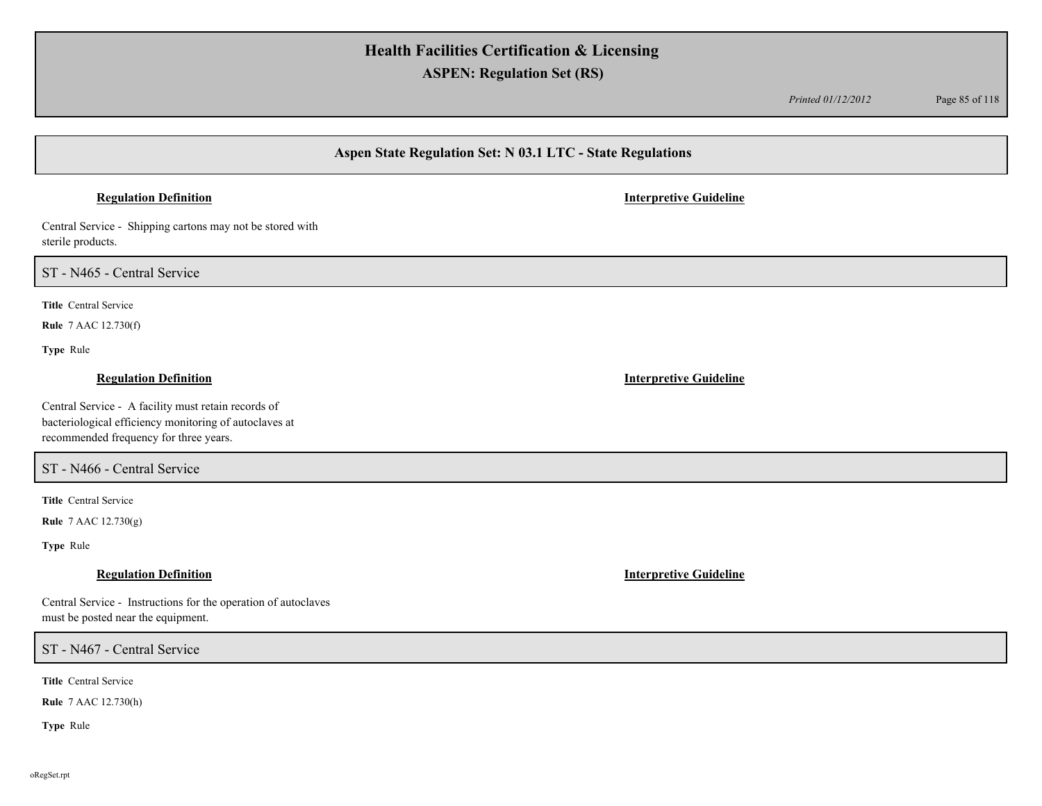*Printed 01/12/2012* Page 85 of 118

## **Aspen State Regulation Set: N 03.1 LTC - State Regulations**

## **Regulation Definition Interpretive Guideline**

Central Service - Shipping cartons may not be stored with sterile products.

ST - N465 - Central Service

**Title** Central Service

**Rule** 7 AAC 12.730(f)

**Type** Rule

Central Service - A facility must retain records of bacteriological efficiency monitoring of autoclaves at recommended frequency for three years.

ST - N466 - Central Service

**Title** Central Service

**Rule** 7 AAC 12.730(g)

**Type** Rule

Central Service - Instructions for the operation of autoclaves must be posted near the equipment.

ST - N467 - Central Service

**Title** Central Service

**Rule** 7 AAC 12.730(h)

**Type** Rule

**Regulation Definition Interpretive Guideline**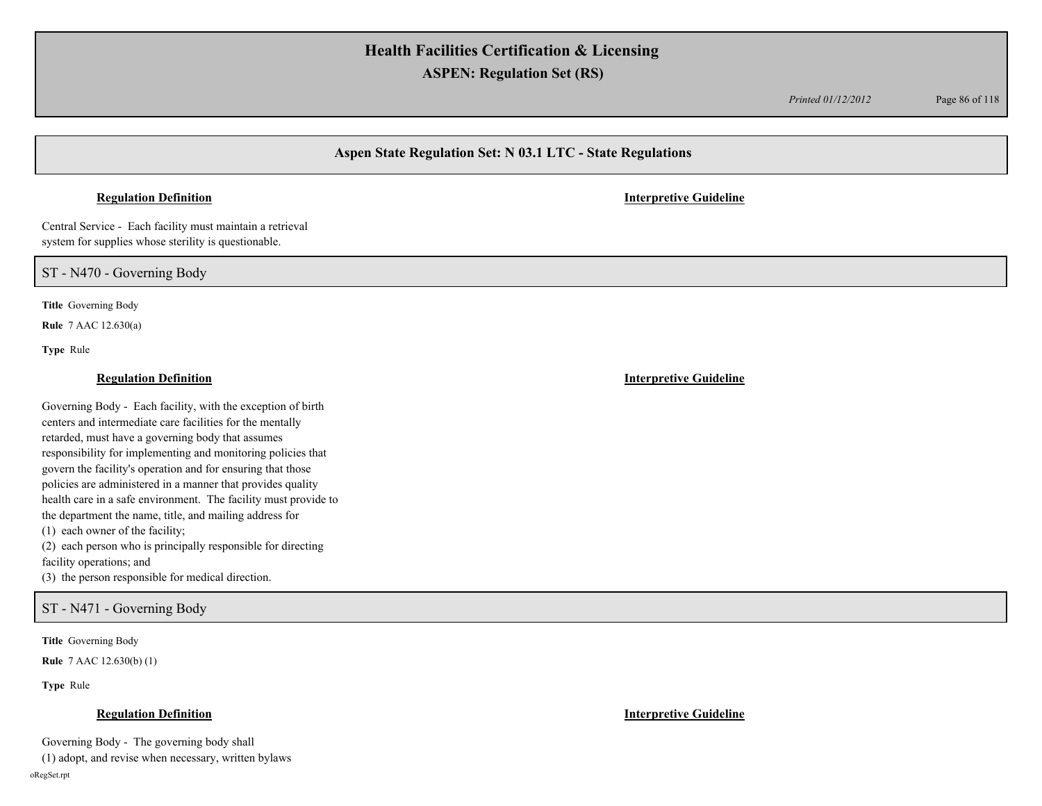*Printed 01/12/2012* Page 86 of 118

## **Aspen State Regulation Set: N 03.1 LTC - State Regulations**

Central Service - Each facility must maintain a retrieval system for supplies whose sterility is questionable.

ST - N470 - Governing Body

**Title** Governing Body

**Rule** 7 AAC 12.630(a)

**Type** Rule

Governing Body - Each facility, with the exception of birth centers and intermediate care facilities for the mentally retarded, must have a governing body that assumes responsibility for implementing and monitoring policies that govern the facility's operation and for ensuring that those policies are administered in a manner that provides quality health care in a safe environment. The facility must provide to the department the name, title, and mailing address for (1) each owner of the facility; (2) each person who is principally responsible for directing facility operations; and

(3) the person responsible for medical direction.

ST - N471 - Governing Body

**Title** Governing Body

**Rule** 7 AAC 12.630(b) (1)

**Type** Rule

### **Regulation Definition Interpretive Guideline**

Governing Body - The governing body shall

(1) adopt, and revise when necessary, written bylaws

oRegSet.rpt

### **Regulation Definition Interpretive Guideline**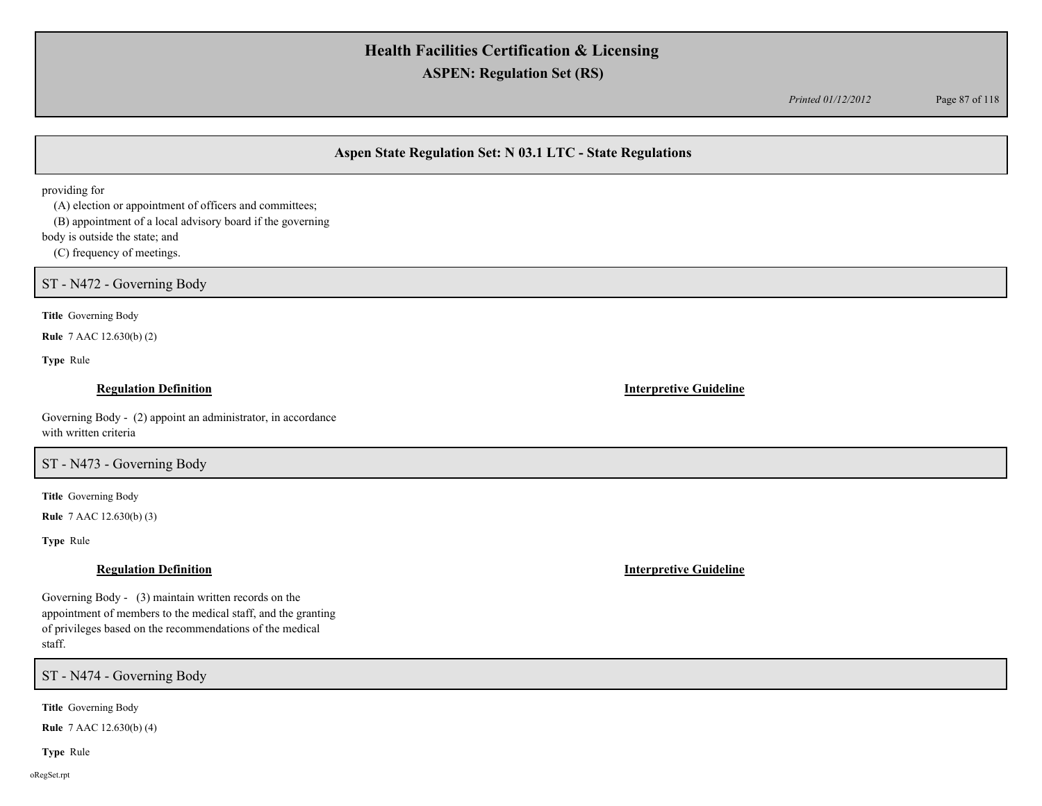*Printed 01/12/2012* Page 87 of 118

## **Aspen State Regulation Set: N 03.1 LTC - State Regulations**

providing for

(A) election or appointment of officers and committees;

(B) appointment of a local advisory board if the governing

body is outside the state; and

(C) frequency of meetings.

ST - N472 - Governing Body

**Title** Governing Body

**Rule** 7 AAC 12.630(b) (2)

**Type** Rule

## **Regulation Definition Interpretive Guideline**

Governing Body - (2) appoint an administrator, in accordance with written criteria

ST - N473 - Governing Body

**Title** Governing Body

**Rule** 7 AAC 12.630(b) (3)

**Type** Rule

### **Regulation Definition Interpretive Guideline**

Governing Body - (3) maintain written records on the appointment of members to the medical staff, and the granting of privileges based on the recommendations of the medical staff.

ST - N474 - Governing Body

**Title** Governing Body

**Rule** 7 AAC 12.630(b) (4)

**Type** Rule

oRegSet.rpt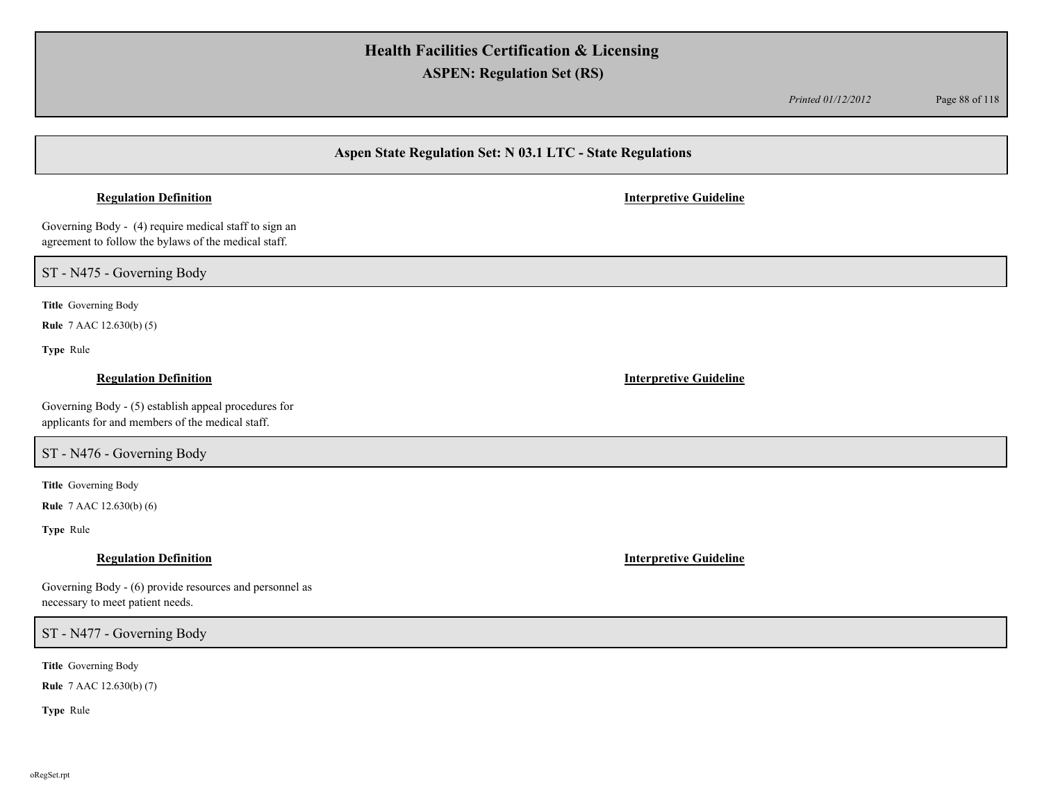*Printed 01/12/2012* Page 88 of 118

## **Aspen State Regulation Set: N 03.1 LTC - State Regulations**

## **Regulation Definition Interpretive Guideline**

Governing Body - (4) require medical staff to sign an agreement to follow the bylaws of the medical staff.

ST - N475 - Governing Body

**Title** Governing Body

**Rule** 7 AAC 12.630(b) (5)

**Type** Rule

### **Regulation Definition Interpretive Guideline**

Governing Body - (5) establish appeal procedures for applicants for and members of the medical staff.

## ST - N476 - Governing Body

**Title** Governing Body

**Rule** 7 AAC 12.630(b) (6)

**Type** Rule

| Governing Body - (6) provide resources and personnel as |
|---------------------------------------------------------|
| necessary to meet patient needs.                        |

ST - N477 - Governing Body

**Title** Governing Body

**Rule** 7 AAC 12.630(b) (7)

**Type** Rule

**Regulation Definition Interpretive Guideline**

oRegSet.rpt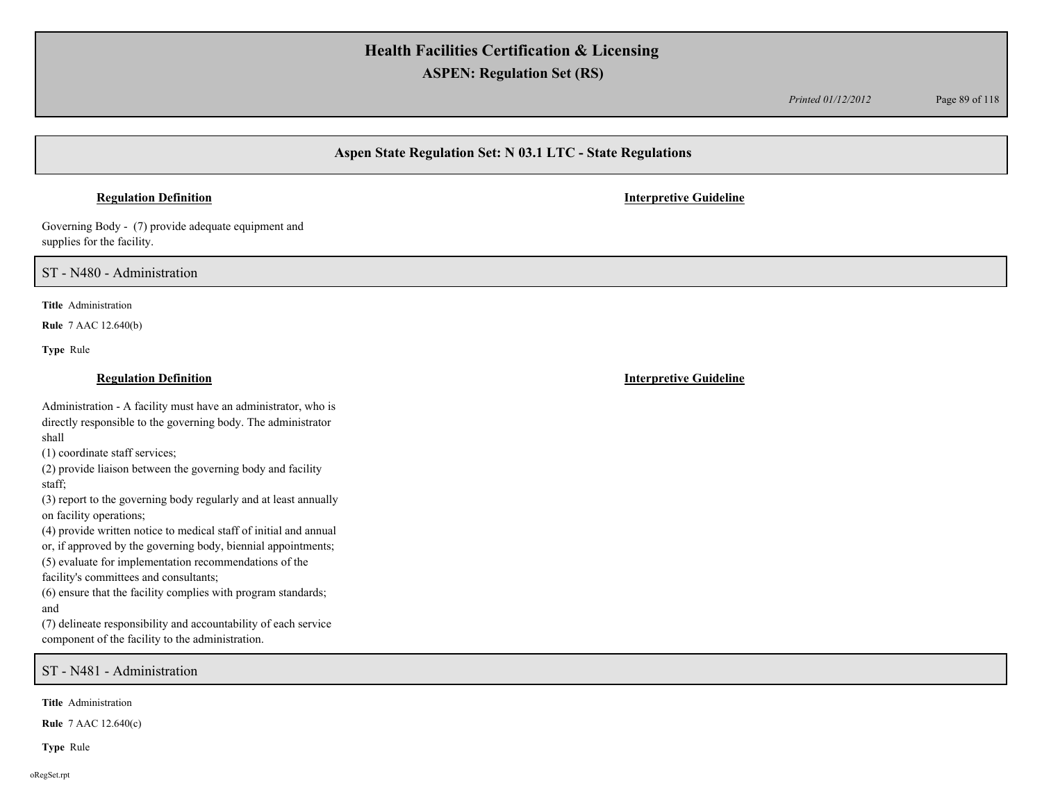*Printed 01/12/2012* Page 89 of 118

## **Aspen State Regulation Set: N 03.1 LTC - State Regulations**

Governing Body - (7) provide adequate equipment and supplies for the facility.

ST - N480 - Administration

**Title** Administration

**Rule** 7 AAC 12.640(b)

**Type** Rule

### **Regulation Definition Interpretive Guideline**

Administration - A facility must have an administrator, who is directly responsible to the governing body. The administrator shall

(1) coordinate staff services;

(2) provide liaison between the governing body and facility staff;

(3) report to the governing body regularly and at least annually on facility operations;

(4) provide written notice to medical staff of initial and annual

or, if approved by the governing body, biennial appointments;

(5) evaluate for implementation recommendations of the facility's committees and consultants;

(6) ensure that the facility complies with program standards;

and

(7) delineate responsibility and accountability of each service component of the facility to the administration.

ST - N481 - Administration

**Title** Administration

**Rule** 7 AAC 12.640(c)

**Type** Rule

oRegSet.rpt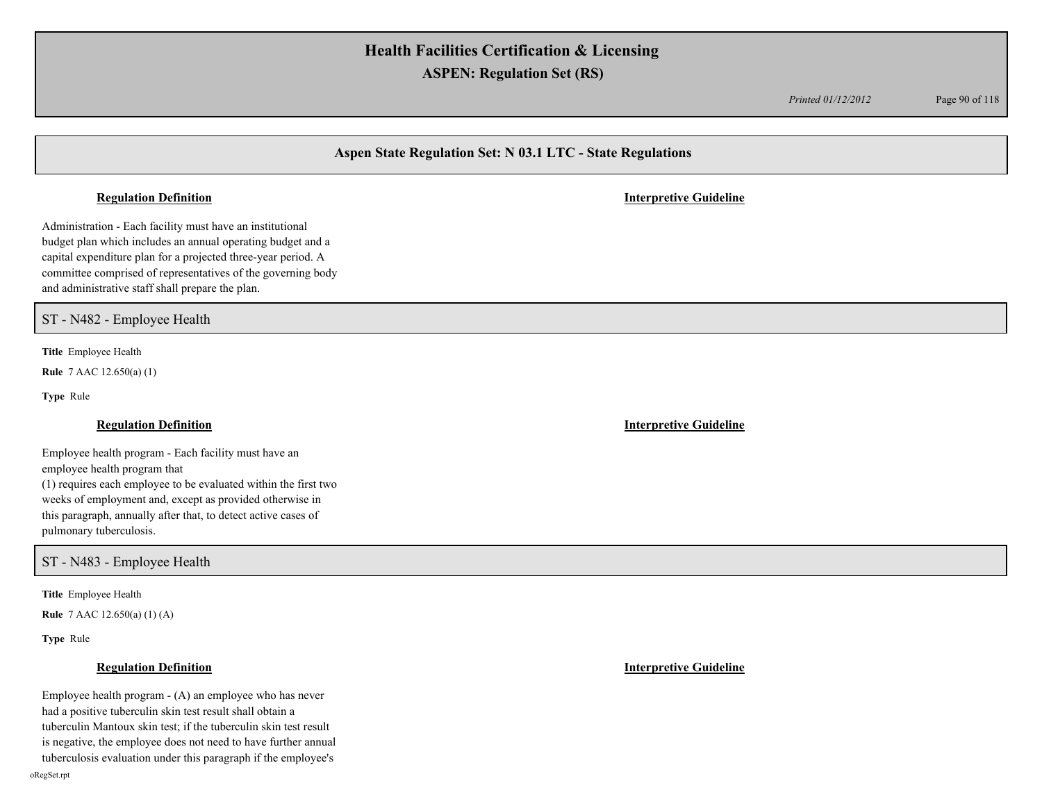*Printed 01/12/2012* Page 90 of 118

## **Aspen State Regulation Set: N 03.1 LTC - State Regulations**

### **Regulation Definition Interpretive Guideline**

Administration - Each facility must have an institutional budget plan which includes an annual operating budget and a capital expenditure plan for a projected three-year period. A committee comprised of representatives of the governing body and administrative staff shall prepare the plan.

ST - N482 - Employee Health

**Title** Employee Health

**Rule** 7 AAC 12.650(a) (1)

**Type** Rule

Employee health program - Each facility must have an employee health program that (1) requires each employee to be evaluated within the first two weeks of employment and, except as provided otherwise in this paragraph, annually after that, to detect active cases of pulmonary tuberculosis.

ST - N483 - Employee Health

**Title** Employee Health

**Rule** 7 AAC 12.650(a) (1) (A)

**Type** Rule

Employee health program - (A) an employee who has never had a positive tuberculin skin test result shall obtain a tuberculin Mantoux skin test; if the tuberculin skin test result is negative, the employee does not need to have further annual tuberculosis evaluation under this paragraph if the employee's

**Regulation Definition Interpretive Guideline**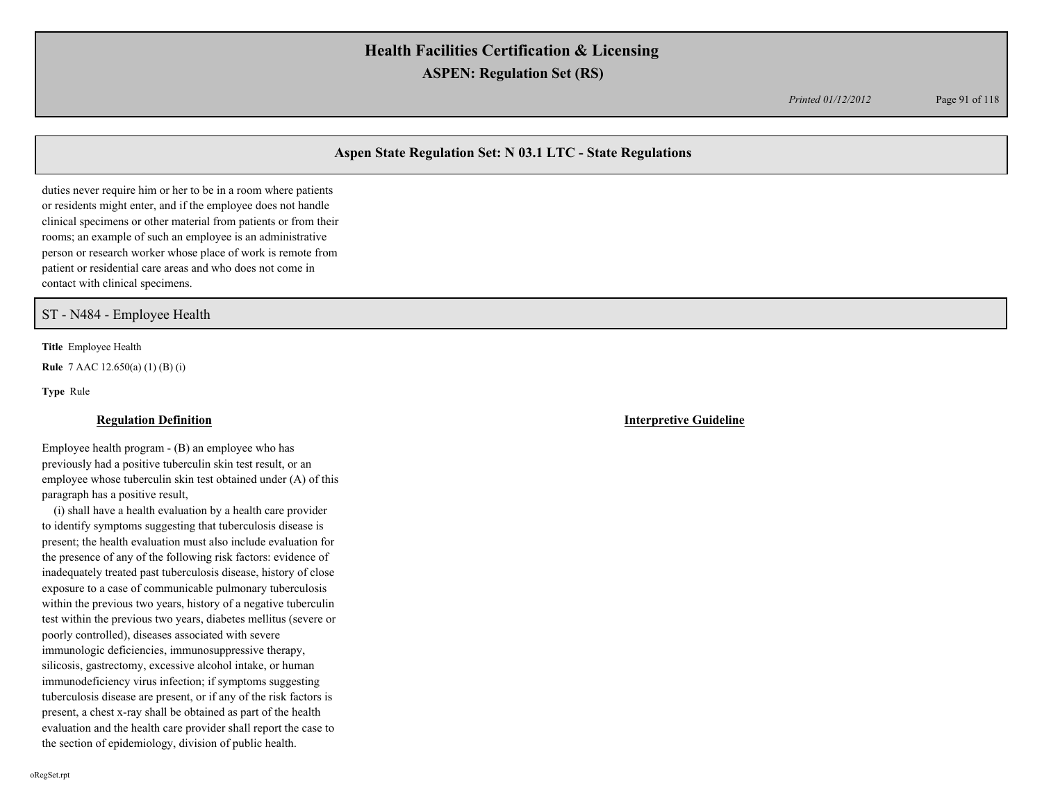*Printed 01/12/2012* Page 91 of 118

## **Aspen State Regulation Set: N 03.1 LTC - State Regulations**

duties never require him or her to be in a room where patients or residents might enter, and if the employee does not handle clinical specimens or other material from patients or from their rooms; an example of such an employee is an administrative person or research worker whose place of work is remote from patient or residential care areas and who does not come in contact with clinical specimens.

## ST - N484 - Employee Health

**Title** Employee Health

**Rule** 7 AAC 12.650(a) (1) (B) (i)

**Type** Rule

### **Regulation Definition Interpretive Guideline**

Employee health program - (B) an employee who has previously had a positive tuberculin skin test result, or an employee whose tuberculin skin test obtained under (A) of this paragraph has a positive result,

 (i) shall have a health evaluation by a health care provider to identify symptoms suggesting that tuberculosis disease is present; the health evaluation must also include evaluation for the presence of any of the following risk factors: evidence of inadequately treated past tuberculosis disease, history of close exposure to a case of communicable pulmonary tuberculosis within the previous two years, history of a negative tuberculin test within the previous two years, diabetes mellitus (severe or poorly controlled), diseases associated with severe immunologic deficiencies, immunosuppressive therapy, silicosis, gastrectomy, excessive alcohol intake, or human immunodeficiency virus infection; if symptoms suggesting tuberculosis disease are present, or if any of the risk factors is present, a chest x-ray shall be obtained as part of the health evaluation and the health care provider shall report the case to the section of epidemiology, division of public health.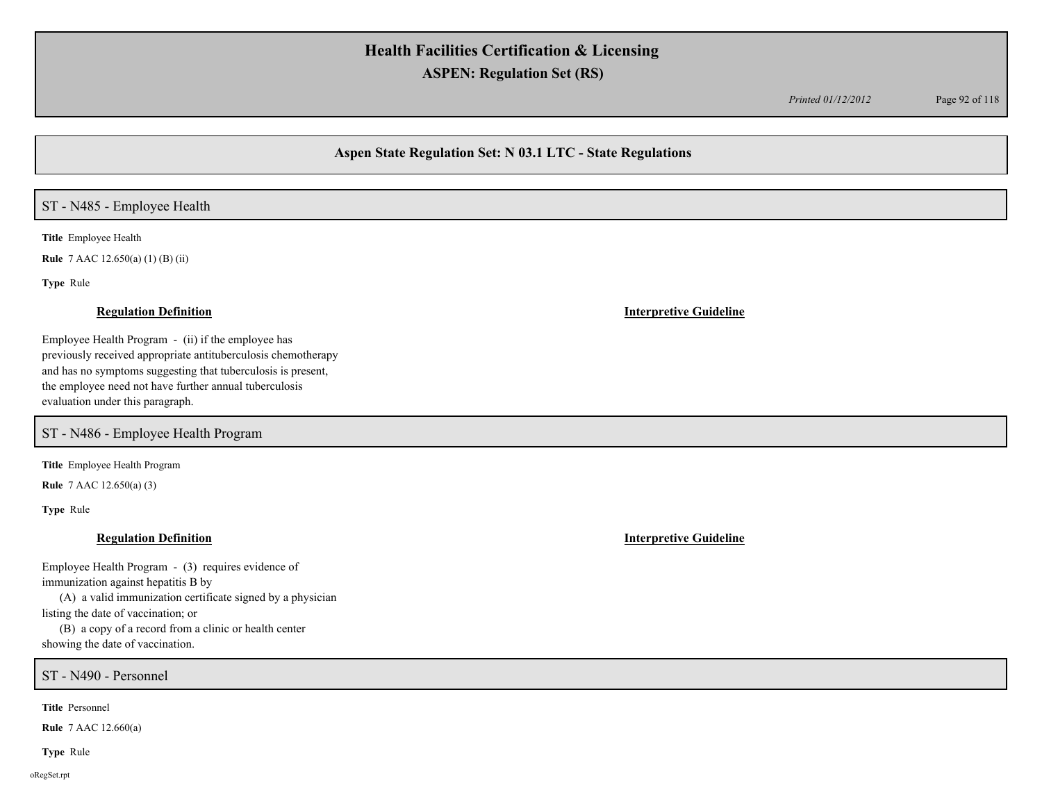*Printed 01/12/2012* Page 92 of 118

## **Aspen State Regulation Set: N 03.1 LTC - State Regulations**

## ST - N485 - Employee Health

**Title** Employee Health

**Rule** 7 AAC 12.650(a) (1) (B) (ii)

**Type** Rule

Employee Health Program - (ii) if the employee has previously received appropriate antituberculosis chemotherapy and has no symptoms suggesting that tuberculosis is present, the employee need not have further annual tuberculosis evaluation under this paragraph.

ST - N486 - Employee Health Program

**Title** Employee Health Program

**Rule** 7 AAC 12.650(a) (3)

**Type** Rule

### **Regulation Definition Interpretive Guideline**

Employee Health Program - (3) requires evidence of immunization against hepatitis B by (A) a valid immunization certificate signed by a physician

listing the date of vaccination; or

 (B) a copy of a record from a clinic or health center showing the date of vaccination.

ST - N490 - Personnel

**Title** Personnel

**Rule** 7 AAC 12.660(a)

**Type** Rule

oRegSet.rpt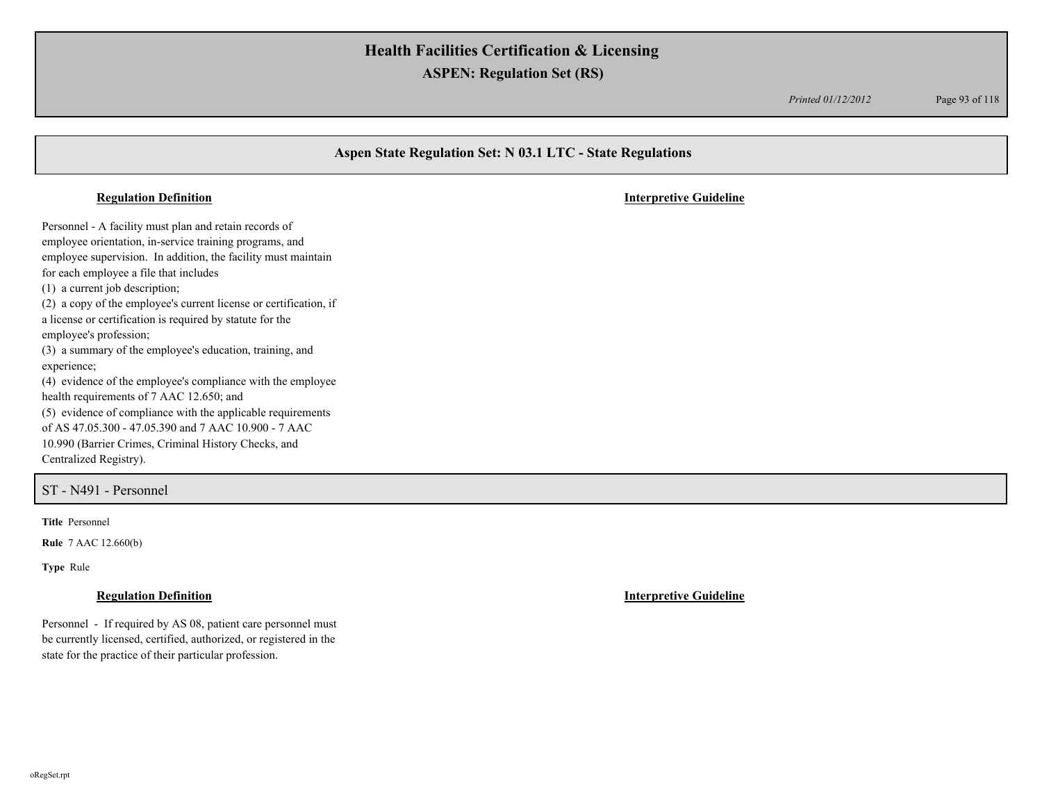*Printed 01/12/2012* Page 93 of 118

# **Aspen State Regulation Set: N 03.1 LTC - State Regulations** Personnel - A facility must plan and retain records of employee orientation, in-service training programs, and employee supervision. In addition, the facility must maintain for each employee a file that includes (1) a current job description; (2) a copy of the employee's current license or certification, if a license or certification is required by statute for the employee's profession; (3) a summary of the employee's education, training, and experience; (4) evidence of the employee's compliance with the employee health requirements of 7 AAC 12.650; and (5) evidence of compliance with the applicable requirements of AS 47.05.300 - 47.05.390 and 7 AAC 10.900 - 7 AAC **Regulation Definition Interpretive Guideline**

Centralized Registry).

ST - N491 - Personnel

**Title** Personnel

**Rule** 7 AAC 12.660(b)

**Type** Rule

10.990 (Barrier Crimes, Criminal History Checks, and

Personnel - If required by AS 08, patient care personnel must be currently licensed, certified, authorized, or registered in the state for the practice of their particular profession.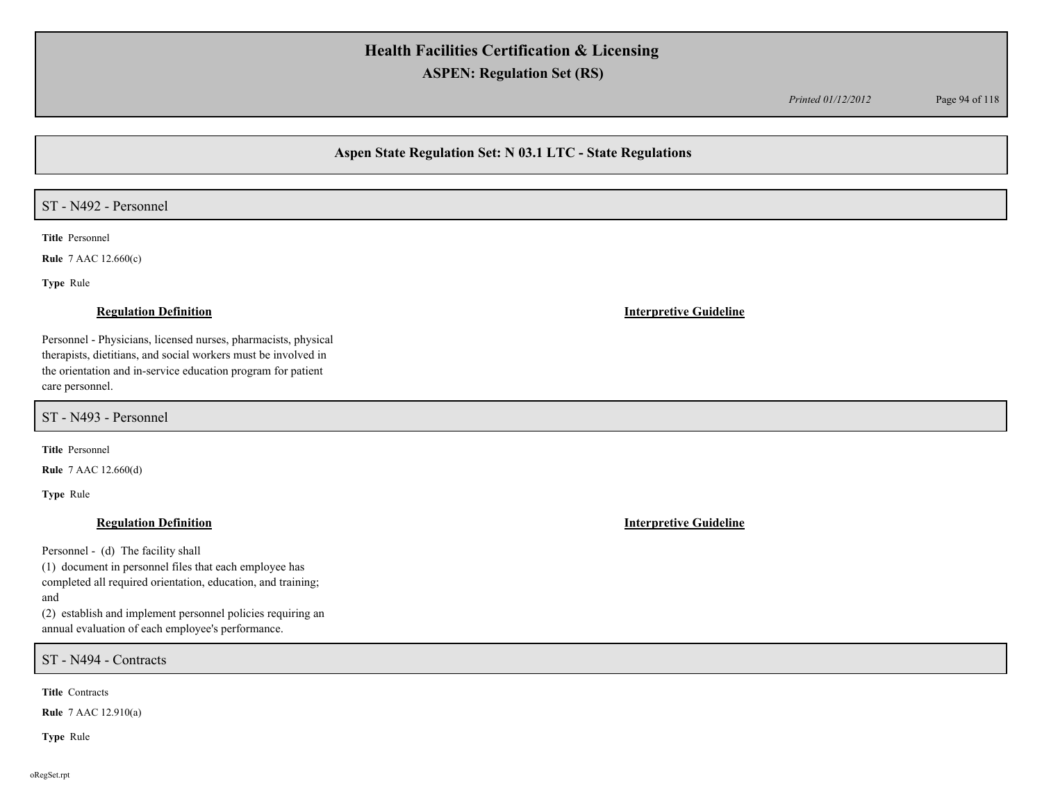*Printed 01/12/2012* Page 94 of 118

## **Aspen State Regulation Set: N 03.1 LTC - State Regulations**

## ST - N492 - Personnel

**Title** Personnel

**Rule** 7 AAC 12.660(c)

**Type** Rule

Personnel - Physicians, licensed nurses, pharmacists, physical therapists, dietitians, and social workers must be involved in the orientation and in-service education program for patient care personnel.

ST - N493 - Personnel

**Title** Personnel

**Rule** 7 AAC 12.660(d)

**Type** Rule

Personnel - (d) The facility shall

(1) document in personnel files that each employee has completed all required orientation, education, and training; and

(2) establish and implement personnel policies requiring an annual evaluation of each employee's performance.

ST - N494 - Contracts

**Title** Contracts

**Rule** 7 AAC 12.910(a)

**Type** Rule

### **Regulation Definition Interpretive Guideline**

**Regulation Definition Interpretive Guideline**

oRegSet.rpt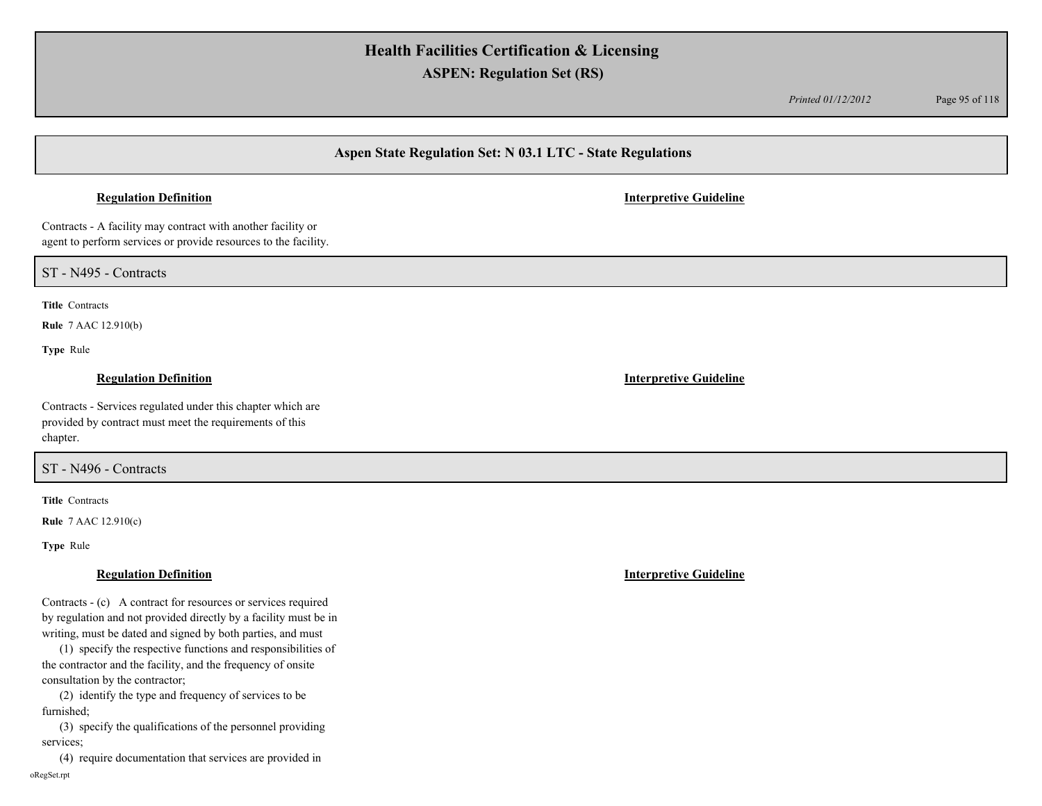*Printed 01/12/2012* Page 95 of 118

## **Aspen State Regulation Set: N 03.1 LTC - State Regulations**

### **Regulation Definition Interpretive Guideline**

Contracts - A facility may contract with another facility or agent to perform services or provide resources to the facility.

ST - N495 - Contracts

**Title** Contracts

**Rule** 7 AAC 12.910(b)

**Type** Rule

Contracts - Services regulated under this chapter which are provided by contract must meet the requirements of this chapter.

## ST - N496 - Contracts

**Title** Contracts

**Rule** 7 AAC 12.910(c)

**Type** Rule

Contracts - (c) A contract for resources or services required by regulation and not provided directly by a facility must be in writing, must be dated and signed by both parties, and must

 (1) specify the respective functions and responsibilities of the contractor and the facility, and the frequency of onsite consultation by the contractor;

 (2) identify the type and frequency of services to be furnished;

 (3) specify the qualifications of the personnel providing services;

 (4) require documentation that services are provided in oRegSet.rpt

**Regulation Definition Interpretive Guideline**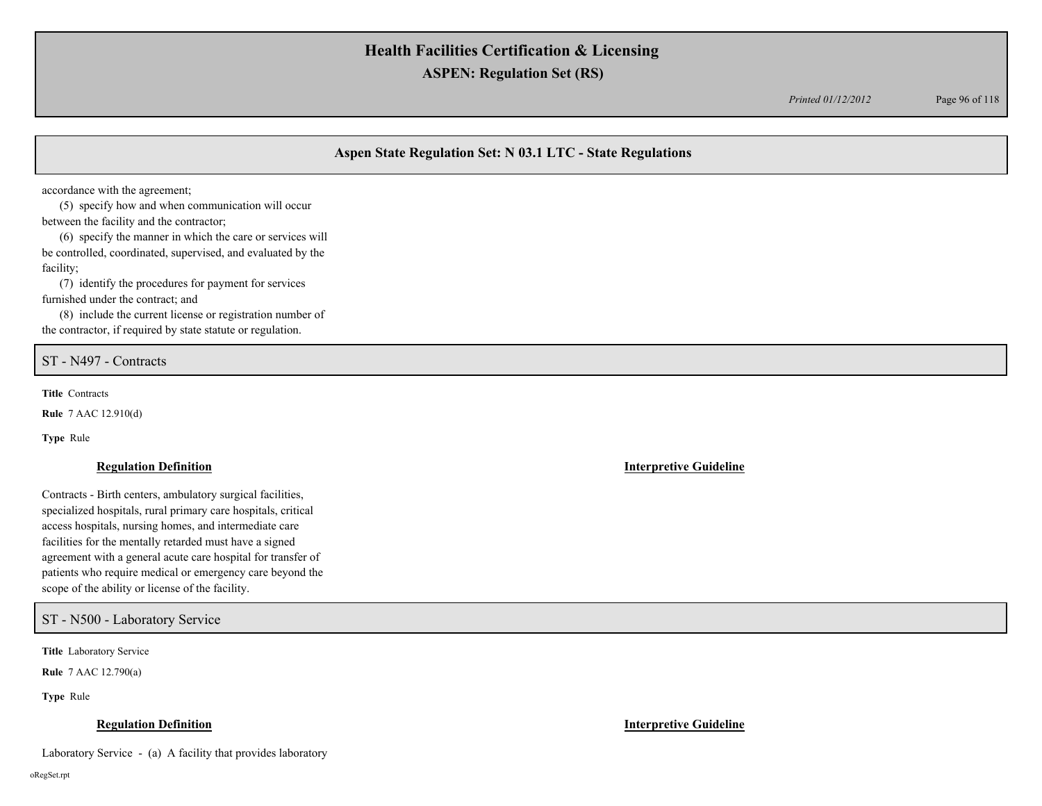*Printed 01/12/2012* Page 96 of 118

## **Aspen State Regulation Set: N 03.1 LTC - State Regulations**

accordance with the agreement;

 (5) specify how and when communication will occur between the facility and the contractor;

 (6) specify the manner in which the care or services will be controlled, coordinated, supervised, and evaluated by the facility;

 (7) identify the procedures for payment for services furnished under the contract; and

 (8) include the current license or registration number of the contractor, if required by state statute or regulation.

ST - N497 - Contracts

**Title** Contracts

**Rule** 7 AAC 12.910(d)

**Type** Rule

### **Regulation Definition Interpretive Guideline**

Contracts - Birth centers, ambulatory surgical facilities, specialized hospitals, rural primary care hospitals, critical access hospitals, nursing homes, and intermediate care facilities for the mentally retarded must have a signed agreement with a general acute care hospital for transfer of patients who require medical or emergency care beyond the scope of the ability or license of the facility.

ST - N500 - Laboratory Service

**Title** Laboratory Service

**Rule** 7 AAC 12.790(a)

**Type** Rule

### **Regulation Definition Interpretive Guideline**

Laboratory Service - (a) A facility that provides laboratory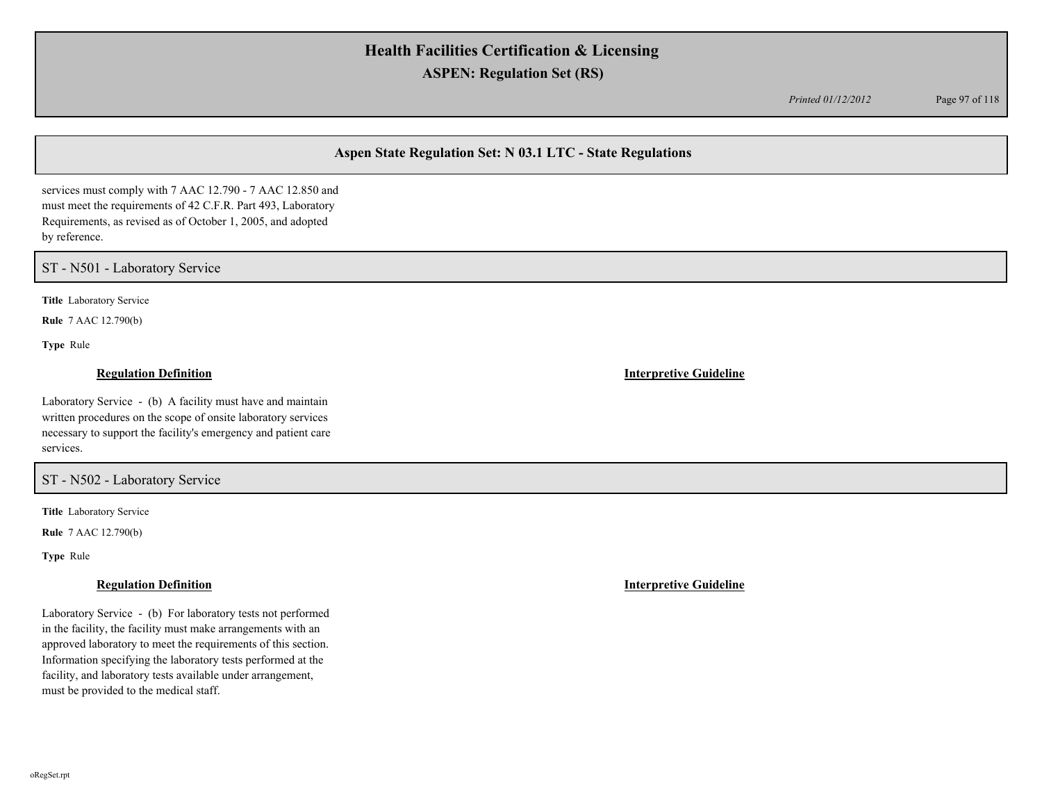*Printed 01/12/2012* Page 97 of 118

## **Aspen State Regulation Set: N 03.1 LTC - State Regulations**

services must comply with 7 AAC 12.790 - 7 AAC 12.850 and must meet the requirements of 42 C.F.R. Part 493, Laboratory Requirements, as revised as of October 1, 2005, and adopted by reference.

## ST - N501 - Laboratory Service

**Title** Laboratory Service

**Rule** 7 AAC 12.790(b)

**Type** Rule

### **Regulation Definition Interpretive Guideline**

Laboratory Service - (b) A facility must have and maintain written procedures on the scope of onsite laboratory services necessary to support the facility's emergency and patient care

### ST - N502 - Laboratory Service

**Title** Laboratory Service

**Rule** 7 AAC 12.790(b)

**Type** Rule

Laboratory Service - (b) For laboratory tests not performed in the facility, the facility must make arrangements with an approved laboratory to meet the requirements of this section. Information specifying the laboratory tests performed at the facility, and laboratory tests available under arrangement, must be provided to the medical staff.

**Regulation Definition Interpretive Guideline**

services.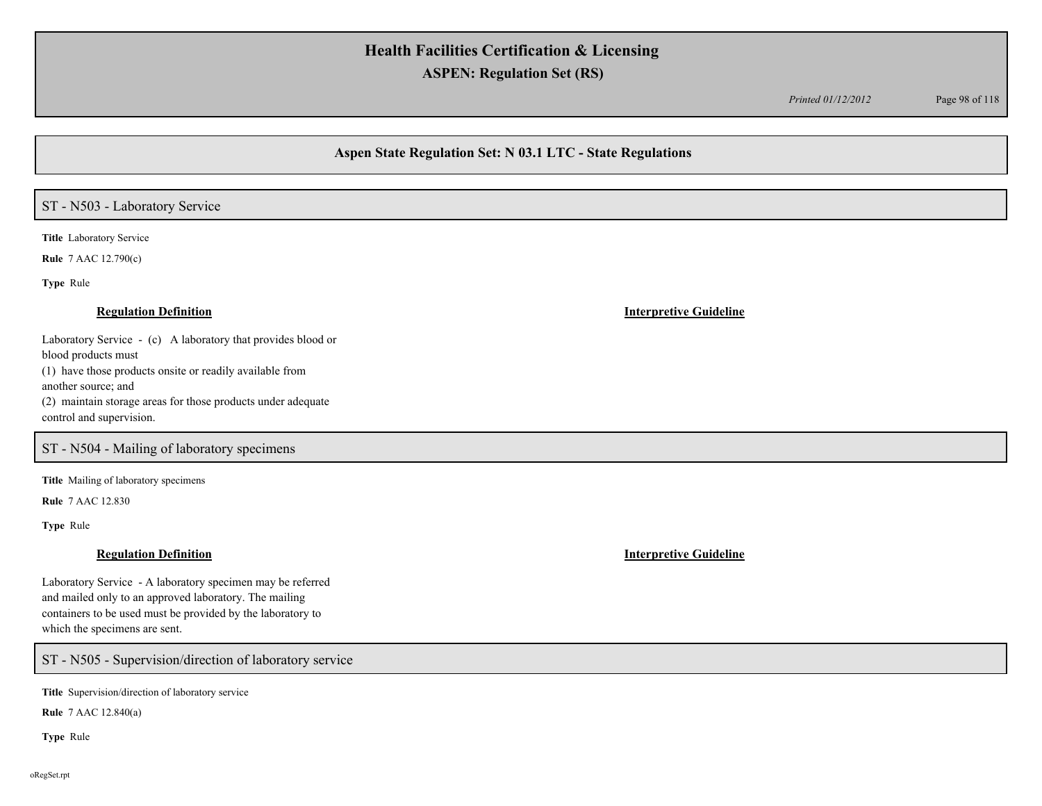*Printed 01/12/2012* Page 98 of 118

## **Aspen State Regulation Set: N 03.1 LTC - State Regulations**

## ST - N503 - Laboratory Service

**Title** Laboratory Service

**Rule** 7 AAC 12.790(c)

**Type** Rule

Laboratory Service - (c) A laboratory that provides blood or blood products must (1) have those products onsite or readily available from another source; and (2) maintain storage areas for those products under adequate control and supervision.

## ST - N504 - Mailing of laboratory specimens

**Title** Mailing of laboratory specimens

**Rule** 7 AAC 12.830

**Type** Rule

Laboratory Service - A laboratory specimen may be referred and mailed only to an approved laboratory. The mailing containers to be used must be provided by the laboratory to which the specimens are sent.

ST - N505 - Supervision/direction of laboratory service

**Title** Supervision/direction of laboratory service

**Rule** 7 AAC 12.840(a)

**Type** Rule

### **Regulation Definition Interpretive Guideline**

**Regulation Definition Interpretive Guideline**

oRegSet.rpt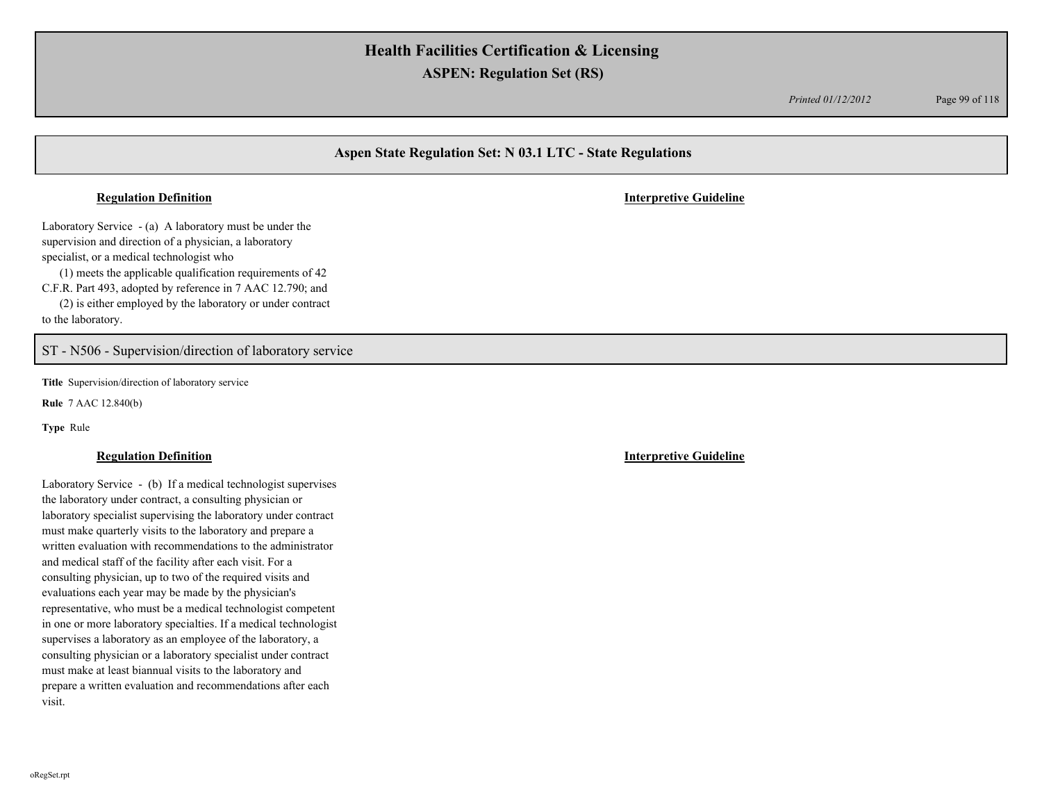*Printed 01/12/2012* Page 99 of 118

## **Aspen State Regulation Set: N 03.1 LTC - State Regulations**

### **Regulation Definition Interpretive Guideline**

Laboratory Service - (a) A laboratory must be under the supervision and direction of a physician, a laboratory specialist, or a medical technologist who

 (1) meets the applicable qualification requirements of 42 C.F.R. Part 493, adopted by reference in 7 AAC 12.790; and

 (2) is either employed by the laboratory or under contract to the laboratory.

## ST - N506 - Supervision/direction of laboratory service

**Title** Supervision/direction of laboratory service

**Rule** 7 AAC 12.840(b)

**Type** Rule

Laboratory Service - (b) If a medical technologist supervises the laboratory under contract, a consulting physician or laboratory specialist supervising the laboratory under contract must make quarterly visits to the laboratory and prepare a written evaluation with recommendations to the administrator and medical staff of the facility after each visit. For a consulting physician, up to two of the required visits and evaluations each year may be made by the physician's representative, who must be a medical technologist competent in one or more laboratory specialties. If a medical technologist supervises a laboratory as an employee of the laboratory, a consulting physician or a laboratory specialist under contract must make at least biannual visits to the laboratory and prepare a written evaluation and recommendations after each visit.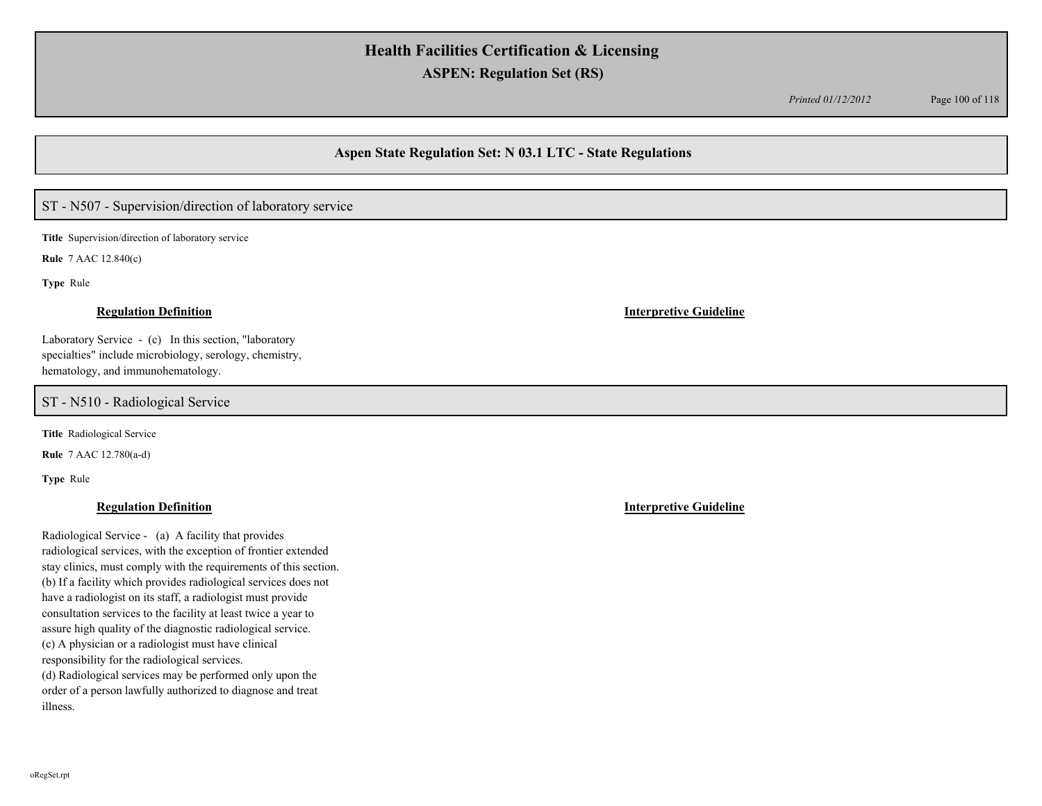*Printed 01/12/2012* Page 100 of 118

## **Aspen State Regulation Set: N 03.1 LTC - State Regulations**

## ST - N507 - Supervision/direction of laboratory service

**Title** Supervision/direction of laboratory service

**Rule** 7 AAC 12.840(c)

**Type** Rule

Laboratory Service - (c) In this section, "laboratory specialties" include microbiology, serology, chemistry, hematology, and immunohematology.

ST - N510 - Radiological Service

**Title** Radiological Service

**Rule** 7 AAC 12.780(a-d)

**Type** Rule

Radiological Service - (a) A facility that provides radiological services, with the exception of frontier extended stay clinics, must comply with the requirements of this section. (b) If a facility which provides radiological services does not have a radiologist on its staff, a radiologist must provide consultation services to the facility at least twice a year to assure high quality of the diagnostic radiological service. (c) A physician or a radiologist must have clinical responsibility for the radiological services. (d) Radiological services may be performed only upon the order of a person lawfully authorized to diagnose and treat illness.

**Regulation Definition Interpretive Guideline**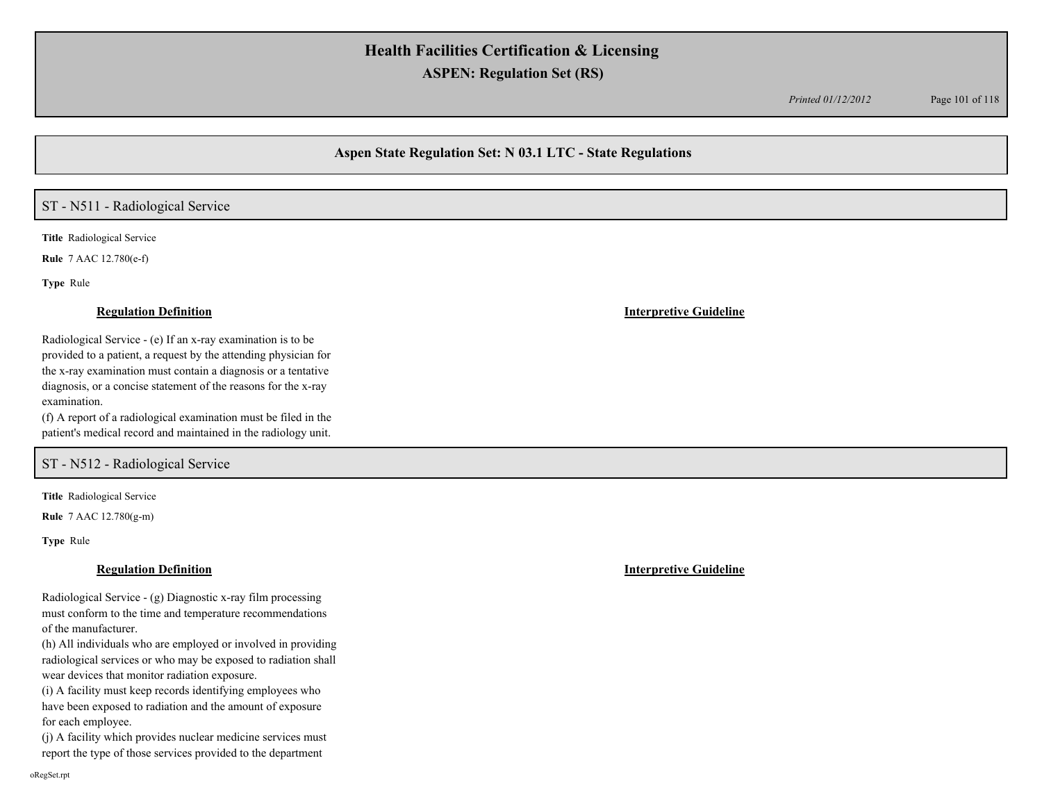*Printed 01/12/2012* Page 101 of 118

## **Aspen State Regulation Set: N 03.1 LTC - State Regulations**

## ST - N511 - Radiological Service

**Title** Radiological Service

**Rule** 7 AAC 12.780(e-f)

**Type** Rule

### **Regulation Definition Interpretive Guideline**

Radiological Service - (e) If an x-ray examination is to be provided to a patient, a request by the attending physician for the x-ray examination must contain a diagnosis or a tentative diagnosis, or a concise statement of the reasons for the x-ray examination.

(f) A report of a radiological examination must be filed in the patient's medical record and maintained in the radiology unit.

## ST - N512 - Radiological Service

**Title** Radiological Service

**Rule** 7 AAC 12.780(g-m)

**Type** Rule

### **Regulation Definition Interpretive Guideline**

Radiological Service - (g) Diagnostic x-ray film processing must conform to the time and temperature recommendations of the manufacturer.

(h) All individuals who are employed or involved in providing radiological services or who may be exposed to radiation shall wear devices that monitor radiation exposure.

(i) A facility must keep records identifying employees who have been exposed to radiation and the amount of exposure for each employee.

(j) A facility which provides nuclear medicine services must report the type of those services provided to the department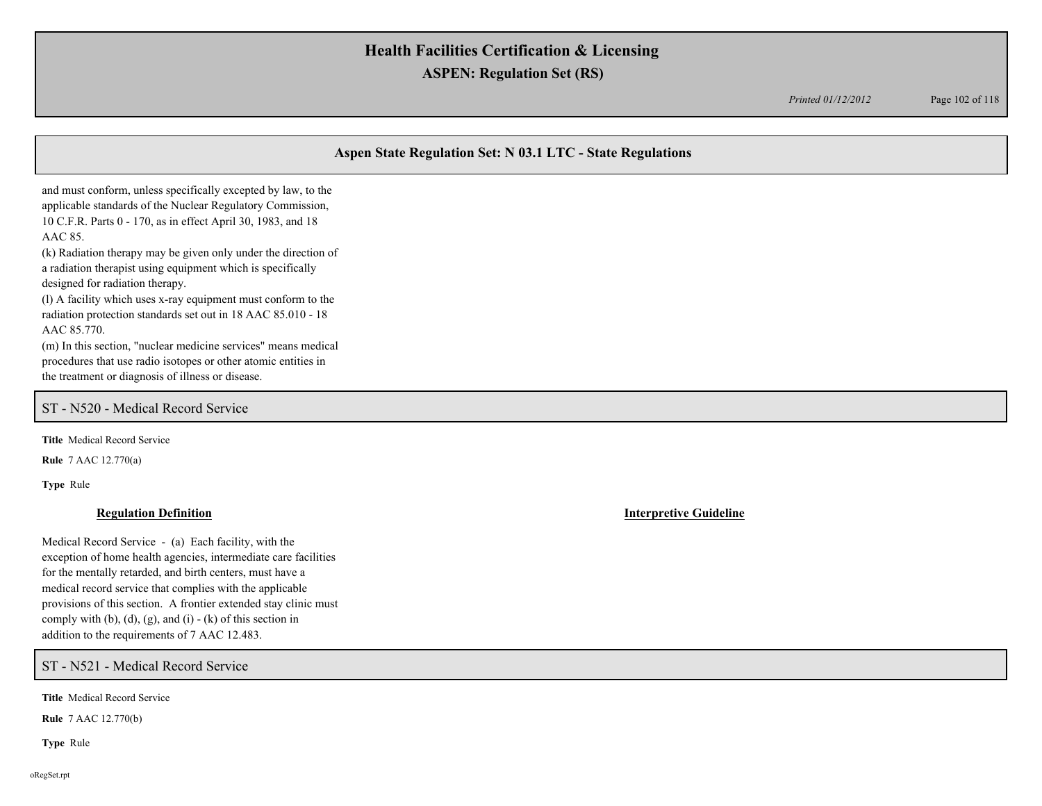*Printed 01/12/2012* Page 102 of 118

## **Aspen State Regulation Set: N 03.1 LTC - State Regulations**

and must conform, unless specifically excepted by law, to the applicable standards of the Nuclear Regulatory Commission, 10 C.F.R. Parts 0 - 170, as in effect April 30, 1983, and 18 AAC 85. (k) Radiation therapy may be given only under the direction of

a radiation therapist using equipment which is specifically designed for radiation therapy.

(l) A facility which uses x-ray equipment must conform to the radiation protection standards set out in 18 AAC 85.010 - 18 AAC 85.770.

(m) In this section, "nuclear medicine services" means medical procedures that use radio isotopes or other atomic entities in the treatment or diagnosis of illness or disease.

## ST - N520 - Medical Record Service

**Title** Medical Record Service

**Rule** 7 AAC 12.770(a)

**Type** Rule

Medical Record Service - (a) Each facility, with the exception of home health agencies, intermediate care facilities for the mentally retarded, and birth centers, must have a medical record service that complies with the applicable provisions of this section. A frontier extended stay clinic must comply with (b), (d), (g), and (i)  $-$  (k) of this section in addition to the requirements of 7 AAC 12.483.

ST - N521 - Medical Record Service

**Title** Medical Record Service

**Rule** 7 AAC 12.770(b)

**Type** Rule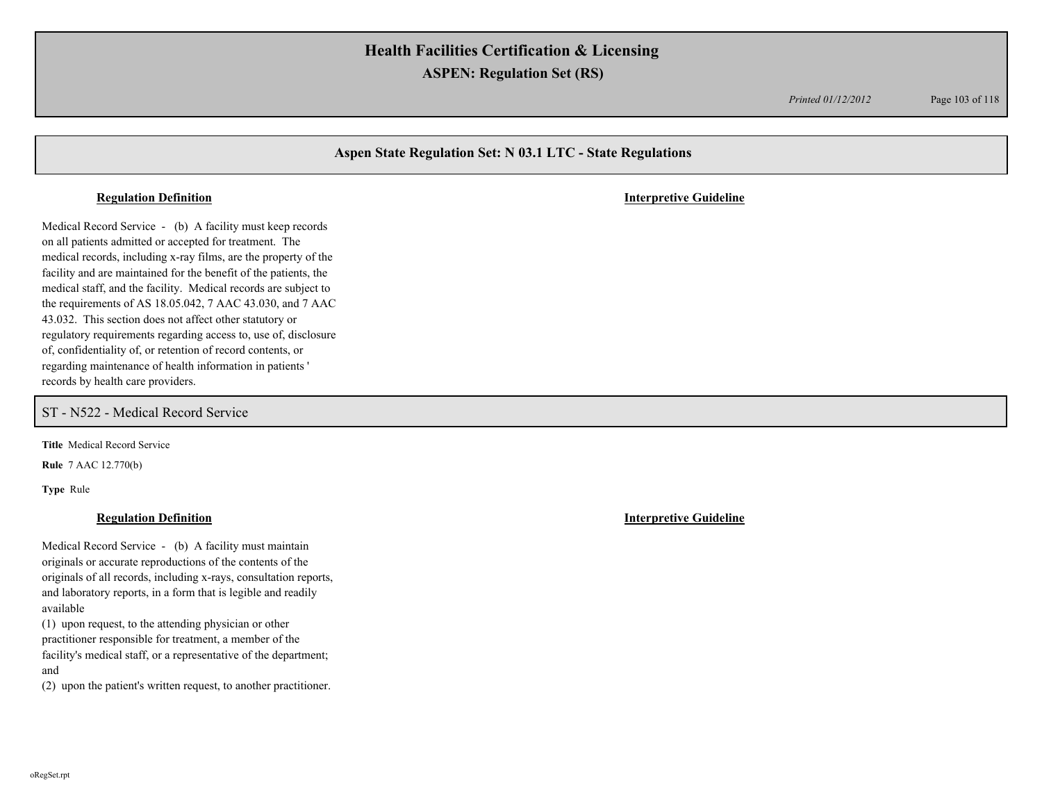*Printed 01/12/2012* Page 103 of 118

## **Aspen State Regulation Set: N 03.1 LTC - State Regulations**

Medical Record Service - (b) A facility must keep records on all patients admitted or accepted for treatment. The medical records, including x-ray films, are the property of the facility and are maintained for the benefit of the patients, the medical staff, and the facility. Medical records are subject to the requirements of AS 18.05.042, 7 AAC 43.030, and 7 AAC 43.032. This section does not affect other statutory or regulatory requirements regarding access to, use of, disclosure of, confidentiality of, or retention of record contents, or regarding maintenance of health information in patients ' records by health care providers.

ST - N522 - Medical Record Service

**Title** Medical Record Service

**Rule** 7 AAC 12.770(b)

**Type** Rule

Medical Record Service - (b) A facility must maintain originals or accurate reproductions of the contents of the originals of all records, including x-rays, consultation reports, and laboratory reports, in a form that is legible and readily available

(1) upon request, to the attending physician or other practitioner responsible for treatment, a member of the facility's medical staff, or a representative of the department; and

(2) upon the patient's written request, to another practitioner.

**Regulation Definition Interpretive Guideline**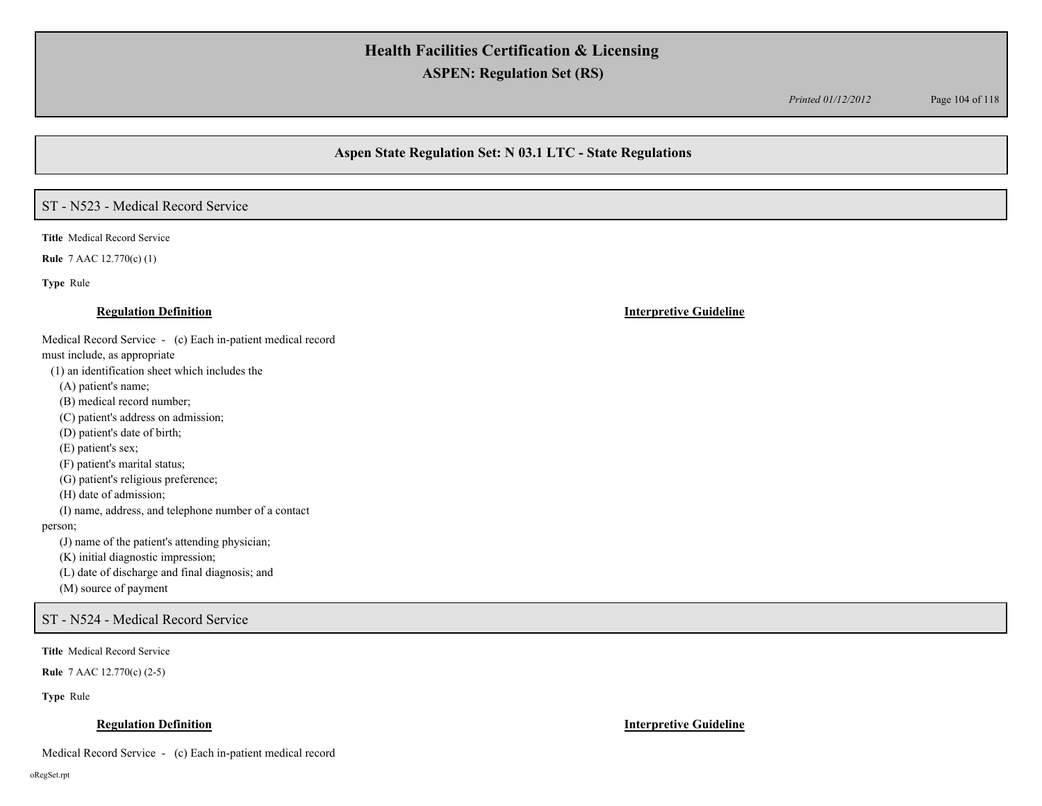*Printed 01/12/2012* Page 104 of 118

## **Aspen State Regulation Set: N 03.1 LTC - State Regulations**

## ST - N523 - Medical Record Service

**Title** Medical Record Service

**Rule** 7 AAC 12.770(c) (1)

**Type** Rule

Medical Record Service - (c) Each in-patient medical record

must include, as appropriate

(1) an identification sheet which includes the

(A) patient's name;

(B) medical record number;

(C) patient's address on admission;

(D) patient's date of birth;

(E) patient's sex;

(F) patient's marital status;

(G) patient's religious preference;

(H) date of admission;

(I) name, address, and telephone number of a contact

person;

(J) name of the patient's attending physician;

(K) initial diagnostic impression;

(L) date of discharge and final diagnosis; and

(M) source of payment

ST - N524 - Medical Record Service

**Title** Medical Record Service

**Rule** 7 AAC 12.770(c) (2-5)

**Type** Rule

### **Regulation Definition Interpretive Guideline**

Medical Record Service - (c) Each in-patient medical record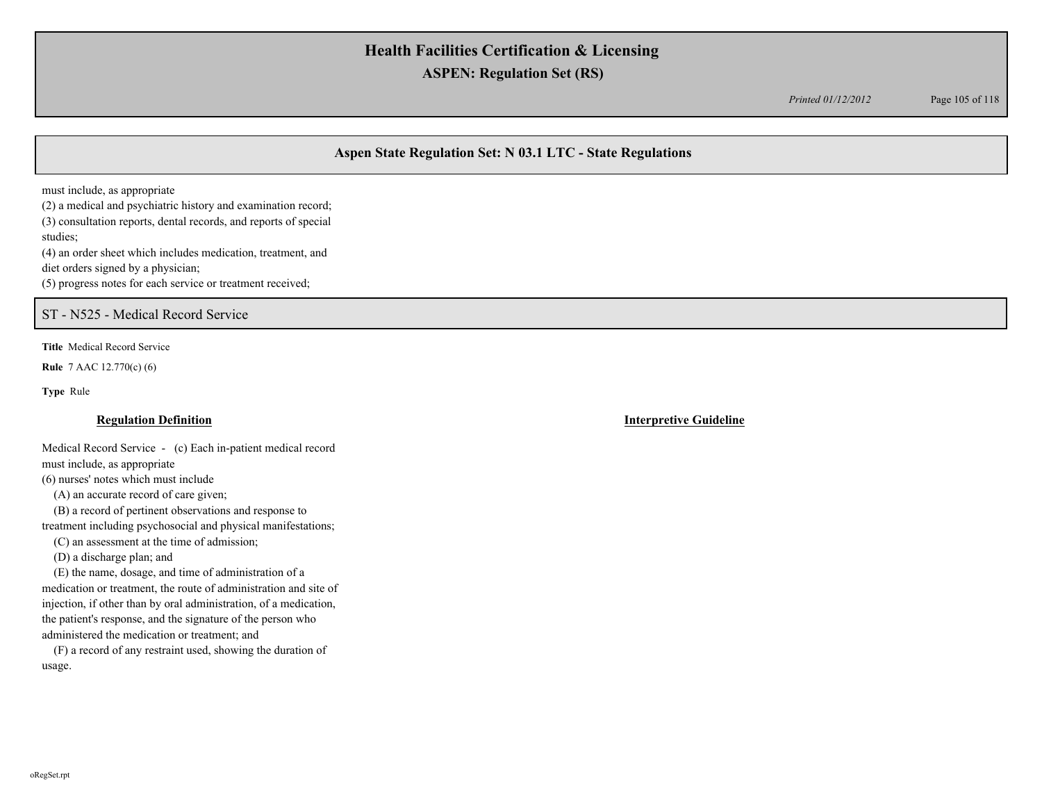*Printed 01/12/2012* Page 105 of 118

## **Aspen State Regulation Set: N 03.1 LTC - State Regulations**

must include, as appropriate

(2) a medical and psychiatric history and examination record; (3) consultation reports, dental records, and reports of special studies; (4) an order sheet which includes medication, treatment, and diet orders signed by a physician; (5) progress notes for each service or treatment received;

## ST - N525 - Medical Record Service

**Title** Medical Record Service

**Rule** 7 AAC 12.770(c) (6)

**Type** Rule

### **Regulation Definition Interpretive Guideline**

Medical Record Service - (c) Each in-patient medical record must include, as appropriate

(6) nurses' notes which must include

(A) an accurate record of care given;

 (B) a record of pertinent observations and response to treatment including psychosocial and physical manifestations;

(C) an assessment at the time of admission;

(D) a discharge plan; and

 (E) the name, dosage, and time of administration of a medication or treatment, the route of administration and site of injection, if other than by oral administration, of a medication, the patient's response, and the signature of the person who administered the medication or treatment; and

 (F) a record of any restraint used, showing the duration of usage.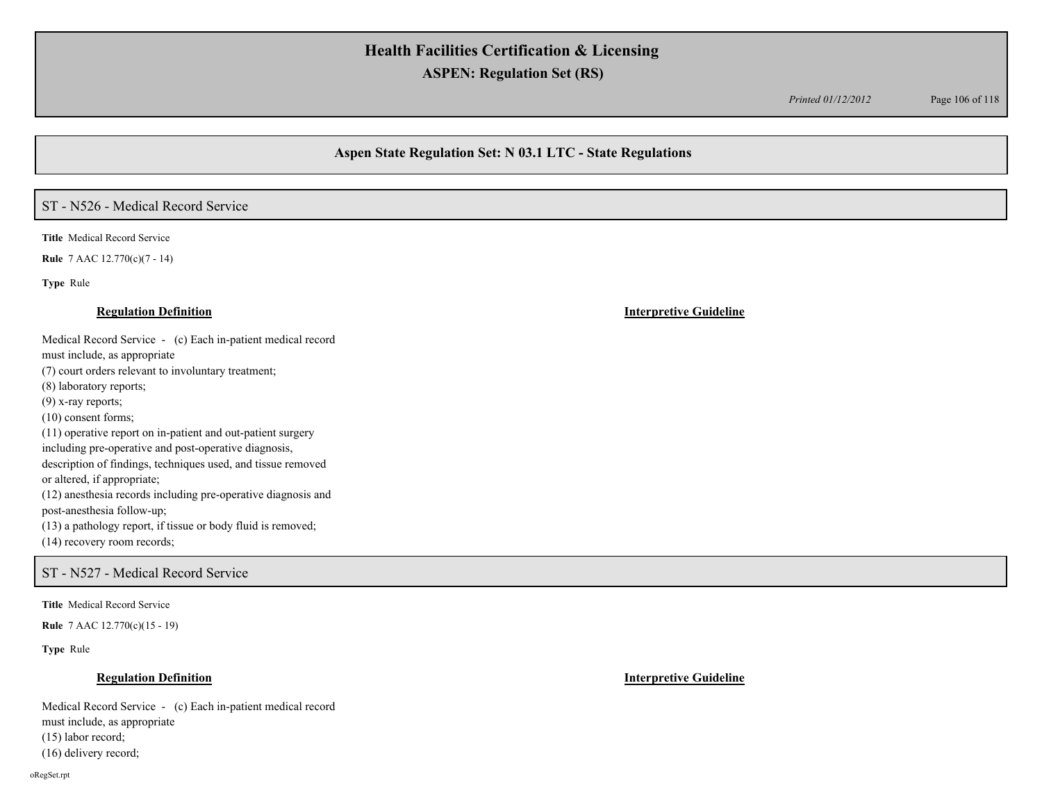*Printed 01/12/2012* Page 106 of 118

## **Aspen State Regulation Set: N 03.1 LTC - State Regulations**

## ST - N526 - Medical Record Service

**Title** Medical Record Service

**Rule** 7 AAC 12.770(c)(7 - 14)

**Type** Rule

Medical Record Service - (c) Each in-patient medical record

must include, as appropriate

(7) court orders relevant to involuntary treatment;

(8) laboratory reports;

(9) x-ray reports;

(10) consent forms;

(11) operative report on in-patient and out-patient surgery including pre-operative and post-operative diagnosis,

description of findings, techniques used, and tissue removed or altered, if appropriate;

(12) anesthesia records including pre-operative diagnosis and post-anesthesia follow-up;

(13) a pathology report, if tissue or body fluid is removed;

(14) recovery room records;

## ST - N527 - Medical Record Service

**Title** Medical Record Service

**Rule** 7 AAC 12.770(c)(15 - 19)

**Type** Rule

### **Regulation Definition Interpretive Guideline**

Medical Record Service - (c) Each in-patient medical record must include, as appropriate (15) labor record; (16) delivery record;

oRegSet.rpt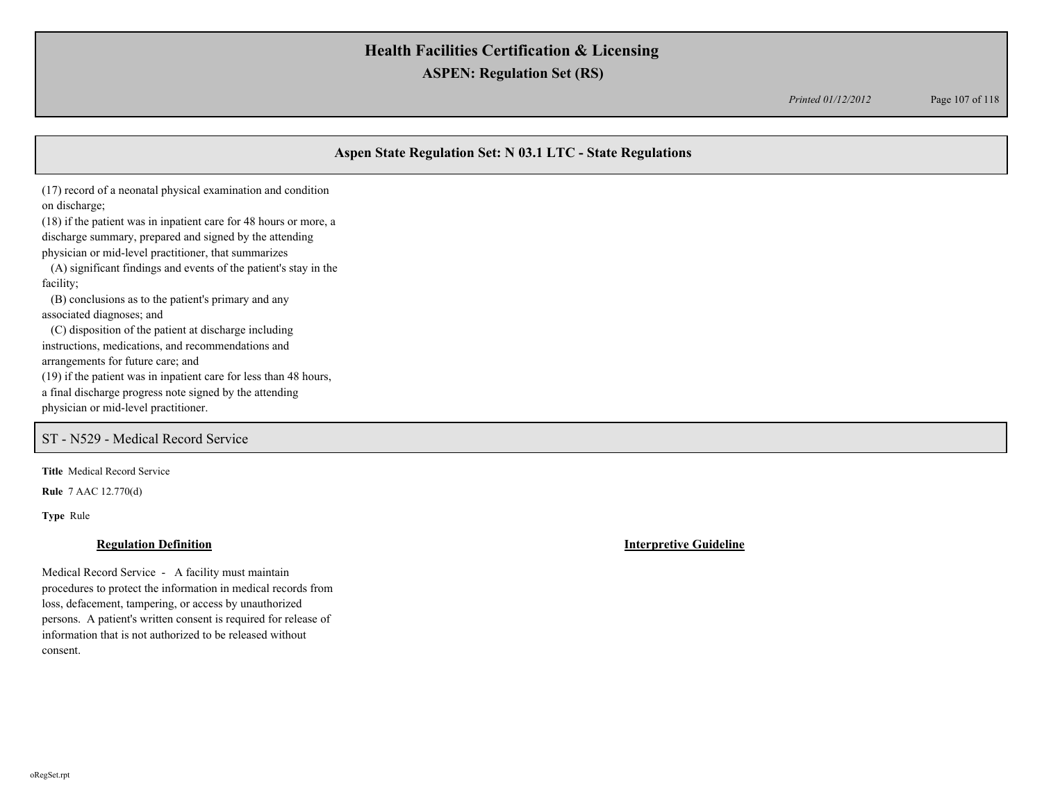*Printed 01/12/2012* Page 107 of 118

## **Aspen State Regulation Set: N 03.1 LTC - State Regulations**

(17) record of a neonatal physical examination and condition on discharge;

(18) if the patient was in inpatient care for 48 hours or more, a discharge summary, prepared and signed by the attending physician or mid-level practitioner, that summarizes (A) significant findings and events of the patient's stay in the

facility; (B) conclusions as to the patient's primary and any

associated diagnoses; and

 (C) disposition of the patient at discharge including instructions, medications, and recommendations and arrangements for future care; and

(19) if the patient was in inpatient care for less than 48 hours,

a final discharge progress note signed by the attending

physician or mid-level practitioner.

## ST - N529 - Medical Record Service

**Title** Medical Record Service

**Rule** 7 AAC 12.770(d)

**Type** Rule

### **Regulation Definition Interpretive Guideline**

Medical Record Service - A facility must maintain procedures to protect the information in medical records from loss, defacement, tampering, or access by unauthorized persons. A patient's written consent is required for release of information that is not authorized to be released without consent.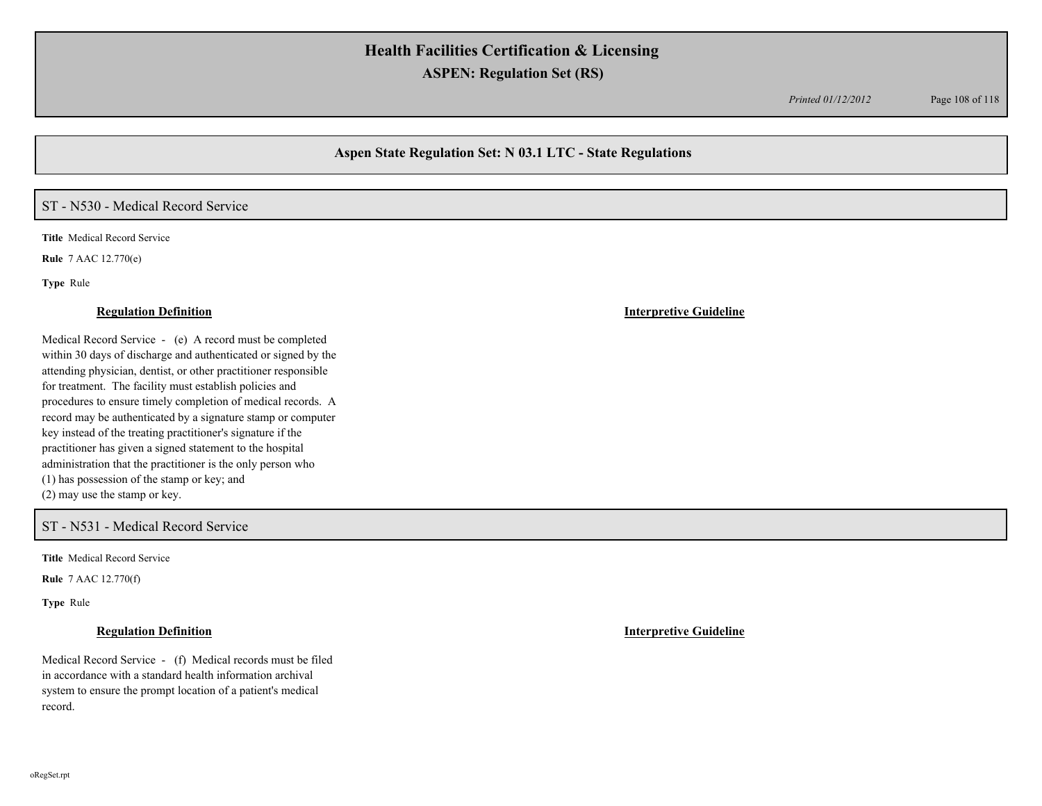*Printed 01/12/2012* Page 108 of 118

## **Aspen State Regulation Set: N 03.1 LTC - State Regulations**

## ST - N530 - Medical Record Service

**Title** Medical Record Service

**Rule** 7 AAC 12.770(e)

**Type** Rule

Medical Record Service - (e) A record must be completed within 30 days of discharge and authenticated or signed by the attending physician, dentist, or other practitioner responsible for treatment. The facility must establish policies and procedures to ensure timely completion of medical records. A record may be authenticated by a signature stamp or computer key instead of the treating practitioner's signature if the practitioner has given a signed statement to the hospital administration that the practitioner is the only person who (1) has possession of the stamp or key; and (2) may use the stamp or key.

### ST - N531 - Medical Record Service

**Title** Medical Record Service

**Rule** 7 AAC 12.770(f)

**Type** Rule

Medical Record Service - (f) Medical records must be filed in accordance with a standard health information archival system to ensure the prompt location of a patient's medical record.

### **Regulation Definition Interpretive Guideline**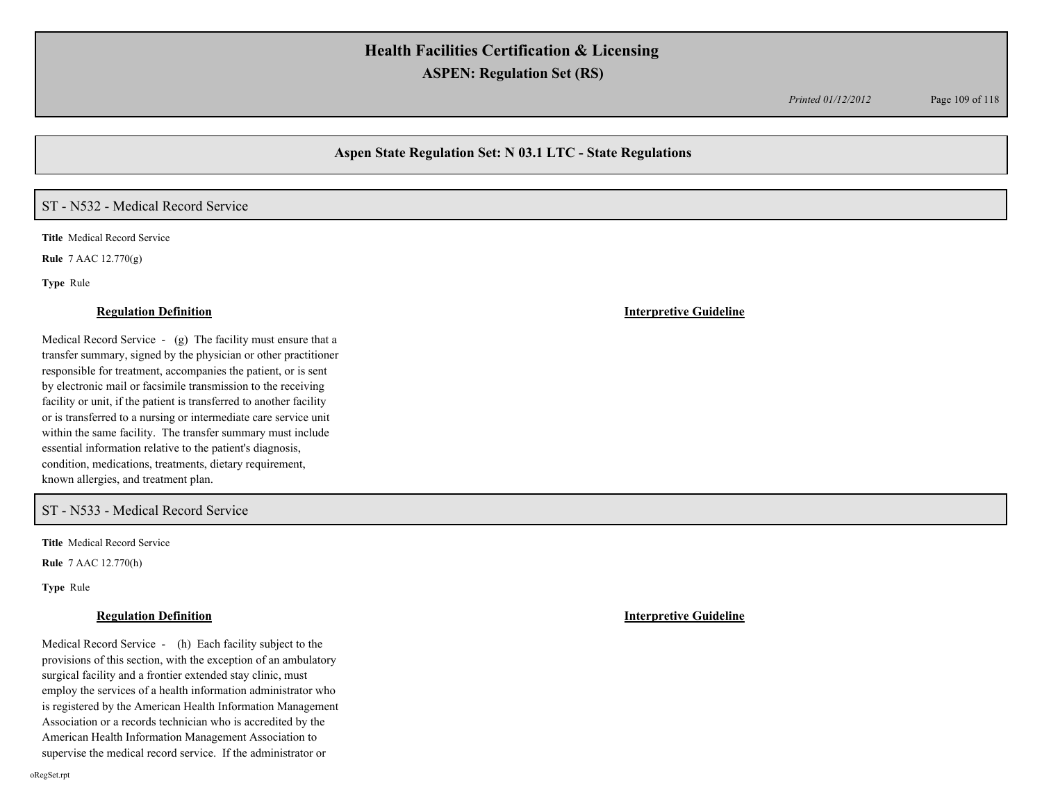*Printed 01/12/2012* Page 109 of 118

## **Aspen State Regulation Set: N 03.1 LTC - State Regulations**

# ST - N532 - Medical Record Service

**Title** Medical Record Service

**Rule** 7 AAC 12.770(g)

**Type** Rule

#### **Regulation Definition Interpretive Guideline**

Medical Record Service - (g) The facility must ensure that a transfer summary, signed by the physician or other practitioner responsible for treatment, accompanies the patient, or is sent by electronic mail or facsimile transmission to the receiving facility or unit, if the patient is transferred to another facility or is transferred to a nursing or intermediate care service unit within the same facility. The transfer summary must include essential information relative to the patient's diagnosis, condition, medications, treatments, dietary requirement, known allergies, and treatment plan.

### ST - N533 - Medical Record Service

**Title** Medical Record Service

**Rule** 7 AAC 12.770(h)

**Type** Rule

Medical Record Service - (h) Each facility subject to the provisions of this section, with the exception of an ambulatory surgical facility and a frontier extended stay clinic, must employ the services of a health information administrator who is registered by the American Health Information Management Association or a records technician who is accredited by the American Health Information Management Association to supervise the medical record service. If the administrator or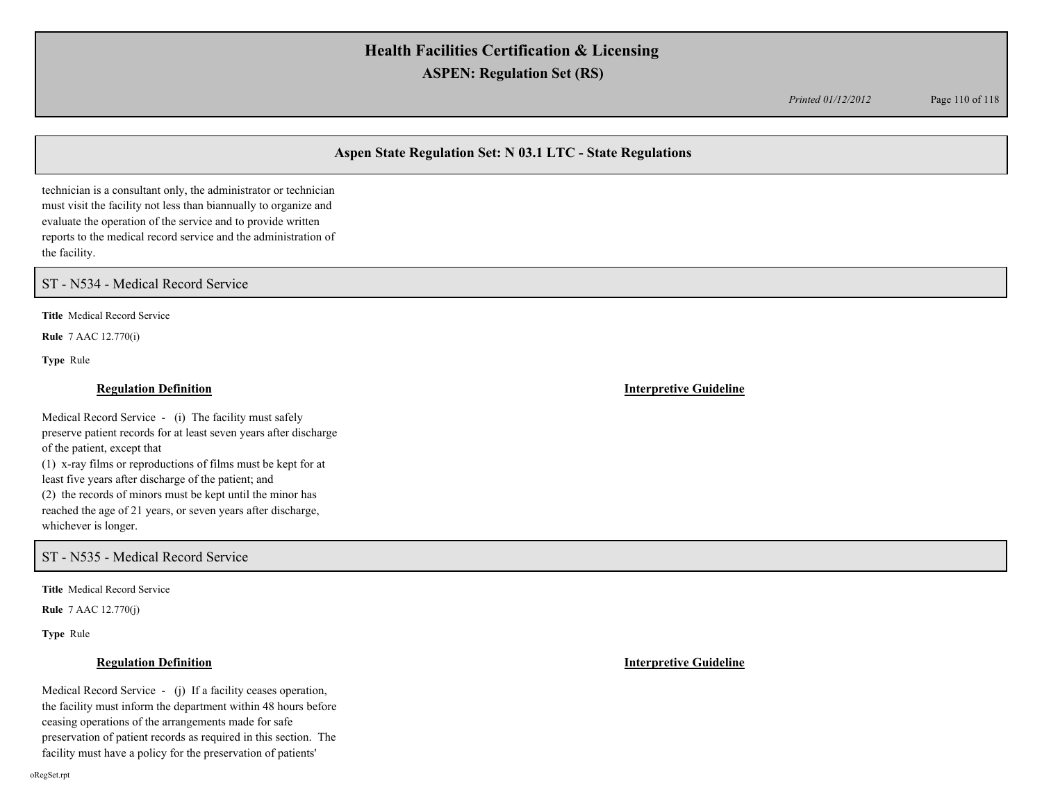*Printed 01/12/2012* Page 110 of 118

## **Aspen State Regulation Set: N 03.1 LTC - State Regulations**

technician is a consultant only, the administrator or technician must visit the facility not less than biannually to organize and evaluate the operation of the service and to provide written reports to the medical record service and the administration of the facility.

ST - N534 - Medical Record Service

**Title** Medical Record Service

**Rule** 7 AAC 12.770(i)

**Type** Rule

### **Regulation Definition Interpretive Guideline**

Medical Record Service - (i) The facility must safely preserve patient records for at least seven years after discharge of the patient, except that (1) x-ray films or reproductions of films must be kept for at least five years after discharge of the patient; and (2) the records of minors must be kept until the minor has reached the age of 21 years, or seven years after discharge, whichever is longer.

ST - N535 - Medical Record Service

**Title** Medical Record Service

**Rule** 7 AAC 12.770(j)

**Type** Rule

Medical Record Service - (j) If a facility ceases operation, the facility must inform the department within 48 hours before ceasing operations of the arrangements made for safe preservation of patient records as required in this section. The facility must have a policy for the preservation of patients'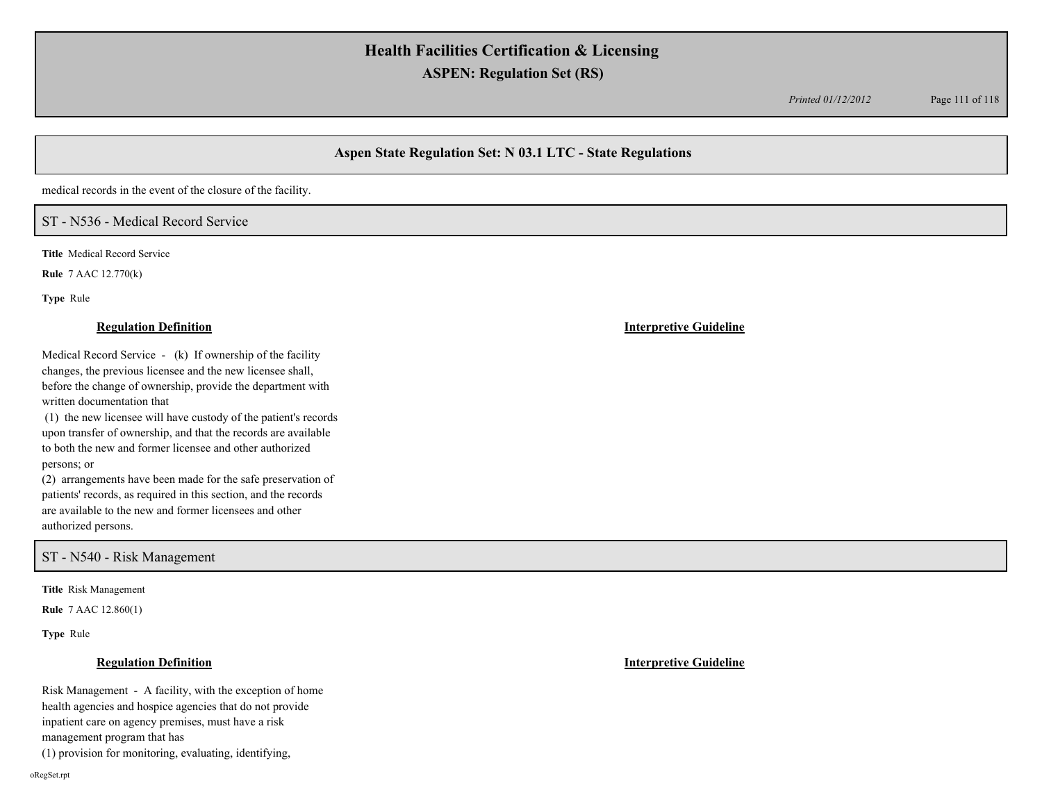*Printed 01/12/2012* Page 111 of 118

# **Aspen State Regulation Set: N 03.1 LTC - State Regulations**

medical records in the event of the closure of the facility.

# ST - N536 - Medical Record Service

**Title** Medical Record Service

**Rule** 7 AAC 12.770(k)

**Type** Rule

Medical Record Service - (k) If ownership of the facility changes, the previous licensee and the new licensee shall, before the change of ownership, provide the department with written documentation that

 (1) the new licensee will have custody of the patient's records upon transfer of ownership, and that the records are available to both the new and former licensee and other authorized persons; or

(2) arrangements have been made for the safe preservation of patients' records, as required in this section, and the records are available to the new and former licensees and other authorized persons.

## ST - N540 - Risk Management

**Title** Risk Management

**Rule** 7 AAC 12.860(1)

**Type** Rule

### **Regulation Definition Interpretive Guideline**

Risk Management - A facility, with the exception of home health agencies and hospice agencies that do not provide inpatient care on agency premises, must have a risk

management program that has

(1) provision for monitoring, evaluating, identifying,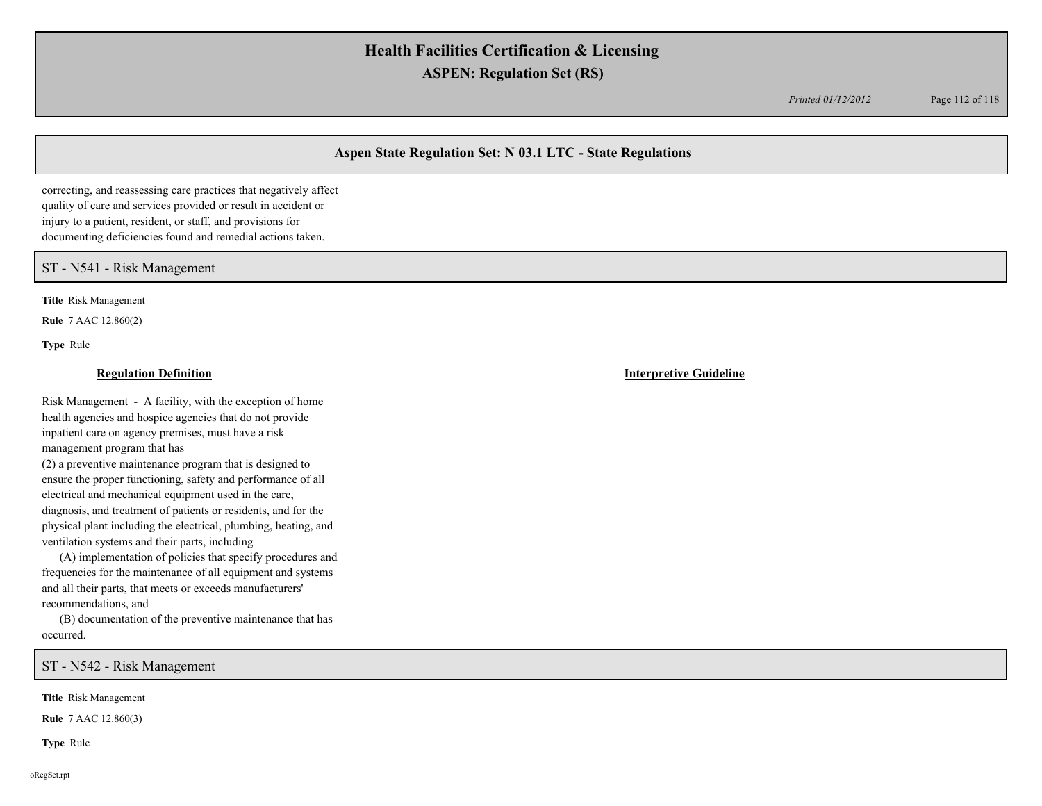*Printed 01/12/2012* Page 112 of 118

## **Aspen State Regulation Set: N 03.1 LTC - State Regulations**

correcting, and reassessing care practices that negatively affect quality of care and services provided or result in accident or injury to a patient, resident, or staff, and provisions for documenting deficiencies found and remedial actions taken.

### ST - N541 - Risk Management

**Title** Risk Management

**Rule** 7 AAC 12.860(2)

**Type** Rule

Risk Management - A facility, with the exception of home health agencies and hospice agencies that do not provide inpatient care on agency premises, must have a risk management program that has

(2) a preventive maintenance program that is designed to ensure the proper functioning, safety and performance of all electrical and mechanical equipment used in the care, diagnosis, and treatment of patients or residents, and for the physical plant including the electrical, plumbing, heating, and ventilation systems and their parts, including

 (A) implementation of policies that specify procedures and frequencies for the maintenance of all equipment and systems and all their parts, that meets or exceeds manufacturers' recommendations, and

 (B) documentation of the preventive maintenance that has occurred.

ST - N542 - Risk Management

**Title** Risk Management

**Rule** 7 AAC 12.860(3)

**Type** Rule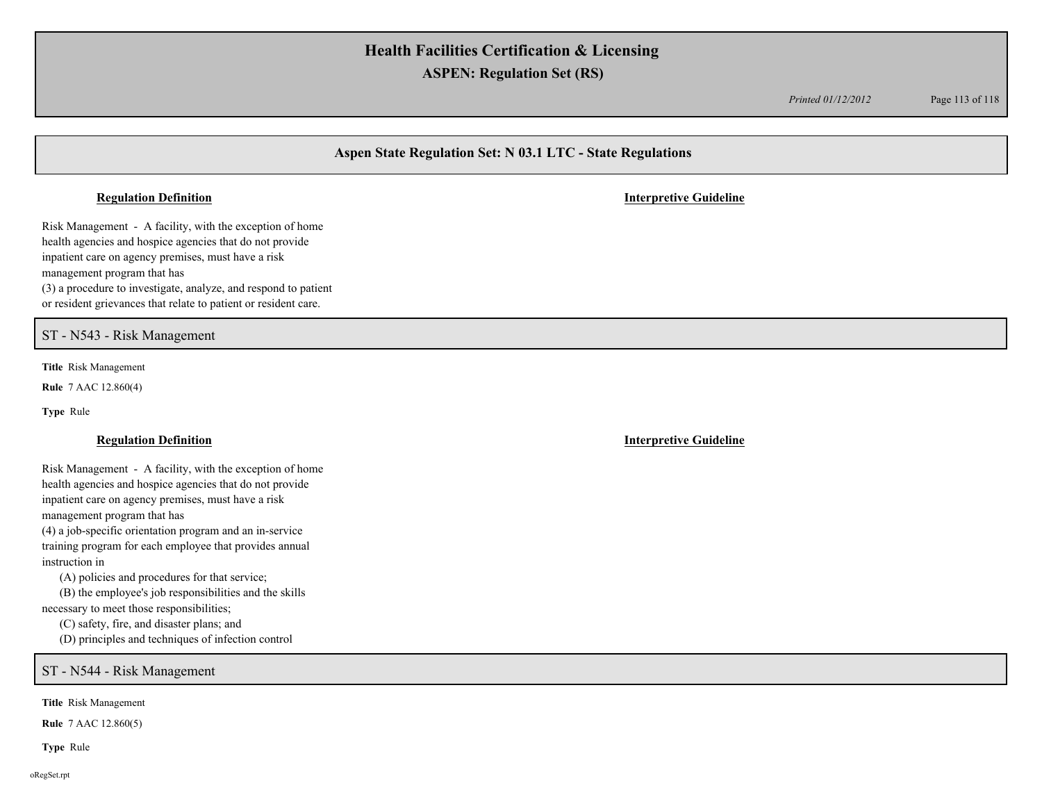*Printed 01/12/2012* Page 113 of 118

# **Aspen State Regulation Set: N 03.1 LTC - State Regulations**

Risk Management - A facility, with the exception of home health agencies and hospice agencies that do not provide inpatient care on agency premises, must have a risk management program that has (3) a procedure to investigate, analyze, and respond to patient or resident grievances that relate to patient or resident care.

ST - N543 - Risk Management

**Title** Risk Management

**Rule** 7 AAC 12.860(4)

**Type** Rule

Risk Management - A facility, with the exception of home health agencies and hospice agencies that do not provide inpatient care on agency premises, must have a risk management program that has

(4) a job-specific orientation program and an in-service training program for each employee that provides annual instruction in

(A) policies and procedures for that service;

 (B) the employee's job responsibilities and the skills necessary to meet those responsibilities;

(C) safety, fire, and disaster plans; and

(D) principles and techniques of infection control

ST - N544 - Risk Management

**Title** Risk Management

**Rule** 7 AAC 12.860(5)

**Type** Rule

**Regulation Definition Interpretive Guideline**

**Regulation Definition Interpretive Guideline**

oRegSet.rpt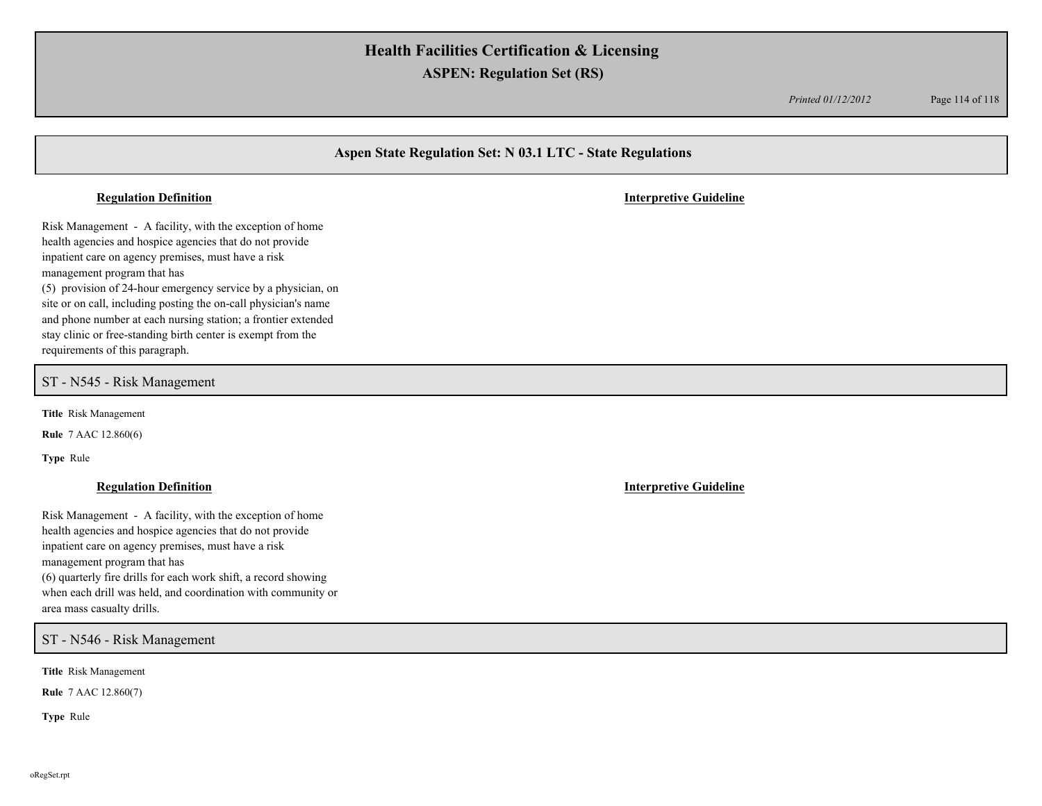*Printed 01/12/2012* Page 114 of 118

# **Aspen State Regulation Set: N 03.1 LTC - State Regulations**

#### **Regulation Definition Interpretive Guideline**

Risk Management - A facility, with the exception of home health agencies and hospice agencies that do not provide inpatient care on agency premises, must have a risk management program that has (5) provision of 24-hour emergency service by a physician, on site or on call, including posting the on-call physician's name and phone number at each nursing station; a frontier extended stay clinic or free-standing birth center is exempt from the requirements of this paragraph.

### ST - N545 - Risk Management

**Title** Risk Management

**Rule** 7 AAC 12.860(6)

**Type** Rule

### **Regulation Definition Interpretive Guideline**

Risk Management - A facility, with the exception of home health agencies and hospice agencies that do not provide inpatient care on agency premises, must have a risk management program that has (6) quarterly fire drills for each work shift, a record showing when each drill was held, and coordination with community or area mass casualty drills.

ST - N546 - Risk Management

**Title** Risk Management

**Rule** 7 AAC 12.860(7)

**Type** Rule

oRegSet.rpt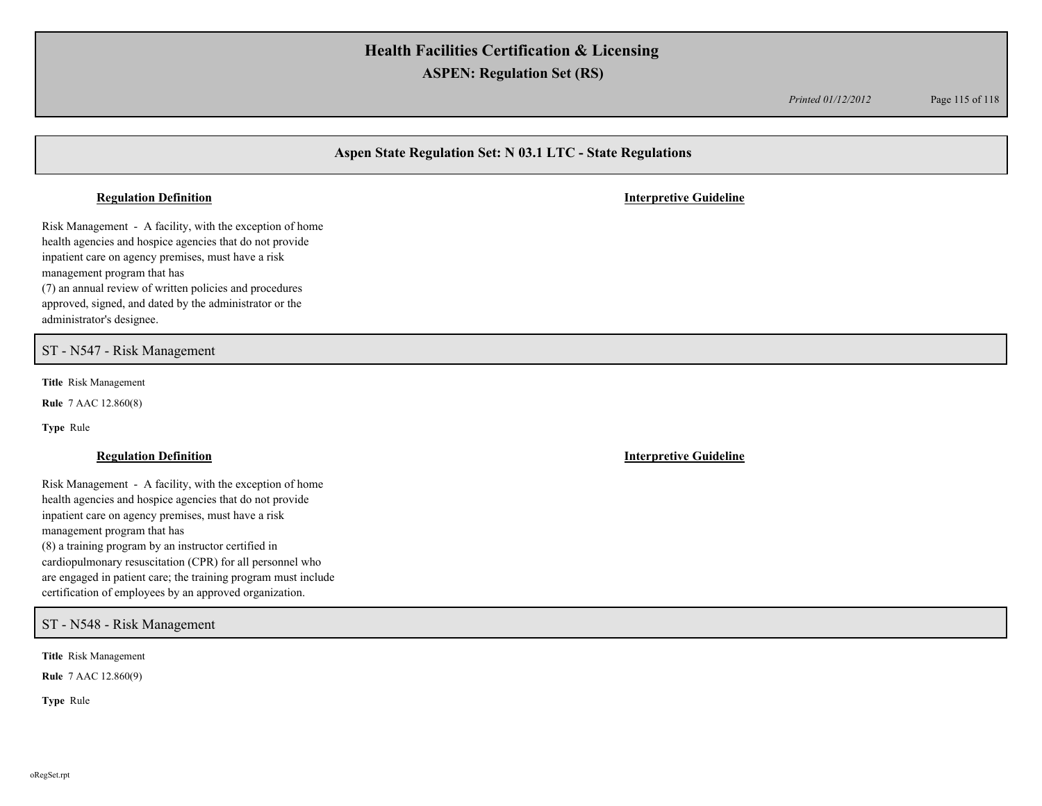*Printed 01/12/2012* Page 115 of 118

# **Aspen State Regulation Set: N 03.1 LTC - State Regulations**

#### **Regulation Definition Interpretive Guideline**

Risk Management - A facility, with the exception of home health agencies and hospice agencies that do not provide inpatient care on agency premises, must have a risk management program that has (7) an annual review of written policies and procedures approved, signed, and dated by the administrator or the administrator's designee.

### ST - N547 - Risk Management

**Title** Risk Management

**Rule** 7 AAC 12.860(8)

**Type** Rule

Risk Management - A facility, with the exception of home health agencies and hospice agencies that do not provide inpatient care on agency premises, must have a risk management program that has (8) a training program by an instructor certified in cardiopulmonary resuscitation (CPR) for all personnel who are engaged in patient care; the training program must include certification of employees by an approved organization.

## ST - N548 - Risk Management

**Title** Risk Management

**Rule** 7 AAC 12.860(9)

**Type** Rule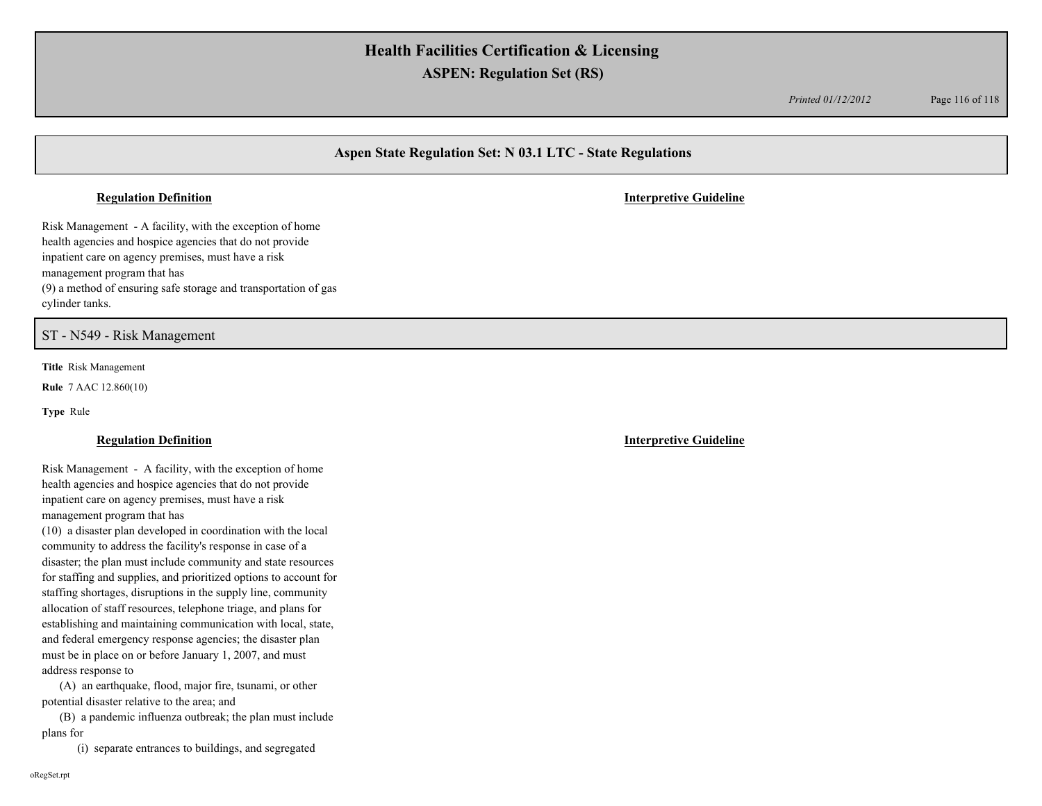*Printed 01/12/2012* Page 116 of 118

# **Aspen State Regulation Set: N 03.1 LTC - State Regulations**

#### **Regulation Definition Interpretive Guideline**

Risk Management - A facility, with the exception of home health agencies and hospice agencies that do not provide inpatient care on agency premises, must have a risk management program that has (9) a method of ensuring safe storage and transportation of gas cylinder tanks.

ST - N549 - Risk Management

**Title** Risk Management

**Rule** 7 AAC 12.860(10)

**Type** Rule

### **Regulation Definition Interpretive Guideline**

Risk Management - A facility, with the exception of home health agencies and hospice agencies that do not provide inpatient care on agency premises, must have a risk management program that has

(10) a disaster plan developed in coordination with the local community to address the facility's response in case of a disaster; the plan must include community and state resources for staffing and supplies, and prioritized options to account for staffing shortages, disruptions in the supply line, community allocation of staff resources, telephone triage, and plans for establishing and maintaining communication with local, state, and federal emergency response agencies; the disaster plan must be in place on or before January 1, 2007, and must address response to

 (A) an earthquake, flood, major fire, tsunami, or other potential disaster relative to the area; and

 (B) a pandemic influenza outbreak; the plan must include plans for

(i) separate entrances to buildings, and segregated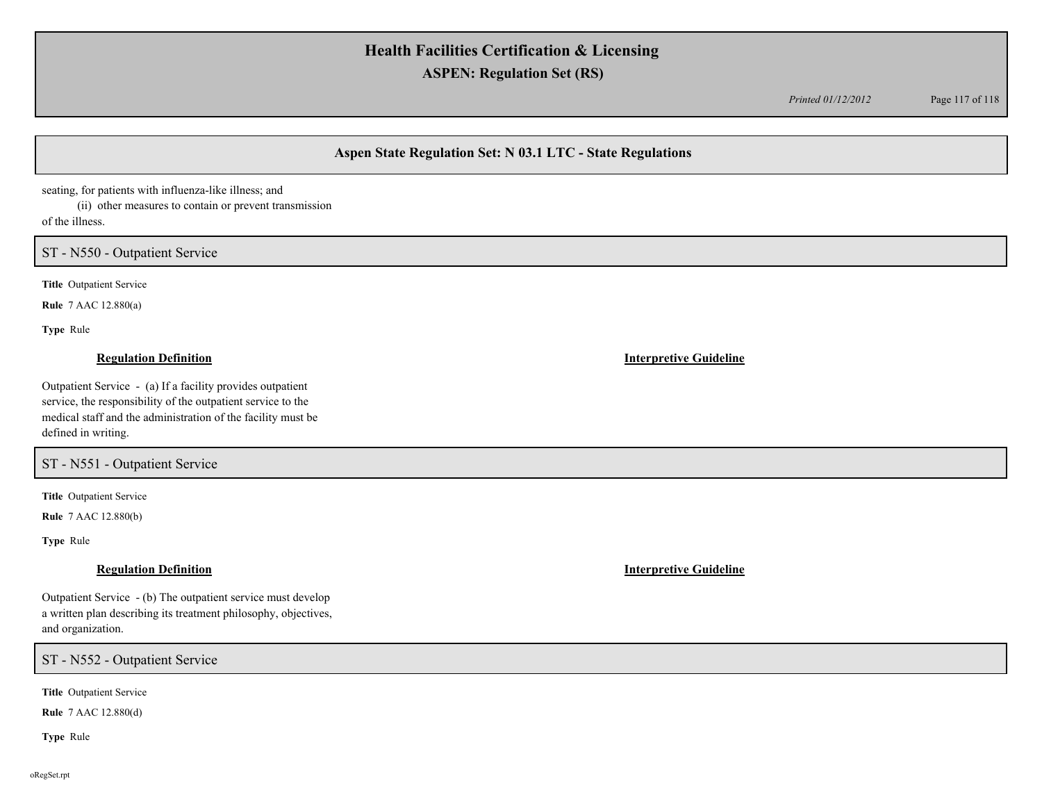*Printed 01/12/2012* Page 117 of 118

## **Aspen State Regulation Set: N 03.1 LTC - State Regulations**

seating, for patients with influenza-like illness; and

 (ii) other measures to contain or prevent transmission of the illness.

## ST - N550 - Outpatient Service

**Title** Outpatient Service

**Rule** 7 AAC 12.880(a)

**Type** Rule

### **Regulation Definition Interpretive Guideline**

Outpatient Service - (a) If a facility provides outpatient service, the responsibility of the outpatient service to the medical staff and the administration of the facility must be defined in writing.

ST - N551 - Outpatient Service

**Title** Outpatient Service

**Rule** 7 AAC 12.880(b)

**Type** Rule

Outpatient Service - (b) The outpatient service must develop a written plan describing its treatment philosophy, objectives, and organization.

ST - N552 - Outpatient Service

**Title** Outpatient Service

**Rule** 7 AAC 12.880(d)

**Type** Rule